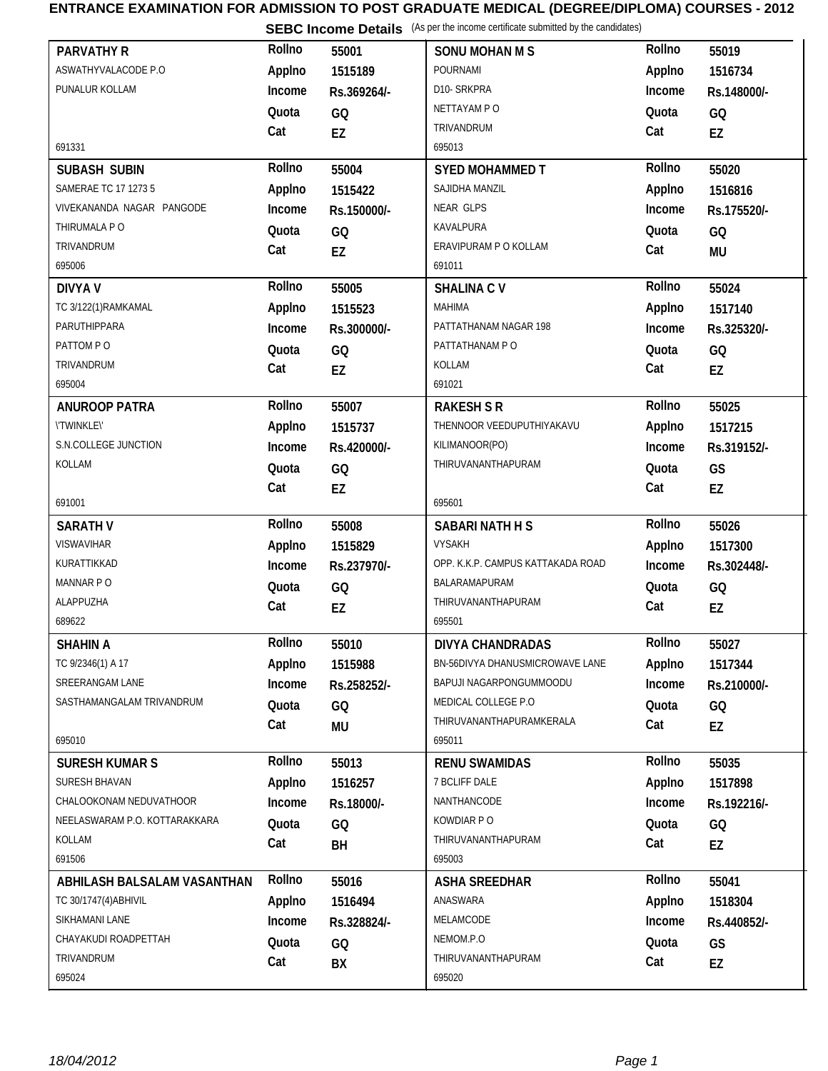## **ENTRANCE EXAMINATION FOR ADMISSION TO POST GRADUATE MEDICAL (DEGREE/DIPLOMA) COURSES - 2012**

**SEBC Income Details** (As per the income certificate submitted by the candidates)

| <b>PARVATHY R</b>                                 | Rollno | 55001       | <b>SONU MOHAN M S</b>                    | Rollno | 55019       |
|---------------------------------------------------|--------|-------------|------------------------------------------|--------|-------------|
| ASWATHYVALACODE P.O                               | Applno | 1515189     | POURNAMI                                 | Applno | 1516734     |
| PUNALUR KOLLAM                                    | Income |             | D10-SRKPRA                               | Income |             |
|                                                   |        | Rs.369264/- | NETTAYAM P O                             |        | Rs.148000/- |
|                                                   | Quota  | GQ          | TRIVANDRUM                               | Quota  | GQ          |
| 691331                                            | Cat    | EZ          | 695013                                   | Cat    | EZ          |
|                                                   | Rollno |             |                                          | Rollno |             |
| SUBASH SUBIN                                      |        | 55004       | <b>SYED MOHAMMED T</b><br>SAJIDHA MANZIL |        | 55020       |
| SAMERAE TC 17 1273 5<br>VIVEKANANDA NAGAR PANGODE | Applno | 1515422     | <b>NEAR GLPS</b>                         | Applno | 1516816     |
| THIRUMALA P O                                     | Income | Rs.150000/- | KAVALPURA                                | Income | Rs.175520/- |
| TRIVANDRUM                                        | Quota  | GQ          | ERAVIPURAM P O KOLLAM                    | Quota  | GQ          |
| 695006                                            | Cat    | EZ          | 691011                                   | Cat    | <b>MU</b>   |
|                                                   | Rollno |             |                                          | Rollno |             |
| <b>DIVYA V</b>                                    |        | 55005       | <b>SHALINA CV</b>                        |        | 55024       |
| TC 3/122(1)RAMKAMAL                               | Applno | 1515523     | <b>MAHIMA</b>                            | Applno | 1517140     |
| PARUTHIPPARA                                      | Income | Rs.300000/- | PATTATHANAM NAGAR 198                    | Income | Rs.325320/- |
| PATTOM PO                                         | Quota  | GQ          | PATTATHANAM PO                           | Quota  | GQ          |
| TRIVANDRUM                                        | Cat    | EZ          | KOLLAM                                   | Cat    | EZ          |
| 695004                                            |        |             | 691021                                   |        |             |
| <b>ANUROOP PATRA</b>                              | Rollno | 55007       | <b>RAKESH S R</b>                        | Rollno | 55025       |
| <b>\'TWINKLE\'</b>                                | Applno | 1515737     | THENNOOR VEEDUPUTHIYAKAVU                | Applno | 1517215     |
| S.N.COLLEGE JUNCTION                              | Income | Rs.420000/- | KILIMANOOR(PO)                           | Income | Rs.319152/- |
| KOLLAM                                            | Quota  | GQ          | THIRUVANANTHAPURAM                       | Quota  | GS          |
|                                                   | Cat    | EZ          |                                          | Cat    | EZ          |
| 691001                                            |        |             | 695601                                   |        |             |
| <b>SARATH V</b>                                   | Rollno | 55008       | <b>SABARI NATH H S</b>                   | Rollno | 55026       |
| VISWAVIHAR                                        | Applno | 1515829     | <b>VYSAKH</b>                            | Applno | 1517300     |
| KURATTIKKAD                                       | Income | Rs.237970/- | OPP. K.K.P. CAMPUS KATTAKADA ROAD        | Income | Rs.302448/- |
| MANNAR PO                                         | Quota  | GQ          | BALARAMAPURAM                            | Quota  | GQ          |
| ALAPPUZHA                                         | Cat    | EZ          | THIRUVANANTHAPURAM                       | Cat    | EZ          |
| 689622                                            |        |             | 695501                                   |        |             |
| SHAHIN A                                          | Rollno | 55010       | DIVYA CHANDRADAS                         | Rollno | 55027       |
| TC 9/2346(1) A 17                                 | Applno | 1515988     | BN-56DIVYA DHANUSMICROWAVE LANE          | Applno | 1517344     |
| SREERANGAM LANE                                   | Income | Rs.258252/- | BAPUJI NAGARPONGUMMOODU                  | Income | Rs.210000/- |
| SASTHAMANGALAM TRIVANDRUM                         | Quota  | GQ          | MEDICAL COLLEGE P.O                      | Quota  | GQ          |
|                                                   | Cat    | MU          | THIRUVANANTHAPURAMKERALA                 | Cat    | EZ          |
| 695010                                            |        |             | 695011                                   |        |             |
| <b>SURESH KUMAR S</b>                             | Rollno | 55013       | <b>RENU SWAMIDAS</b>                     | Rollno | 55035       |
| SURESH BHAVAN                                     | Applno | 1516257     | 7 BCLIFF DALE                            | Applno | 1517898     |
| CHALOOKONAM NEDUVATHOOR                           | Income | Rs.18000/-  | NANTHANCODE                              | Income | Rs.192216/- |
| NEELASWARAM P.O. KOTTARAKKARA                     | Quota  | GQ          | KOWDIAR P O                              | Quota  | GQ          |
| KOLLAM                                            | Cat    | BH          | THIRUVANANTHAPURAM                       | Cat    | EZ          |
| 691506                                            |        |             | 695003                                   |        |             |
| ABHILASH BALSALAM VASANTHAN                       | Rollno | 55016       | <b>ASHA SREEDHAR</b>                     | Rollno | 55041       |
| TC 30/1747(4) ABHIVIL                             | Applno | 1516494     | ANASWARA                                 | Applno | 1518304     |
| SIKHAMANI LANE                                    | Income | Rs.328824/- | MELAMCODE                                | Income | Rs.440852/- |
| CHAYAKUDI ROADPETTAH                              | Quota  | GQ          | NEMOM.P.O                                | Quota  | GS          |
| TRIVANDRUM                                        | Cat    | BX          | THIRUVANANTHAPURAM                       | Cat    | EZ          |
| 695024                                            |        |             | 695020                                   |        |             |
|                                                   |        |             |                                          |        |             |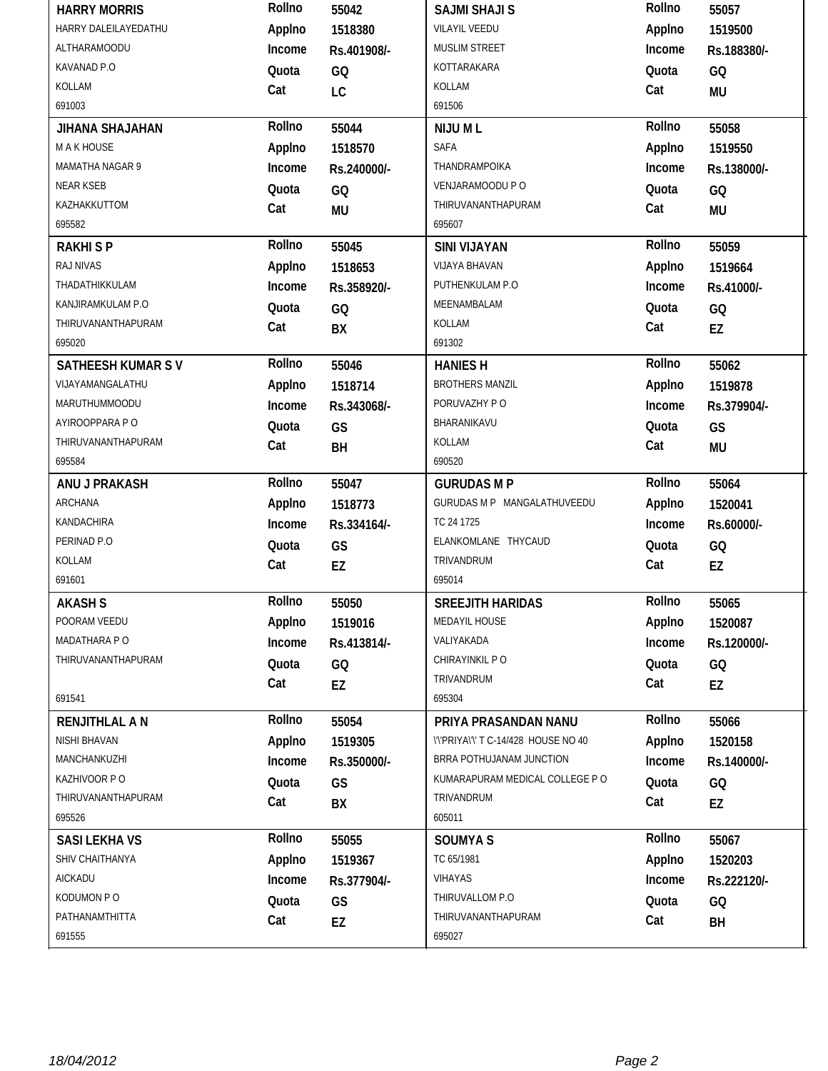|                          | Rollno | 55042       | <b>SAJMI SHAJI S</b>                 | Rollno | 55057       |
|--------------------------|--------|-------------|--------------------------------------|--------|-------------|
| HARRY DALEILAYEDATHU     | Applno | 1518380     | <b>VILAYIL VEEDU</b>                 | Applno | 1519500     |
| <b>ALTHARAMOODU</b>      | Income | Rs.401908/- | MUSLIM STREET                        | Income | Rs.188380/- |
| KAVANAD P.O              | Quota  | GQ          | KOTTARAKARA                          | Quota  | GQ          |
| KOLLAM                   | Cat    | LC          | KOLLAM                               | Cat    | <b>MU</b>   |
| 691003                   |        |             | 691506                               |        |             |
| JIHANA SHAJAHAN          | Rollno | 55044       | NIJU ML                              | Rollno | 55058       |
| M A K HOUSE              | Applno | 1518570     | SAFA                                 | Applno | 1519550     |
| MAMATHA NAGAR 9          | Income | Rs.240000/- | THANDRAMPOIKA                        | Income | Rs.138000/- |
| <b>NEAR KSEB</b>         | Quota  | GQ          | VENJARAMOODU P O                     | Quota  | GQ          |
| KAZHAKKUTTOM             | Cat    | <b>MU</b>   | THIRUVANANTHAPURAM                   | Cat    | <b>MU</b>   |
| 695582                   |        |             | 695607                               |        |             |
| <b>RAKHISP</b>           | Rollno | 55045       | <b>SINI VIJAYAN</b>                  | Rollno | 55059       |
| RAJ NIVAS                | Applno | 1518653     | VIJAYA BHAVAN                        | Applno | 1519664     |
| THADATHIKKULAM           | Income | Rs.358920/- | PUTHENKULAM P.O                      | Income | Rs.41000/-  |
| KANJIRAMKULAM P.O        | Quota  | GQ          | MEENAMBALAM                          | Quota  | GQ          |
| THIRUVANANTHAPURAM       | Cat    | BX          | KOLLAM                               | Cat    | EZ          |
| 695020                   |        |             | 691302                               |        |             |
| <b>SATHEESH KUMAR SV</b> | Rollno | 55046       | <b>HANIES H</b>                      | Rollno | 55062       |
| VIJAYAMANGALATHU         | Applno | 1518714     | <b>BROTHERS MANZIL</b>               | Applno | 1519878     |
| MARUTHUMMOODU            | Income | Rs.343068/- | PORUVAZHY PO                         | Income | Rs.379904/- |
| AYIROOPPARA PO           | Quota  | GS          | BHARANIKAVU                          | Quota  | GS          |
| THIRUVANANTHAPURAM       | Cat    | <b>BH</b>   | KOLLAM                               | Cat    | <b>MU</b>   |
| 695584                   |        |             | 690520                               |        |             |
| ANU J PRAKASH            | Rollno | 55047       | <b>GURUDAS M P</b>                   | Rollno | 55064       |
| ARCHANA                  | Applno | 1518773     | GURUDAS M P MANGALATHUVEEDU          | Applno | 1520041     |
| KANDACHIRA               | Income | Rs.334164/- | TC 24 1725                           | Income | Rs.60000/-  |
| PERINAD P.O              | Quota  | GS          | ELANKOMLANE THYCAUD                  | Quota  | GQ          |
|                          |        |             |                                      |        |             |
| KOLLAM                   |        |             | TRIVANDRUM                           |        |             |
| 691601                   | Cat    | EZ          | 695014                               | Cat    | EZ          |
| <b>AKASH S</b>           | Rollno | 55050       | <b>SREEJITH HARIDAS</b>              | Rollno | 55065       |
| POORAM VEEDU             | Applno | 1519016     | MEDAYIL HOUSE                        | Applno | 1520087     |
| MADATHARA P O            | Income |             | VALIYAKADA                           | Income |             |
| THIRUVANANTHAPURAM       |        | Rs.413814/- | CHIRAYINKIL PO                       |        | Rs.120000/- |
|                          | Quota  | GQ          | TRIVANDRUM                           | Quota  | GQ          |
| 691541                   | Cat    | EZ          | 695304                               | Cat    | EZ          |
| <b>RENJITHLAL A N</b>    | Rollno | 55054       | PRIYA PRASANDAN NANU                 | Rollno | 55066       |
| NISHI BHAVAN             | Applno | 1519305     | \'\'PRIYA\'\' T C-14/428 HOUSE NO 40 | Applno | 1520158     |
| MANCHANKUZHI             | Income | Rs.350000/- | BRRA POTHUJANAM JUNCTION             | Income | Rs.140000/- |
| KAZHIVOOR PO             |        |             | KUMARAPURAM MEDICAL COLLEGE P O      |        |             |
| THIRUVANANTHAPURAM       | Quota  | GS          | TRIVANDRUM                           | Quota  | GQ          |
| 695526                   | Cat    | BX          | 605011                               | Cat    | EZ          |
| <b>SASI LEKHA VS</b>     | Rollno | 55055       | <b>SOUMYAS</b>                       | Rollno | 55067       |
| SHIV CHAITHANYA          |        | 1519367     | TC 65/1981                           |        |             |
| AICKADU                  | Applno |             | <b>VIHAYAS</b>                       | Applno | 1520203     |
| KODUMON PO               | Income | Rs.377904/- | THIRUVALLOM P.O                      | Income | Rs.222120/- |
| PATHANAMTHITTA           | Quota  | GS          | THIRUVANANTHAPURAM                   | Quota  | GQ          |
| 691555                   | Cat    | EZ          | 695027                               | Cat    | BH          |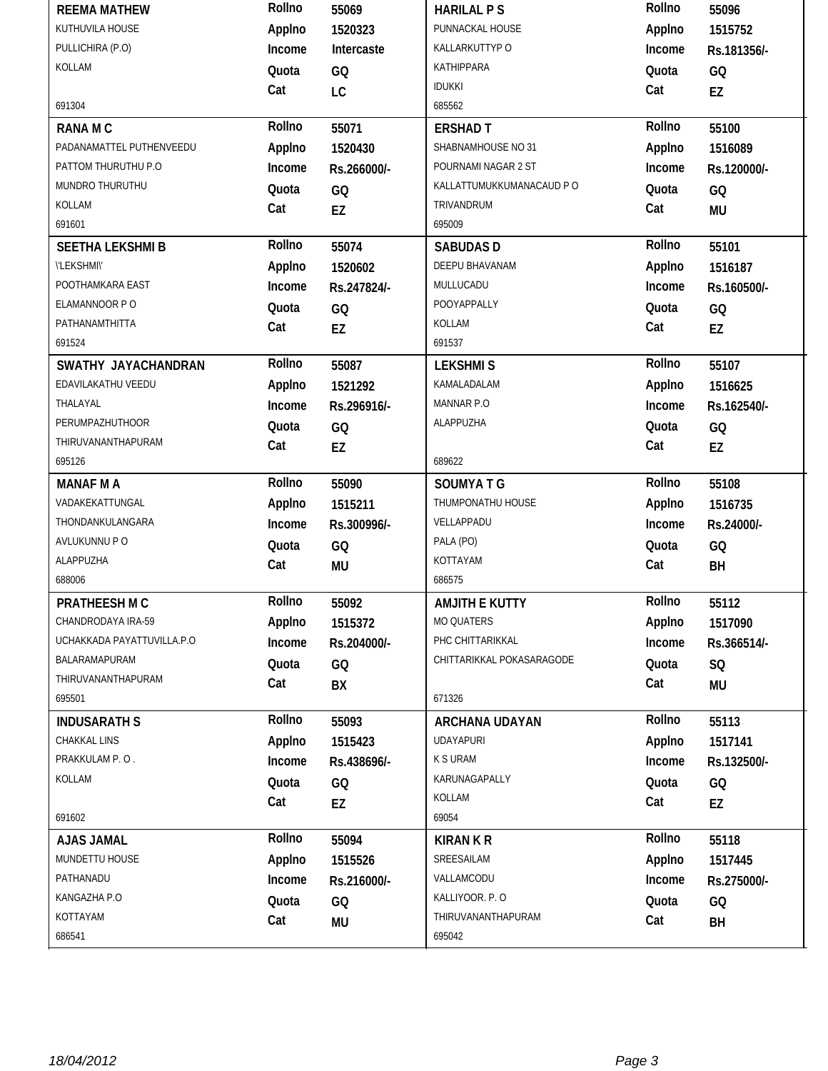| <b>REEMA MATHEW</b>        | Rollno | 55069           | <b>HARILAL PS</b>         | Rollno | 55096       |
|----------------------------|--------|-----------------|---------------------------|--------|-------------|
| KUTHUVILA HOUSE            | Applno | 1520323         | PUNNACKAL HOUSE           | Applno | 1515752     |
| PULLICHIRA (P.O)           | Income | Intercaste      | KALLARKUTTYP O            | Income | Rs.181356/- |
| KOLLAM                     | Quota  | GQ              | KATHIPPARA                | Quota  | GQ          |
|                            | Cat    | LC              | <b>IDUKKI</b>             | Cat    | EZ          |
| 691304                     |        |                 | 685562                    |        |             |
| <b>RANAMC</b>              | Rollno | 55071           | <b>ERSHAD T</b>           | Rollno | 55100       |
| PADANAMATTEL PUTHENVEEDU   | Applno | 1520430         | SHABNAMHOUSE NO 31        | Applno | 1516089     |
| PATTOM THURUTHU P.O        | Income | Rs.266000/-     | POURNAMI NAGAR 2 ST       | Income | Rs.120000/- |
| MUNDRO THURUTHU            | Quota  | GQ              | KALLATTUMUKKUMANACAUD P O | Quota  | GQ          |
| KOLLAM                     | Cat    | EZ              | TRIVANDRUM                | Cat    | <b>MU</b>   |
| 691601                     |        |                 | 695009                    |        |             |
| <b>SEETHA LEKSHMI B</b>    | Rollno | 55074           | <b>SABUDASD</b>           | Rollno | 55101       |
| <b><i>\'LEKSHMI\'</i></b>  | Applno | 1520602         | DEEPU BHAVANAM            | Applno | 1516187     |
| POOTHAMKARA EAST           | Income | Rs.247824/-     | MULLUCADU                 | Income | Rs.160500/- |
| ELAMANNOOR P O             | Quota  | GQ              | POOYAPPALLY               | Quota  | GQ          |
| PATHANAMTHITTA             | Cat    | EZ              | KOLLAM                    | Cat    | EZ          |
| 691524                     |        |                 | 691537                    |        |             |
| SWATHY JAYACHANDRAN        | Rollno | 55087           | <b>LEKSHMIS</b>           | Rollno | 55107       |
| EDAVILAKATHU VEEDU         | Applno | 1521292         | KAMALADALAM               | Applno | 1516625     |
| THALAYAL                   | Income | Rs.296916/-     | MANNAR P.O                | Income | Rs.162540/- |
| <b>PERUMPAZHUTHOOR</b>     | Quota  | GQ              | ALAPPUZHA                 | Quota  | GQ          |
| THIRUVANANTHAPURAM         | Cat    | EZ              |                           | Cat    | EZ          |
| 695126                     |        |                 | 689622                    |        |             |
| <b>MANAF M A</b>           | Rollno | 55090           | <b>SOUMYATG</b>           | Rollno | 55108       |
| VADAKEKATTUNGAL            |        |                 | THUMPONATHU HOUSE         |        |             |
|                            | Applno | 1515211         |                           | Applno | 1516735     |
| THONDANKULANGARA           | Income | Rs.300996/-     | VELLAPPADU                | Income | Rs.24000/-  |
| AVLUKUNNU P O              | Quota  | GQ              | PALA (PO)                 | Quota  | GQ          |
| ALAPPUZHA                  | Cat    | <b>MU</b>       | KOTTAYAM                  | Cat    | BH          |
| 688006                     |        |                 | 686575                    |        |             |
| PRATHEESH M C              | Rollno | 55092           | AMJITH E KUTTY            | Rollno | 55112       |
| CHANDRODAYA IRA-59         | Applno | 1515372         | MO QUATERS                | Applno | 1517090     |
| UCHAKKADA PAYATTUVILLA.P.O | Income | Rs.204000/-     | PHC CHITTARIKKAL          | Income | Rs.366514/- |
| BALARAMAPURAM              | Quota  | GQ              | CHITTARIKKAL POKASARAGODE | Quota  | SQ          |
| THIRUVANANTHAPURAM         | Cat    | BX              |                           | Cat    | MU          |
| 695501                     |        |                 | 671326                    |        |             |
| <b>INDUSARATH S</b>        | Rollno | 55093           | ARCHANA UDAYAN            | Rollno | 55113       |
| CHAKKAL LINS               | Applno | 1515423         | <b>UDAYAPURI</b>          | Applno | 1517141     |
| PRAKKULAM P.O.             | Income | Rs.438696/-     | <b>K S URAM</b>           | Income | Rs.132500/- |
| KOLLAM                     | Quota  |                 | KARUNAGAPALLY             | Quota  |             |
|                            | Cat    | GQ              | KOLLAM                    | Cat    | GQ          |
| 691602                     |        | EZ              | 69054                     |        | EZ          |
| <b>AJAS JAMAL</b>          | Rollno | 55094           | <b>KIRAN K R</b>          | Rollno | 55118       |
| MUNDETTU HOUSE             | Applno | 1515526         | SREESAILAM                | Applno | 1517445     |
| PATHANADU                  | Income | Rs.216000/-     | VALLAMCODU                | Income | Rs.275000/- |
| KANGAZHA P.O               | Quota  |                 | KALLIYOOR. P.O            | Quota  |             |
| KOTTAYAM                   | Cat    | GQ<br><b>MU</b> | THIRUVANANTHAPURAM        | Cat    | GQ<br>BH    |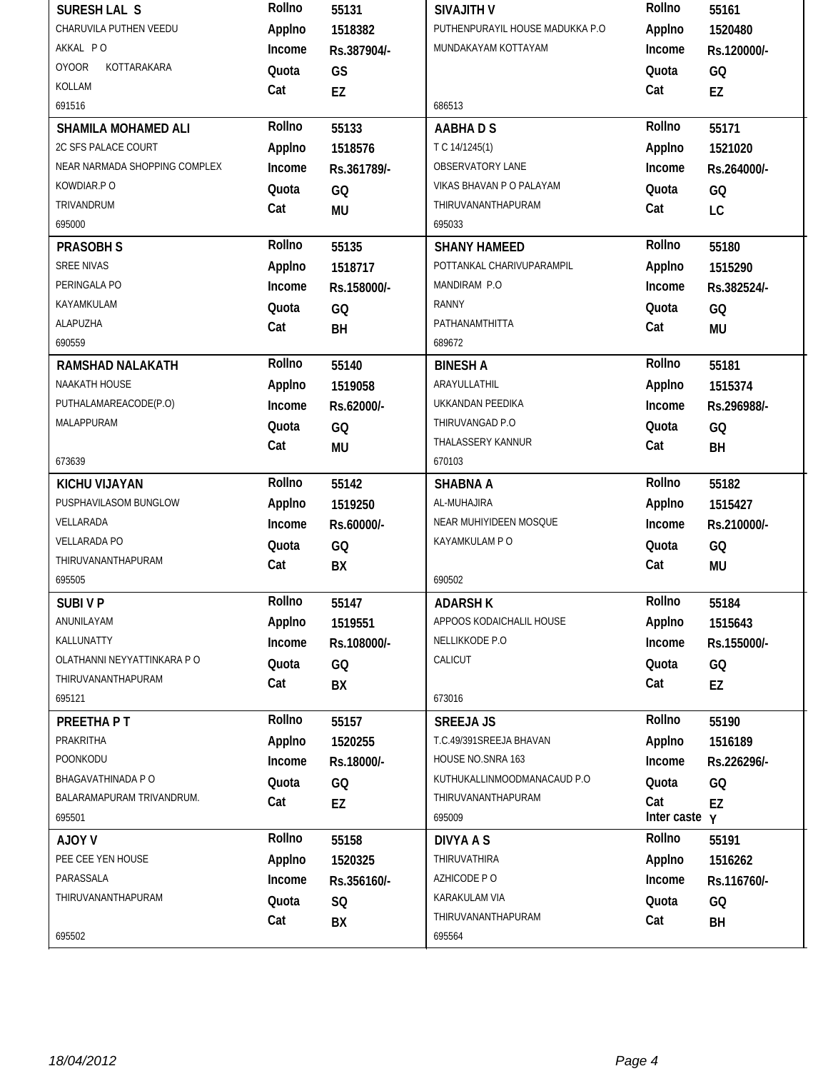| SURESH LAL S                  | Rollno       | 55131       | <b>SIVAJITH V</b>               | Rollno        | 55161       |
|-------------------------------|--------------|-------------|---------------------------------|---------------|-------------|
| CHARUVILA PUTHEN VEEDU        | Applno       | 1518382     | PUTHENPURAYIL HOUSE MADUKKA P.O | Applno        | 1520480     |
| AKKAL PO                      | Income       | Rs.387904/- | MUNDAKAYAM KOTTAYAM             | Income        | Rs.120000/- |
| <b>OYOOR</b><br>KOTTARAKARA   | Quota        | GS          |                                 | Quota         | GQ          |
| KOLLAM                        | Cat          | EZ          |                                 | Cat           | EZ          |
| 691516                        |              |             | 686513                          |               |             |
| <b>SHAMILA MOHAMED ALI</b>    | Rollno       | 55133       | <b>AABHADS</b>                  | Rollno        | 55171       |
| 2C SFS PALACE COURT           | Applno       | 1518576     | T C 14/1245(1)                  | Applno        | 1521020     |
| NEAR NARMADA SHOPPING COMPLEX | Income       | Rs.361789/- | <b>OBSERVATORY LANE</b>         | Income        | Rs.264000/- |
| KOWDIAR.PO                    | Quota        | GQ          | VIKAS BHAVAN P O PALAYAM        | Quota         | GQ          |
| TRIVANDRUM                    | Cat          | <b>MU</b>   | THIRUVANANTHAPURAM              | Cat           | LC          |
| 695000                        |              |             | 695033                          |               |             |
| <b>PRASOBH S</b>              | Rollno       | 55135       | <b>SHANY HAMEED</b>             | Rollno        | 55180       |
| SREE NIVAS                    | Applno       | 1518717     | POTTANKAL CHARIVUPARAMPIL       | Applno        | 1515290     |
| PERINGALA PO                  | Income       | Rs.158000/- | MANDIRAM P.O                    | Income        | Rs.382524/- |
| KAYAMKULAM                    | Quota        | GQ          | <b>RANNY</b>                    | Quota         | GQ          |
| ALAPUZHA                      | Cat          | BH          | PATHANAMTHITTA                  | Cat           | <b>MU</b>   |
| 690559                        |              |             | 689672                          |               |             |
| <b>RAMSHAD NALAKATH</b>       | Rollno       | 55140       | <b>BINESH A</b>                 | Rollno        | 55181       |
| NAAKATH HOUSE                 | Applno       | 1519058     | ARAYULLATHIL                    | Applno        | 1515374     |
| PUTHALAMAREACODE(P.O)         | Income       | Rs.62000/-  | UKKANDAN PEEDIKA                | Income        | Rs.296988/- |
| MALAPPURAM                    | Quota        | GQ          | THIRUVANGAD P.O                 | Quota         | GQ          |
|                               | Cat          | MU          | THALASSERY KANNUR               | Cat           | BH          |
| 673639                        |              |             | 670103                          |               |             |
| <b>KICHU VIJAYAN</b>          | Rollno       | 55142       | <b>SHABNA A</b>                 | Rollno        | 55182       |
|                               |              |             |                                 |               |             |
| PUSPHAVILASOM BUNGLOW         | Applno       | 1519250     | AL-MUHAJIRA                     | Applno        | 1515427     |
| VELLARADA                     | Income       | Rs.60000/-  | NEAR MUHIYIDEEN MOSQUE          | Income        | Rs.210000/- |
| <b>VELLARADA PO</b>           | Quota        | GQ          | KAYAMKULAM P O                  | Quota         | GQ          |
| THIRUVANANTHAPURAM            | Cat          | BX          |                                 | Cat           | <b>MU</b>   |
| 695505                        |              |             | 690502                          |               |             |
| <b>SUBIVP</b>                 | Rollno       | 55147       | <b>ADARSH K</b>                 | Rollno        | 55184       |
| ANUNILAYAM                    | Applno       | 1519551     | APPOOS KODAICHALIL HOUSE        | Applno        | 1515643     |
| KALLUNATTY                    | Income       | Rs.108000/- | NELLIKKODE P.O                  | Income        | Rs.155000/- |
| OLATHANNI NEYYATTINKARA P O   | Quota        | GQ          | CALICUT                         | Quota         | GQ          |
| THIRUVANANTHAPURAM            | Cat          | BX          |                                 | Cat           | EZ          |
| 695121                        |              |             | 673016                          |               |             |
| PREETHA PT                    | Rollno       | 55157       | <b>SREEJA JS</b>                | Rollno        | 55190       |
| PRAKRITHA                     | Applno       | 1520255     | T.C.49/391SREEJA BHAVAN         | Applno        | 1516189     |
| POONKODU                      | Income       | Rs.18000/-  | HOUSE NO.SNRA 163               | Income        | Rs.226296/- |
| BHAGAVATHINADA P O            | Quota        | GQ          | KUTHUKALLINMOODMANACAUD P.O     | Quota         | GQ          |
| BALARAMAPURAM TRIVANDRUM.     | Cat          |             | THIRUVANANTHAPURAM              | Cat           |             |
| 695501                        |              | EZ          | 695009                          | Inter caste y | EZ          |
| <b>AJOY V</b>                 | Rollno       | 55158       | <b>DIVYA A S</b>                | Rollno        | 55191       |
| PEE CEE YEN HOUSE             | Applno       | 1520325     | THIRUVATHIRA                    | Applno        | 1516262     |
| PARASSALA                     | Income       | Rs.356160/- | AZHICODE PO                     | Income        | Rs.116760/- |
| THIRUVANANTHAPURAM            |              |             | KARAKULAM VIA                   |               |             |
|                               | Quota<br>Cat | SQ<br>BX    | THIRUVANANTHAPURAM              | Quota<br>Cat  | GQ<br>BH    |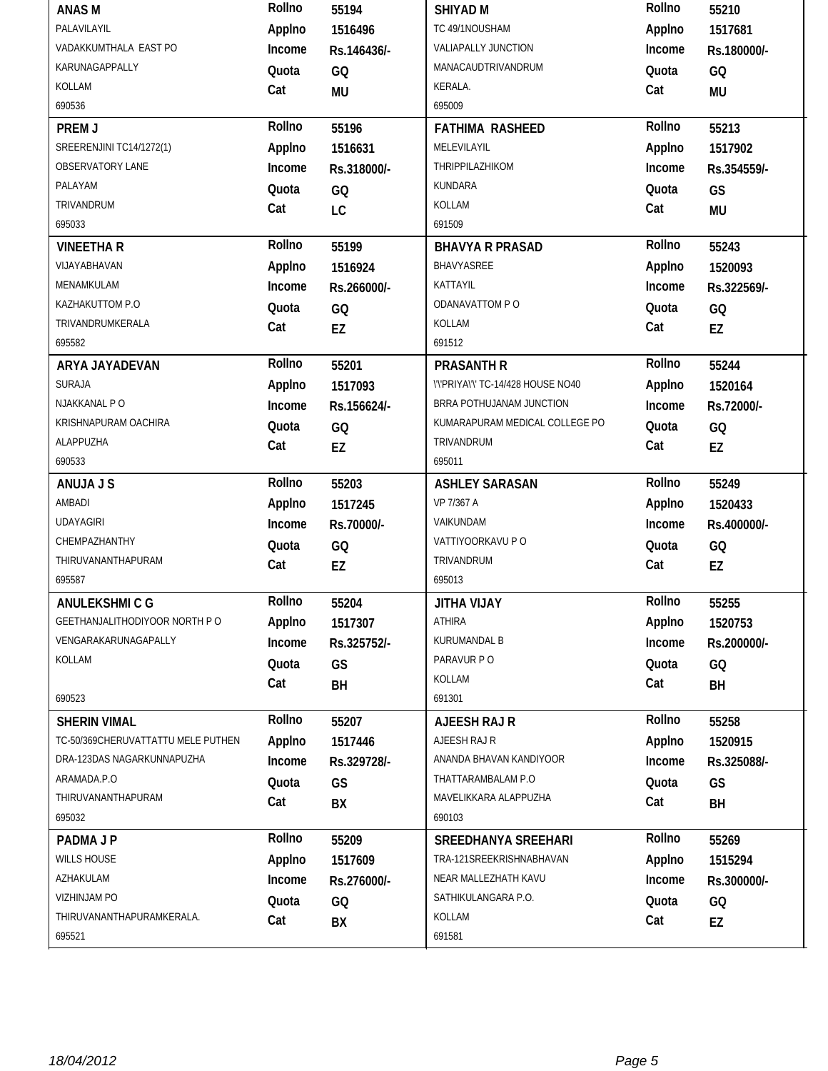| <b>ANASM</b>                       | Rollno           | 55194       | <b>SHIYAD M</b>                    | Rollno       | 55210       |
|------------------------------------|------------------|-------------|------------------------------------|--------------|-------------|
| PALAVILAYIL                        | Applno           | 1516496     | TC 49/1NOUSHAM                     | Applno       | 1517681     |
| VADAKKUMTHALA EAST PO              | Income           | Rs.146436/- | VALIAPALLY JUNCTION                | Income       | Rs.180000/- |
| KARUNAGAPPALLY                     | Quota            | GQ          | MANACAUDTRIVANDRUM                 | Quota        | GQ          |
| KOLLAM                             | Cat              | <b>MU</b>   | KERALA.                            | Cat          | MU          |
| 690536                             |                  |             | 695009                             |              |             |
| PREM J                             | Rollno           | 55196       | <b>FATHIMA RASHEED</b>             | Rollno       | 55213       |
| SREERENJINI TC14/1272(1)           | Applno           | 1516631     | MELEVILAYIL                        | Applno       | 1517902     |
| OBSERVATORY LANE                   | Income           | Rs.318000/- | THRIPPILAZHIKOM                    | Income       | Rs.354559/- |
| PALAYAM                            | Quota            | GQ          | KUNDARA                            | Quota        | GS          |
| TRIVANDRUM                         | Cat              | LC          | KOLLAM                             | Cat          | <b>MU</b>   |
| 695033                             |                  |             | 691509                             |              |             |
| <b>VINEETHAR</b>                   | Rollno           | 55199       | <b>BHAVYA R PRASAD</b>             | Rollno       | 55243       |
| VIJAYABHAVAN                       | Applno           | 1516924     | BHAVYASREE                         | Applno       | 1520093     |
| MENAMKULAM                         | Income           | Rs.266000/- | KATTAYIL                           | Income       | Rs.322569/- |
| KAZHAKUTTOM P.O                    | Quota            | GQ          | ODANAVATTOM P O                    | Quota        | GQ          |
| TRIVANDRUMKERALA                   | Cat              | EZ          | KOLLAM                             | Cat          | EZ          |
| 695582                             |                  |             | 691512                             |              |             |
| ARYA JAYADEVAN                     | Rollno           | 55201       | <b>PRASANTH R</b>                  | Rollno       | 55244       |
| <b>SURAJA</b>                      | Applno           | 1517093     | \'\'PRIYA\'\' TC-14/428 HOUSE NO40 | Applno       | 1520164     |
| NJAKKANAL PO                       | Income           | Rs.156624/- | BRRA POTHUJANAM JUNCTION           | Income       | Rs.72000/-  |
| KRISHNAPURAM OACHIRA               | Quota            | GQ          | KUMARAPURAM MEDICAL COLLEGE PO     | Quota        | GQ          |
| ALAPPUZHA                          | Cat              | EZ          | TRIVANDRUM                         | Cat          | EZ          |
| 690533                             |                  |             | 695011                             |              |             |
|                                    |                  |             |                                    |              |             |
| ANUJA J S                          | Rollno           | 55203       | <b>ASHLEY SARASAN</b>              | Rollno       | 55249       |
| AMBADI                             | Applno           | 1517245     | VP 7/367 A                         | Applno       | 1520433     |
| <b>UDAYAGIRI</b>                   | Income           | Rs.70000/-  | VAIKUNDAM                          | Income       | Rs.400000/- |
| CHEMPAZHANTHY                      | Quota            |             | VATTIYOORKAVU P O                  | Quota        |             |
| THIRUVANANTHAPURAM                 | Cat              | GQ          | TRIVANDRUM                         | Cat          | GQ          |
| 695587                             |                  | EZ          | 695013                             |              | EZ          |
| ANULEKSHMICG                       | Rollno           | 55204       | <b>YAUV AHTIL</b>                  | Rollno       | 55255       |
| GEETHANJALITHODIYOOR NORTH PO      | Applno           | 1517307     | ATHIRA                             | Applno       | 1520753     |
| VENGARAKARUNAGAPALLY               | Income           |             | KURUMANDAL B                       | Income       |             |
| KOLLAM                             | Quota            | Rs.325752/- | PARAVUR PO                         |              | Rs.200000/- |
|                                    |                  | GS          | KOLLAM                             | Quota        | GQ          |
| 690523                             | Cat              | BH          | 691301                             | Cat          | BH          |
| <b>SHERIN VIMAL</b>                | Rollno           | 55207       | AJEESH RAJ R                       | Rollno       | 55258       |
| TC-50/369CHERUVATTATTU MELE PUTHEN |                  | 1517446     | AJEESH RAJ R                       | Applno       | 1520915     |
| DRA-123DAS NAGARKUNNAPUZHA         | Applno<br>Income |             | ANANDA BHAVAN KANDIYOOR            | Income       |             |
| ARAMADA.P.O                        |                  | Rs.329728/- | THATTARAMBALAM P.O                 |              | Rs.325088/- |
| THIRUVANANTHAPURAM                 | Quota            | GS          | MAVELIKKARA ALAPPUZHA              | Quota        | GS          |
| 695032                             | Cat              | BX          | 690103                             | Cat          | BH          |
| <b>PADMA J P</b>                   | Rollno           | 55209       | SREEDHANYA SREEHARI                | Rollno       | 55269       |
| <b>WILLS HOUSE</b>                 |                  | 1517609     | TRA-121SREEKRISHNABHAVAN           | Applno       | 1515294     |
| AZHAKULAM                          | Applno<br>Income |             | NEAR MALLEZHATH KAVU               | Income       |             |
| VIZHINJAM PO                       |                  | Rs.276000/- | SATHIKULANGARA P.O.                |              | Rs.300000/- |
| THIRUVANANTHAPURAMKERALA.          | Quota<br>Cat     | GQ<br>BX    | KOLLAM                             | Quota<br>Cat | GQ<br>EZ    |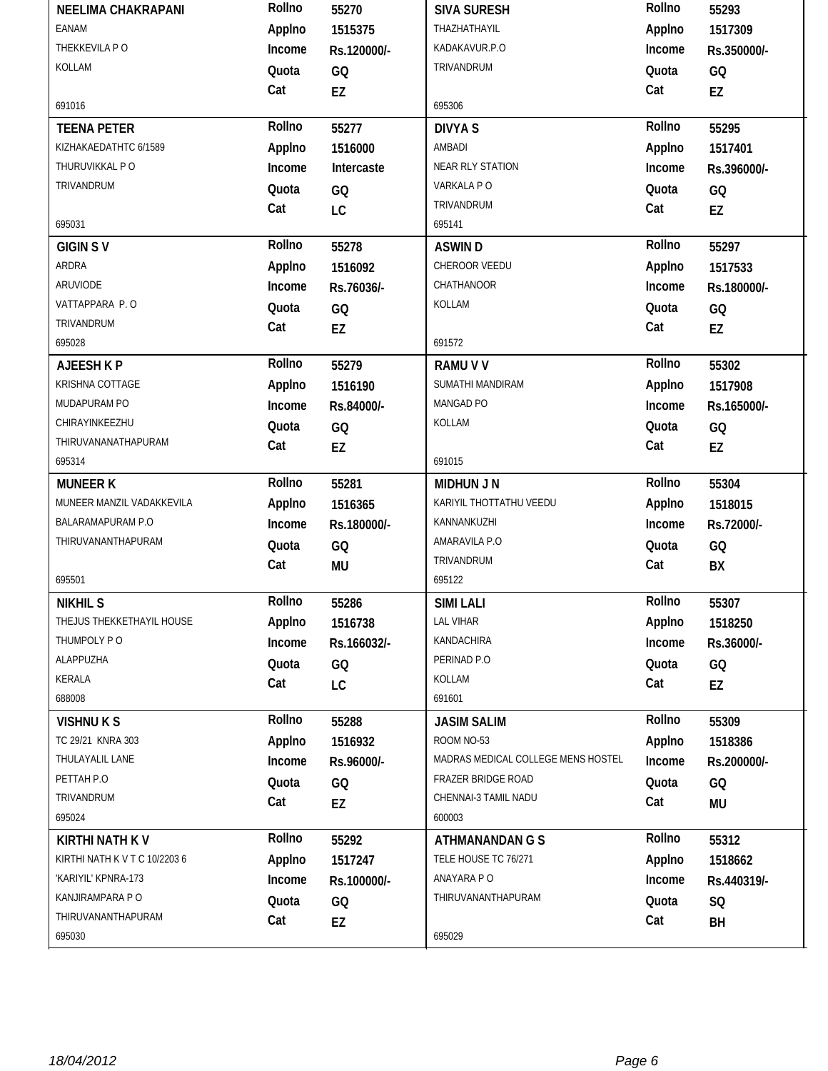| <b>NEELIMA CHAKRAPANI</b>     | Rollno | 55270       | <b>SIVA SURESH</b>                 | Rollno | 55293       |
|-------------------------------|--------|-------------|------------------------------------|--------|-------------|
| <b>EANAM</b>                  | Applno | 1515375     | THAZHATHAYIL                       | Applno | 1517309     |
| THEKKEVILA PO                 | Income | Rs.120000/- | KADAKAVUR.P.O                      | Income | Rs.350000/- |
| KOLLAM                        | Quota  | GQ          | TRIVANDRUM                         | Quota  | GQ          |
|                               | Cat    | EZ          |                                    | Cat    | EZ          |
| 691016                        |        |             | 695306                             |        |             |
| <b>TEENA PETER</b>            | Rollno | 55277       | <b>DIVYA S</b>                     | Rollno | 55295       |
| KIZHAKAEDATHTC 6/1589         | Applno | 1516000     | AMBADI                             | Applno | 1517401     |
| THURUVIKKAL PO                | Income | Intercaste  | NEAR RLY STATION                   | Income | Rs.396000/- |
| TRIVANDRUM                    | Quota  | GQ          | VARKALA PO                         | Quota  | GQ          |
|                               | Cat    | LC          | TRIVANDRUM                         | Cat    | EZ          |
| 695031                        |        |             | 695141                             |        |             |
| <b>GIGIN SV</b>               | Rollno | 55278       | <b>ASWIND</b>                      | Rollno | 55297       |
| ARDRA                         | Applno | 1516092     | CHEROOR VEEDU                      | Applno | 1517533     |
| ARUVIODE                      | Income | Rs.76036/-  | CHATHANOOR                         | Income | Rs.180000/- |
| VATTAPPARA P.O                | Quota  | GQ          | KOLLAM                             | Quota  | GQ          |
| TRIVANDRUM                    | Cat    | EZ          |                                    | Cat    | EZ          |
| 695028                        |        |             | 691572                             |        |             |
| AJEESH K P                    | Rollno | 55279       | <b>RAMU V V</b>                    | Rollno | 55302       |
| KRISHNA COTTAGE               | Applno | 1516190     | SUMATHI MANDIRAM                   | Applno | 1517908     |
| MUDAPURAM PO                  | Income | Rs.84000/-  | MANGAD PO                          | Income | Rs.165000/- |
| CHIRAYINKEEZHU                | Quota  | GQ          | KOLLAM                             | Quota  | GQ          |
| THIRUVANANATHAPURAM           | Cat    | EZ          |                                    | Cat    | EZ          |
| 695314                        |        |             | 691015                             |        |             |
| <b>MUNEER K</b>               | Rollno | 55281       | <b>MIDHUN J N</b>                  | Rollno | 55304       |
|                               |        |             |                                    |        |             |
| MUNEER MANZIL VADAKKEVILA     | Applno | 1516365     | KARIYIL THOTTATHU VEEDU            | Applno | 1518015     |
| BALARAMAPURAM P.O             | Income | Rs.180000/- | KANNANKUZHI                        | Income | Rs.72000/-  |
| THIRUVANANTHAPURAM            | Quota  | GQ          | AMARAVILA P.O                      | Quota  | GQ          |
|                               | Cat    | <b>MU</b>   | TRIVANDRUM                         | Cat    | BX          |
| 695501                        |        |             | 695122                             |        |             |
| <b>NIKHIL S</b>               | Rollno | 55286       | <b>SIMI LALI</b>                   | Rollno | 55307       |
| THEJUS THEKKETHAYIL HOUSE     | Applno | 1516738     | LAL VIHAR                          | Applno | 1518250     |
| THUMPOLY PO                   | Income | Rs.166032/- | KANDACHIRA                         | Income | Rs.36000/-  |
| ALAPPUZHA                     | Quota  | GQ          | PERINAD P.O                        | Quota  | GQ          |
| <b>KERALA</b>                 | Cat    | LC          | KOLLAM                             | Cat    | EZ          |
| 688008                        |        |             | 691601                             |        |             |
| <b>VISHNUKS</b>               | Rollno | 55288       | <b>JASIM SALIM</b>                 | Rollno | 55309       |
| TC 29/21 KNRA 303             | Applno | 1516932     | ROOM NO-53                         | Applno | 1518386     |
| THULAYALIL LANE               | Income | Rs.96000/-  | MADRAS MEDICAL COLLEGE MENS HOSTEL | Income | Rs.200000/- |
| PETTAH P.O                    | Quota  | GQ          | FRAZER BRIDGE ROAD                 | Quota  | GQ          |
| TRIVANDRUM                    | Cat    | EZ          | CHENNAI-3 TAMIL NADU               | Cat    | <b>MU</b>   |
| 695024                        |        |             | 600003                             |        |             |
| <b>KIRTHI NATH KV</b>         | Rollno | 55292       | <b>ATHMANANDAN G S</b>             | Rollno | 55312       |
| KIRTHI NATH K V T C 10/2203 6 | Applno | 1517247     | TELE HOUSE TC 76/271               | Applno | 1518662     |
| 'KARIYIL' KPNRA-173           | Income | Rs.100000/- | ANAYARA P O                        | Income | Rs.440319/- |
| KANJIRAMPARA P O              | Quota  | GQ          | THIRUVANANTHAPURAM                 | Quota  | SQ          |
| THIRUVANANTHAPURAM<br>695030  | Cat    | EZ          | 695029                             | Cat    | BH          |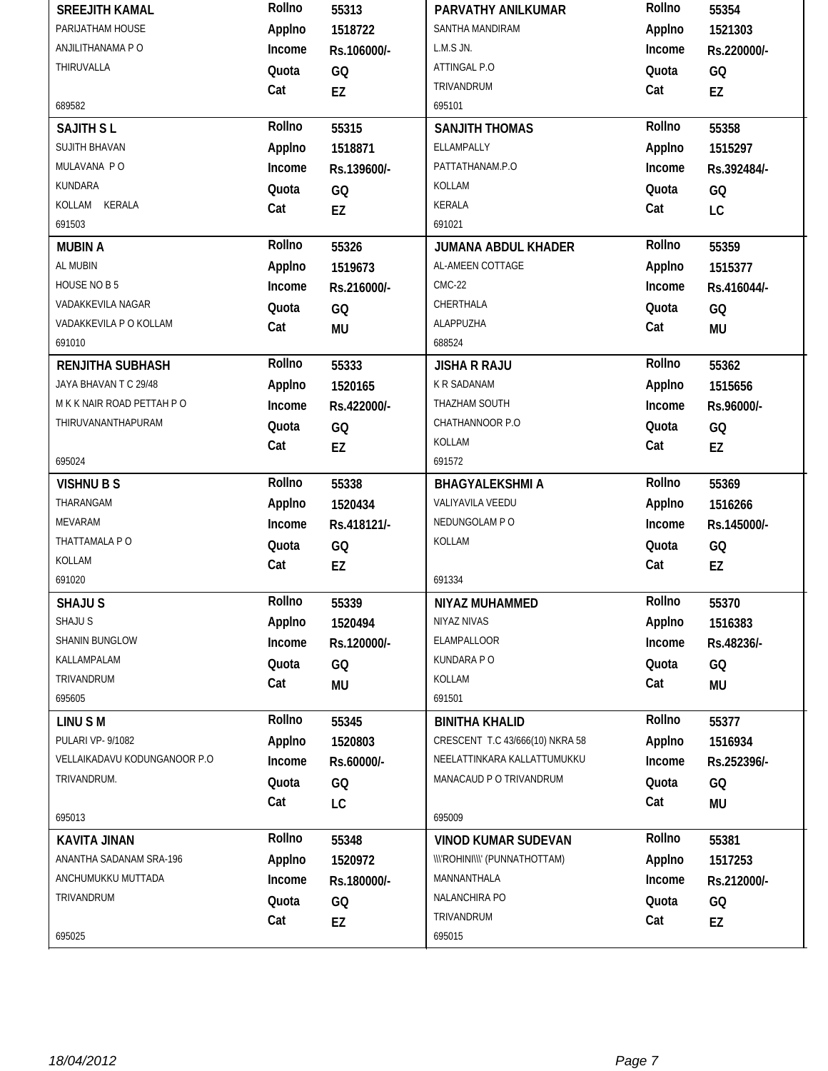| <b>SREEJITH KAMAL</b>        | Rollno | 55313       | PARVATHY ANILKUMAR                   | Rollno | 55354       |
|------------------------------|--------|-------------|--------------------------------------|--------|-------------|
| PARIJATHAM HOUSE             | Applno | 1518722     | SANTHA MANDIRAM                      | Applno | 1521303     |
| ANJILITHANAMA P O            | Income | Rs.106000/- | L.M.S JN.                            | Income | Rs.220000/- |
| THIRUVALLA                   | Quota  | GQ          | ATTINGAL P.O                         | Quota  | GQ          |
|                              | Cat    | EZ          | TRIVANDRUM                           | Cat    | EZ          |
| 689582                       |        |             | 695101                               |        |             |
| <b>SAJITH SL</b>             | Rollno | 55315       | <b>SANJITH THOMAS</b>                | Rollno | 55358       |
| <b>SUJITH BHAVAN</b>         | Applno | 1518871     | ELLAMPALLY                           | Applno | 1515297     |
| MULAVANA PO                  | Income | Rs.139600/- | PATTATHANAM.P.O                      | Income | Rs.392484/- |
| <b>KUNDARA</b>               | Quota  | GQ          | KOLLAM                               | Quota  | GQ          |
| KOLLAM KERALA                | Cat    | EZ          | KERALA                               | Cat    | LC          |
| 691503                       |        |             | 691021                               |        |             |
| <b>MUBIN A</b>               | Rollno | 55326       | <b>JUMANA ABDUL KHADER</b>           | Rollno | 55359       |
| AL MUBIN                     | Applno | 1519673     | AL-AMEEN COTTAGE                     | Applno | 1515377     |
| HOUSE NO B 5                 | Income | Rs.216000/- | $CMC-22$                             | Income | Rs.416044/- |
| VADAKKEVILA NAGAR            | Quota  | GQ          | CHERTHALA                            | Quota  | GQ          |
| VADAKKEVILA P O KOLLAM       | Cat    | <b>MU</b>   | ALAPPUZHA                            | Cat    | <b>MU</b>   |
| 691010                       |        |             | 688524                               |        |             |
| <b>RENJITHA SUBHASH</b>      | Rollno | 55333       | <b>JISHA R RAJU</b>                  | Rollno | 55362       |
| JAYA BHAVAN T C 29/48        | Applno | 1520165     | K R SADANAM                          | Applno | 1515656     |
| M K K NAIR ROAD PETTAH P O   | Income | Rs.422000/- | THAZHAM SOUTH                        | Income | Rs.96000/-  |
| THIRUVANANTHAPURAM           | Quota  | GQ          | CHATHANNOOR P.O                      | Quota  | GQ          |
|                              | Cat    | EZ          | KOLLAM                               | Cat    | EZ          |
| 695024                       |        |             | 691572                               |        |             |
|                              |        |             |                                      |        |             |
| <b>VISHNU B S</b>            | Rollno | 55338       | <b>BHAGYALEKSHMI A</b>               | Rollno | 55369       |
| THARANGAM                    | Applno | 1520434     | VALIYAVILA VEEDU                     | Applno | 1516266     |
| MEVARAM                      | Income | Rs.418121/- | NEDUNGOLAM P O                       | Income | Rs.145000/- |
| THATTAMALA P O               | Quota  | GQ          | KOLLAM                               | Quota  | GQ          |
| KOLLAM                       | Cat    | EZ          |                                      | Cat    | EZ          |
| 691020                       |        |             | 691334                               |        |             |
| <b>SHAJU S</b>               | Rollno | 55339       | NIYAZ MUHAMMED                       | Rollno | 55370       |
| SHAJU S                      | Applno | 1520494     | NIYAZ NIVAS                          | Applno | 1516383     |
| SHANIN BUNGLOW               | Income | Rs.120000/- | ELAMPALLOOR                          | Income | Rs.48236/-  |
| KALLAMPALAM                  | Quota  | GQ          | KUNDARA P O                          | Quota  | GQ          |
| TRIVANDRUM                   | Cat    | <b>MU</b>   | KOLLAM                               | Cat    | MU          |
| 695605                       |        |             | 691501                               |        |             |
| LINU S M                     | Rollno | 55345       | <b>BINITHA KHALID</b>                | Rollno | 55377       |
| PULARI VP- 9/1082            | Applno | 1520803     | CRESCENT T.C 43/666(10) NKRA 58      | Applno | 1516934     |
| VELLAIKADAVU KODUNGANOOR P.O | Income | Rs.60000/-  | NEELATTINKARA KALLATTUMUKKU          | Income | Rs.252396/- |
| TRIVANDRUM.                  | Quota  | GQ          | MANACAUD P O TRIVANDRUM              | Quota  | GQ          |
|                              | Cat    | LC          |                                      | Cat    | <b>MU</b>   |
| 695013                       |        |             | 695009                               |        |             |
| <b>KAVITA JINAN</b>          | Rollno | 55348       | <b>VINOD KUMAR SUDEVAN</b>           | Rollno | 55381       |
| ANANTHA SADANAM SRA-196      | Applno | 1520972     | <b>\\\'ROHINI\\\'</b> (PUNNATHOTTAM) | Applno | 1517253     |
| ANCHUMUKKU MUTTADA           | Income | Rs.180000/- | MANNANTHALA                          | Income | Rs.212000/- |
| TRIVANDRUM                   | Quota  | GQ          | NALANCHIRA PO                        | Quota  | GQ          |
|                              | Cat    | EZ          | TRIVANDRUM                           | Cat    | EZ          |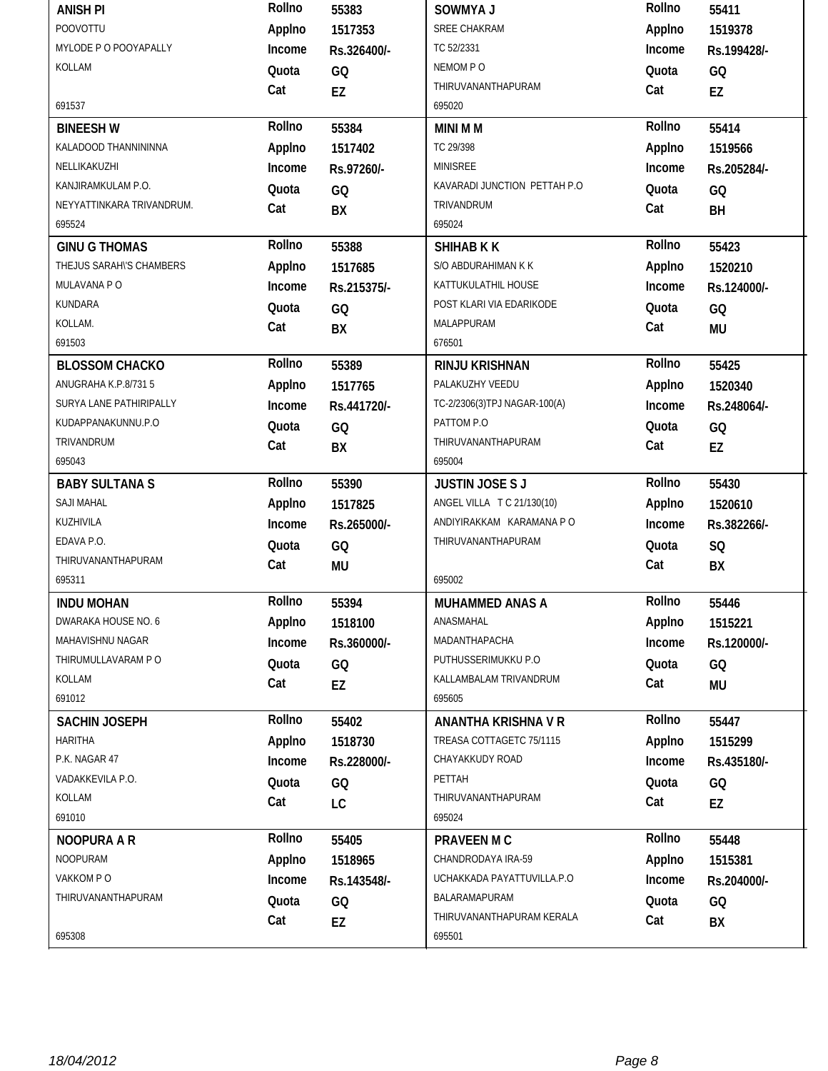| <b>ANISH PI</b>           | Rollno       | 55383       | SOWMYA J                     | Rollno       | 55411       |
|---------------------------|--------------|-------------|------------------------------|--------------|-------------|
| POOVOTTU                  | Applno       | 1517353     | SREE CHAKRAM                 | Applno       | 1519378     |
| MYLODE P O POOYAPALLY     | Income       | Rs.326400/- | TC 52/2331                   | Income       | Rs.199428/- |
| KOLLAM                    | Quota        | GQ          | NEMOM PO                     | Quota        | GQ          |
|                           | Cat          | <b>EZ</b>   | THIRUVANANTHAPURAM           | Cat          | EZ          |
| 691537                    |              |             | 695020                       |              |             |
| <b>BINEESH W</b>          | Rollno       | 55384       | <b>MINI MM</b>               | Rollno       | 55414       |
| KALADOOD THANNININNA      | Applno       | 1517402     | TC 29/398                    | Applno       | 1519566     |
| NELLIKAKUZHI              | Income       | Rs.97260/-  | <b>MINISREE</b>              | Income       | Rs.205284/- |
| KANJIRAMKULAM P.O.        | Quota        | GQ          | KAVARADI JUNCTION PETTAH P.O | Quota        | GQ          |
| NEYYATTINKARA TRIVANDRUM. | Cat          | BX          | TRIVANDRUM                   | Cat          | BH          |
| 695524                    |              |             | 695024                       |              |             |
| <b>GINU G THOMAS</b>      | Rollno       | 55388       | <b>SHIHAB K K</b>            | Rollno       | 55423       |
| THEJUS SARAH\'S CHAMBERS  | Applno       | 1517685     | S/O ABDURAHIMAN K K          | Applno       | 1520210     |
| MULAVANA PO               | Income       | Rs.215375/- | KATTUKULATHIL HOUSE          | Income       | Rs.124000/- |
| KUNDARA                   | Quota        | GQ          | POST KLARI VIA EDARIKODE     | Quota        | GQ          |
| KOLLAM.                   | Cat          | BX          | MALAPPURAM                   | Cat          | <b>MU</b>   |
| 691503                    |              |             | 676501                       |              |             |
| <b>BLOSSOM CHACKO</b>     | Rollno       | 55389       | <b>RINJU KRISHNAN</b>        | Rollno       | 55425       |
| ANUGRAHA K.P.8/731 5      | Applno       | 1517765     | PALAKUZHY VEEDU              | Applno       | 1520340     |
| SURYA LANE PATHIRIPALLY   | Income       | Rs.441720/- | TC-2/2306(3)TPJ NAGAR-100(A) | Income       | Rs.248064/- |
| KUDAPPANAKUNNU.P.O        | Quota        | GQ          | PATTOM P.O                   | Quota        | GQ          |
| TRIVANDRUM                | Cat          | BX          | THIRUVANANTHAPURAM           | Cat          | EZ          |
| 695043                    |              |             | 695004                       |              |             |
|                           |              |             |                              |              |             |
| <b>BABY SULTANA S</b>     | Rollno       | 55390       | <b>JUSTIN JOSE S J</b>       | Rollno       | 55430       |
| SAJI MAHAL                | Applno       | 1517825     | ANGEL VILLA T C 21/130(10)   | Applno       | 1520610     |
| KUZHIVILA                 | Income       | Rs.265000/- | ANDIYIRAKKAM KARAMANA P O    | Income       | Rs.382266/- |
| EDAVA P.O.                | Quota        | GQ          | THIRUVANANTHAPURAM           | Quota        | SQ          |
| THIRUVANANTHAPURAM        | Cat          |             |                              | Cat          |             |
| 695311                    |              | <b>MU</b>   | 695002                       |              | BX          |
| <b>INDU MOHAN</b>         | Rollno       | 55394       | <b>MUHAMMED ANAS A</b>       | Rollno       | 55446       |
| DWARAKA HOUSE NO. 6       | Applno       | 1518100     | ANASMAHAL                    | Applno       | 1515221     |
| MAHAVISHNU NAGAR          | Income       | Rs.360000/- | MADANTHAPACHA                | Income       | Rs.120000/- |
| THIRUMULLAVARAM P O       | Quota        |             | PUTHUSSERIMUKKU P.O          | Quota        |             |
| KOLLAM                    | Cat          | GQ          | KALLAMBALAM TRIVANDRUM       | Cat          | GQ          |
| 691012                    |              | EZ          | 695605                       |              | MU          |
| <b>SACHIN JOSEPH</b>      | Rollno       | 55402       | <b>ANANTHA KRISHNA V R</b>   | Rollno       | 55447       |
| <b>HARITHA</b>            | Applno       | 1518730     | TREASA COTTAGETC 75/1115     | Applno       | 1515299     |
| P.K. NAGAR 47             | Income       | Rs.228000/- | CHAYAKKUDY ROAD              | Income       | Rs.435180/- |
| VADAKKEVILA P.O.          |              |             | PETTAH                       |              |             |
| KOLLAM                    | Quota        | GQ          | THIRUVANANTHAPURAM           | Quota        | GQ          |
| 691010                    | Cat          | LC          | 695024                       | Cat          | EZ          |
| <b>NOOPURA A R</b>        | Rollno       | 55405       | <b>PRAVEEN M C</b>           | Rollno       | 55448       |
| <b>NOOPURAM</b>           | Applno       | 1518965     | CHANDRODAYA IRA-59           | Applno       | 1515381     |
| VAKKOM PO                 | Income       |             | UCHAKKADA PAYATTUVILLA.P.O   | Income       |             |
| THIRUVANANTHAPURAM        |              | Rs.143548/- | BALARAMAPURAM                |              | Rs.204000/- |
|                           | Quota<br>Cat | GQ<br>EZ    | THIRUVANANTHAPURAM KERALA    | Quota<br>Cat | GQ<br>BX    |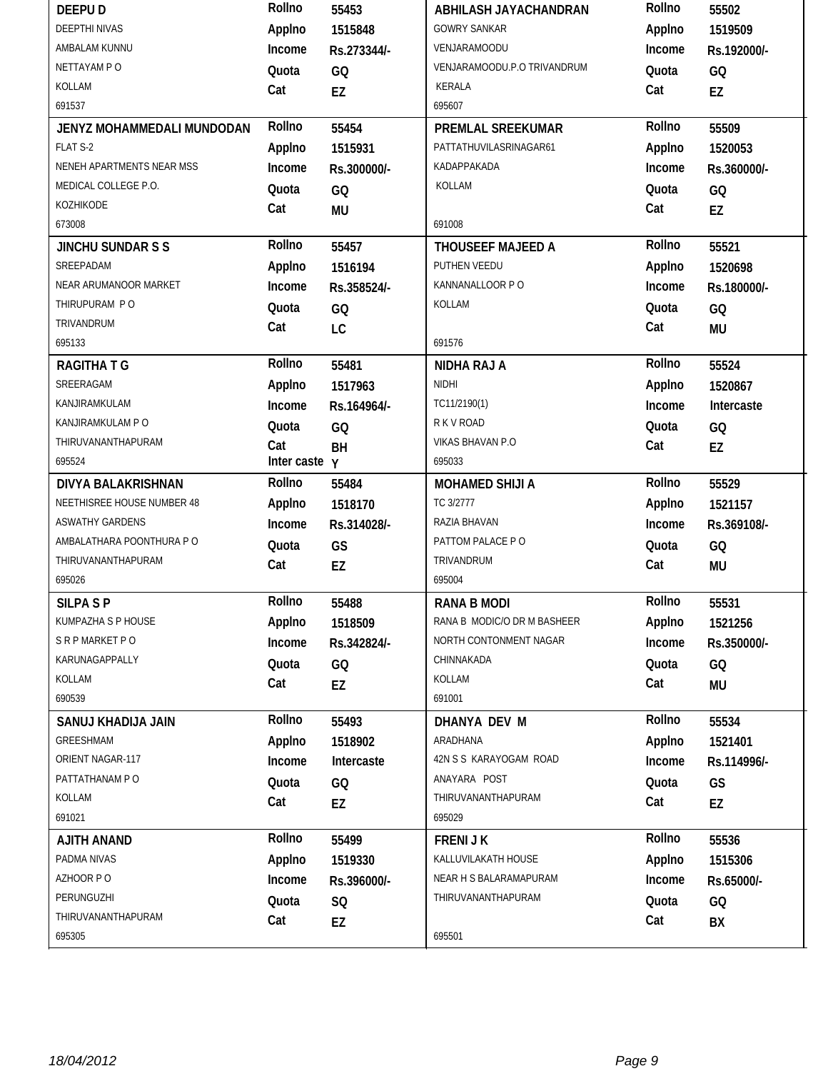| <b>DEEPUD</b>              | Rollno          | 55453       | ABHILASH JAYACHANDRAN       | Rollno | 55502       |
|----------------------------|-----------------|-------------|-----------------------------|--------|-------------|
| <b>DEEPTHI NIVAS</b>       | Applno          | 1515848     | <b>GOWRY SANKAR</b>         | Applno | 1519509     |
| AMBALAM KUNNU              | Income          | Rs.273344/- | VENJARAMOODU                | Income | Rs.192000/- |
| NETTAYAM PO                | Quota           | GQ          | VENJARAMOODU.P.O TRIVANDRUM | Quota  | GQ          |
| KOLLAM                     | Cat             | EZ          | KERALA                      | Cat    | EZ          |
| 691537                     |                 |             | 695607                      |        |             |
| JENYZ MOHAMMEDALI MUNDODAN | Rollno          | 55454       | PREMLAL SREEKUMAR           | Rollno | 55509       |
| FLAT S-2                   | Applno          | 1515931     | PATTATHUVILASRINAGAR61      | Applno | 1520053     |
| NENEH APARTMENTS NEAR MSS  | Income          | Rs.300000/- | KADAPPAKADA                 | Income | Rs.360000/- |
| MEDICAL COLLEGE P.O.       | Quota           | GQ          | KOLLAM                      | Quota  | GQ          |
| KOZHIKODE                  | Cat             | <b>MU</b>   |                             | Cat    | <b>EZ</b>   |
| 673008                     |                 |             | 691008                      |        |             |
| <b>JINCHU SUNDAR S S</b>   | Rollno          | 55457       | <b>THOUSEEF MAJEED A</b>    | Rollno | 55521       |
| SREEPADAM                  | Applno          | 1516194     | PUTHEN VEEDU                | Applno | 1520698     |
| NEAR ARUMANOOR MARKET      | Income          | Rs.358524/- | KANNANALLOOR PO             | Income | Rs.180000/- |
| THIRUPURAM PO              | Quota           | GQ          | KOLLAM                      | Quota  | GQ          |
| TRIVANDRUM                 | Cat             | LC          |                             | Cat    | <b>MU</b>   |
| 695133                     |                 |             | 691576                      |        |             |
| <b>RAGITHATG</b>           | Rollno          | 55481       | <b>NIDHA RAJ A</b>          | Rollno | 55524       |
| SREERAGAM                  | Applno          | 1517963     | <b>NIDHI</b>                | Applno | 1520867     |
| KANJIRAMKULAM              | Income          | Rs.164964/- | TC11/2190(1)                | Income | Intercaste  |
| KANJIRAMKULAM P O          | Quota           | GQ          | R K V ROAD                  | Quota  | GQ          |
| THIRUVANANTHAPURAM         | Cat             | BH          | <b>VIKAS BHAVAN P.O</b>     | Cat    | EZ          |
| 695524                     | Inter caste $y$ |             | 695033                      |        |             |
|                            | Rollno          |             |                             | Rollno |             |
| <b>DIVYA BALAKRISHNAN</b>  |                 | 55484       | <b>MOHAMED SHIJI A</b>      |        | 55529       |
| NEETHISREE HOUSE NUMBER 48 | Applno          | 1518170     | TC 3/2777                   | Applno | 1521157     |
| <b>ASWATHY GARDENS</b>     | Income          | Rs.314028/- | RAZIA BHAVAN                | Income | Rs.369108/- |
| AMBALATHARA POONTHURA PO   | Quota           | GS          | PATTOM PALACE PO            | Quota  | GQ          |
| THIRUVANANTHAPURAM         | Cat             | EZ          | TRIVANDRUM                  | Cat    | <b>MU</b>   |
| 695026                     |                 |             | 695004                      |        |             |
| <b>SILPA SP</b>            | Rollno          | 55488       | <b>RANA B MODI</b>          | Rollno | 55531       |
| KUMPAZHA S P HOUSE         | Applno          | 1518509     | RANA B MODIC/O DR M BASHEER | Applno | 1521256     |
| S R P MARKET P O           | Income          | Rs.342824/- | NORTH CONTONMENT NAGAR      | Income | Rs.350000/- |
| KARUNAGAPPALLY             | Quota           | GQ          | CHINNAKADA                  | Quota  | GQ          |
| KOLLAM                     | Cat             | EZ          | KOLLAM                      | Cat    | <b>MU</b>   |
| 690539                     |                 |             | 691001                      |        |             |
| SANUJ KHADIJA JAIN         | Rollno          | 55493       | DHANYA DEV M                | Rollno | 55534       |
| GREESHMAM                  | Applno          | 1518902     | ARADHANA                    | Applno | 1521401     |
| ORIENT NAGAR-117           | Income          | Intercaste  | 42N S S KARAYOGAM ROAD      | Income | Rs.114996/- |
| PATTATHANAM PO             | Quota           | GQ          | ANAYARA POST                | Quota  | GS          |
| KOLLAM                     | Cat             | EZ          | THIRUVANANTHAPURAM          | Cat    | EZ          |
| 691021                     |                 |             | 695029                      |        |             |
| <b>AJITH ANAND</b>         | Rollno          | 55499       | <b>FRENIJK</b>              | Rollno | 55536       |
| PADMA NIVAS                | Applno          | 1519330     | KALLUVILAKATH HOUSE         | Applno | 1515306     |
| AZHOOR PO                  | Income          | Rs.396000/- | NEAR H S BALARAMAPURAM      | Income | Rs.65000/-  |
| PERUNGUZHI                 | Quota           | SQ          | THIRUVANANTHAPURAM          | Quota  | GQ          |
| THIRUVANANTHAPURAM         | Cat             | EZ          |                             | Cat    | BX          |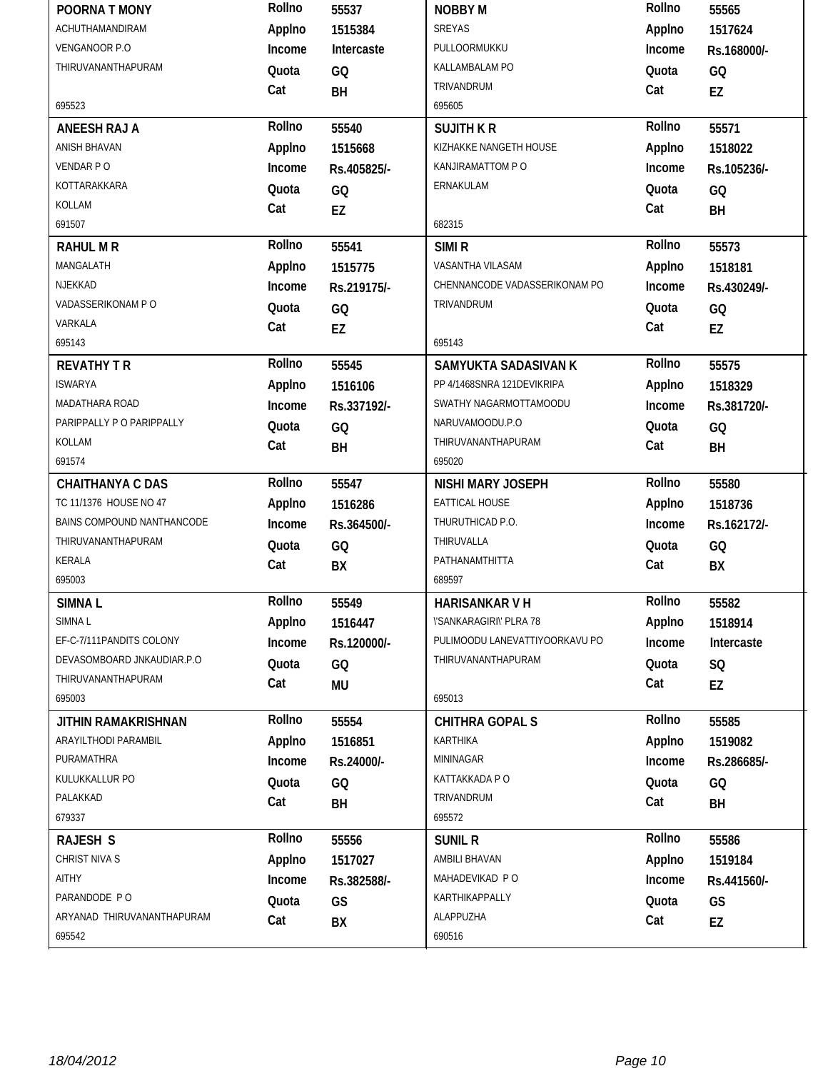| POORNA T MONY              | Rollno       | 55537       | <b>NOBBY M</b>                        | Rollno       | 55565       |
|----------------------------|--------------|-------------|---------------------------------------|--------------|-------------|
| ACHUTHAMANDIRAM            | Applno       | 1515384     | SREYAS                                | Applno       | 1517624     |
| VENGANOOR P.O              | Income       | Intercaste  | PULLOORMUKKU                          | Income       | Rs.168000/- |
| THIRUVANANTHAPURAM         | Quota        | GQ          | KALLAMBALAM PO                        | Quota        | GQ          |
|                            | Cat          | BH          | TRIVANDRUM                            | Cat          | EZ          |
| 695523                     |              |             | 695605                                |              |             |
| <b>ANEESH RAJ A</b>        | Rollno       | 55540       | <b>SUJITH K R</b>                     | Rollno       | 55571       |
| <b>ANISH BHAVAN</b>        | Applno       | 1515668     | KIZHAKKE NANGETH HOUSE                | Applno       | 1518022     |
| VENDAR PO                  | Income       | Rs.405825/- | KANJIRAMATTOM P O                     | Income       | Rs.105236/- |
| KOTTARAKKARA               | Quota        | GQ          | ERNAKULAM                             | Quota        | GQ          |
| KOLLAM                     | Cat          | EZ          |                                       | Cat          | BH          |
| 691507                     |              |             | 682315                                |              |             |
| <b>RAHUL M R</b>           | Rollno       | 55541       | SIMI <sub>R</sub>                     | Rollno       | 55573       |
| MANGALATH                  | Applno       | 1515775     | VASANTHA VILASAM                      | Applno       | 1518181     |
| NJEKKAD                    | Income       | Rs.219175/- | CHENNANCODE VADASSERIKONAM PO         | Income       | Rs.430249/- |
| VADASSERIKONAM P O         | Quota        | GQ          | TRIVANDRUM                            | Quota        | GQ          |
| VARKALA                    | Cat          | EZ          |                                       | Cat          | EZ          |
| 695143                     |              |             | 695143                                |              |             |
| <b>REVATHY T R</b>         | Rollno       | 55545       | SAMYUKTA SADASIVAN K                  | Rollno       | 55575       |
| <b>ISWARYA</b>             | Applno       | 1516106     | PP 4/1468SNRA 121DEVIKRIPA            | Applno       | 1518329     |
| MADATHARA ROAD             | Income       | Rs.337192/- | SWATHY NAGARMOTTAMOODU                | Income       | Rs.381720/- |
| PARIPPALLY P O PARIPPALLY  | Quota        | GQ          | NARUVAMOODU.P.O                       | Quota        | GQ          |
| KOLLAM                     | Cat          | BH          | THIRUVANANTHAPURAM                    | Cat          | BH          |
| 691574                     |              |             | 695020                                |              |             |
|                            |              |             |                                       |              |             |
| <b>CHAITHANYA C DAS</b>    | Rollno       | 55547       | NISHI MARY JOSEPH                     | Rollno       | 55580       |
| TC 11/1376 HOUSE NO 47     | Applno       | 1516286     | EATTICAL HOUSE                        | Applno       | 1518736     |
| BAINS COMPOUND NANTHANCODE | Income       | Rs.364500/- | THURUTHICAD P.O.                      | Income       | Rs.162172/- |
| THIRUVANANTHAPURAM         | Quota        |             | THIRUVALLA                            | Quota        |             |
| KERALA                     |              | GQ          | PATHANAMTHITTA                        | Cat          | GQ          |
| 695003                     | Cat          | BX          | 689597                                |              | BX          |
| SIMNA <sub>L</sub>         | Rollno       | 55549       | <b>HARISANKAR V H</b>                 | Rollno       | 55582       |
| SIMNA L                    | Applno       | 1516447     | <b><i>\'SANKARAGIRI\' PLRA 78</i></b> | Applno       | 1518914     |
| EF-C-7/111PANDITS COLONY   | Income       | Rs.120000/- | PULIMOODU LANEVATTIYOORKAVU PO        | Income       | Intercaste  |
| DEVASOMBOARD JNKAUDIAR.P.O | Quota        |             | THIRUVANANTHAPURAM                    | Quota        |             |
| THIRUVANANTHAPURAM         |              | GQ          |                                       |              | SQ          |
| 695003                     | Cat          | <b>MU</b>   | 695013                                | Cat          | EZ          |
| JITHIN RAMAKRISHNAN        | Rollno       | 55554       | <b>CHITHRA GOPAL S</b>                | Rollno       | 55585       |
| ARAYILTHODI PARAMBIL       | Applno       | 1516851     | KARTHIKA                              | Applno       | 1519082     |
| PURAMATHRA                 | Income       | Rs.24000/-  | MININAGAR                             | Income       | Rs.286685/- |
| KULUKKALLUR PO             |              |             | KATTAKKADA P O                        |              |             |
| PALAKKAD                   | Quota        | GQ          | TRIVANDRUM                            | Quota        | GQ          |
| 679337                     | Cat          | BH          | 695572                                | Cat          | BH          |
| <b>RAJESH S</b>            | Rollno       | 55556       | <b>SUNIL R</b>                        | Rollno       | 55586       |
| CHRIST NIVA S              | Applno       | 1517027     | AMBILI BHAVAN                         | Applno       | 1519184     |
| AITHY                      | Income       | Rs.382588/- | MAHADEVIKAD PO                        | Income       | Rs.441560/- |
| PARANDODE PO               |              |             | KARTHIKAPPALLY                        |              |             |
| ARYANAD THIRUVANANTHAPURAM | Quota<br>Cat | GS<br>BX    | ALAPPUZHA                             | Quota<br>Cat | GS<br>EZ    |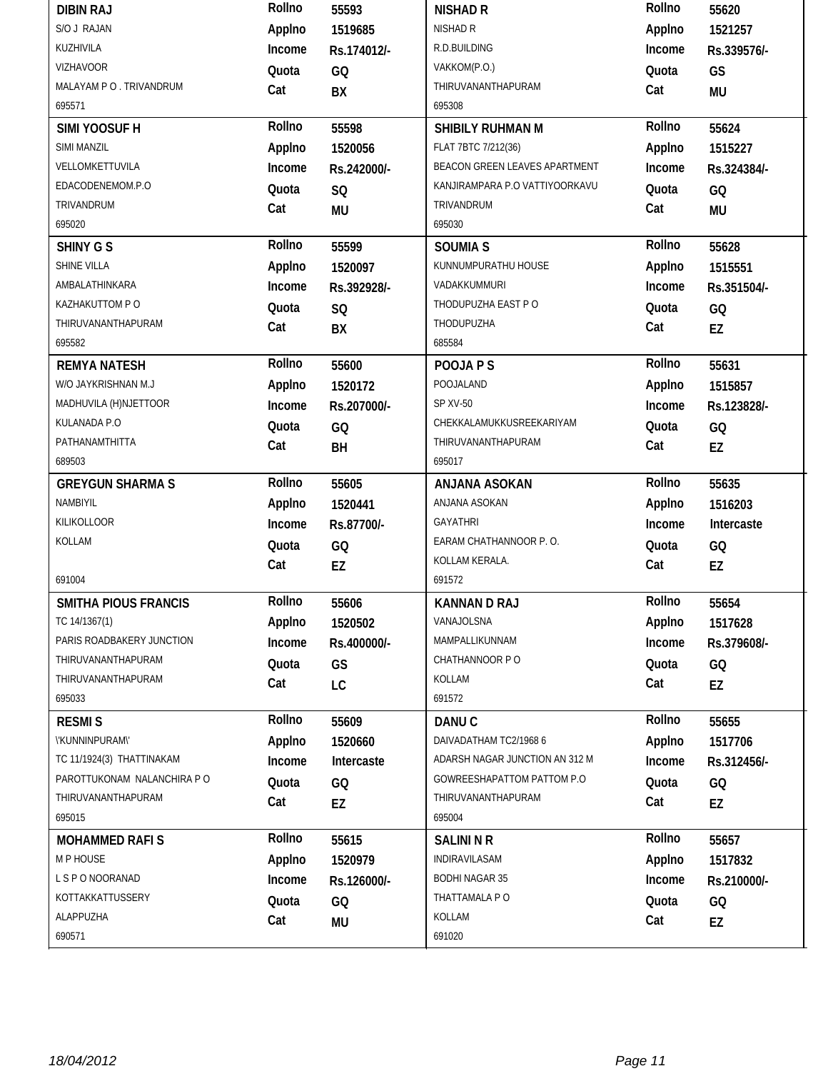| <b>DIBIN RAJ</b>            | Rollno | 55593       | <b>NISHAD R</b>                | Rollno | 55620       |
|-----------------------------|--------|-------------|--------------------------------|--------|-------------|
| S/O J RAJAN                 | Applno | 1519685     | NISHAD R                       | Applno | 1521257     |
| KUZHIVILA                   | Income | Rs.174012/- | R.D.BUILDING                   | Income | Rs.339576/- |
| <b>VIZHAVOOR</b>            | Quota  | GQ          | VAKKOM(P.O.)                   | Quota  | GS          |
| MALAYAM P O . TRIVANDRUM    | Cat    | BX          | THIRUVANANTHAPURAM             | Cat    | MU          |
| 695571                      |        |             | 695308                         |        |             |
| SIMI YOOSUF H               | Rollno | 55598       | SHIBILY RUHMAN M               | Rollno | 55624       |
| SIMI MANZIL                 | Applno | 1520056     | FLAT 7BTC 7/212(36)            | Applno | 1515227     |
| VELLOMKETTUVILA             | Income | Rs.242000/- | BEACON GREEN LEAVES APARTMENT  | Income | Rs.324384/- |
| EDACODENEMOM.P.O            | Quota  | SQ          | KANJIRAMPARA P.O VATTIYOORKAVU | Quota  | GQ          |
| TRIVANDRUM                  | Cat    | <b>MU</b>   | TRIVANDRUM                     | Cat    | <b>MU</b>   |
| 695020                      |        |             | 695030                         |        |             |
| <b>SHINY G S</b>            | Rollno | 55599       | <b>SOUMIA S</b>                | Rollno | 55628       |
| SHINE VILLA                 | Applno | 1520097     | KUNNUMPURATHU HOUSE            | Applno | 1515551     |
| AMBALATHINKARA              | Income | Rs.392928/- | VADAKKUMMURI                   | Income | Rs.351504/- |
| KAZHAKUTTOM P O             | Quota  | SQ          | THODUPUZHA EAST PO             | Quota  | GQ          |
| THIRUVANANTHAPURAM          | Cat    | BX          | THODUPUZHA                     | Cat    | EZ          |
| 695582                      |        |             | 685584                         |        |             |
| <b>REMYA NATESH</b>         | Rollno | 55600       | POOJA P S                      | Rollno | 55631       |
| W/O JAYKRISHNAN M.J         | Applno | 1520172     | POOJALAND                      | Applno | 1515857     |
| MADHUVILA (H)NJETTOOR       | Income | Rs.207000/- | SP XV-50                       | Income | Rs.123828/- |
| KULANADA P.O                | Quota  | GQ          | CHEKKALAMUKKUSREEKARIYAM       | Quota  | GQ          |
| PATHANAMTHITTA              | Cat    | BH          | THIRUVANANTHAPURAM             | Cat    | EZ          |
| 689503                      |        |             | 695017                         |        |             |
|                             |        |             |                                |        |             |
| <b>GREYGUN SHARMA S</b>     | Rollno | 55605       | ANJANA ASOKAN                  | Rollno | 55635       |
| NAMBIYIL                    | Applno | 1520441     | ANJANA ASOKAN                  | Applno | 1516203     |
| KILIKOLLOOR                 | Income | Rs.87700/-  | <b>GAYATHRI</b>                | Income | Intercaste  |
| KOLLAM                      | Quota  | GQ          | EARAM CHATHANNOOR P.O.         | Quota  | GQ          |
|                             | Cat    | EZ          | KOLLAM KERALA.                 | Cat    | EZ          |
| 691004                      |        |             | 691572                         |        |             |
| SMITHA PIOUS FRANCIS        | Rollno | 55606       | <b>KANNAN D RAJ</b>            | Rollno | 55654       |
| TC 14/1367(1)               | Applno | 1520502     | VANAJOLSNA                     | Applno | 1517628     |
| PARIS ROADBAKERY JUNCTION   | Income | Rs.400000/- | MAMPALLIKUNNAM                 | Income | Rs.379608/- |
| THIRUVANANTHAPURAM          | Quota  | GS          | CHATHANNOOR PO                 | Quota  | GQ          |
| THIRUVANANTHAPURAM          | Cat    | LC          | KOLLAM                         | Cat    | EZ          |
| 695033                      |        |             | 691572                         |        |             |
| <b>RESMIS</b>               | Rollno | 55609       | DANU <sub>C</sub>              | Rollno | 55655       |
| \'KUNNINPURAM\'             | Applno | 1520660     | DAIVADATHAM TC2/1968 6         | Applno | 1517706     |
| TC 11/1924(3) THATTINAKAM   | Income | Intercaste  | ADARSH NAGAR JUNCTION AN 312 M | Income | Rs.312456/- |
| PAROTTUKONAM NALANCHIRA P O | Quota  | GQ          | GOWREESHAPATTOM PATTOM P.O     | Quota  | GQ          |
| THIRUVANANTHAPURAM          | Cat    | EZ          | THIRUVANANTHAPURAM             | Cat    | EZ          |
| 695015                      |        |             | 695004                         |        |             |
| <b>MOHAMMED RAFIS</b>       | Rollno | 55615       | <b>SALINI N R</b>              | Rollno | 55657       |
| M P HOUSE                   | Applno | 1520979     | INDIRAVILASAM                  | Applno | 1517832     |
| L S P O NOORANAD            | Income | Rs.126000/- | <b>BODHI NAGAR 35</b>          | Income | Rs.210000/- |
| KOTTAKKATTUSSERY            | Quota  | GQ          | THATTAMALA P O                 | Quota  | GQ          |
| ALAPPUZHA                   | Cat    | MU          | KOLLAM                         | Cat    | EZ          |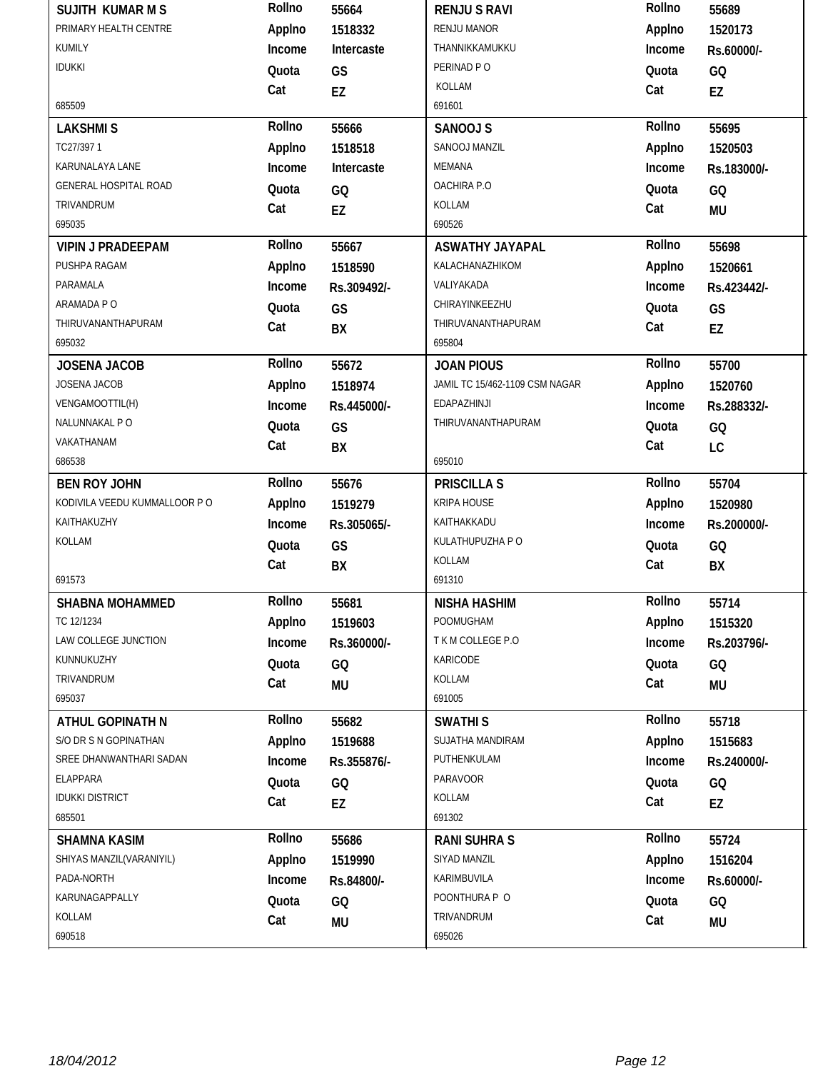| <b>SUJITH KUMAR M S</b>       | Rollno | 55664       | <b>RENJUS RAVI</b>             | Rollno | 55689       |
|-------------------------------|--------|-------------|--------------------------------|--------|-------------|
| PRIMARY HEALTH CENTRE         | Applno | 1518332     | <b>RENJU MANOR</b>             | Applno | 1520173     |
| KUMILY                        | Income | Intercaste  | THANNIKKAMUKKU                 | Income | Rs.60000/-  |
| <b>IDUKKI</b>                 | Quota  | GS          | PERINAD PO                     | Quota  | GQ          |
|                               | Cat    | EZ          | KOLLAM                         | Cat    | EZ          |
| 685509                        |        |             | 691601                         |        |             |
| <b>LAKSHMIS</b>               | Rollno | 55666       | SANOOJ S                       | Rollno | 55695       |
| TC27/397 1                    | Applno | 1518518     | SANOOJ MANZIL                  | Applno | 1520503     |
| KARUNALAYA LANE               | Income | Intercaste  | MEMANA                         | Income | Rs.183000/- |
| <b>GENERAL HOSPITAL ROAD</b>  | Quota  | GQ          | OACHIRA P.O                    | Quota  | GQ          |
| TRIVANDRUM                    | Cat    | <b>EZ</b>   | KOLLAM                         | Cat    | <b>MU</b>   |
| 695035                        |        |             | 690526                         |        |             |
| <b>VIPIN J PRADEEPAM</b>      | Rollno | 55667       | <b>ASWATHY JAYAPAL</b>         | Rollno | 55698       |
| PUSHPA RAGAM                  | Applno | 1518590     | KALACHANAZHIKOM                | Applno | 1520661     |
| PARAMALA                      | Income | Rs.309492/- | VALIYAKADA                     | Income | Rs.423442/- |
| ARAMADA P O                   | Quota  | GS          | CHIRAYINKEEZHU                 | Quota  | GS          |
| THIRUVANANTHAPURAM            | Cat    | BX          | THIRUVANANTHAPURAM             | Cat    | EZ          |
| 695032                        |        |             | 695804                         |        |             |
| <b>JOSENA JACOB</b>           | Rollno | 55672       | <b>JOAN PIOUS</b>              | Rollno | 55700       |
| JOSENA JACOB                  | Applno | 1518974     | JAMIL TC 15/462-1109 CSM NAGAR | Applno | 1520760     |
| VENGAMOOTTIL(H)               | Income | Rs.445000/- | EDAPAZHINJI                    | Income | Rs.288332/- |
| NALUNNAKAL PO                 | Quota  | GS          | THIRUVANANTHAPURAM             | Quota  | GQ          |
| VAKATHANAM                    | Cat    | BX          |                                | Cat    | LC          |
| 686538                        |        |             | 695010                         |        |             |
| <b>BEN ROY JOHN</b>           | Rollno | 55676       | <b>PRISCILLA S</b>             | Rollno | 55704       |
| KODIVILA VEEDU KUMMALLOOR P O | Applno | 1519279     | KRIPA HOUSE                    | Applno | 1520980     |
| KAITHAKUZHY                   | Income | Rs.305065/- | KAITHAKKADU                    | Income | Rs.200000/- |
| KOLLAM                        | Quota  | GS          | KULATHUPUZHA P O               | Quota  | GQ          |
|                               | Cat    | BX          | KOLLAM                         | Cat    | BX          |
| 691573                        |        |             | 691310                         |        |             |
| SHABNA MOHAMMED               | Rollno | 55681       | <b>NISHA HASHIM</b>            | Rollno | 55714       |
| TC 12/1234                    | Applno | 1519603     | POOMUGHAM                      | Applno | 1515320     |
| LAW COLLEGE JUNCTION          | Income | Rs.360000/- | TKM COLLEGE P.O                | Income | Rs.203796/- |
| KUNNUKUZHY                    | Quota  | GQ          | KARICODE                       | Quota  | GQ          |
| TRIVANDRUM                    | Cat    | MU          | KOLLAM                         | Cat    | <b>MU</b>   |
| 695037                        |        |             | 691005                         |        |             |
| ATHUL GOPINATH N              | Rollno | 55682       | <b>SWATHIS</b>                 | Rollno | 55718       |
| S/O DR S N GOPINATHAN         | Applno | 1519688     | SUJATHA MANDIRAM               | Applno | 1515683     |
| SREE DHANWANTHARI SADAN       | Income | Rs.355876/- | PUTHENKULAM                    | Income | Rs.240000/- |
| ELAPPARA                      | Quota  | GQ          | <b>PARAVOOR</b>                | Quota  | GQ          |
| <b>IDUKKI DISTRICT</b>        | Cat    | EZ          | KOLLAM                         | Cat    | EZ          |
| 685501                        |        |             | 691302                         |        |             |
| <b>SHAMNA KASIM</b>           | Rollno | 55686       | <b>RANI SUHRA S</b>            | Rollno | 55724       |
| SHIYAS MANZIL(VARANIYIL)      | Applno | 1519990     | SIYAD MANZIL                   | Applno | 1516204     |
| PADA-NORTH                    | Income | Rs.84800/-  | KARIMBUVILA                    | Income | Rs.60000/-  |
| KARUNAGAPPALLY                | Quota  | GQ          | POONTHURA P O                  | Quota  | GQ          |
| KOLLAM                        | Cat    | <b>MU</b>   | TRIVANDRUM                     | Cat    | MU          |
| 690518                        |        |             | 695026                         |        |             |
|                               |        |             |                                |        |             |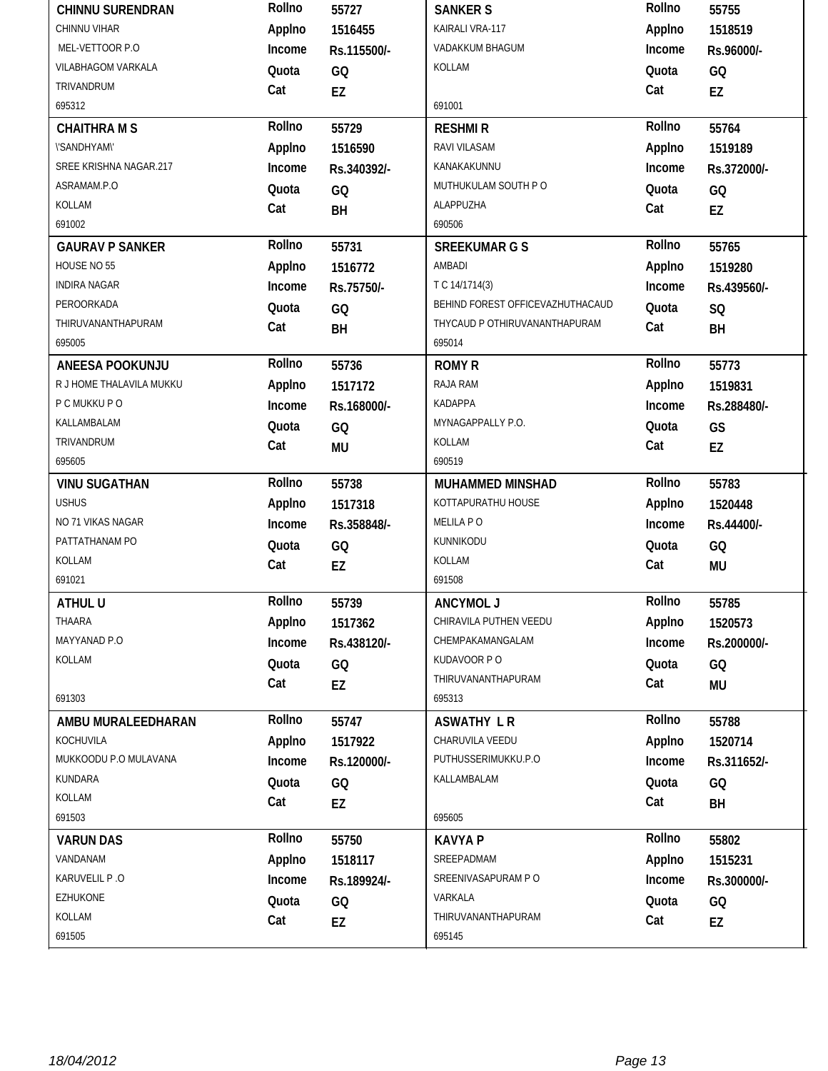| <b>CHINNU SURENDRAN</b>  | Rollno | 55727       | <b>SANKER S</b>                  | Rollno | 55755       |
|--------------------------|--------|-------------|----------------------------------|--------|-------------|
| CHINNU VIHAR             | Applno | 1516455     | KAIRALI VRA-117                  | Applno | 1518519     |
| MEL-VETTOOR P.O          | Income | Rs.115500/- | VADAKKUM BHAGUM                  | Income | Rs.96000/-  |
| VILABHAGOM VARKALA       | Quota  | GQ          | KOLLAM                           | Quota  | GQ          |
| TRIVANDRUM               | Cat    | EZ          |                                  | Cat    | EZ          |
| 695312                   |        |             | 691001                           |        |             |
| <b>CHAITHRA M S</b>      | Rollno | 55729       | <b>RESHMIR</b>                   | Rollno | 55764       |
| <b>\'SANDHYAM\'</b>      | Applno | 1516590     | RAVI VILASAM                     | Applno | 1519189     |
| SREE KRISHNA NAGAR.217   | Income | Rs.340392/- | KANAKAKUNNU                      | Income | Rs.372000/- |
| ASRAMAM.P.O              | Quota  | GQ          | MUTHUKULAM SOUTH PO              | Quota  | GQ          |
| KOLLAM                   | Cat    | BH          | ALAPPUZHA                        | Cat    | EZ          |
| 691002                   |        |             | 690506                           |        |             |
| <b>GAURAV P SANKER</b>   | Rollno | 55731       | <b>SREEKUMAR G S</b>             | Rollno | 55765       |
| HOUSE NO 55              | Applno | 1516772     | AMBADI                           | Applno | 1519280     |
| <b>INDIRA NAGAR</b>      | Income | Rs.75750/-  | T C 14/1714(3)                   | Income | Rs.439560/- |
| PEROORKADA               | Quota  | GQ          | BEHIND FOREST OFFICEVAZHUTHACAUD | Quota  | SQ          |
| THIRUVANANTHAPURAM       | Cat    | BH          | THYCAUD P OTHIRUVANANTHAPURAM    | Cat    | BH          |
| 695005                   |        |             | 695014                           |        |             |
| ANEESA POOKUNJU          | Rollno | 55736       | <b>ROMY R</b>                    | Rollno | 55773       |
| R J HOME THALAVILA MUKKU | Applno | 1517172     | RAJA RAM                         | Applno | 1519831     |
| P C MUKKU P O            | Income | Rs.168000/- | KADAPPA                          | Income | Rs.288480/- |
| KALLAMBALAM              | Quota  | GQ          | MYNAGAPPALLY P.O.                | Quota  | GS          |
| TRIVANDRUM               | Cat    | <b>MU</b>   | KOLLAM                           | Cat    | EZ          |
| 695605                   |        |             | 690519                           |        |             |
|                          |        |             |                                  |        |             |
| <b>VINU SUGATHAN</b>     | Rollno | 55738       | <b>MUHAMMED MINSHAD</b>          | Rollno | 55783       |
| <b>USHUS</b>             | Applno | 1517318     | KOTTAPURATHU HOUSE               | Applno | 1520448     |
| NO 71 VIKAS NAGAR        | Income | Rs.358848/- | MELILA PO                        | Income | Rs.44400/-  |
| PATTATHANAM PO           | Quota  | GQ          | KUNNIKODU                        | Quota  | GQ          |
| KOLLAM                   | Cat    | EZ          | KOLLAM                           | Cat    | <b>MU</b>   |
| 691021                   |        |             | 691508                           |        |             |
| ATHUL U                  | Rollno | 55739       | <b>ANCYMOL J</b>                 | Rollno | 55785       |
| THAARA                   | Applno | 1517362     | CHIRAVILA PUTHEN VEEDU           | Applno | 1520573     |
| MAYYANAD P.O             | Income | Rs.438120/- | CHEMPAKAMANGALAM                 | Income | Rs.200000/- |
| KOLLAM                   | Quota  | GQ          | KUDAVOOR PO                      | Quota  | GQ          |
|                          | Cat    | EZ          | THIRUVANANTHAPURAM               | Cat    | MU          |
| 691303                   |        |             | 695313                           |        |             |
| AMBU MURALEEDHARAN       | Rollno | 55747       | <b>ASWATHY LR</b>                | Rollno | 55788       |
| KOCHUVILA                | Applno | 1517922     | CHARUVILA VEEDU                  | Applno | 1520714     |
| MUKKOODU P.O MULAVANA    | Income | Rs.120000/- | PUTHUSSERIMUKKU.P.O              | Income | Rs.311652/- |
| KUNDARA                  | Quota  | GQ          | KALLAMBALAM                      | Quota  | GQ          |
| KOLLAM                   | Cat    | EZ          |                                  | Cat    | BH          |
| 691503                   |        |             | 695605                           |        |             |
| <b>VARUN DAS</b>         | Rollno | 55750       | <b>KAVYA P</b>                   | Rollno | 55802       |
| VANDANAM                 | Applno | 1518117     | SREEPADMAM                       | Applno | 1515231     |
| KARUVELIL P.O            | Income | Rs.189924/- | SREENIVASAPURAM PO               | Income | Rs.300000/- |
| <b>EZHUKONE</b>          | Quota  | GQ          | VARKALA                          | Quota  | GQ          |
| KOLLAM<br>691505         | Cat    | EZ          | THIRUVANANTHAPURAM<br>695145     | Cat    | EZ          |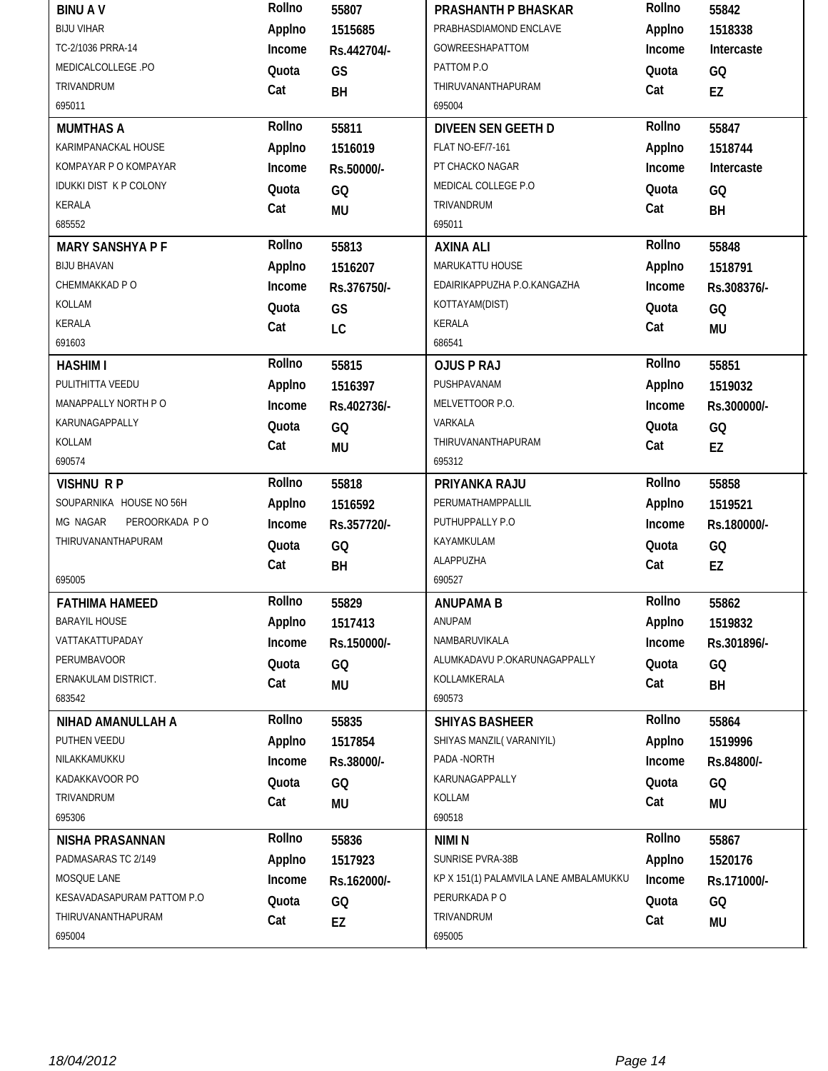| <b>BINUAV</b>                 | Rollno | 55807       | PRASHANTH P BHASKAR                    | Rollno | 55842       |
|-------------------------------|--------|-------------|----------------------------------------|--------|-------------|
| <b>BIJU VIHAR</b>             | Applno | 1515685     | PRABHASDIAMOND ENCLAVE                 | Applno | 1518338     |
| TC-2/1036 PRRA-14             | Income | Rs.442704/- | <b>GOWREESHAPATTOM</b>                 | Income | Intercaste  |
| MEDICALCOLLEGE .PO            | Quota  | GS          | PATTOM P.O                             | Quota  | GQ          |
| TRIVANDRUM                    | Cat    | BH          | THIRUVANANTHAPURAM                     | Cat    | EZ          |
| 695011                        |        |             | 695004                                 |        |             |
| <b>MUMTHAS A</b>              | Rollno | 55811       | <b>DIVEEN SEN GEETH D</b>              | Rollno | 55847       |
| KARIMPANACKAL HOUSE           | Applno | 1516019     | <b>FLAT NO-EF/7-161</b>                | Applno | 1518744     |
| KOMPAYAR P O KOMPAYAR         | Income | Rs.50000/-  | PT CHACKO NAGAR                        | Income | Intercaste  |
| <b>IDUKKI DIST K P COLONY</b> | Quota  | GQ          | MEDICAL COLLEGE P.O                    | Quota  | GQ          |
| KERALA                        | Cat    | <b>MU</b>   | TRIVANDRUM                             | Cat    | BH          |
| 685552                        |        |             | 695011                                 |        |             |
| <b>MARY SANSHYA P F</b>       | Rollno | 55813       | <b>AXINA ALI</b>                       | Rollno | 55848       |
| <b>BIJU BHAVAN</b>            | Applno | 1516207     | MARUKATTU HOUSE                        | Applno | 1518791     |
| CHEMMAKKAD P O                | Income | Rs.376750/- | EDAIRIKAPPUZHA P.O.KANGAZHA            | Income | Rs.308376/- |
| KOLLAM                        | Quota  | GS          | KOTTAYAM(DIST)                         | Quota  | GQ          |
| <b>KERALA</b>                 | Cat    | LC          | KERALA                                 | Cat    | MU          |
| 691603                        |        |             | 686541                                 |        |             |
| <b>HASHIM I</b>               | Rollno | 55815       | <b>OJUS P RAJ</b>                      | Rollno | 55851       |
| PULITHITTA VEEDU              | Applno | 1516397     | PUSHPAVANAM                            | Applno | 1519032     |
| MANAPPALLY NORTH PO           | Income | Rs.402736/- | MELVETTOOR P.O.                        | Income | Rs.300000/- |
| KARUNAGAPPALLY                | Quota  | GQ          | VARKALA                                | Quota  | GQ          |
| KOLLAM                        | Cat    | <b>MU</b>   | THIRUVANANTHAPURAM                     | Cat    | EZ          |
| 690574                        |        |             | 695312                                 |        |             |
|                               |        |             |                                        |        |             |
| <b>VISHNU RP</b>              | Rollno | 55818       | PRIYANKA RAJU                          | Rollno | 55858       |
| SOUPARNIKA HOUSE NO 56H       | Applno | 1516592     | PERUMATHAMPPALLIL                      | Applno | 1519521     |
| MG NAGAR<br>PEROORKADA PO     | Income | Rs.357720/- | PUTHUPPALLY P.O                        | Income | Rs.180000/- |
| THIRUVANANTHAPURAM            | Quota  | GQ          | KAYAMKULAM                             | Quota  | GQ          |
|                               | Cat    | BH          | ALAPPUZHA                              | Cat    | EZ          |
| 695005                        |        |             | 690527                                 |        |             |
| <b>FATHIMA HAMEED</b>         | Rollno | 55829       | <b>ANUPAMA B</b>                       | Rollno | 55862       |
| <b>BARAYIL HOUSE</b>          | Applno | 1517413     | ANUPAM                                 | Applno | 1519832     |
| VATTAKATTUPADAY               | Income | Rs.150000/- | NAMBARUVIKALA                          | Income | Rs.301896/- |
| <b>PERUMBAVOOR</b>            | Quota  | GQ          | ALUMKADAVU P.OKARUNAGAPPALLY           | Quota  | GQ          |
| ERNAKULAM DISTRICT.           | Cat    |             | KOLLAMKERALA                           | Cat    |             |
| 683542                        |        | MU          | 690573                                 |        | BH          |
| NIHAD AMANULLAH A             | Rollno | 55835       | <b>SHIYAS BASHEER</b>                  | Rollno | 55864       |
| PUTHEN VEEDU                  | Applno | 1517854     | SHIYAS MANZIL(VARANIYIL)               | Applno | 1519996     |
| NILAKKAMUKKU                  | Income | Rs.38000/-  | PADA -NORTH                            | Income | Rs.84800/-  |
| KADAKKAVOOR PO                | Quota  | GQ          | KARUNAGAPPALLY                         | Quota  | GQ          |
| TRIVANDRUM                    | Cat    |             | KOLLAM                                 | Cat    | MU          |
| 695306                        |        | MU          | 690518                                 |        |             |
| <b>NISHA PRASANNAN</b>        | Rollno | 55836       | NIMI N                                 | Rollno | 55867       |
| PADMASARAS TC 2/149           | Applno | 1517923     | SUNRISE PVRA-38B                       | Applno | 1520176     |
| MOSQUE LANE                   | Income | Rs.162000/- | KP X 151(1) PALAMVILA LANE AMBALAMUKKU | Income | Rs.171000/- |
| KESAVADASAPURAM PATTOM P.O    | Quota  | GQ          | PERURKADA P O                          | Quota  | GQ          |
| THIRUVANANTHAPURAM            | Cat    | EZ          | TRIVANDRUM                             | Cat    | MU          |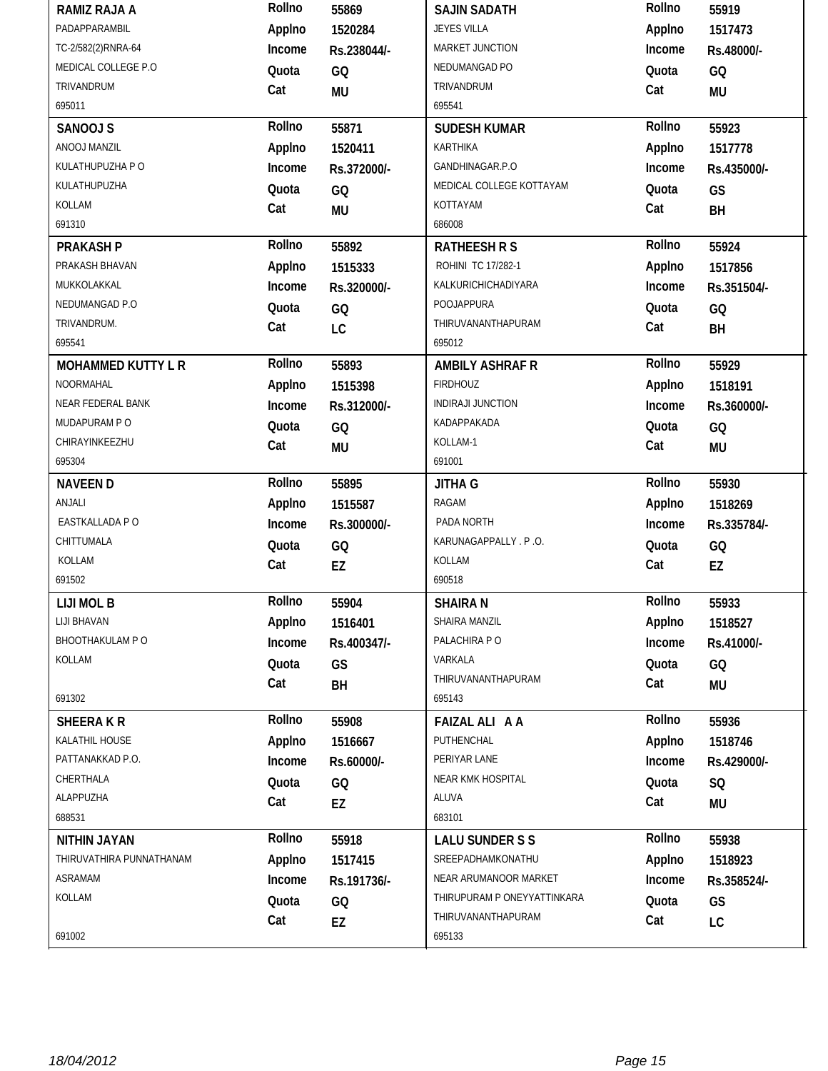| <b>RAMIZ RAJA A</b>       | Rollno | 55869       | <b>SAJIN SADATH</b>         | Rollno | 55919       |
|---------------------------|--------|-------------|-----------------------------|--------|-------------|
| PADAPPARAMBIL             | Applno | 1520284     | <b>JEYES VILLA</b>          | Applno | 1517473     |
| TC-2/582(2)RNRA-64        | Income | Rs.238044/- | MARKET JUNCTION             | Income | Rs.48000/-  |
| MEDICAL COLLEGE P.O       | Quota  | GQ          | NEDUMANGAD PO               | Quota  | GQ          |
| TRIVANDRUM                | Cat    | <b>MU</b>   | TRIVANDRUM                  | Cat    | MU          |
| 695011                    |        |             | 695541                      |        |             |
| SANOOJ S                  | Rollno | 55871       | <b>SUDESH KUMAR</b>         | Rollno | 55923       |
| ANOOJ MANZIL              | Applno | 1520411     | KARTHIKA                    | Applno | 1517778     |
| KULATHUPUZHA P O          | Income | Rs.372000/- | GANDHINAGAR.P.O             | Income | Rs.435000/- |
| KULATHUPUZHA              | Quota  | GQ          | MEDICAL COLLEGE KOTTAYAM    | Quota  | GS          |
| KOLLAM                    | Cat    | <b>MU</b>   | KOTTAYAM                    | Cat    | BH          |
| 691310                    |        |             | 686008                      |        |             |
| <b>PRAKASH P</b>          | Rollno | 55892       | <b>RATHEESH R S</b>         | Rollno | 55924       |
| PRAKASH BHAVAN            | Applno | 1515333     | ROHINI TC 17/282-1          | Applno | 1517856     |
| MUKKOLAKKAL               | Income | Rs.320000/- | KALKURICHICHADIYARA         | Income | Rs.351504/- |
| NEDUMANGAD P.O            | Quota  | GQ          | POOJAPPURA                  | Quota  | GQ          |
| TRIVANDRUM.               | Cat    | LC          | THIRUVANANTHAPURAM          | Cat    | BH          |
| 695541                    |        |             | 695012                      |        |             |
| <b>MOHAMMED KUTTY L R</b> | Rollno | 55893       | <b>AMBILY ASHRAF R</b>      | Rollno | 55929       |
| <b>NOORMAHAL</b>          | Applno | 1515398     | <b>FIRDHOUZ</b>             | Applno | 1518191     |
| NEAR FEDERAL BANK         | Income | Rs.312000/- | <b>INDIRAJI JUNCTION</b>    | Income | Rs.360000/- |
| MUDAPURAM PO              | Quota  | GQ          | KADAPPAKADA                 | Quota  | GQ          |
| CHIRAYINKEEZHU            | Cat    | <b>MU</b>   | KOLLAM-1                    | Cat    | <b>MU</b>   |
| 695304                    |        |             | 691001                      |        |             |
|                           |        |             |                             |        |             |
| <b>NAVEEN D</b>           | Rollno | 55895       | <b>JITHA G</b>              | Rollno | 55930       |
| ANJALI                    | Applno | 1515587     | RAGAM                       | Applno | 1518269     |
| EASTKALLADA PO            | Income | Rs.300000/- | PADA NORTH                  | Income | Rs.335784/- |
| CHITTUMALA                | Quota  | GQ          | KARUNAGAPPALLY . P.O.       | Quota  | GQ          |
| KOLLAM                    | Cat    |             | KOLLAM                      | Cat    |             |
| 691502                    |        | EZ          | 690518                      |        | EZ          |
| LIJI MOL B                | Rollno | 55904       | <b>SHAIRA N</b>             | Rollno | 55933       |
| LIJI BHAVAN               | Applno | 1516401     | SHAIRA MANZIL               | Applno | 1518527     |
| BHOOTHAKULAM P O          | Income | Rs.400347/- | PALACHIRA PO                | Income | Rs.41000/-  |
| KOLLAM                    | Quota  |             | VARKALA                     | Quota  | GQ          |
|                           | Cat    | GS          | THIRUVANANTHAPURAM          | Cat    |             |
| 691302                    |        | BH          | 695143                      |        | MU          |
| <b>SHEERAKR</b>           | Rollno | 55908       | <b>FAIZAL ALI A A</b>       | Rollno | 55936       |
| KALATHIL HOUSE            | Applno | 1516667     | PUTHENCHAL                  | Applno | 1518746     |
| PATTANAKKAD P.O.          | Income | Rs.60000/-  | PERIYAR LANE                | Income | Rs.429000/- |
| CHERTHALA                 | Quota  | GQ          | NEAR KMK HOSPITAL           | Quota  | SQ          |
| ALAPPUZHA                 | Cat    | EZ          | ALUVA                       | Cat    | MU          |
| 688531                    |        |             | 683101                      |        |             |
| <b>NITHIN JAYAN</b>       | Rollno | 55918       | <b>LALU SUNDER S S</b>      | Rollno | 55938       |
| THIRUVATHIRA PUNNATHANAM  | Applno | 1517415     | SREEPADHAMKONATHU           | Applno | 1518923     |
| <b>ASRAMAM</b>            | Income | Rs.191736/- | NEAR ARUMANOOR MARKET       | Income | Rs.358524/- |
| KOLLAM                    | Quota  | GQ          | THIRUPURAM P ONEYYATTINKARA | Quota  | GS          |
|                           | Cat    | EZ          | THIRUVANANTHAPURAM          | Cat    | LC          |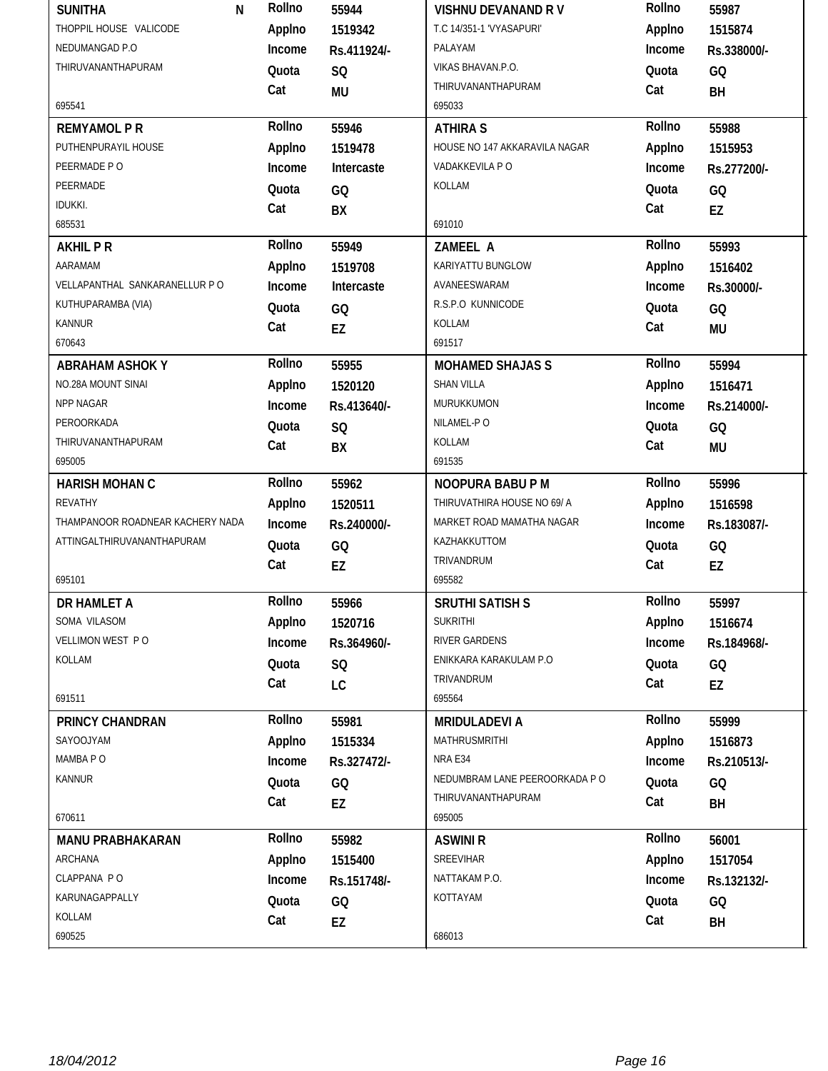| THOPPIL HOUSE VALICODE<br>T.C 14/351-1 'VYASAPURI'<br>Applno<br>Applno<br>1515874<br>1519342<br>NEDUMANGAD P.O<br>PALAYAM<br>Income<br>Income<br>Rs.411924/-<br>Rs.338000/-<br>THIRUVANANTHAPURAM<br>VIKAS BHAVAN.P.O.<br>Quota<br>SQ<br>Quota<br>GQ<br>THIRUVANANTHAPURAM<br>Cat<br>Cat<br><b>MU</b><br>BH<br>695541<br>695033<br>Rollno<br>Rollno<br><b>REMYAMOL P R</b><br>55946<br>55988<br><b>ATHIRA S</b><br>PUTHENPURAYIL HOUSE<br>Applno<br>Applno<br>HOUSE NO 147 AKKARAVILA NAGAR<br>1519478<br>1515953<br>PEERMADE PO<br>VADAKKEVILA P O<br>Income<br>Intercaste<br>Income<br>Rs.277200/-<br>PEERMADE<br>KOLLAM<br>Quota<br>GQ<br>Quota<br>GQ<br><b>IDUKKI.</b><br>Cat<br>Cat<br>BX<br>EZ<br>685531<br>691010<br>Rollno<br>Rollno<br>55993<br>55949<br><b>AKHILPR</b><br>ZAMEEL A<br>AARAMAM<br>Applno<br>KARIYATTU BUNGLOW<br>Applno<br>1519708<br>1516402<br>VELLAPANTHAL SANKARANELLUR P O<br>AVANEESWARAM<br>Income<br>Intercaste<br>Income<br>Rs.30000/-<br>KUTHUPARAMBA (VIA)<br>R.S.P.O KUNNICODE<br>Quota<br>Quota<br>GQ<br>GQ<br><b>KANNUR</b><br>KOLLAM<br>Cat<br>Cat<br><b>EZ</b><br><b>MU</b><br>670643<br>691517<br>Rollno<br>Rollno<br>55955<br><b>MOHAMED SHAJAS S</b><br>55994<br><b>ABRAHAM ASHOK Y</b><br>NO.28A MOUNT SINAI<br><b>SHAN VILLA</b><br>Applno<br>Applno<br>1520120<br>1516471<br>NPP NAGAR<br>MURUKKUMON<br>Income<br>Income<br>Rs.413640/-<br>Rs.214000/-<br>PEROORKADA<br>NILAMEL-PO<br>Quota<br>SQ<br>Quota<br>GQ<br>THIRUVANANTHAPURAM<br>KOLLAM<br>Cat<br>Cat<br>BX<br><b>MU</b><br>695005<br>691535<br>Rollno<br>Rollno<br>55962<br>NOOPURA BABU P M<br>55996<br><b>HARISH MOHAN C</b><br><b>REVATHY</b><br>THIRUVATHIRA HOUSE NO 69/ A<br>Applno<br>Applno<br>1520511<br>1516598<br>THAMPANOOR ROADNEAR KACHERY NADA<br>MARKET ROAD MAMATHA NAGAR<br>Income<br>Income<br>Rs.240000/-<br>Rs.183087/-<br>ATTINGALTHIRUVANANTHAPURAM<br>KAZHAKKUTTOM<br>Quota<br>Quota<br>GQ<br>GQ<br>TRIVANDRUM<br>Cat<br>Cat<br>EZ<br>EZ<br>695101<br>695582<br>Rollno<br>Rollno<br>55966<br>55997<br><b>SRUTHI SATISH S</b><br>DR HAMLET A<br><b>SUKRITHI</b><br>SOMA VILASOM<br>Applno<br>Applno<br>1520716<br>1516674<br>VELLIMON WEST PO<br>RIVER GARDENS<br>Income<br>Income<br>Rs.364960/-<br>Rs.184968/-<br>KOLLAM<br>ENIKKARA KARAKULAM P.O.<br>Quota<br>Quota<br>SQ<br>GQ<br>TRIVANDRUM<br>Cat<br>Cat<br>LC<br>EZ<br>691511<br>695564<br>Rollno<br>Rollno<br>55981<br>55999<br>PRINCY CHANDRAN<br><b>MRIDULADEVI A</b><br>SAYOOJYAM<br>MATHRUSMRITHI<br>Applno<br>Applno<br>1515334<br>1516873<br>MAMBA PO<br>NRA E34<br>Income<br>Income<br>Rs.327472/-<br>Rs.210513/-<br><b>KANNUR</b><br>NEDUMBRAM LANE PEEROORKADA P O<br>Quota<br>Quota<br>GQ<br>GQ<br>THIRUVANANTHAPURAM<br>Cat<br>Cat<br>EZ<br>BH<br>670611<br>695005<br>Rollno<br>Rollno<br>56001<br>55982<br><b>MANU PRABHAKARAN</b><br><b>ASWINI R</b><br>SREEVIHAR<br>ARCHANA<br>Applno<br>Applno<br>1515400<br>1517054<br>CLAPPANA PO<br>NATTAKAM P.O.<br>Income<br>Income<br>Rs.151748/-<br>Rs.132132/-<br>KOTTAYAM<br>KARUNAGAPPALLY<br>Quota<br>Quota<br>GQ<br>GQ | KOLLAM<br>Cat<br>Cat<br>EZ<br>BH | <b>SUNITHA</b> | Rollno<br>N | 55944 | <b>VISHNU DEVANAND RV</b> | Rollno | 55987 |
|----------------------------------------------------------------------------------------------------------------------------------------------------------------------------------------------------------------------------------------------------------------------------------------------------------------------------------------------------------------------------------------------------------------------------------------------------------------------------------------------------------------------------------------------------------------------------------------------------------------------------------------------------------------------------------------------------------------------------------------------------------------------------------------------------------------------------------------------------------------------------------------------------------------------------------------------------------------------------------------------------------------------------------------------------------------------------------------------------------------------------------------------------------------------------------------------------------------------------------------------------------------------------------------------------------------------------------------------------------------------------------------------------------------------------------------------------------------------------------------------------------------------------------------------------------------------------------------------------------------------------------------------------------------------------------------------------------------------------------------------------------------------------------------------------------------------------------------------------------------------------------------------------------------------------------------------------------------------------------------------------------------------------------------------------------------------------------------------------------------------------------------------------------------------------------------------------------------------------------------------------------------------------------------------------------------------------------------------------------------------------------------------------------------------------------------------------------------------------------------------------------------------------------------------------------------------------------------------------------------------------------------------------------------------------------------------------------------------------------------------------------------------------------------------------------------------------------------------------------------------------------------------------------------------------------------------------------------------------------------------------------------------------------------------------------------------------|----------------------------------|----------------|-------------|-------|---------------------------|--------|-------|
|                                                                                                                                                                                                                                                                                                                                                                                                                                                                                                                                                                                                                                                                                                                                                                                                                                                                                                                                                                                                                                                                                                                                                                                                                                                                                                                                                                                                                                                                                                                                                                                                                                                                                                                                                                                                                                                                                                                                                                                                                                                                                                                                                                                                                                                                                                                                                                                                                                                                                                                                                                                                                                                                                                                                                                                                                                                                                                                                                                                                                                                                            |                                  |                |             |       |                           |        |       |
|                                                                                                                                                                                                                                                                                                                                                                                                                                                                                                                                                                                                                                                                                                                                                                                                                                                                                                                                                                                                                                                                                                                                                                                                                                                                                                                                                                                                                                                                                                                                                                                                                                                                                                                                                                                                                                                                                                                                                                                                                                                                                                                                                                                                                                                                                                                                                                                                                                                                                                                                                                                                                                                                                                                                                                                                                                                                                                                                                                                                                                                                            |                                  |                |             |       |                           |        |       |
|                                                                                                                                                                                                                                                                                                                                                                                                                                                                                                                                                                                                                                                                                                                                                                                                                                                                                                                                                                                                                                                                                                                                                                                                                                                                                                                                                                                                                                                                                                                                                                                                                                                                                                                                                                                                                                                                                                                                                                                                                                                                                                                                                                                                                                                                                                                                                                                                                                                                                                                                                                                                                                                                                                                                                                                                                                                                                                                                                                                                                                                                            |                                  |                |             |       |                           |        |       |
|                                                                                                                                                                                                                                                                                                                                                                                                                                                                                                                                                                                                                                                                                                                                                                                                                                                                                                                                                                                                                                                                                                                                                                                                                                                                                                                                                                                                                                                                                                                                                                                                                                                                                                                                                                                                                                                                                                                                                                                                                                                                                                                                                                                                                                                                                                                                                                                                                                                                                                                                                                                                                                                                                                                                                                                                                                                                                                                                                                                                                                                                            |                                  |                |             |       |                           |        |       |
|                                                                                                                                                                                                                                                                                                                                                                                                                                                                                                                                                                                                                                                                                                                                                                                                                                                                                                                                                                                                                                                                                                                                                                                                                                                                                                                                                                                                                                                                                                                                                                                                                                                                                                                                                                                                                                                                                                                                                                                                                                                                                                                                                                                                                                                                                                                                                                                                                                                                                                                                                                                                                                                                                                                                                                                                                                                                                                                                                                                                                                                                            |                                  |                |             |       |                           |        |       |
|                                                                                                                                                                                                                                                                                                                                                                                                                                                                                                                                                                                                                                                                                                                                                                                                                                                                                                                                                                                                                                                                                                                                                                                                                                                                                                                                                                                                                                                                                                                                                                                                                                                                                                                                                                                                                                                                                                                                                                                                                                                                                                                                                                                                                                                                                                                                                                                                                                                                                                                                                                                                                                                                                                                                                                                                                                                                                                                                                                                                                                                                            |                                  |                |             |       |                           |        |       |
|                                                                                                                                                                                                                                                                                                                                                                                                                                                                                                                                                                                                                                                                                                                                                                                                                                                                                                                                                                                                                                                                                                                                                                                                                                                                                                                                                                                                                                                                                                                                                                                                                                                                                                                                                                                                                                                                                                                                                                                                                                                                                                                                                                                                                                                                                                                                                                                                                                                                                                                                                                                                                                                                                                                                                                                                                                                                                                                                                                                                                                                                            |                                  |                |             |       |                           |        |       |
|                                                                                                                                                                                                                                                                                                                                                                                                                                                                                                                                                                                                                                                                                                                                                                                                                                                                                                                                                                                                                                                                                                                                                                                                                                                                                                                                                                                                                                                                                                                                                                                                                                                                                                                                                                                                                                                                                                                                                                                                                                                                                                                                                                                                                                                                                                                                                                                                                                                                                                                                                                                                                                                                                                                                                                                                                                                                                                                                                                                                                                                                            |                                  |                |             |       |                           |        |       |
|                                                                                                                                                                                                                                                                                                                                                                                                                                                                                                                                                                                                                                                                                                                                                                                                                                                                                                                                                                                                                                                                                                                                                                                                                                                                                                                                                                                                                                                                                                                                                                                                                                                                                                                                                                                                                                                                                                                                                                                                                                                                                                                                                                                                                                                                                                                                                                                                                                                                                                                                                                                                                                                                                                                                                                                                                                                                                                                                                                                                                                                                            |                                  |                |             |       |                           |        |       |
|                                                                                                                                                                                                                                                                                                                                                                                                                                                                                                                                                                                                                                                                                                                                                                                                                                                                                                                                                                                                                                                                                                                                                                                                                                                                                                                                                                                                                                                                                                                                                                                                                                                                                                                                                                                                                                                                                                                                                                                                                                                                                                                                                                                                                                                                                                                                                                                                                                                                                                                                                                                                                                                                                                                                                                                                                                                                                                                                                                                                                                                                            |                                  |                |             |       |                           |        |       |
|                                                                                                                                                                                                                                                                                                                                                                                                                                                                                                                                                                                                                                                                                                                                                                                                                                                                                                                                                                                                                                                                                                                                                                                                                                                                                                                                                                                                                                                                                                                                                                                                                                                                                                                                                                                                                                                                                                                                                                                                                                                                                                                                                                                                                                                                                                                                                                                                                                                                                                                                                                                                                                                                                                                                                                                                                                                                                                                                                                                                                                                                            |                                  |                |             |       |                           |        |       |
|                                                                                                                                                                                                                                                                                                                                                                                                                                                                                                                                                                                                                                                                                                                                                                                                                                                                                                                                                                                                                                                                                                                                                                                                                                                                                                                                                                                                                                                                                                                                                                                                                                                                                                                                                                                                                                                                                                                                                                                                                                                                                                                                                                                                                                                                                                                                                                                                                                                                                                                                                                                                                                                                                                                                                                                                                                                                                                                                                                                                                                                                            |                                  |                |             |       |                           |        |       |
|                                                                                                                                                                                                                                                                                                                                                                                                                                                                                                                                                                                                                                                                                                                                                                                                                                                                                                                                                                                                                                                                                                                                                                                                                                                                                                                                                                                                                                                                                                                                                                                                                                                                                                                                                                                                                                                                                                                                                                                                                                                                                                                                                                                                                                                                                                                                                                                                                                                                                                                                                                                                                                                                                                                                                                                                                                                                                                                                                                                                                                                                            |                                  |                |             |       |                           |        |       |
|                                                                                                                                                                                                                                                                                                                                                                                                                                                                                                                                                                                                                                                                                                                                                                                                                                                                                                                                                                                                                                                                                                                                                                                                                                                                                                                                                                                                                                                                                                                                                                                                                                                                                                                                                                                                                                                                                                                                                                                                                                                                                                                                                                                                                                                                                                                                                                                                                                                                                                                                                                                                                                                                                                                                                                                                                                                                                                                                                                                                                                                                            |                                  |                |             |       |                           |        |       |
|                                                                                                                                                                                                                                                                                                                                                                                                                                                                                                                                                                                                                                                                                                                                                                                                                                                                                                                                                                                                                                                                                                                                                                                                                                                                                                                                                                                                                                                                                                                                                                                                                                                                                                                                                                                                                                                                                                                                                                                                                                                                                                                                                                                                                                                                                                                                                                                                                                                                                                                                                                                                                                                                                                                                                                                                                                                                                                                                                                                                                                                                            |                                  |                |             |       |                           |        |       |
|                                                                                                                                                                                                                                                                                                                                                                                                                                                                                                                                                                                                                                                                                                                                                                                                                                                                                                                                                                                                                                                                                                                                                                                                                                                                                                                                                                                                                                                                                                                                                                                                                                                                                                                                                                                                                                                                                                                                                                                                                                                                                                                                                                                                                                                                                                                                                                                                                                                                                                                                                                                                                                                                                                                                                                                                                                                                                                                                                                                                                                                                            |                                  |                |             |       |                           |        |       |
|                                                                                                                                                                                                                                                                                                                                                                                                                                                                                                                                                                                                                                                                                                                                                                                                                                                                                                                                                                                                                                                                                                                                                                                                                                                                                                                                                                                                                                                                                                                                                                                                                                                                                                                                                                                                                                                                                                                                                                                                                                                                                                                                                                                                                                                                                                                                                                                                                                                                                                                                                                                                                                                                                                                                                                                                                                                                                                                                                                                                                                                                            |                                  |                |             |       |                           |        |       |
|                                                                                                                                                                                                                                                                                                                                                                                                                                                                                                                                                                                                                                                                                                                                                                                                                                                                                                                                                                                                                                                                                                                                                                                                                                                                                                                                                                                                                                                                                                                                                                                                                                                                                                                                                                                                                                                                                                                                                                                                                                                                                                                                                                                                                                                                                                                                                                                                                                                                                                                                                                                                                                                                                                                                                                                                                                                                                                                                                                                                                                                                            |                                  |                |             |       |                           |        |       |
|                                                                                                                                                                                                                                                                                                                                                                                                                                                                                                                                                                                                                                                                                                                                                                                                                                                                                                                                                                                                                                                                                                                                                                                                                                                                                                                                                                                                                                                                                                                                                                                                                                                                                                                                                                                                                                                                                                                                                                                                                                                                                                                                                                                                                                                                                                                                                                                                                                                                                                                                                                                                                                                                                                                                                                                                                                                                                                                                                                                                                                                                            |                                  |                |             |       |                           |        |       |
|                                                                                                                                                                                                                                                                                                                                                                                                                                                                                                                                                                                                                                                                                                                                                                                                                                                                                                                                                                                                                                                                                                                                                                                                                                                                                                                                                                                                                                                                                                                                                                                                                                                                                                                                                                                                                                                                                                                                                                                                                                                                                                                                                                                                                                                                                                                                                                                                                                                                                                                                                                                                                                                                                                                                                                                                                                                                                                                                                                                                                                                                            |                                  |                |             |       |                           |        |       |
|                                                                                                                                                                                                                                                                                                                                                                                                                                                                                                                                                                                                                                                                                                                                                                                                                                                                                                                                                                                                                                                                                                                                                                                                                                                                                                                                                                                                                                                                                                                                                                                                                                                                                                                                                                                                                                                                                                                                                                                                                                                                                                                                                                                                                                                                                                                                                                                                                                                                                                                                                                                                                                                                                                                                                                                                                                                                                                                                                                                                                                                                            |                                  |                |             |       |                           |        |       |
|                                                                                                                                                                                                                                                                                                                                                                                                                                                                                                                                                                                                                                                                                                                                                                                                                                                                                                                                                                                                                                                                                                                                                                                                                                                                                                                                                                                                                                                                                                                                                                                                                                                                                                                                                                                                                                                                                                                                                                                                                                                                                                                                                                                                                                                                                                                                                                                                                                                                                                                                                                                                                                                                                                                                                                                                                                                                                                                                                                                                                                                                            |                                  |                |             |       |                           |        |       |
|                                                                                                                                                                                                                                                                                                                                                                                                                                                                                                                                                                                                                                                                                                                                                                                                                                                                                                                                                                                                                                                                                                                                                                                                                                                                                                                                                                                                                                                                                                                                                                                                                                                                                                                                                                                                                                                                                                                                                                                                                                                                                                                                                                                                                                                                                                                                                                                                                                                                                                                                                                                                                                                                                                                                                                                                                                                                                                                                                                                                                                                                            |                                  |                |             |       |                           |        |       |
|                                                                                                                                                                                                                                                                                                                                                                                                                                                                                                                                                                                                                                                                                                                                                                                                                                                                                                                                                                                                                                                                                                                                                                                                                                                                                                                                                                                                                                                                                                                                                                                                                                                                                                                                                                                                                                                                                                                                                                                                                                                                                                                                                                                                                                                                                                                                                                                                                                                                                                                                                                                                                                                                                                                                                                                                                                                                                                                                                                                                                                                                            |                                  |                |             |       |                           |        |       |
|                                                                                                                                                                                                                                                                                                                                                                                                                                                                                                                                                                                                                                                                                                                                                                                                                                                                                                                                                                                                                                                                                                                                                                                                                                                                                                                                                                                                                                                                                                                                                                                                                                                                                                                                                                                                                                                                                                                                                                                                                                                                                                                                                                                                                                                                                                                                                                                                                                                                                                                                                                                                                                                                                                                                                                                                                                                                                                                                                                                                                                                                            |                                  |                |             |       |                           |        |       |
|                                                                                                                                                                                                                                                                                                                                                                                                                                                                                                                                                                                                                                                                                                                                                                                                                                                                                                                                                                                                                                                                                                                                                                                                                                                                                                                                                                                                                                                                                                                                                                                                                                                                                                                                                                                                                                                                                                                                                                                                                                                                                                                                                                                                                                                                                                                                                                                                                                                                                                                                                                                                                                                                                                                                                                                                                                                                                                                                                                                                                                                                            |                                  |                |             |       |                           |        |       |
|                                                                                                                                                                                                                                                                                                                                                                                                                                                                                                                                                                                                                                                                                                                                                                                                                                                                                                                                                                                                                                                                                                                                                                                                                                                                                                                                                                                                                                                                                                                                                                                                                                                                                                                                                                                                                                                                                                                                                                                                                                                                                                                                                                                                                                                                                                                                                                                                                                                                                                                                                                                                                                                                                                                                                                                                                                                                                                                                                                                                                                                                            |                                  |                |             |       |                           |        |       |
|                                                                                                                                                                                                                                                                                                                                                                                                                                                                                                                                                                                                                                                                                                                                                                                                                                                                                                                                                                                                                                                                                                                                                                                                                                                                                                                                                                                                                                                                                                                                                                                                                                                                                                                                                                                                                                                                                                                                                                                                                                                                                                                                                                                                                                                                                                                                                                                                                                                                                                                                                                                                                                                                                                                                                                                                                                                                                                                                                                                                                                                                            |                                  |                |             |       |                           |        |       |
|                                                                                                                                                                                                                                                                                                                                                                                                                                                                                                                                                                                                                                                                                                                                                                                                                                                                                                                                                                                                                                                                                                                                                                                                                                                                                                                                                                                                                                                                                                                                                                                                                                                                                                                                                                                                                                                                                                                                                                                                                                                                                                                                                                                                                                                                                                                                                                                                                                                                                                                                                                                                                                                                                                                                                                                                                                                                                                                                                                                                                                                                            |                                  |                |             |       |                           |        |       |
|                                                                                                                                                                                                                                                                                                                                                                                                                                                                                                                                                                                                                                                                                                                                                                                                                                                                                                                                                                                                                                                                                                                                                                                                                                                                                                                                                                                                                                                                                                                                                                                                                                                                                                                                                                                                                                                                                                                                                                                                                                                                                                                                                                                                                                                                                                                                                                                                                                                                                                                                                                                                                                                                                                                                                                                                                                                                                                                                                                                                                                                                            |                                  |                |             |       |                           |        |       |
|                                                                                                                                                                                                                                                                                                                                                                                                                                                                                                                                                                                                                                                                                                                                                                                                                                                                                                                                                                                                                                                                                                                                                                                                                                                                                                                                                                                                                                                                                                                                                                                                                                                                                                                                                                                                                                                                                                                                                                                                                                                                                                                                                                                                                                                                                                                                                                                                                                                                                                                                                                                                                                                                                                                                                                                                                                                                                                                                                                                                                                                                            |                                  |                |             |       |                           |        |       |
|                                                                                                                                                                                                                                                                                                                                                                                                                                                                                                                                                                                                                                                                                                                                                                                                                                                                                                                                                                                                                                                                                                                                                                                                                                                                                                                                                                                                                                                                                                                                                                                                                                                                                                                                                                                                                                                                                                                                                                                                                                                                                                                                                                                                                                                                                                                                                                                                                                                                                                                                                                                                                                                                                                                                                                                                                                                                                                                                                                                                                                                                            |                                  |                |             |       |                           |        |       |
|                                                                                                                                                                                                                                                                                                                                                                                                                                                                                                                                                                                                                                                                                                                                                                                                                                                                                                                                                                                                                                                                                                                                                                                                                                                                                                                                                                                                                                                                                                                                                                                                                                                                                                                                                                                                                                                                                                                                                                                                                                                                                                                                                                                                                                                                                                                                                                                                                                                                                                                                                                                                                                                                                                                                                                                                                                                                                                                                                                                                                                                                            |                                  |                |             |       |                           |        |       |
|                                                                                                                                                                                                                                                                                                                                                                                                                                                                                                                                                                                                                                                                                                                                                                                                                                                                                                                                                                                                                                                                                                                                                                                                                                                                                                                                                                                                                                                                                                                                                                                                                                                                                                                                                                                                                                                                                                                                                                                                                                                                                                                                                                                                                                                                                                                                                                                                                                                                                                                                                                                                                                                                                                                                                                                                                                                                                                                                                                                                                                                                            |                                  |                |             |       |                           |        |       |
|                                                                                                                                                                                                                                                                                                                                                                                                                                                                                                                                                                                                                                                                                                                                                                                                                                                                                                                                                                                                                                                                                                                                                                                                                                                                                                                                                                                                                                                                                                                                                                                                                                                                                                                                                                                                                                                                                                                                                                                                                                                                                                                                                                                                                                                                                                                                                                                                                                                                                                                                                                                                                                                                                                                                                                                                                                                                                                                                                                                                                                                                            |                                  |                |             |       |                           |        |       |
|                                                                                                                                                                                                                                                                                                                                                                                                                                                                                                                                                                                                                                                                                                                                                                                                                                                                                                                                                                                                                                                                                                                                                                                                                                                                                                                                                                                                                                                                                                                                                                                                                                                                                                                                                                                                                                                                                                                                                                                                                                                                                                                                                                                                                                                                                                                                                                                                                                                                                                                                                                                                                                                                                                                                                                                                                                                                                                                                                                                                                                                                            |                                  |                |             |       |                           |        |       |
|                                                                                                                                                                                                                                                                                                                                                                                                                                                                                                                                                                                                                                                                                                                                                                                                                                                                                                                                                                                                                                                                                                                                                                                                                                                                                                                                                                                                                                                                                                                                                                                                                                                                                                                                                                                                                                                                                                                                                                                                                                                                                                                                                                                                                                                                                                                                                                                                                                                                                                                                                                                                                                                                                                                                                                                                                                                                                                                                                                                                                                                                            |                                  |                |             |       |                           |        |       |
|                                                                                                                                                                                                                                                                                                                                                                                                                                                                                                                                                                                                                                                                                                                                                                                                                                                                                                                                                                                                                                                                                                                                                                                                                                                                                                                                                                                                                                                                                                                                                                                                                                                                                                                                                                                                                                                                                                                                                                                                                                                                                                                                                                                                                                                                                                                                                                                                                                                                                                                                                                                                                                                                                                                                                                                                                                                                                                                                                                                                                                                                            |                                  |                |             |       |                           |        |       |
|                                                                                                                                                                                                                                                                                                                                                                                                                                                                                                                                                                                                                                                                                                                                                                                                                                                                                                                                                                                                                                                                                                                                                                                                                                                                                                                                                                                                                                                                                                                                                                                                                                                                                                                                                                                                                                                                                                                                                                                                                                                                                                                                                                                                                                                                                                                                                                                                                                                                                                                                                                                                                                                                                                                                                                                                                                                                                                                                                                                                                                                                            |                                  |                |             |       |                           |        |       |
|                                                                                                                                                                                                                                                                                                                                                                                                                                                                                                                                                                                                                                                                                                                                                                                                                                                                                                                                                                                                                                                                                                                                                                                                                                                                                                                                                                                                                                                                                                                                                                                                                                                                                                                                                                                                                                                                                                                                                                                                                                                                                                                                                                                                                                                                                                                                                                                                                                                                                                                                                                                                                                                                                                                                                                                                                                                                                                                                                                                                                                                                            |                                  |                |             |       |                           |        |       |
|                                                                                                                                                                                                                                                                                                                                                                                                                                                                                                                                                                                                                                                                                                                                                                                                                                                                                                                                                                                                                                                                                                                                                                                                                                                                                                                                                                                                                                                                                                                                                                                                                                                                                                                                                                                                                                                                                                                                                                                                                                                                                                                                                                                                                                                                                                                                                                                                                                                                                                                                                                                                                                                                                                                                                                                                                                                                                                                                                                                                                                                                            |                                  |                |             |       |                           |        |       |
|                                                                                                                                                                                                                                                                                                                                                                                                                                                                                                                                                                                                                                                                                                                                                                                                                                                                                                                                                                                                                                                                                                                                                                                                                                                                                                                                                                                                                                                                                                                                                                                                                                                                                                                                                                                                                                                                                                                                                                                                                                                                                                                                                                                                                                                                                                                                                                                                                                                                                                                                                                                                                                                                                                                                                                                                                                                                                                                                                                                                                                                                            |                                  |                |             |       |                           |        |       |
|                                                                                                                                                                                                                                                                                                                                                                                                                                                                                                                                                                                                                                                                                                                                                                                                                                                                                                                                                                                                                                                                                                                                                                                                                                                                                                                                                                                                                                                                                                                                                                                                                                                                                                                                                                                                                                                                                                                                                                                                                                                                                                                                                                                                                                                                                                                                                                                                                                                                                                                                                                                                                                                                                                                                                                                                                                                                                                                                                                                                                                                                            |                                  |                |             |       |                           |        |       |
|                                                                                                                                                                                                                                                                                                                                                                                                                                                                                                                                                                                                                                                                                                                                                                                                                                                                                                                                                                                                                                                                                                                                                                                                                                                                                                                                                                                                                                                                                                                                                                                                                                                                                                                                                                                                                                                                                                                                                                                                                                                                                                                                                                                                                                                                                                                                                                                                                                                                                                                                                                                                                                                                                                                                                                                                                                                                                                                                                                                                                                                                            |                                  |                |             |       |                           |        |       |
|                                                                                                                                                                                                                                                                                                                                                                                                                                                                                                                                                                                                                                                                                                                                                                                                                                                                                                                                                                                                                                                                                                                                                                                                                                                                                                                                                                                                                                                                                                                                                                                                                                                                                                                                                                                                                                                                                                                                                                                                                                                                                                                                                                                                                                                                                                                                                                                                                                                                                                                                                                                                                                                                                                                                                                                                                                                                                                                                                                                                                                                                            |                                  |                |             |       |                           |        |       |
| 690525<br>686013                                                                                                                                                                                                                                                                                                                                                                                                                                                                                                                                                                                                                                                                                                                                                                                                                                                                                                                                                                                                                                                                                                                                                                                                                                                                                                                                                                                                                                                                                                                                                                                                                                                                                                                                                                                                                                                                                                                                                                                                                                                                                                                                                                                                                                                                                                                                                                                                                                                                                                                                                                                                                                                                                                                                                                                                                                                                                                                                                                                                                                                           |                                  |                |             |       |                           |        |       |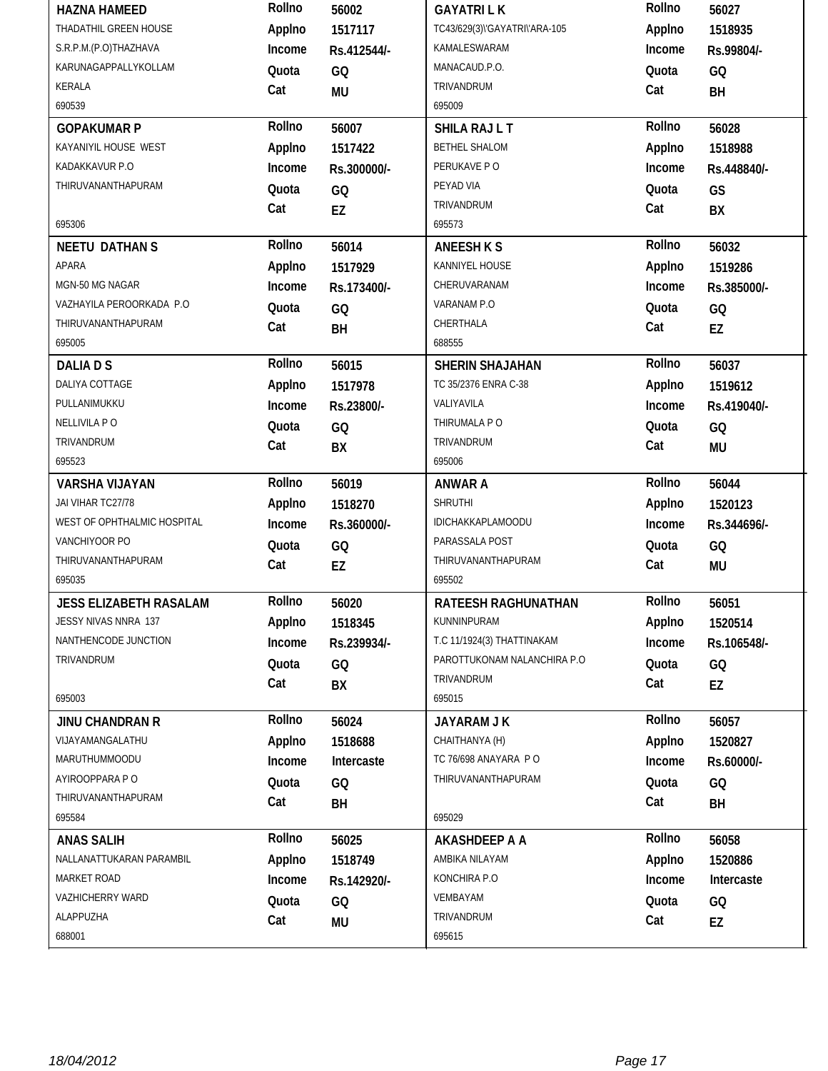| <b>HAZNA HAMEED</b>           | Rollno | 56002       | <b>GAYATRILK</b>              | Rollno | 56027       |
|-------------------------------|--------|-------------|-------------------------------|--------|-------------|
| THADATHIL GREEN HOUSE         | Applno | 1517117     | TC43/629(3)\'GAYATRI\'ARA-105 | Applno | 1518935     |
| S.R.P.M.(P.O)THAZHAVA         | Income | Rs.412544/- | KAMALESWARAM                  | Income | Rs.99804/-  |
| KARUNAGAPPALLYKOLLAM          | Quota  | GQ          | MANACAUD.P.O.                 | Quota  | GQ          |
| <b>KERALA</b>                 | Cat    | <b>MU</b>   | TRIVANDRUM                    | Cat    | BH          |
| 690539                        |        |             | 695009                        |        |             |
| <b>GOPAKUMAR P</b>            | Rollno | 56007       | SHILA RAJ L T                 | Rollno | 56028       |
| KAYANIYIL HOUSE WEST          | Applno | 1517422     | BETHEL SHALOM                 | Applno | 1518988     |
| KADAKKAVUR P.O                | Income | Rs.300000/- | PERUKAVE PO                   | Income | Rs.448840/- |
| THIRUVANANTHAPURAM            | Quota  | GQ          | PEYAD VIA                     | Quota  | GS          |
|                               | Cat    | EZ          | TRIVANDRUM                    | Cat    | BX          |
| 695306                        |        |             | 695573                        |        |             |
| <b>NEETU DATHANS</b>          | Rollno | 56014       | <b>ANEESH K S</b>             | Rollno | 56032       |
| APARA                         | Applno | 1517929     | KANNIYEL HOUSE                | Applno | 1519286     |
| MGN-50 MG NAGAR               | Income | Rs.173400/- | CHERUVARANAM                  | Income | Rs.385000/- |
| VAZHAYILA PEROORKADA P.O      | Quota  | GQ          | VARANAM P.O                   | Quota  | GQ          |
| THIRUVANANTHAPURAM            | Cat    | BH          | CHERTHALA                     | Cat    | EZ          |
| 695005                        |        |             | 688555                        |        |             |
| <b>DALIADS</b>                | Rollno | 56015       | SHERIN SHAJAHAN               | Rollno | 56037       |
| DALIYA COTTAGE                | Applno | 1517978     | TC 35/2376 ENRA C-38          | Applno | 1519612     |
| PULLANIMUKKU                  | Income | Rs.23800/-  | VALIYAVILA                    | Income | Rs.419040/- |
| NELLIVILA PO                  | Quota  | GQ          | THIRUMALA PO                  | Quota  | GQ          |
| TRIVANDRUM                    | Cat    | BX          | TRIVANDRUM                    | Cat    | MU          |
| 695523                        |        |             | 695006                        |        |             |
| <b>VARSHA VIJAYAN</b>         | Rollno | 56019       | <b>ANWAR A</b>                | Rollno | 56044       |
|                               |        |             |                               |        |             |
| JAI VIHAR TC27/78             | Applno | 1518270     | <b>SHRUTHI</b>                | Applno | 1520123     |
| WEST OF OPHTHALMIC HOSPITAL   | Income | Rs.360000/- | IDICHAKKAPLAMOODU             | Income | Rs.344696/- |
| VANCHIYOOR PO                 | Quota  | GQ          | PARASSALA POST                | Quota  | GQ          |
| THIRUVANANTHAPURAM            | Cat    | EZ          | THIRUVANANTHAPURAM            | Cat    | <b>MU</b>   |
| 695035                        |        |             | 695502                        |        |             |
| <b>JESS ELIZABETH RASALAM</b> | Rollno | 56020       | RATEESH RAGHUNATHAN           | Rollno | 56051       |
| JESSY NIVAS NNRA 137          | Applno | 1518345     | KUNNINPURAM                   | Applno | 1520514     |
| NANTHENCODE JUNCTION          | Income | Rs.239934/- | T.C 11/1924(3) THATTINAKAM    | Income | Rs.106548/- |
| TRIVANDRUM                    | Quota  | GQ          | PAROTTUKONAM NALANCHIRA P.O   | Quota  | GQ          |
|                               | Cat    | BX          | TRIVANDRUM                    | Cat    | EZ          |
| 695003                        |        |             | 695015                        |        |             |
| <b>JINU CHANDRAN R</b>        | Rollno | 56024       | JAYARAM J K                   | Rollno | 56057       |
| VIJAYAMANGALATHU              | Applno | 1518688     | CHAITHANYA (H)                | Applno | 1520827     |
| MARUTHUMMOODU                 | Income | Intercaste  | TC 76/698 ANAYARA PO          | Income | Rs.60000/-  |
| AYIROOPPARA PO                | Quota  | GQ          | THIRUVANANTHAPURAM            | Quota  | GQ          |
| THIRUVANANTHAPURAM            | Cat    | BH          |                               | Cat    | BH          |
| 695584                        |        |             | 695029                        |        |             |
| <b>ANAS SALIH</b>             | Rollno | 56025       | <b>AKASHDEEP A A</b>          | Rollno | 56058       |
| NALLANATTUKARAN PARAMBIL      | Applno | 1518749     | AMBIKA NILAYAM                | Applno | 1520886     |
| MARKET ROAD                   | Income | Rs.142920/- | KONCHIRA P.O                  | Income | Intercaste  |
| <b>VAZHICHERRY WARD</b>       | Quota  | GQ          | VEMBAYAM                      | Quota  | GQ          |
| ALAPPUZHA<br>688001           | Cat    | <b>MU</b>   | TRIVANDRUM<br>695615          | Cat    | EZ          |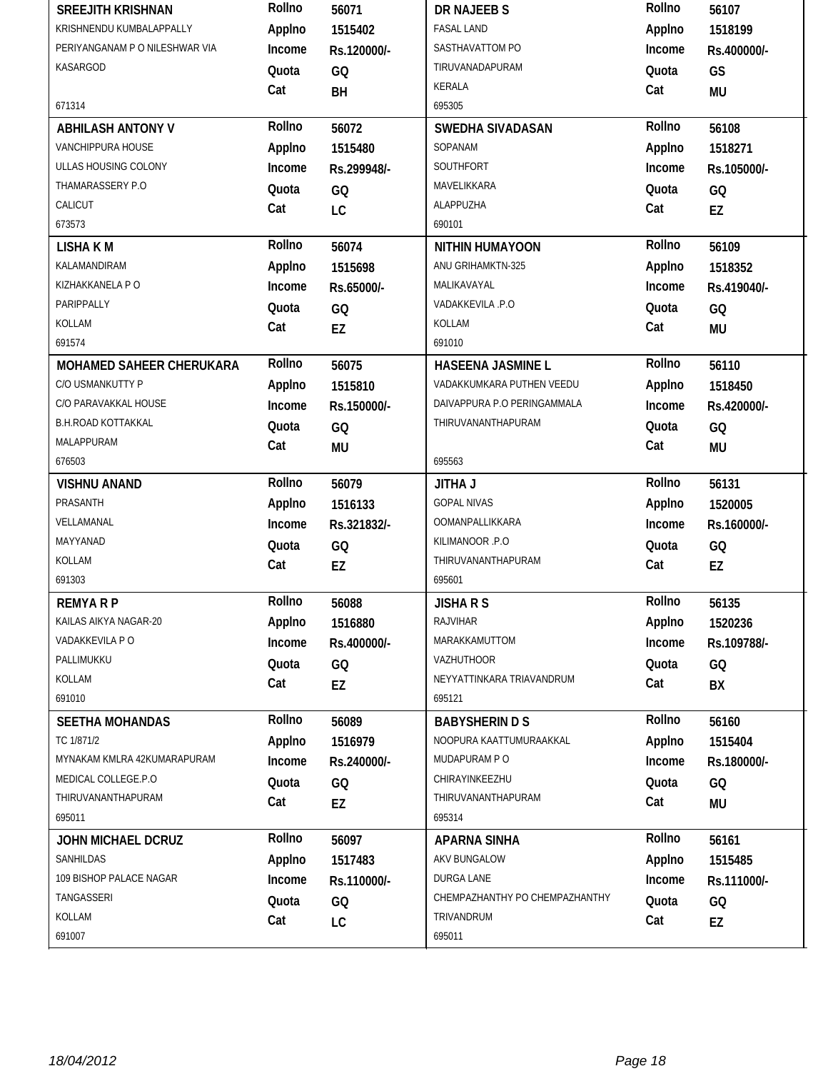| <b>SREEJITH KRISHNAN</b>       | Rollno | 56071       | <b>DR NAJEEB S</b>             | Rollno | 56107       |
|--------------------------------|--------|-------------|--------------------------------|--------|-------------|
| KRISHNENDU KUMBALAPPALLY       | Applno | 1515402     | <b>FASAL LAND</b>              | Applno | 1518199     |
| PERIYANGANAM P O NILESHWAR VIA | Income | Rs.120000/- | SASTHAVATTOM PO                | Income | Rs.400000/- |
| KASARGOD                       | Quota  | GQ          | TIRUVANADAPURAM                | Quota  | GS          |
|                                | Cat    | BH          | <b>KERALA</b>                  | Cat    | MU          |
| 671314                         |        |             | 695305                         |        |             |
| <b>ABHILASH ANTONY V</b>       | Rollno | 56072       | SWEDHA SIVADASAN               | Rollno | 56108       |
| <b>VANCHIPPURA HOUSE</b>       | Applno | 1515480     | SOPANAM                        | Applno | 1518271     |
| ULLAS HOUSING COLONY           | Income | Rs.299948/- | SOUTHFORT                      | Income | Rs.105000/- |
| THAMARASSERY P.O               | Quota  | GQ          | MAVELIKKARA                    | Quota  | GQ          |
| CALICUT                        | Cat    | LC          | ALAPPUZHA                      | Cat    | EZ          |
| 673573                         |        |             | 690101                         |        |             |
| <b>LISHAKM</b>                 | Rollno | 56074       | <b>NITHIN HUMAYOON</b>         | Rollno | 56109       |
| KALAMANDIRAM                   | Applno | 1515698     | ANU GRIHAMKTN-325              | Applno | 1518352     |
| KIZHAKKANELA P O               | Income | Rs.65000/-  | MALIKAVAYAL                    | Income | Rs.419040/- |
| PARIPPALLY                     | Quota  | GQ          | VADAKKEVILA .P.O               | Quota  | GQ          |
| KOLLAM                         | Cat    | EZ          | KOLLAM                         | Cat    | MU          |
| 691574                         |        |             | 691010                         |        |             |
| MOHAMED SAHEER CHERUKARA       | Rollno | 56075       | <b>HASEENA JASMINE L</b>       | Rollno | 56110       |
| C/O USMANKUTTY P               | Applno | 1515810     | VADAKKUMKARA PUTHEN VEEDU      | Applno | 1518450     |
| C/O PARAVAKKAL HOUSE           | Income | Rs.150000/- | DAIVAPPURA P.O PERINGAMMALA    | Income | Rs.420000/- |
| <b>B.H.ROAD KOTTAKKAL</b>      | Quota  | GQ          | THIRUVANANTHAPURAM             | Quota  | GQ          |
| MALAPPURAM                     | Cat    | <b>MU</b>   |                                | Cat    | <b>MU</b>   |
| 676503                         |        |             | 695563                         |        |             |
|                                |        |             |                                |        |             |
| <b>VISHNU ANAND</b>            | Rollno | 56079       | <b>JITHA J</b>                 | Rollno | 56131       |
| PRASANTH                       | Applno | 1516133     | <b>GOPAL NIVAS</b>             | Applno | 1520005     |
| VELLAMANAL                     | Income | Rs.321832/- | OOMANPALLIKKARA                | Income | Rs.160000/- |
| MAYYANAD                       | Quota  |             | KILIMANOOR .P.O                | Quota  |             |
| KOLLAM                         |        | GQ          | THIRUVANANTHAPURAM             | Cat    | GQ          |
| 691303                         | Cat    | EZ          | 695601                         |        | EZ          |
| <b>REMYARP</b>                 | Rollno | 56088       | <b>JISHARS</b>                 | Rollno | 56135       |
| KAILAS AIKYA NAGAR-20          | Applno | 1516880     | <b>RAJVIHAR</b>                | Applno | 1520236     |
| VADAKKEVILA P O                | Income | Rs.400000/- | MARAKKAMUTTOM                  | Income | Rs.109788/- |
| PALLIMUKKU                     | Quota  |             | VAZHUTHOOR                     | Quota  |             |
| KOLLAM                         |        | GQ          | NEYYATTINKARA TRIAVANDRUM      |        | GQ          |
| 691010                         | Cat    | EZ          | 695121                         | Cat    | BX          |
| <b>SEETHA MOHANDAS</b>         | Rollno | 56089       | <b>BABYSHERIN D S</b>          | Rollno | 56160       |
| TC 1/871/2                     | Applno | 1516979     | NOOPURA KAATTUMURAAKKAL        | Applno | 1515404     |
| MYNAKAM KMLRA 42KUMARAPURAM    | Income | Rs.240000/- | MUDAPURAM PO                   | Income | Rs.180000/- |
| MEDICAL COLLEGE.P.O            | Quota  |             | CHIRAYINKEEZHU                 | Quota  |             |
| THIRUVANANTHAPURAM             |        | GQ          | THIRUVANANTHAPURAM             |        | GQ          |
| 695011                         | Cat    | EZ          | 695314                         | Cat    | MU          |
| <b>JOHN MICHAEL DCRUZ</b>      | Rollno | 56097       | <b>APARNA SINHA</b>            | Rollno | 56161       |
| SANHILDAS                      | Applno | 1517483     | AKV BUNGALOW                   | Applno | 1515485     |
| 109 BISHOP PALACE NAGAR        | Income | Rs.110000/- | DURGA LANE                     | Income | Rs.111000/- |
| TANGASSERI                     | Quota  |             | CHEMPAZHANTHY PO CHEMPAZHANTHY | Quota  |             |
| KOLLAM                         | Cat    | GQ<br>LC    | TRIVANDRUM                     | Cat    | GQ<br>EZ    |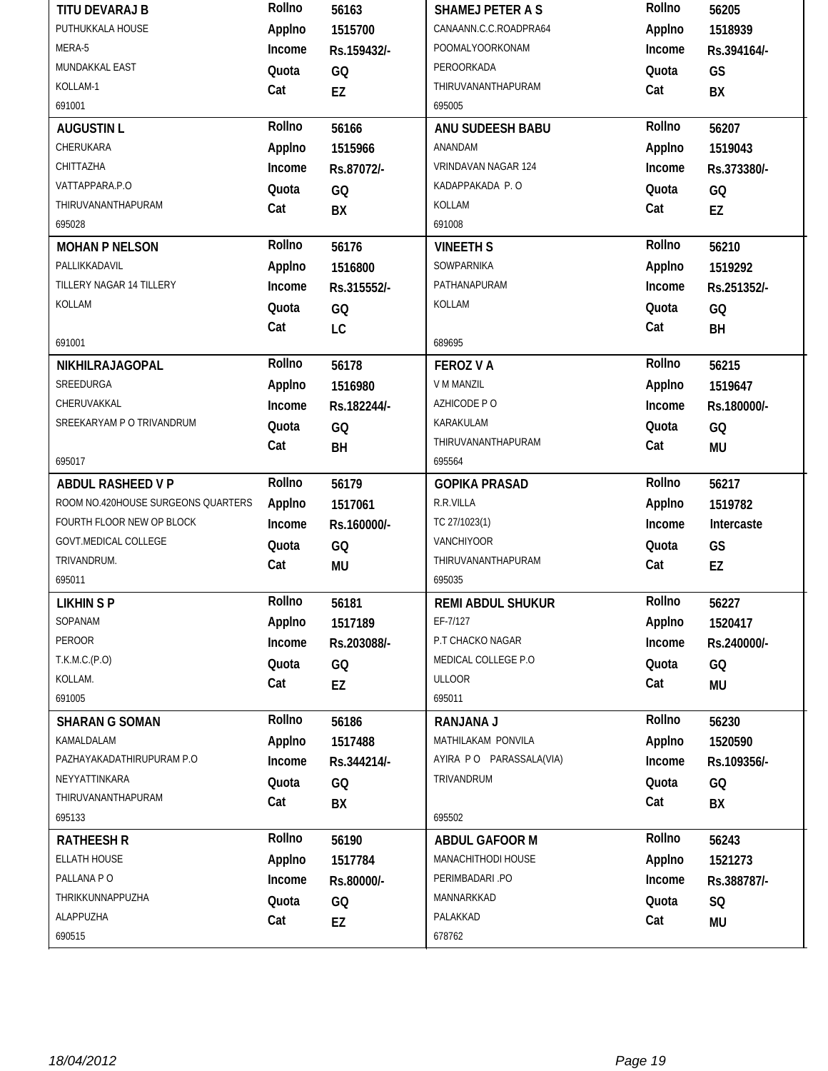| PUTHUKKALA HOUSE<br>CANAANN.C.C.ROADPRA64<br>Applno<br>Applno<br>1515700<br>1518939<br>MERA-5<br>POOMALYOORKONAM<br>Income<br>Income<br>Rs.159432/-<br>Rs.394164/-<br>MUNDAKKAL EAST<br>PEROORKADA<br>Quota<br>GQ<br>Quota<br>GS<br>KOLLAM-1<br>THIRUVANANTHAPURAM<br>Cat<br>Cat<br>EZ<br>BX<br>691001<br>695005<br>Rollno<br>Rollno<br>56207<br><b>AUGUSTIN L</b><br>56166<br>ANU SUDEESH BABU<br>CHERUKARA<br>Applno<br>Applno<br>ANANDAM<br>1515966<br>1519043<br>CHITTAZHA<br>VRINDAVAN NAGAR 124<br>Income<br>Income<br>Rs.87072/-<br>Rs.373380/-<br>VATTAPPARA.P.O<br>KADAPPAKADA P.O<br>Quota<br>GQ<br>Quota<br>GQ<br>THIRUVANANTHAPURAM<br>KOLLAM<br>Cat<br>Cat<br>BX<br>EZ<br>695028<br>691008<br>Rollno<br>Rollno<br>56210<br>56176<br><b>MOHAN P NELSON</b><br><b>VINEETH S</b><br>SOWPARNIKA<br>PALLIKKADAVIL<br>Applno<br>Applno<br>1516800<br>1519292<br>TILLERY NAGAR 14 TILLERY<br>PATHANAPURAM<br>Income<br>Income<br>Rs.251352/-<br>Rs.315552/-<br>KOLLAM<br>KOLLAM<br>Quota<br>Quota<br>GQ<br>GQ<br>Cat<br>Cat<br>LC<br>BH<br>691001<br>689695<br>Rollno<br>Rollno<br>56178<br>56215<br>NIKHILRAJAGOPAL<br><b>FEROZ V A</b><br>SREEDURGA<br>V M MANZIL<br>Applno<br>Applno<br>1516980<br>1519647<br>CHERUVAKKAL<br>AZHICODE P O<br>Income<br>Income<br>Rs.182244/-<br>Rs.180000/-<br>SREEKARYAM P O TRIVANDRUM<br>KARAKULAM<br>Quota<br>GQ<br>Quota<br>GQ<br>THIRUVANANTHAPURAM<br>Cat<br>Cat<br>BH<br><b>MU</b><br>695017<br>695564<br>Rollno<br>Rollno<br><b>ABDUL RASHEED V P</b><br>56179<br><b>GOPIKA PRASAD</b><br>56217<br>ROOM NO.420HOUSE SURGEONS QUARTERS<br>R.R.VILLA<br>Applno<br>Applno<br>1517061<br>1519782<br>FOURTH FLOOR NEW OP BLOCK<br>TC 27/1023(1)<br>Income<br>Income<br>Intercaste<br>Rs.160000/-<br><b>GOVT.MEDICAL COLLEGE</b><br>VANCHIYOOR<br>Quota<br>Quota<br>GQ<br>GS<br>TRIVANDRUM.<br>THIRUVANANTHAPURAM<br>Cat<br>Cat<br><b>MU</b><br>EZ<br>695011<br>695035<br>Rollno<br>Rollno<br><b>LIKHIN SP</b><br>56181<br>56227<br><b>REMI ABDUL SHUKUR</b><br>SOPANAM<br>EF-7/127<br>Applno<br>Applno<br>1517189<br>1520417<br>PEROOR<br>P.T CHACKO NAGAR<br>Income<br>Income<br>Rs.203088/-<br>Rs.240000/-<br>T.K.M.C.(P.O)<br>MEDICAL COLLEGE P.O<br>Quota<br>Quota<br>GQ<br>GQ<br>KOLLAM.<br><b>ULLOOR</b><br>Cat<br>Cat<br>EZ<br>MU<br>691005<br>695011<br>Rollno<br>Rollno<br>56186<br>56230<br><b>SHARAN G SOMAN</b><br><b>RANJANA J</b><br>KAMALDALAM<br>MATHILAKAM PONVILA<br>Applno<br>Applno<br>1517488<br>1520590<br>PAZHAYAKADATHIRUPURAM P.O.<br>AYIRA PO PARASSALA(VIA)<br>Income<br>Income<br>Rs.344214/-<br>Rs.109356/-<br>NEYYATTINKARA<br>TRIVANDRUM<br>Quota<br>Quota<br>GQ<br>GQ<br>THIRUVANANTHAPURAM<br>Cat<br>Cat<br>BX<br>BX<br>695502<br>695133<br>Rollno<br>Rollno<br>56243<br><b>RATHEESH R</b><br>56190<br><b>ABDUL GAFOOR M</b><br>ELLATH HOUSE<br>MANACHITHODI HOUSE<br>Applno<br>Applno<br>1517784<br>1521273<br>PALLANA PO<br>PERIMBADARI .PO<br>Income<br>Income<br>Rs.80000/-<br>Rs.388787/-<br>THRIKKUNNAPPUZHA<br>MANNARKKAD<br>Quota<br>Quota<br>GQ<br>SQ<br>ALAPPUZHA<br>PALAKKAD<br>Cat<br>Cat<br>EZ<br><b>MU</b><br>690515<br>678762 | Rollno | 56163 | <b>SHAMEJ PETER A S</b> | Rollno | 56205 |
|----------------------------------------------------------------------------------------------------------------------------------------------------------------------------------------------------------------------------------------------------------------------------------------------------------------------------------------------------------------------------------------------------------------------------------------------------------------------------------------------------------------------------------------------------------------------------------------------------------------------------------------------------------------------------------------------------------------------------------------------------------------------------------------------------------------------------------------------------------------------------------------------------------------------------------------------------------------------------------------------------------------------------------------------------------------------------------------------------------------------------------------------------------------------------------------------------------------------------------------------------------------------------------------------------------------------------------------------------------------------------------------------------------------------------------------------------------------------------------------------------------------------------------------------------------------------------------------------------------------------------------------------------------------------------------------------------------------------------------------------------------------------------------------------------------------------------------------------------------------------------------------------------------------------------------------------------------------------------------------------------------------------------------------------------------------------------------------------------------------------------------------------------------------------------------------------------------------------------------------------------------------------------------------------------------------------------------------------------------------------------------------------------------------------------------------------------------------------------------------------------------------------------------------------------------------------------------------------------------------------------------------------------------------------------------------------------------------------------------------------------------------------------------------------------------------------------------------------------------------------------------------------------------------------------------------------------------------------------------------------------------------------------------------------------------------------------------------------------------------------------|--------|-------|-------------------------|--------|-------|
|                                                                                                                                                                                                                                                                                                                                                                                                                                                                                                                                                                                                                                                                                                                                                                                                                                                                                                                                                                                                                                                                                                                                                                                                                                                                                                                                                                                                                                                                                                                                                                                                                                                                                                                                                                                                                                                                                                                                                                                                                                                                                                                                                                                                                                                                                                                                                                                                                                                                                                                                                                                                                                                                                                                                                                                                                                                                                                                                                                                                                                                                                                                            |        |       |                         |        |       |
|                                                                                                                                                                                                                                                                                                                                                                                                                                                                                                                                                                                                                                                                                                                                                                                                                                                                                                                                                                                                                                                                                                                                                                                                                                                                                                                                                                                                                                                                                                                                                                                                                                                                                                                                                                                                                                                                                                                                                                                                                                                                                                                                                                                                                                                                                                                                                                                                                                                                                                                                                                                                                                                                                                                                                                                                                                                                                                                                                                                                                                                                                                                            |        |       |                         |        |       |
|                                                                                                                                                                                                                                                                                                                                                                                                                                                                                                                                                                                                                                                                                                                                                                                                                                                                                                                                                                                                                                                                                                                                                                                                                                                                                                                                                                                                                                                                                                                                                                                                                                                                                                                                                                                                                                                                                                                                                                                                                                                                                                                                                                                                                                                                                                                                                                                                                                                                                                                                                                                                                                                                                                                                                                                                                                                                                                                                                                                                                                                                                                                            |        |       |                         |        |       |
|                                                                                                                                                                                                                                                                                                                                                                                                                                                                                                                                                                                                                                                                                                                                                                                                                                                                                                                                                                                                                                                                                                                                                                                                                                                                                                                                                                                                                                                                                                                                                                                                                                                                                                                                                                                                                                                                                                                                                                                                                                                                                                                                                                                                                                                                                                                                                                                                                                                                                                                                                                                                                                                                                                                                                                                                                                                                                                                                                                                                                                                                                                                            |        |       |                         |        |       |
|                                                                                                                                                                                                                                                                                                                                                                                                                                                                                                                                                                                                                                                                                                                                                                                                                                                                                                                                                                                                                                                                                                                                                                                                                                                                                                                                                                                                                                                                                                                                                                                                                                                                                                                                                                                                                                                                                                                                                                                                                                                                                                                                                                                                                                                                                                                                                                                                                                                                                                                                                                                                                                                                                                                                                                                                                                                                                                                                                                                                                                                                                                                            |        |       |                         |        |       |
|                                                                                                                                                                                                                                                                                                                                                                                                                                                                                                                                                                                                                                                                                                                                                                                                                                                                                                                                                                                                                                                                                                                                                                                                                                                                                                                                                                                                                                                                                                                                                                                                                                                                                                                                                                                                                                                                                                                                                                                                                                                                                                                                                                                                                                                                                                                                                                                                                                                                                                                                                                                                                                                                                                                                                                                                                                                                                                                                                                                                                                                                                                                            |        |       |                         |        |       |
|                                                                                                                                                                                                                                                                                                                                                                                                                                                                                                                                                                                                                                                                                                                                                                                                                                                                                                                                                                                                                                                                                                                                                                                                                                                                                                                                                                                                                                                                                                                                                                                                                                                                                                                                                                                                                                                                                                                                                                                                                                                                                                                                                                                                                                                                                                                                                                                                                                                                                                                                                                                                                                                                                                                                                                                                                                                                                                                                                                                                                                                                                                                            |        |       |                         |        |       |
|                                                                                                                                                                                                                                                                                                                                                                                                                                                                                                                                                                                                                                                                                                                                                                                                                                                                                                                                                                                                                                                                                                                                                                                                                                                                                                                                                                                                                                                                                                                                                                                                                                                                                                                                                                                                                                                                                                                                                                                                                                                                                                                                                                                                                                                                                                                                                                                                                                                                                                                                                                                                                                                                                                                                                                                                                                                                                                                                                                                                                                                                                                                            |        |       |                         |        |       |
|                                                                                                                                                                                                                                                                                                                                                                                                                                                                                                                                                                                                                                                                                                                                                                                                                                                                                                                                                                                                                                                                                                                                                                                                                                                                                                                                                                                                                                                                                                                                                                                                                                                                                                                                                                                                                                                                                                                                                                                                                                                                                                                                                                                                                                                                                                                                                                                                                                                                                                                                                                                                                                                                                                                                                                                                                                                                                                                                                                                                                                                                                                                            |        |       |                         |        |       |
|                                                                                                                                                                                                                                                                                                                                                                                                                                                                                                                                                                                                                                                                                                                                                                                                                                                                                                                                                                                                                                                                                                                                                                                                                                                                                                                                                                                                                                                                                                                                                                                                                                                                                                                                                                                                                                                                                                                                                                                                                                                                                                                                                                                                                                                                                                                                                                                                                                                                                                                                                                                                                                                                                                                                                                                                                                                                                                                                                                                                                                                                                                                            |        |       |                         |        |       |
|                                                                                                                                                                                                                                                                                                                                                                                                                                                                                                                                                                                                                                                                                                                                                                                                                                                                                                                                                                                                                                                                                                                                                                                                                                                                                                                                                                                                                                                                                                                                                                                                                                                                                                                                                                                                                                                                                                                                                                                                                                                                                                                                                                                                                                                                                                                                                                                                                                                                                                                                                                                                                                                                                                                                                                                                                                                                                                                                                                                                                                                                                                                            |        |       |                         |        |       |
|                                                                                                                                                                                                                                                                                                                                                                                                                                                                                                                                                                                                                                                                                                                                                                                                                                                                                                                                                                                                                                                                                                                                                                                                                                                                                                                                                                                                                                                                                                                                                                                                                                                                                                                                                                                                                                                                                                                                                                                                                                                                                                                                                                                                                                                                                                                                                                                                                                                                                                                                                                                                                                                                                                                                                                                                                                                                                                                                                                                                                                                                                                                            |        |       |                         |        |       |
|                                                                                                                                                                                                                                                                                                                                                                                                                                                                                                                                                                                                                                                                                                                                                                                                                                                                                                                                                                                                                                                                                                                                                                                                                                                                                                                                                                                                                                                                                                                                                                                                                                                                                                                                                                                                                                                                                                                                                                                                                                                                                                                                                                                                                                                                                                                                                                                                                                                                                                                                                                                                                                                                                                                                                                                                                                                                                                                                                                                                                                                                                                                            |        |       |                         |        |       |
|                                                                                                                                                                                                                                                                                                                                                                                                                                                                                                                                                                                                                                                                                                                                                                                                                                                                                                                                                                                                                                                                                                                                                                                                                                                                                                                                                                                                                                                                                                                                                                                                                                                                                                                                                                                                                                                                                                                                                                                                                                                                                                                                                                                                                                                                                                                                                                                                                                                                                                                                                                                                                                                                                                                                                                                                                                                                                                                                                                                                                                                                                                                            |        |       |                         |        |       |
|                                                                                                                                                                                                                                                                                                                                                                                                                                                                                                                                                                                                                                                                                                                                                                                                                                                                                                                                                                                                                                                                                                                                                                                                                                                                                                                                                                                                                                                                                                                                                                                                                                                                                                                                                                                                                                                                                                                                                                                                                                                                                                                                                                                                                                                                                                                                                                                                                                                                                                                                                                                                                                                                                                                                                                                                                                                                                                                                                                                                                                                                                                                            |        |       |                         |        |       |
|                                                                                                                                                                                                                                                                                                                                                                                                                                                                                                                                                                                                                                                                                                                                                                                                                                                                                                                                                                                                                                                                                                                                                                                                                                                                                                                                                                                                                                                                                                                                                                                                                                                                                                                                                                                                                                                                                                                                                                                                                                                                                                                                                                                                                                                                                                                                                                                                                                                                                                                                                                                                                                                                                                                                                                                                                                                                                                                                                                                                                                                                                                                            |        |       |                         |        |       |
|                                                                                                                                                                                                                                                                                                                                                                                                                                                                                                                                                                                                                                                                                                                                                                                                                                                                                                                                                                                                                                                                                                                                                                                                                                                                                                                                                                                                                                                                                                                                                                                                                                                                                                                                                                                                                                                                                                                                                                                                                                                                                                                                                                                                                                                                                                                                                                                                                                                                                                                                                                                                                                                                                                                                                                                                                                                                                                                                                                                                                                                                                                                            |        |       |                         |        |       |
|                                                                                                                                                                                                                                                                                                                                                                                                                                                                                                                                                                                                                                                                                                                                                                                                                                                                                                                                                                                                                                                                                                                                                                                                                                                                                                                                                                                                                                                                                                                                                                                                                                                                                                                                                                                                                                                                                                                                                                                                                                                                                                                                                                                                                                                                                                                                                                                                                                                                                                                                                                                                                                                                                                                                                                                                                                                                                                                                                                                                                                                                                                                            |        |       |                         |        |       |
|                                                                                                                                                                                                                                                                                                                                                                                                                                                                                                                                                                                                                                                                                                                                                                                                                                                                                                                                                                                                                                                                                                                                                                                                                                                                                                                                                                                                                                                                                                                                                                                                                                                                                                                                                                                                                                                                                                                                                                                                                                                                                                                                                                                                                                                                                                                                                                                                                                                                                                                                                                                                                                                                                                                                                                                                                                                                                                                                                                                                                                                                                                                            |        |       |                         |        |       |
|                                                                                                                                                                                                                                                                                                                                                                                                                                                                                                                                                                                                                                                                                                                                                                                                                                                                                                                                                                                                                                                                                                                                                                                                                                                                                                                                                                                                                                                                                                                                                                                                                                                                                                                                                                                                                                                                                                                                                                                                                                                                                                                                                                                                                                                                                                                                                                                                                                                                                                                                                                                                                                                                                                                                                                                                                                                                                                                                                                                                                                                                                                                            |        |       |                         |        |       |
|                                                                                                                                                                                                                                                                                                                                                                                                                                                                                                                                                                                                                                                                                                                                                                                                                                                                                                                                                                                                                                                                                                                                                                                                                                                                                                                                                                                                                                                                                                                                                                                                                                                                                                                                                                                                                                                                                                                                                                                                                                                                                                                                                                                                                                                                                                                                                                                                                                                                                                                                                                                                                                                                                                                                                                                                                                                                                                                                                                                                                                                                                                                            |        |       |                         |        |       |
|                                                                                                                                                                                                                                                                                                                                                                                                                                                                                                                                                                                                                                                                                                                                                                                                                                                                                                                                                                                                                                                                                                                                                                                                                                                                                                                                                                                                                                                                                                                                                                                                                                                                                                                                                                                                                                                                                                                                                                                                                                                                                                                                                                                                                                                                                                                                                                                                                                                                                                                                                                                                                                                                                                                                                                                                                                                                                                                                                                                                                                                                                                                            |        |       |                         |        |       |
|                                                                                                                                                                                                                                                                                                                                                                                                                                                                                                                                                                                                                                                                                                                                                                                                                                                                                                                                                                                                                                                                                                                                                                                                                                                                                                                                                                                                                                                                                                                                                                                                                                                                                                                                                                                                                                                                                                                                                                                                                                                                                                                                                                                                                                                                                                                                                                                                                                                                                                                                                                                                                                                                                                                                                                                                                                                                                                                                                                                                                                                                                                                            |        |       |                         |        |       |
|                                                                                                                                                                                                                                                                                                                                                                                                                                                                                                                                                                                                                                                                                                                                                                                                                                                                                                                                                                                                                                                                                                                                                                                                                                                                                                                                                                                                                                                                                                                                                                                                                                                                                                                                                                                                                                                                                                                                                                                                                                                                                                                                                                                                                                                                                                                                                                                                                                                                                                                                                                                                                                                                                                                                                                                                                                                                                                                                                                                                                                                                                                                            |        |       |                         |        |       |
|                                                                                                                                                                                                                                                                                                                                                                                                                                                                                                                                                                                                                                                                                                                                                                                                                                                                                                                                                                                                                                                                                                                                                                                                                                                                                                                                                                                                                                                                                                                                                                                                                                                                                                                                                                                                                                                                                                                                                                                                                                                                                                                                                                                                                                                                                                                                                                                                                                                                                                                                                                                                                                                                                                                                                                                                                                                                                                                                                                                                                                                                                                                            |        |       |                         |        |       |
|                                                                                                                                                                                                                                                                                                                                                                                                                                                                                                                                                                                                                                                                                                                                                                                                                                                                                                                                                                                                                                                                                                                                                                                                                                                                                                                                                                                                                                                                                                                                                                                                                                                                                                                                                                                                                                                                                                                                                                                                                                                                                                                                                                                                                                                                                                                                                                                                                                                                                                                                                                                                                                                                                                                                                                                                                                                                                                                                                                                                                                                                                                                            |        |       |                         |        |       |
|                                                                                                                                                                                                                                                                                                                                                                                                                                                                                                                                                                                                                                                                                                                                                                                                                                                                                                                                                                                                                                                                                                                                                                                                                                                                                                                                                                                                                                                                                                                                                                                                                                                                                                                                                                                                                                                                                                                                                                                                                                                                                                                                                                                                                                                                                                                                                                                                                                                                                                                                                                                                                                                                                                                                                                                                                                                                                                                                                                                                                                                                                                                            |        |       |                         |        |       |
|                                                                                                                                                                                                                                                                                                                                                                                                                                                                                                                                                                                                                                                                                                                                                                                                                                                                                                                                                                                                                                                                                                                                                                                                                                                                                                                                                                                                                                                                                                                                                                                                                                                                                                                                                                                                                                                                                                                                                                                                                                                                                                                                                                                                                                                                                                                                                                                                                                                                                                                                                                                                                                                                                                                                                                                                                                                                                                                                                                                                                                                                                                                            |        |       |                         |        |       |
|                                                                                                                                                                                                                                                                                                                                                                                                                                                                                                                                                                                                                                                                                                                                                                                                                                                                                                                                                                                                                                                                                                                                                                                                                                                                                                                                                                                                                                                                                                                                                                                                                                                                                                                                                                                                                                                                                                                                                                                                                                                                                                                                                                                                                                                                                                                                                                                                                                                                                                                                                                                                                                                                                                                                                                                                                                                                                                                                                                                                                                                                                                                            |        |       |                         |        |       |
|                                                                                                                                                                                                                                                                                                                                                                                                                                                                                                                                                                                                                                                                                                                                                                                                                                                                                                                                                                                                                                                                                                                                                                                                                                                                                                                                                                                                                                                                                                                                                                                                                                                                                                                                                                                                                                                                                                                                                                                                                                                                                                                                                                                                                                                                                                                                                                                                                                                                                                                                                                                                                                                                                                                                                                                                                                                                                                                                                                                                                                                                                                                            |        |       |                         |        |       |
|                                                                                                                                                                                                                                                                                                                                                                                                                                                                                                                                                                                                                                                                                                                                                                                                                                                                                                                                                                                                                                                                                                                                                                                                                                                                                                                                                                                                                                                                                                                                                                                                                                                                                                                                                                                                                                                                                                                                                                                                                                                                                                                                                                                                                                                                                                                                                                                                                                                                                                                                                                                                                                                                                                                                                                                                                                                                                                                                                                                                                                                                                                                            |        |       |                         |        |       |
|                                                                                                                                                                                                                                                                                                                                                                                                                                                                                                                                                                                                                                                                                                                                                                                                                                                                                                                                                                                                                                                                                                                                                                                                                                                                                                                                                                                                                                                                                                                                                                                                                                                                                                                                                                                                                                                                                                                                                                                                                                                                                                                                                                                                                                                                                                                                                                                                                                                                                                                                                                                                                                                                                                                                                                                                                                                                                                                                                                                                                                                                                                                            |        |       |                         |        |       |
|                                                                                                                                                                                                                                                                                                                                                                                                                                                                                                                                                                                                                                                                                                                                                                                                                                                                                                                                                                                                                                                                                                                                                                                                                                                                                                                                                                                                                                                                                                                                                                                                                                                                                                                                                                                                                                                                                                                                                                                                                                                                                                                                                                                                                                                                                                                                                                                                                                                                                                                                                                                                                                                                                                                                                                                                                                                                                                                                                                                                                                                                                                                            |        |       |                         |        |       |
|                                                                                                                                                                                                                                                                                                                                                                                                                                                                                                                                                                                                                                                                                                                                                                                                                                                                                                                                                                                                                                                                                                                                                                                                                                                                                                                                                                                                                                                                                                                                                                                                                                                                                                                                                                                                                                                                                                                                                                                                                                                                                                                                                                                                                                                                                                                                                                                                                                                                                                                                                                                                                                                                                                                                                                                                                                                                                                                                                                                                                                                                                                                            |        |       |                         |        |       |
|                                                                                                                                                                                                                                                                                                                                                                                                                                                                                                                                                                                                                                                                                                                                                                                                                                                                                                                                                                                                                                                                                                                                                                                                                                                                                                                                                                                                                                                                                                                                                                                                                                                                                                                                                                                                                                                                                                                                                                                                                                                                                                                                                                                                                                                                                                                                                                                                                                                                                                                                                                                                                                                                                                                                                                                                                                                                                                                                                                                                                                                                                                                            |        |       |                         |        |       |
|                                                                                                                                                                                                                                                                                                                                                                                                                                                                                                                                                                                                                                                                                                                                                                                                                                                                                                                                                                                                                                                                                                                                                                                                                                                                                                                                                                                                                                                                                                                                                                                                                                                                                                                                                                                                                                                                                                                                                                                                                                                                                                                                                                                                                                                                                                                                                                                                                                                                                                                                                                                                                                                                                                                                                                                                                                                                                                                                                                                                                                                                                                                            |        |       |                         |        |       |
|                                                                                                                                                                                                                                                                                                                                                                                                                                                                                                                                                                                                                                                                                                                                                                                                                                                                                                                                                                                                                                                                                                                                                                                                                                                                                                                                                                                                                                                                                                                                                                                                                                                                                                                                                                                                                                                                                                                                                                                                                                                                                                                                                                                                                                                                                                                                                                                                                                                                                                                                                                                                                                                                                                                                                                                                                                                                                                                                                                                                                                                                                                                            |        |       |                         |        |       |
|                                                                                                                                                                                                                                                                                                                                                                                                                                                                                                                                                                                                                                                                                                                                                                                                                                                                                                                                                                                                                                                                                                                                                                                                                                                                                                                                                                                                                                                                                                                                                                                                                                                                                                                                                                                                                                                                                                                                                                                                                                                                                                                                                                                                                                                                                                                                                                                                                                                                                                                                                                                                                                                                                                                                                                                                                                                                                                                                                                                                                                                                                                                            |        |       |                         |        |       |
|                                                                                                                                                                                                                                                                                                                                                                                                                                                                                                                                                                                                                                                                                                                                                                                                                                                                                                                                                                                                                                                                                                                                                                                                                                                                                                                                                                                                                                                                                                                                                                                                                                                                                                                                                                                                                                                                                                                                                                                                                                                                                                                                                                                                                                                                                                                                                                                                                                                                                                                                                                                                                                                                                                                                                                                                                                                                                                                                                                                                                                                                                                                            |        |       |                         |        |       |
|                                                                                                                                                                                                                                                                                                                                                                                                                                                                                                                                                                                                                                                                                                                                                                                                                                                                                                                                                                                                                                                                                                                                                                                                                                                                                                                                                                                                                                                                                                                                                                                                                                                                                                                                                                                                                                                                                                                                                                                                                                                                                                                                                                                                                                                                                                                                                                                                                                                                                                                                                                                                                                                                                                                                                                                                                                                                                                                                                                                                                                                                                                                            |        |       |                         |        |       |
|                                                                                                                                                                                                                                                                                                                                                                                                                                                                                                                                                                                                                                                                                                                                                                                                                                                                                                                                                                                                                                                                                                                                                                                                                                                                                                                                                                                                                                                                                                                                                                                                                                                                                                                                                                                                                                                                                                                                                                                                                                                                                                                                                                                                                                                                                                                                                                                                                                                                                                                                                                                                                                                                                                                                                                                                                                                                                                                                                                                                                                                                                                                            |        |       |                         |        |       |
|                                                                                                                                                                                                                                                                                                                                                                                                                                                                                                                                                                                                                                                                                                                                                                                                                                                                                                                                                                                                                                                                                                                                                                                                                                                                                                                                                                                                                                                                                                                                                                                                                                                                                                                                                                                                                                                                                                                                                                                                                                                                                                                                                                                                                                                                                                                                                                                                                                                                                                                                                                                                                                                                                                                                                                                                                                                                                                                                                                                                                                                                                                                            |        |       |                         |        |       |
|                                                                                                                                                                                                                                                                                                                                                                                                                                                                                                                                                                                                                                                                                                                                                                                                                                                                                                                                                                                                                                                                                                                                                                                                                                                                                                                                                                                                                                                                                                                                                                                                                                                                                                                                                                                                                                                                                                                                                                                                                                                                                                                                                                                                                                                                                                                                                                                                                                                                                                                                                                                                                                                                                                                                                                                                                                                                                                                                                                                                                                                                                                                            |        |       |                         |        |       |
|                                                                                                                                                                                                                                                                                                                                                                                                                                                                                                                                                                                                                                                                                                                                                                                                                                                                                                                                                                                                                                                                                                                                                                                                                                                                                                                                                                                                                                                                                                                                                                                                                                                                                                                                                                                                                                                                                                                                                                                                                                                                                                                                                                                                                                                                                                                                                                                                                                                                                                                                                                                                                                                                                                                                                                                                                                                                                                                                                                                                                                                                                                                            |        |       |                         |        |       |
|                                                                                                                                                                                                                                                                                                                                                                                                                                                                                                                                                                                                                                                                                                                                                                                                                                                                                                                                                                                                                                                                                                                                                                                                                                                                                                                                                                                                                                                                                                                                                                                                                                                                                                                                                                                                                                                                                                                                                                                                                                                                                                                                                                                                                                                                                                                                                                                                                                                                                                                                                                                                                                                                                                                                                                                                                                                                                                                                                                                                                                                                                                                            |        |       |                         |        |       |
|                                                                                                                                                                                                                                                                                                                                                                                                                                                                                                                                                                                                                                                                                                                                                                                                                                                                                                                                                                                                                                                                                                                                                                                                                                                                                                                                                                                                                                                                                                                                                                                                                                                                                                                                                                                                                                                                                                                                                                                                                                                                                                                                                                                                                                                                                                                                                                                                                                                                                                                                                                                                                                                                                                                                                                                                                                                                                                                                                                                                                                                                                                                            |        |       |                         |        |       |
|                                                                                                                                                                                                                                                                                                                                                                                                                                                                                                                                                                                                                                                                                                                                                                                                                                                                                                                                                                                                                                                                                                                                                                                                                                                                                                                                                                                                                                                                                                                                                                                                                                                                                                                                                                                                                                                                                                                                                                                                                                                                                                                                                                                                                                                                                                                                                                                                                                                                                                                                                                                                                                                                                                                                                                                                                                                                                                                                                                                                                                                                                                                            |        |       |                         |        |       |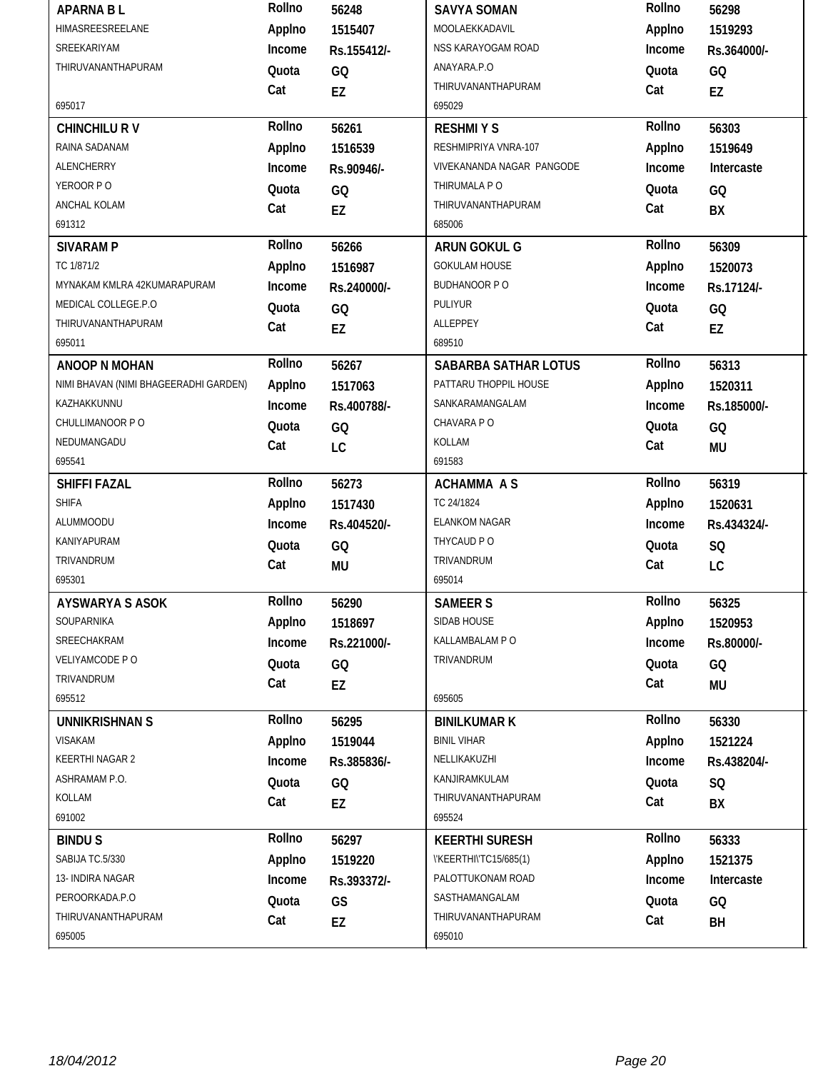| <b>APARNA BL</b>                      | Rollno | 56248       | <b>SAVYA SOMAN</b>           | Rollno | 56298       |
|---------------------------------------|--------|-------------|------------------------------|--------|-------------|
| <b>HIMASREESREELANE</b>               | Applno | 1515407     | MOOLAEKKADAVIL               | Applno | 1519293     |
| SREEKARIYAM                           | Income | Rs.155412/- | NSS KARAYOGAM ROAD           | Income | Rs.364000/- |
| THIRUVANANTHAPURAM                    | Quota  | GQ          | ANAYARA.P.O                  | Quota  | GQ          |
|                                       | Cat    | EZ          | THIRUVANANTHAPURAM           | Cat    | EZ          |
| 695017                                |        |             | 695029                       |        |             |
| <b>CHINCHILU RV</b>                   | Rollno | 56261       | <b>RESHMIYS</b>              | Rollno | 56303       |
| RAINA SADANAM                         | Applno | 1516539     | RESHMIPRIYA VNRA-107         | Applno | 1519649     |
| ALENCHERRY                            | Income | Rs.90946/-  | VIVEKANANDA NAGAR PANGODE    | Income | Intercaste  |
| YEROOR PO                             | Quota  | GQ          | THIRUMALA P O                | Quota  | GQ          |
| ANCHAL KOLAM                          | Cat    | <b>EZ</b>   | THIRUVANANTHAPURAM           | Cat    | BX          |
| 691312                                |        |             | 685006                       |        |             |
| <b>SIVARAM P</b>                      | Rollno | 56266       | ARUN GOKUL G                 | Rollno | 56309       |
| TC 1/871/2                            | Applno | 1516987     | <b>GOKULAM HOUSE</b>         | Applno | 1520073     |
| MYNAKAM KMLRA 42KUMARAPURAM           | Income | Rs.240000/- | <b>BUDHANOOR P O</b>         | Income | Rs.17124/-  |
| MEDICAL COLLEGE.P.O                   | Quota  | GQ          | PULIYUR                      | Quota  | GQ          |
| THIRUVANANTHAPURAM                    | Cat    | EZ          | ALLEPPEY                     | Cat    | EZ          |
| 695011                                |        |             | 689510                       |        |             |
| <b>ANOOP N MOHAN</b>                  | Rollno | 56267       | <b>SABARBA SATHAR LOTUS</b>  | Rollno | 56313       |
| NIMI BHAVAN (NIMI BHAGEERADHI GARDEN) | Applno | 1517063     | PATTARU THOPPIL HOUSE        | Applno | 1520311     |
| KAZHAKKUNNU                           | Income | Rs.400788/- | SANKARAMANGALAM              | Income | Rs.185000/- |
| CHULLIMANOOR PO                       | Quota  | GQ          | CHAVARA PO                   | Quota  | GQ          |
| NEDUMANGADU                           | Cat    | LC          | KOLLAM                       | Cat    | <b>MU</b>   |
| 695541                                |        |             | 691583                       |        |             |
|                                       | Rollno | 56273       | <b>ACHAMMA AS</b>            | Rollno | 56319       |
| SHIFFI FAZAL                          |        |             |                              |        |             |
| <b>SHIFA</b>                          | Applno | 1517430     | TC 24/1824                   | Applno | 1520631     |
| ALUMMOODU                             | Income | Rs.404520/- | <b>ELANKOM NAGAR</b>         | Income | Rs.434324/- |
| KANIYAPURAM                           | Quota  | GQ          | THYCAUD PO                   | Quota  | SQ          |
| TRIVANDRUM                            | Cat    | MU          | TRIVANDRUM                   | Cat    | LC          |
| 695301                                |        |             | 695014                       |        |             |
| <b>AYSWARYA S ASOK</b>                | Rollno | 56290       | <b>SAMEERS</b>               | Rollno | 56325       |
| SOUPARNIKA                            | Applno | 1518697     | SIDAB HOUSE                  | Applno | 1520953     |
| SREECHAKRAM                           | Income | Rs.221000/- | KALLAMBALAM P O              | Income | Rs.80000/-  |
| VELIYAMCODE P O                       | Quota  | GQ          | TRIVANDRUM                   | Quota  | GQ          |
| TRIVANDRUM                            | Cat    | EZ          |                              | Cat    | MU          |
| 695512                                |        |             | 695605                       |        |             |
| <b>UNNIKRISHNAN S</b>                 | Rollno | 56295       | <b>BINILKUMAR K</b>          | Rollno | 56330       |
| <b>VISAKAM</b>                        | Applno | 1519044     | <b>BINIL VIHAR</b>           | Applno | 1521224     |
| KEERTHI NAGAR 2                       | Income | Rs.385836/- | NELLIKAKUZHI                 | Income | Rs.438204/- |
| ASHRAMAM P.O.                         | Quota  | GQ          | KANJIRAMKULAM                | Quota  | SQ          |
| KOLLAM                                | Cat    | EZ          | THIRUVANANTHAPURAM           | Cat    | BX          |
| 691002                                |        |             | 695524                       |        |             |
| <b>BINDUS</b>                         | Rollno | 56297       | <b>KEERTHI SURESH</b>        | Rollno | 56333       |
| SABIJA TC.5/330                       | Applno | 1519220     | \'KEERTHI\'TC15/685(1)       | Applno | 1521375     |
| 13- INDIRA NAGAR                      | Income | Rs.393372/- | PALOTTUKONAM ROAD            | Income | Intercaste  |
| PEROORKADA.P.O                        | Quota  | GS          | SASTHAMANGALAM               | Quota  | GQ          |
| THIRUVANANTHAPURAM<br>695005          | Cat    | EZ          | THIRUVANANTHAPURAM<br>695010 | Cat    | BH          |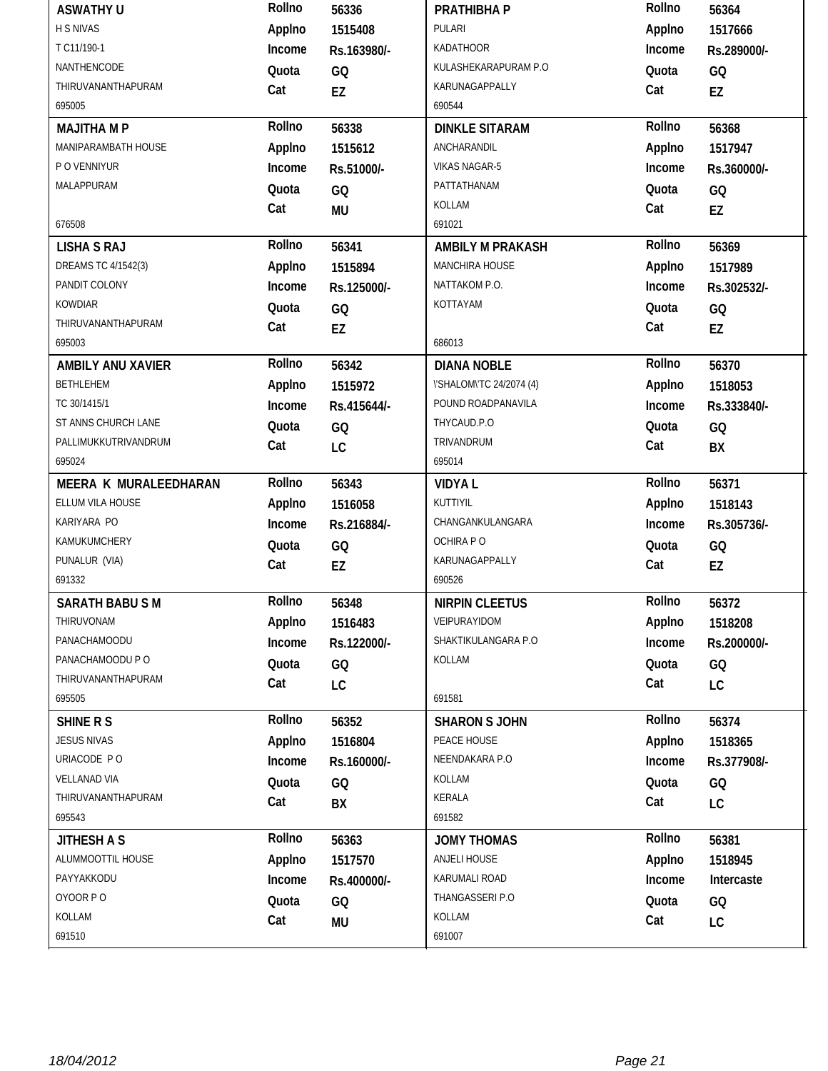| <b>ASWATHY U</b>         | Rollno | 56336       | PRATHIBHA P              | Rollno | 56364       |
|--------------------------|--------|-------------|--------------------------|--------|-------------|
| H S NIVAS                | Applno | 1515408     | PULARI                   | Applno | 1517666     |
| T C11/190-1              | Income | Rs.163980/- | <b>KADATHOOR</b>         | Income | Rs.289000/- |
| NANTHENCODE              | Quota  | GQ          | KULASHEKARAPURAM P.O     | Quota  | GQ          |
| THIRUVANANTHAPURAM       | Cat    | EZ          | KARUNAGAPPALLY           | Cat    | EZ          |
| 695005                   |        |             | 690544                   |        |             |
| <b>MAJITHA M P</b>       | Rollno | 56338       | <b>DINKLE SITARAM</b>    | Rollno | 56368       |
| MANIPARAMBATH HOUSE      | Applno | 1515612     | ANCHARANDIL              | Applno | 1517947     |
| P O VENNIYUR             | Income | Rs.51000/-  | <b>VIKAS NAGAR-5</b>     | Income | Rs.360000/- |
| MALAPPURAM               | Quota  | GQ          | PATTATHANAM              | Quota  | GQ          |
|                          | Cat    | <b>MU</b>   | KOLLAM                   | Cat    | EZ          |
| 676508                   |        |             | 691021                   |        |             |
| <b>LISHA S RAJ</b>       | Rollno | 56341       | <b>AMBILY M PRAKASH</b>  | Rollno | 56369       |
| DREAMS TC 4/1542(3)      | Applno | 1515894     | MANCHIRA HOUSE           | Applno | 1517989     |
| PANDIT COLONY            | Income | Rs.125000/- | NATTAKOM P.O.            | Income | Rs.302532/- |
| <b>KOWDIAR</b>           | Quota  | GQ          | KOTTAYAM                 | Quota  | GQ          |
| THIRUVANANTHAPURAM       | Cat    | EZ          |                          | Cat    | EZ          |
| 695003                   |        |             | 686013                   |        |             |
| <b>AMBILY ANU XAVIER</b> | Rollno | 56342       | <b>DIANA NOBLE</b>       | Rollno | 56370       |
| <b>BETHLEHEM</b>         | Applno | 1515972     | \'SHALOM\'TC 24/2074 (4) | Applno | 1518053     |
| TC 30/1415/1             | Income | Rs.415644/- | POUND ROADPANAVILA       | Income | Rs.333840/- |
| ST ANNS CHURCH LANE      | Quota  | GQ          | THYCAUD.P.O              | Quota  | GQ          |
| PALLIMUKKUTRIVANDRUM     | Cat    | LC          | TRIVANDRUM               | Cat    | BX          |
| 695024                   |        |             | 695014                   |        |             |
|                          |        |             |                          |        |             |
| MEERA K MURALEEDHARAN    | Rollno | 56343       | <b>VIDYAL</b>            | Rollno | 56371       |
| ELLUM VILA HOUSE         | Applno | 1516058     | KUTTIYIL                 | Applno | 1518143     |
| KARIYARA PO              | Income | Rs.216884/- | CHANGANKULANGARA         | Income | Rs.305736/- |
| KAMUKUMCHERY             | Quota  | GQ          | OCHIRA PO                | Quota  | GQ          |
| PUNALUR (VIA)            | Cat    | EZ          | KARUNAGAPPALLY           | Cat    | EZ          |
| 691332                   |        |             | 690526                   |        |             |
| <b>SARATH BABU SM</b>    | Rollno | 56348       | <b>NIRPIN CLEETUS</b>    | Rollno | 56372       |
| THIRUVONAM               | Applno | 1516483     | VEIPURAYIDOM             | Applno | 1518208     |
| PANACHAMOODU             | Income | Rs.122000/- | SHAKTIKULANGARA P.O      | Income | Rs.200000/- |
| PANACHAMOODU P O         | Quota  | GQ          | KOLLAM                   | Quota  | GQ          |
| THIRUVANANTHAPURAM       | Cat    |             |                          | Cat    |             |
| 695505                   |        | LC          | 691581                   |        | LC          |
| <b>SHINE R S</b>         | Rollno | 56352       | <b>SHARON S JOHN</b>     | Rollno | 56374       |
| <b>JESUS NIVAS</b>       | Applno | 1516804     | PEACE HOUSE              | Applno | 1518365     |
| URIACODE PO              | Income | Rs.160000/- | NEENDAKARA P.O           | Income | Rs.377908/- |
| <b>VELLANAD VIA</b>      | Quota  | GQ          | KOLLAM                   | Quota  | GQ          |
| THIRUVANANTHAPURAM       | Cat    |             | KERALA                   | Cat    |             |
| 695543                   |        | BX          | 691582                   |        | LC          |
| <b>JITHESH A S</b>       | Rollno | 56363       | <b>JOMY THOMAS</b>       | Rollno | 56381       |
| ALUMMOOTTIL HOUSE        | Applno | 1517570     | ANJELI HOUSE             | Applno | 1518945     |
| PAYYAKKODU               | Income | Rs.400000/- | KARUMALI ROAD            | Income | Intercaste  |
| OYOOR PO                 | Quota  |             | THANGASSERI P.O          | Quota  |             |
| KOLLAM                   | Cat    | GQ<br>MU    | KOLLAM                   | Cat    | GQ<br>LC    |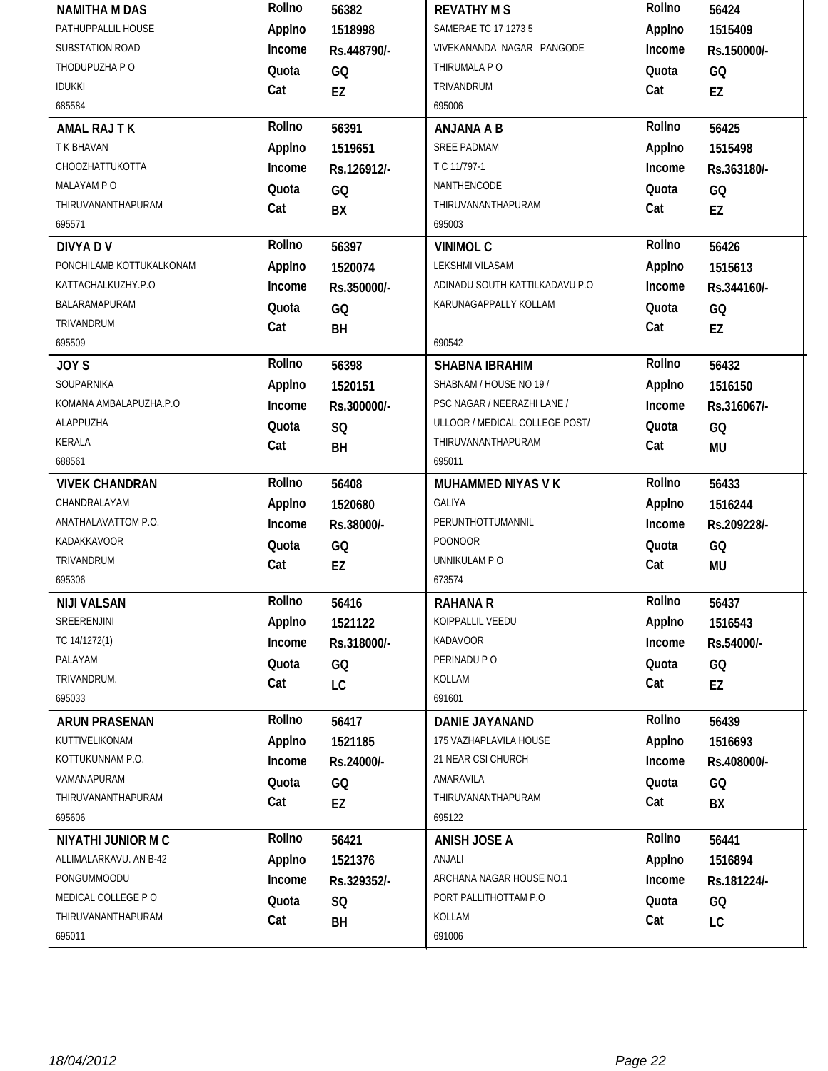| <b>NAMITHA M DAS</b>      | Rollno | 56382       | <b>REVATHY MS</b>              | Rollno | 56424       |
|---------------------------|--------|-------------|--------------------------------|--------|-------------|
| PATHUPPALLIL HOUSE        | Applno | 1518998     | SAMERAE TC 17 1273 5           | Applno | 1515409     |
| SUBSTATION ROAD           | Income | Rs.448790/- | VIVEKANANDA NAGAR PANGODE      | Income | Rs.150000/- |
| THODUPUZHA P O            | Quota  | GQ          | THIRUMALA PO                   | Quota  | GQ          |
| <b>IDUKKI</b>             | Cat    | EZ          | TRIVANDRUM                     | Cat    | EZ          |
| 685584                    |        |             | 695006                         |        |             |
| <b>AMAL RAJ T K</b>       | Rollno | 56391       | <b>ANJANA A B</b>              | Rollno | 56425       |
| T K BHAVAN                | Applno | 1519651     | <b>SREE PADMAM</b>             | Applno | 1515498     |
| CHOOZHATTUKOTTA           | Income | Rs.126912/- | T C 11/797-1                   | Income | Rs.363180/- |
| MALAYAM PO                | Quota  | GQ          | NANTHENCODE                    | Quota  | GQ          |
| THIRUVANANTHAPURAM        | Cat    | BX          | THIRUVANANTHAPURAM             | Cat    | EZ          |
| 695571                    |        |             | 695003                         |        |             |
| <b>DIVYA DV</b>           | Rollno | 56397       | <b>VINIMOL C</b>               | Rollno | 56426       |
| PONCHILAMB KOTTUKALKONAM  | Applno | 1520074     | LEKSHMI VILASAM                | Applno | 1515613     |
| KATTACHALKUZHY.P.O        | Income | Rs.350000/- | ADINADU SOUTH KATTILKADAVU P.O | Income | Rs.344160/- |
| BALARAMAPURAM             | Quota  | GQ          | KARUNAGAPPALLY KOLLAM          | Quota  | GQ          |
| TRIVANDRUM                | Cat    | BH          |                                | Cat    | EZ          |
| 695509                    |        |             | 690542                         |        |             |
| JOY <sub>S</sub>          | Rollno | 56398       | <b>SHABNA IBRAHIM</b>          | Rollno | 56432       |
| SOUPARNIKA                | Applno | 1520151     | SHABNAM / HOUSE NO 19 /        | Applno | 1516150     |
| KOMANA AMBALAPUZHA.P.O    | Income | Rs.300000/- | PSC NAGAR / NEERAZHI LANE /    | Income | Rs.316067/- |
| ALAPPUZHA                 | Quota  | SQ          | ULLOOR / MEDICAL COLLEGE POST/ | Quota  | GQ          |
| KERALA                    | Cat    | BH          | THIRUVANANTHAPURAM             | Cat    | <b>MU</b>   |
| 688561                    |        |             | 695011                         |        |             |
|                           | Rollno |             |                                | Rollno |             |
| <b>VIVEK CHANDRAN</b>     |        | 56408       | MUHAMMED NIYAS V K             |        | 56433       |
| CHANDRALAYAM              | Applno | 1520680     | <b>GALIYA</b>                  | Applno | 1516244     |
| ANATHALAVATTOM P.O.       | Income | Rs.38000/-  | PERUNTHOTTUMANNIL              | Income | Rs.209228/- |
| KADAKKAVOOR               | Quota  | GQ          | <b>POONOOR</b>                 | Quota  | GQ          |
| TRIVANDRUM                | Cat    | EZ          | UNNIKULAM P O                  | Cat    | <b>MU</b>   |
| 695306                    |        |             | 673574                         |        |             |
| <b>NIJI VALSAN</b>        | Rollno | 56416       | <b>RAHANA R</b>                | Rollno | 56437       |
| SREERENJINI               | Applno | 1521122     | KOIPPALLIL VEEDU               | Applno | 1516543     |
| TC 14/1272(1)             | Income | Rs.318000/- | KADAVOOR                       | Income | Rs.54000/-  |
| PALAYAM                   | Quota  | GQ          | PERINADU P O                   | Quota  | GQ          |
| TRIVANDRUM.               | Cat    | LC          | KOLLAM                         | Cat    | EZ          |
| 695033                    |        |             | 691601                         |        |             |
| <b>ARUN PRASENAN</b>      | Rollno | 56417       | <b>DANIE JAYANAND</b>          | Rollno | 56439       |
| KUTTIVELIKONAM            | Applno | 1521185     | 175 VAZHAPLAVILA HOUSE         | Applno | 1516693     |
| KOTTUKUNNAM P.O.          | Income | Rs.24000/-  | 21 NEAR CSI CHURCH             | Income | Rs.408000/- |
| VAMANAPURAM               | Quota  | GQ          | AMARAVILA                      | Quota  | GQ          |
| THIRUVANANTHAPURAM        | Cat    | EZ          | THIRUVANANTHAPURAM             | Cat    | BX          |
| 695606                    |        |             | 695122                         |        |             |
| <b>NIYATHI JUNIOR M C</b> | Rollno | 56421       | <b>ANISH JOSE A</b>            | Rollno | 56441       |
| ALLIMALARKAVU. AN B-42    | Applno | 1521376     | ANJALI                         | Applno | 1516894     |
| PONGUMMOODU               | Income | Rs.329352/- | ARCHANA NAGAR HOUSE NO.1       | Income | Rs.181224/- |
| MEDICAL COLLEGE PO        | Quota  | SQ          | PORT PALLITHOTTAM P.O          | Quota  | GQ          |
| THIRUVANANTHAPURAM        | Cat    | BH          | KOLLAM                         | Cat    | LC          |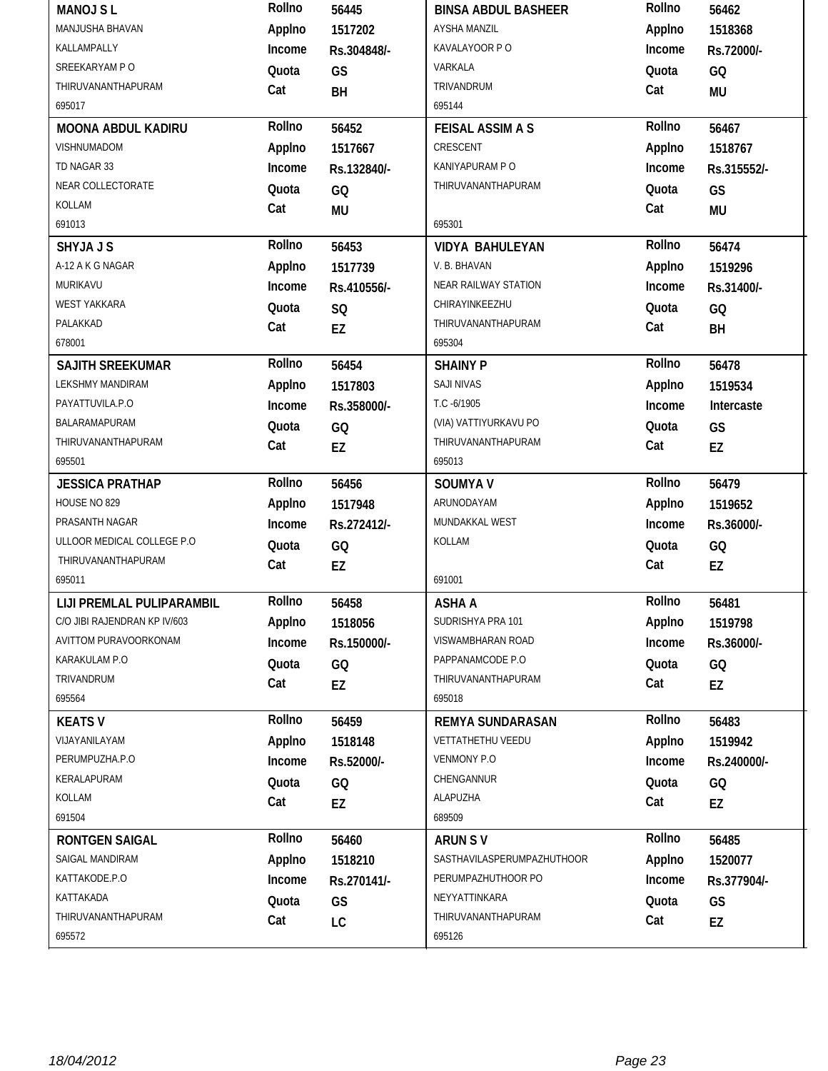| <b>MANOJ SL</b>              | Rollno | 56445       | <b>BINSA ABDUL BASHEER</b> | Rollno | 56462       |
|------------------------------|--------|-------------|----------------------------|--------|-------------|
| MANJUSHA BHAVAN              | Applno | 1517202     | <b>AYSHA MANZIL</b>        | Applno | 1518368     |
| KALLAMPALLY                  | Income | Rs.304848/- | KAVALAYOOR P O             | Income | Rs.72000/-  |
| SREEKARYAM PO                | Quota  | GS          | VARKALA                    | Quota  | GQ          |
| THIRUVANANTHAPURAM           | Cat    | BH          | TRIVANDRUM                 | Cat    | <b>MU</b>   |
| 695017                       |        |             | 695144                     |        |             |
| <b>MOONA ABDUL KADIRU</b>    | Rollno | 56452       | <b>FEISAL ASSIM A S</b>    | Rollno | 56467       |
| <b>VISHNUMADOM</b>           | Applno | 1517667     | CRESCENT                   | Applno | 1518767     |
| TD NAGAR 33                  | Income | Rs.132840/- | KANIYAPURAM P O            | Income | Rs.315552/- |
| NEAR COLLECTORATE            | Quota  | GQ          | THIRUVANANTHAPURAM         | Quota  | GS          |
| KOLLAM                       | Cat    | <b>MU</b>   |                            | Cat    | <b>MU</b>   |
| 691013                       |        |             | 695301                     |        |             |
| <b>SHYJAJS</b>               | Rollno | 56453       | <b>VIDYA BAHULEYAN</b>     | Rollno | 56474       |
| A-12 A K G NAGAR             | Applno | 1517739     | V. B. BHAVAN               | Applno | 1519296     |
| MURIKAVU                     | Income | Rs.410556/- | NEAR RAILWAY STATION       | Income | Rs.31400/-  |
| <b>WEST YAKKARA</b>          | Quota  | <b>SQ</b>   | CHIRAYINKEEZHU             | Quota  | GQ          |
| PALAKKAD                     | Cat    | EZ          | THIRUVANANTHAPURAM         | Cat    | BH          |
| 678001                       |        |             | 695304                     |        |             |
| <b>SAJITH SREEKUMAR</b>      | Rollno | 56454       | <b>SHAINY P</b>            | Rollno | 56478       |
| <b>LEKSHMY MANDIRAM</b>      | Applno | 1517803     | <b>SAJI NIVAS</b>          | Applno | 1519534     |
| PAYATTUVILA.P.O              | Income | Rs.358000/- | T.C -6/1905                | Income | Intercaste  |
| BALARAMAPURAM                | Quota  | GQ          | (VIA) VATTIYURKAVU PO      | Quota  | GS          |
| THIRUVANANTHAPURAM           | Cat    | EZ          | THIRUVANANTHAPURAM         | Cat    | EZ          |
| 695501                       |        |             | 695013                     |        |             |
|                              | Rollno |             |                            | Rollno | 56479       |
| <b>JESSICA PRATHAP</b>       |        | 56456       | <b>SOUMYA V</b>            |        |             |
| HOUSE NO 829                 | Applno | 1517948     | ARUNODAYAM                 | Applno | 1519652     |
| PRASANTH NAGAR               | Income | Rs.272412/- | MUNDAKKAL WEST             | Income | Rs.36000/-  |
| ULLOOR MEDICAL COLLEGE P.O.  | Quota  | GQ          | KOLLAM                     | Quota  | GQ          |
| THIRUVANANTHAPURAM           | Cat    | EZ          |                            | Cat    | EZ          |
| 695011                       |        |             | 691001                     |        |             |
| LIJI PREMLAL PULIPARAMBIL    | Rollno | 56458       | <b>ASHA A</b>              | Rollno | 56481       |
| C/O JIBI RAJENDRAN KP IV/603 | Applno | 1518056     | SUDRISHYA PRA 101          | Applno | 1519798     |
| AVITTOM PURAVOORKONAM        | Income | Rs.150000/- | VISWAMBHARAN ROAD          | Income | Rs.36000/-  |
| KARAKULAM P.O                | Quota  | GQ          | PAPPANAMCODE P.O           | Quota  | GQ          |
| TRIVANDRUM                   | Cat    | EZ          | THIRUVANANTHAPURAM         | Cat    | EZ          |
| 695564                       |        |             | 695018                     |        |             |
| <b>KEATS V</b>               | Rollno | 56459       | <b>REMYA SUNDARASAN</b>    | Rollno | 56483       |
| VIJAYANILAYAM                | Applno | 1518148     | VETTATHETHU VEEDU          | Applno | 1519942     |
| PERUMPUZHA.P.O               | Income | Rs.52000/-  | VENMONY P.O                | Income | Rs.240000/- |
| KERALAPURAM                  | Quota  | GQ          | CHENGANNUR                 | Quota  | GQ          |
| KOLLAM                       | Cat    | EZ          | ALAPUZHA                   | Cat    | EZ          |
| 691504                       |        |             | 689509                     |        |             |
| <b>RONTGEN SAIGAL</b>        | Rollno | 56460       | ARUN SV                    | Rollno | 56485       |
| SAIGAL MANDIRAM              | Applno | 1518210     | SASTHAVILASPERUMPAZHUTHOOR | Applno | 1520077     |
| KATTAKODE.P.O                | Income | Rs.270141/- | PERUMPAZHUTHOOR PO         | Income | Rs.377904/- |
| KATTAKADA                    | Quota  | GS          | NEYYATTINKARA              | Quota  | GS          |
| THIRUVANANTHAPURAM           | Cat    | LC          | THIRUVANANTHAPURAM         | Cat    | EZ          |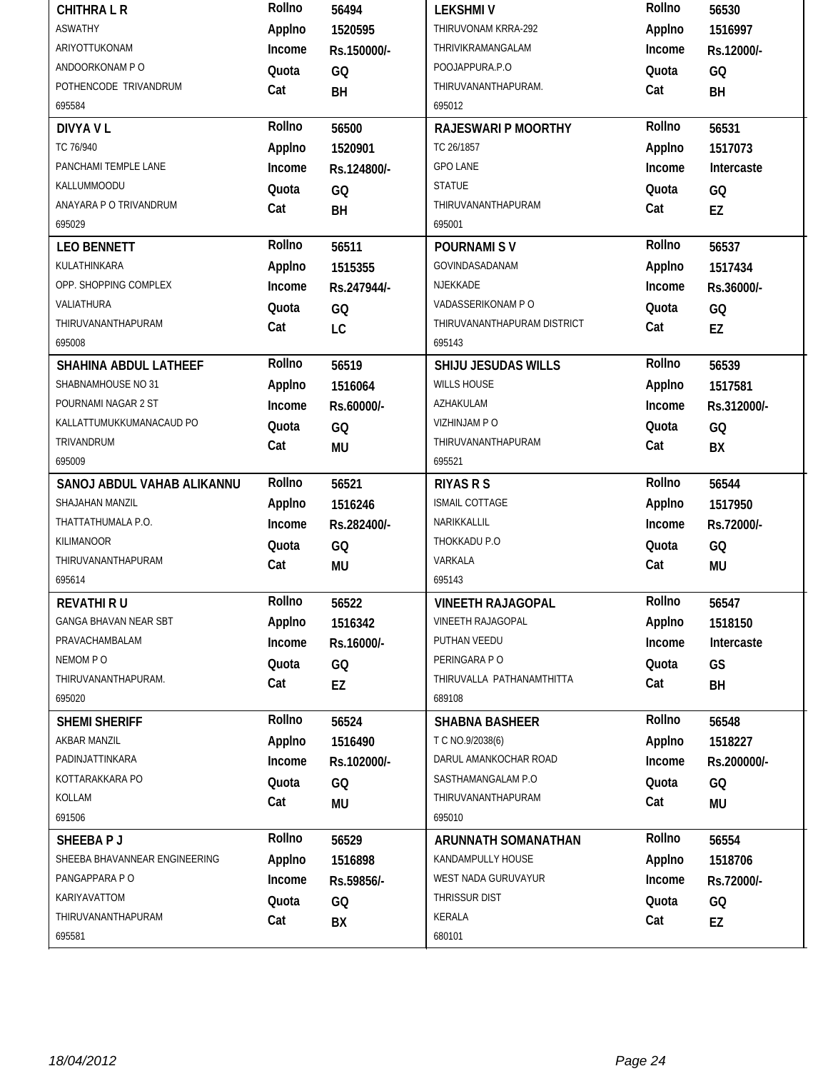|                                               | Rollno       | 56494       | <b>LEKSHMIV</b>                               | Rollno       | 56530       |
|-----------------------------------------------|--------------|-------------|-----------------------------------------------|--------------|-------------|
| <b>ASWATHY</b>                                | Applno       | 1520595     | THIRUVONAM KRRA-292                           | Applno       | 1516997     |
| ARIYOTTUKONAM                                 | Income       | Rs.150000/- | THRIVIKRAMANGALAM                             | Income       | Rs.12000/-  |
| ANDOORKONAM PO                                | Quota        | GQ          | POOJAPPURA.P.O                                | Quota        | GQ          |
| POTHENCODE TRIVANDRUM                         | Cat          | BH          | THIRUVANANTHAPURAM.                           | Cat          | BH          |
| 695584                                        |              |             | 695012                                        |              |             |
| <b>DIVYA V L</b>                              | Rollno       | 56500       | <b>RAJESWARI P MOORTHY</b>                    | Rollno       | 56531       |
| TC 76/940                                     | Applno       | 1520901     | TC 26/1857                                    | Applno       | 1517073     |
| PANCHAMI TEMPLE LANE                          | Income       | Rs.124800/- | <b>GPO LANE</b>                               | Income       | Intercaste  |
| KALLUMMOODU                                   | Quota        | GQ          | <b>STATUE</b>                                 | Quota        | GQ          |
| ANAYARA P O TRIVANDRUM                        | Cat          | BH          | THIRUVANANTHAPURAM                            | Cat          | EZ          |
| 695029                                        |              |             | 695001                                        |              |             |
| <b>LEO BENNETT</b>                            | Rollno       | 56511       | <b>POURNAMI SV</b>                            | Rollno       | 56537       |
| KULATHINKARA                                  | Applno       | 1515355     | GOVINDASADANAM                                | Applno       | 1517434     |
| OPP. SHOPPING COMPLEX                         | Income       | Rs.247944/- | NJEKKADE                                      | Income       | Rs.36000/-  |
| VALIATHURA                                    | Quota        | GQ          | VADASSERIKONAM PO                             | Quota        | GQ          |
| THIRUVANANTHAPURAM                            | Cat          | LC          | THIRUVANANTHAPURAM DISTRICT                   | Cat          | EZ          |
| 695008                                        |              |             | 695143                                        |              |             |
| SHAHINA ABDUL LATHEEF                         | Rollno       | 56519       | SHIJU JESUDAS WILLS                           | Rollno       | 56539       |
| SHABNAMHOUSE NO 31                            | Applno       | 1516064     | <b>WILLS HOUSE</b>                            | Applno       | 1517581     |
| POURNAMI NAGAR 2 ST                           | Income       | Rs.60000/-  | AZHAKULAM                                     | Income       | Rs.312000/- |
| KALLATTUMUKKUMANACAUD PO                      | Quota        | GQ          | VIZHINJAM P O                                 | Quota        | GQ          |
| TRIVANDRUM                                    | Cat          | <b>MU</b>   | THIRUVANANTHAPURAM                            | Cat          | BX          |
| 695009                                        |              |             | 695521                                        |              |             |
|                                               | Rollno       | 56521       | <b>RIYAS R S</b>                              | Rollno       | 56544       |
|                                               |              |             |                                               |              |             |
| SANOJ ABDUL VAHAB ALIKANNU<br>SHAJAHAN MANZIL |              |             | <b>ISMAIL COTTAGE</b>                         |              |             |
| THATTATHUMALA P.O.                            | Applno       | 1516246     | NARIKKALLIL                                   | Applno       | 1517950     |
| KILIMANOOR                                    | Income       | Rs.282400/- | THOKKADU P.O                                  | Income       | Rs.72000/-  |
| THIRUVANANTHAPURAM                            | Quota        | GQ          | VARKALA                                       | Quota        | GQ          |
| 695614                                        | Cat          | <b>MU</b>   | 695143                                        | Cat          | <b>MU</b>   |
|                                               | Rollno       |             |                                               | Rollno       |             |
| REVATHI R U<br>GANGA BHAVAN NEAR SBT          |              | 56522       | <b>VINEETH RAJAGOPAL</b><br>VINEETH RAJAGOPAL |              | 56547       |
| PRAVACHAMBALAM                                | Applno       | 1516342     | PUTHAN VEEDU                                  | Applno       | 1518150     |
| NEMOM PO                                      | Income       | Rs.16000/-  | PERINGARA PO                                  | Income       | Intercaste  |
| THIRUVANANTHAPURAM.                           | Quota        | GQ          | THIRUVALLA PATHANAMTHITTA                     | Quota        | GS          |
| 695020                                        | Cat          | EZ          | 689108                                        | Cat          | BH          |
| <b>SHEMI SHERIFF</b>                          | Rollno       |             |                                               | Rollno       |             |
| AKBAR MANZIL                                  |              | 56524       | <b>SHABNA BASHEER</b><br>T C NO.9/2038(6)     |              | 56548       |
| PADINJATTINKARA                               | Applno       | 1516490     | DARUL AMANKOCHAR ROAD                         | Applno       | 1518227     |
| KOTTARAKKARA PO                               | Income       | Rs.102000/- | SASTHAMANGALAM P.O                            | Income       | Rs.200000/- |
| KOLLAM                                        | Quota        | GQ          | THIRUVANANTHAPURAM                            | Quota        | GQ          |
| 691506                                        | Cat          | MU          | 695010                                        | Cat          | <b>MU</b>   |
| SHEEBAP J                                     | Rollno       | 56529       | ARUNNATH SOMANATHAN                           | Rollno       | 56554       |
| SHEEBA BHAVANNEAR ENGINEERING                 | Applno       |             | KANDAMPULLY HOUSE                             | Applno       |             |
| PANGAPPARA PO                                 | Income       | 1516898     | WEST NADA GURUVAYUR                           | Income       | 1518706     |
| KARIYAVATTOM                                  |              | Rs.59856/-  | THRISSUR DIST                                 |              | Rs.72000/-  |
| THIRUVANANTHAPURAM                            | Quota<br>Cat | GQ<br>BX    | KERALA                                        | Quota<br>Cat | GQ<br>EZ    |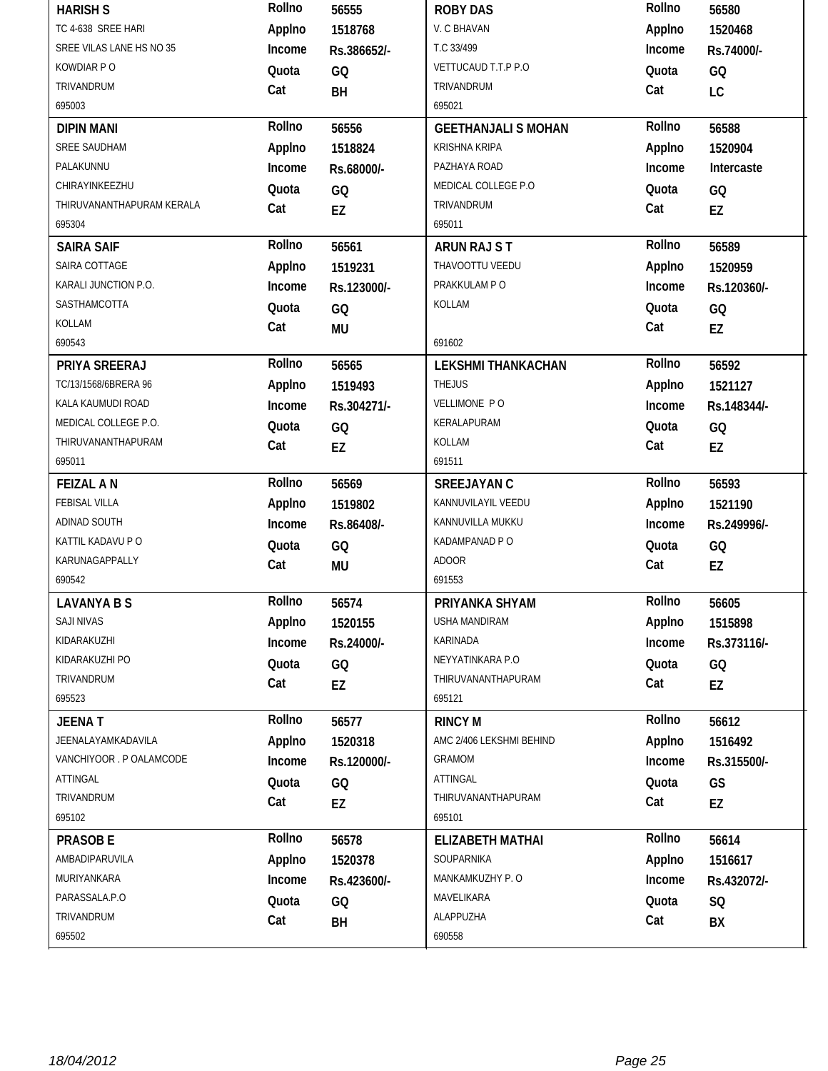| <b>HARISH S</b>           | Rollno | 56555       | <b>ROBY DAS</b>            | Rollno | 56580       |
|---------------------------|--------|-------------|----------------------------|--------|-------------|
| TC 4-638 SREE HARI        | Applno | 1518768     | V. C BHAVAN                | Applno | 1520468     |
| SREE VILAS LANE HS NO 35  | Income | Rs.386652/- | T.C 33/499                 | Income | Rs.74000/-  |
| KOWDIAR PO                | Quota  | GQ          | VETTUCAUD T.T.P P.O        | Quota  | GQ          |
| TRIVANDRUM                | Cat    | BH          | TRIVANDRUM                 | Cat    | LC          |
| 695003                    |        |             | 695021                     |        |             |
| <b>DIPIN MANI</b>         | Rollno | 56556       | <b>GEETHANJALI S MOHAN</b> | Rollno | 56588       |
| SREE SAUDHAM              | Applno | 1518824     | <b>KRISHNA KRIPA</b>       | Applno | 1520904     |
| PALAKUNNU                 | Income | Rs.68000/-  | PAZHAYA ROAD               | Income | Intercaste  |
| CHIRAYINKEEZHU            | Quota  | GQ          | MEDICAL COLLEGE P.O        | Quota  | GQ          |
| THIRUVANANTHAPURAM KERALA | Cat    | EZ          | TRIVANDRUM                 | Cat    | EZ          |
| 695304                    |        |             | 695011                     |        |             |
| <b>SAIRA SAIF</b>         | Rollno | 56561       | ARUN RAJ ST                | Rollno | 56589       |
| SAIRA COTTAGE             | Applno | 1519231     | THAVOOTTU VEEDU            | Applno | 1520959     |
| KARALI JUNCTION P.O.      | Income | Rs.123000/- | PRAKKULAM P O              | Income | Rs.120360/- |
| SASTHAMCOTTA              | Quota  | GQ          | KOLLAM                     | Quota  | GQ          |
| KOLLAM                    | Cat    | <b>MU</b>   |                            | Cat    | EZ          |
| 690543                    |        |             | 691602                     |        |             |
| PRIYA SREERAJ             | Rollno | 56565       | <b>LEKSHMI THANKACHAN</b>  | Rollno | 56592       |
| TC/13/1568/6BRERA 96      | Applno | 1519493     | <b>THEJUS</b>              | Applno | 1521127     |
| KALA KAUMUDI ROAD         | Income | Rs.304271/- | VELLIMONE PO               | Income | Rs.148344/- |
| MEDICAL COLLEGE P.O.      | Quota  | GQ          | KERALAPURAM                | Quota  | GQ          |
| THIRUVANANTHAPURAM        | Cat    | EZ          | KOLLAM                     | Cat    | EZ          |
| 695011                    |        |             | 691511                     |        |             |
| <b>FEIZAL AN</b>          | Rollno | 56569       | <b>SREEJAYAN C</b>         | Rollno | 56593       |
| FEBISAL VILLA             | Applno | 1519802     | KANNUVILAYIL VEEDU         | Applno | 1521190     |
| ADINAD SOUTH              | Income | Rs.86408/-  | KANNUVILLA MUKKU           | Income | Rs.249996/- |
| KATTIL KADAVU P O         | Quota  | GQ          | KADAMPANAD P O             | Quota  | GQ          |
| KARUNAGAPPALLY            | Cat    | MU          | <b>ADOOR</b>               | Cat    | EZ          |
| 690542                    |        |             | 691553                     |        |             |
| <b>LAVANYA B S</b>        |        |             |                            |        |             |
|                           | Rollno | 56574       | PRIYANKA SHYAM             | Rollno | 56605       |
| SAJI NIVAS                | Applno | 1520155     | USHA MANDIRAM              | Applno | 1515898     |
| KIDARAKUZHI               | Income | Rs.24000/-  | <b>KARINADA</b>            | Income | Rs.373116/- |
| KIDARAKUZHI PO            | Quota  |             | NEYYATINKARA P.O           | Quota  |             |
| TRIVANDRUM                |        | GQ          | THIRUVANANTHAPURAM         | Cat    | GQ          |
| 695523                    | Cat    | EZ          | 695121                     |        | EZ          |
| <b>JEENAT</b>             | Rollno | 56577       | <b>RINCY M</b>             | Rollno | 56612       |
| JEENALAYAMKADAVILA        | Applno | 1520318     | AMC 2/406 LEKSHMI BEHIND   | Applno | 1516492     |
| VANCHIYOOR . P OALAMCODE  | Income | Rs.120000/- | GRAMOM                     | Income | Rs.315500/- |
| ATTINGAL                  | Quota  |             | ATTINGAL                   | Quota  |             |
| TRIVANDRUM                | Cat    | GQ          | THIRUVANANTHAPURAM         | Cat    | GS          |
| 695102                    |        | EZ          | 695101                     |        | EZ          |
| <b>PRASOBE</b>            | Rollno | 56578       | <b>ELIZABETH MATHAI</b>    | Rollno | 56614       |
| AMBADIPARUVILA            | Applno | 1520378     | SOUPARNIKA                 | Applno | 1516617     |
| MURIYANKARA               | Income | Rs.423600/- | MANKAMKUZHY P. O           | Income | Rs.432072/- |
| PARASSALA.P.O             |        |             | MAVELIKARA                 |        |             |
| TRIVANDRUM                | Quota  | GQ          | ALAPPUZHA                  | Quota  | SQ          |
| 695502                    | Cat    | BH          | 690558                     | Cat    | BX          |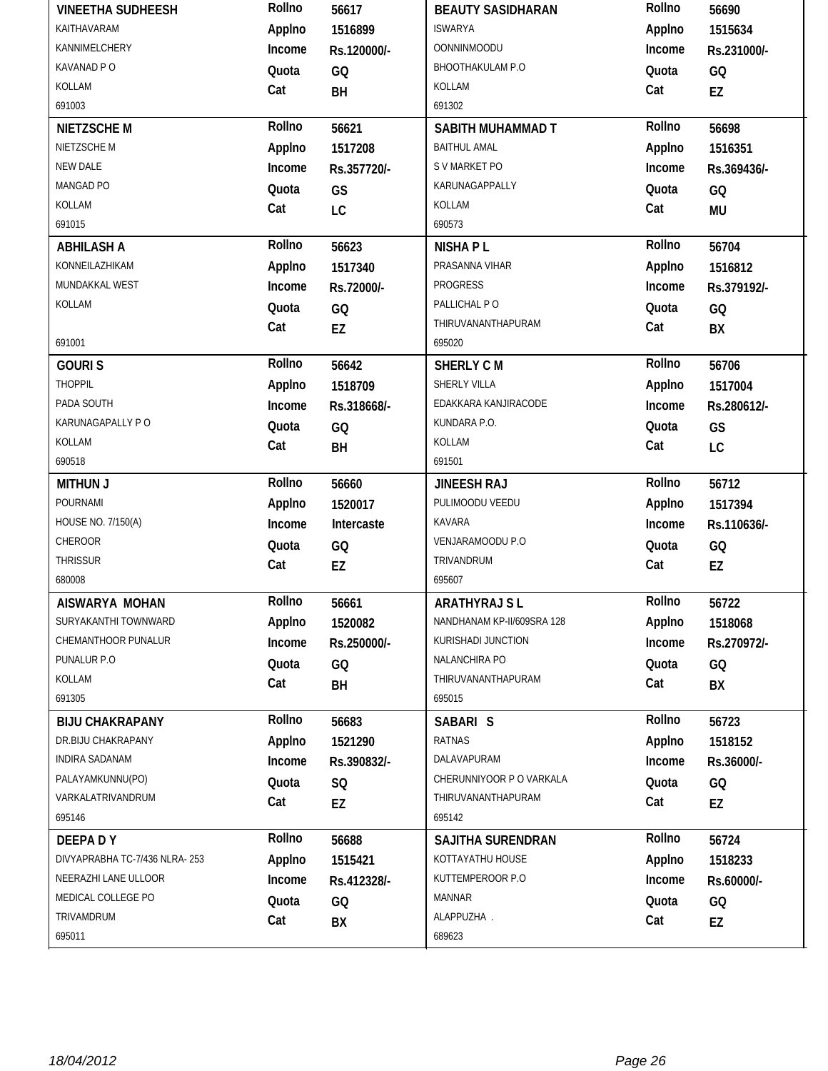| <b>VINEETHA SUDHEESH</b>      | Rollno | 56617       | <b>BEAUTY SASIDHARAN</b>   | Rollno | 56690       |
|-------------------------------|--------|-------------|----------------------------|--------|-------------|
| KAITHAVARAM                   | Applno | 1516899     | <b>ISWARYA</b>             | Applno | 1515634     |
| KANNIMELCHERY                 | Income | Rs.120000/- | <b>OONNINMOODU</b>         | Income | Rs.231000/- |
| KAVANAD P O                   | Quota  | GQ          | BHOOTHAKULAM P.O           | Quota  | GQ          |
| KOLLAM                        | Cat    | BH          | KOLLAM                     | Cat    | EZ          |
| 691003                        |        |             | 691302                     |        |             |
| <b>NIETZSCHEM</b>             | Rollno | 56621       | SABITH MUHAMMAD T          | Rollno | 56698       |
| NIETZSCHE M                   | Applno | 1517208     | <b>BAITHUL AMAL</b>        | Applno | 1516351     |
| NEW DALE                      | Income | Rs.357720/- | S V MARKET PO              | Income | Rs.369436/- |
| MANGAD PO                     | Quota  | GS          | KARUNAGAPPALLY             | Quota  | GQ          |
| KOLLAM                        | Cat    | LC          | KOLLAM                     | Cat    | <b>MU</b>   |
| 691015                        |        |             | 690573                     |        |             |
| <b>ABHILASH A</b>             | Rollno | 56623       | <b>NISHAPL</b>             | Rollno | 56704       |
| KONNEILAZHIKAM                | Applno | 1517340     | PRASANNA VIHAR             | Applno | 1516812     |
| MUNDAKKAL WEST                | Income | Rs.72000/-  | PROGRESS                   | Income | Rs.379192/- |
| KOLLAM                        | Quota  | GQ          | PALLICHAL PO               | Quota  | GQ          |
|                               | Cat    | EZ          | THIRUVANANTHAPURAM         | Cat    | BX          |
| 691001                        |        |             | 695020                     |        |             |
| <b>GOURIS</b>                 | Rollno | 56642       | <b>SHERLY CM</b>           | Rollno | 56706       |
| <b>THOPPIL</b>                | Applno | 1518709     | SHERLY VILLA               | Applno | 1517004     |
| PADA SOUTH                    | Income | Rs.318668/- | EDAKKARA KANJIRACODE       | Income | Rs.280612/- |
| KARUNAGAPALLY PO              | Quota  | GQ          | KUNDARA P.O.               | Quota  | GS          |
| KOLLAM                        | Cat    | BH          | KOLLAM                     | Cat    | LC          |
| 690518                        |        |             | 691501                     |        |             |
| <b>MITHUN J</b>               | Rollno | 56660       | <b>JINEESH RAJ</b>         | Rollno | 56712       |
| POURNAMI                      | Applno | 1520017     | PULIMOODU VEEDU            | Applno | 1517394     |
| HOUSE NO. 7/150(A)            | Income | Intercaste  | KAVARA                     | Income | Rs.110636/- |
| CHEROOR                       | Quota  | GQ          | VENJARAMOODU P.O           | Quota  | GQ          |
| <b>THRISSUR</b>               | Cat    | EZ          | TRIVANDRUM                 | Cat    | EZ          |
| 680008                        |        |             | 695607                     |        |             |
| AISWARYA MOHAN                | Rollno | 56661       | <b>ARATHYRAJ SL</b>        | Rollno | 56722       |
| SURYAKANTHI TOWNWARD          | Applno | 1520082     | NANDHANAM KP-II/609SRA 128 | Applno | 1518068     |
| CHEMANTHOOR PUNALUR           | Income | Rs.250000/- | KURISHADI JUNCTION         | Income | Rs.270972/- |
| PUNALUR P.O                   | Quota  | GQ          | NALANCHIRA PO              | Quota  | GQ          |
| KOLLAM                        | Cat    | BH          | THIRUVANANTHAPURAM         | Cat    | BX          |
| 691305                        |        |             | 695015                     |        |             |
| <b>BIJU CHAKRAPANY</b>        | Rollno | 56683       | SABARI S                   | Rollno | 56723       |
| DR.BIJU CHAKRAPANY            | Applno | 1521290     | RATNAS                     | Applno | 1518152     |
| INDIRA SADANAM                | Income | Rs.390832/- | DALAVAPURAM                | Income | Rs.36000/-  |
| PALAYAMKUNNU(PO)              | Quota  | SQ          | CHERUNNIYOOR P O VARKALA   | Quota  | GQ          |
| VARKALATRIVANDRUM             |        |             | THIRUVANANTHAPURAM         |        |             |
|                               | Cat    | EZ          |                            | Cat    | EZ          |
| 695146                        |        |             | 695142                     |        |             |
| DEEPADY                       | Rollno | 56688       | SAJITHA SURENDRAN          | Rollno | 56724       |
| DIVYAPRABHA TC-7/436 NLRA-253 | Applno | 1515421     | KOTTAYATHU HOUSE           | Applno | 1518233     |
| NEERAZHI LANE ULLOOR          | Income | Rs.412328/- | KUTTEMPEROOR P.O           | Income | Rs.60000/-  |
| MEDICAL COLLEGE PO            | Quota  | GQ          | <b>MANNAR</b>              | Quota  | GQ          |
| TRIVAMDRUM                    | Cat    | BX          | ALAPPUZHA.                 | Cat    | EZ          |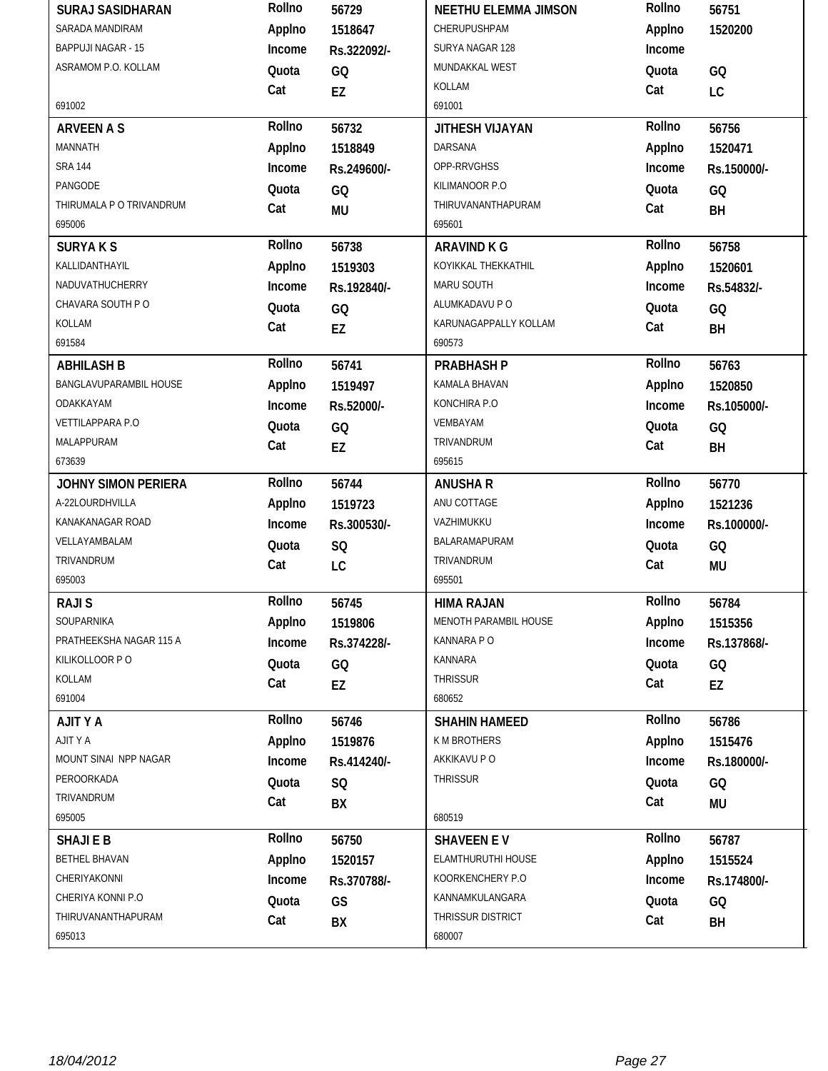| <b>SURAJ SASIDHARAN</b>    | Rollno | 56729       | <b>NEETHU ELEMMA JIMSON</b> | Rollno | 56751       |
|----------------------------|--------|-------------|-----------------------------|--------|-------------|
| SARADA MANDIRAM            | Applno | 1518647     | CHERUPUSHPAM                | Applno | 1520200     |
| <b>BAPPUJI NAGAR - 15</b>  | Income | Rs.322092/- | SURYA NAGAR 128             | Income |             |
| ASRAMOM P.O. KOLLAM        | Quota  | GQ          | MUNDAKKAL WEST              | Quota  | GQ          |
|                            | Cat    | EZ          | KOLLAM                      | Cat    | LC          |
| 691002                     |        |             | 691001                      |        |             |
| <b>ARVEEN A S</b>          | Rollno | 56732       | JITHESH VIJAYAN             | Rollno | 56756       |
| MANNATH                    | Applno | 1518849     | DARSANA                     | Applno | 1520471     |
| <b>SRA 144</b>             | Income | Rs.249600/- | OPP-RRVGHSS                 | Income | Rs.150000/- |
| PANGODE                    | Quota  | GQ          | KILIMANOOR P.O              | Quota  | GQ          |
| THIRUMALA P O TRIVANDRUM   | Cat    | <b>MU</b>   | THIRUVANANTHAPURAM          | Cat    | BH          |
| 695006                     |        |             | 695601                      |        |             |
| <b>SURYAKS</b>             | Rollno | 56738       | <b>ARAVIND K G</b>          | Rollno | 56758       |
| KALLIDANTHAYIL             | Applno | 1519303     | KOYIKKAL THEKKATHIL         | Applno | 1520601     |
| NADUVATHUCHERRY            | Income | Rs.192840/- | MARU SOUTH                  | Income | Rs.54832/-  |
| CHAVARA SOUTH PO           | Quota  | GQ          | ALUMKADAVU P O              | Quota  | GQ          |
| KOLLAM                     | Cat    | EZ          | KARUNAGAPPALLY KOLLAM       | Cat    | BH          |
| 691584                     |        |             | 690573                      |        |             |
| <b>ABHILASH B</b>          | Rollno | 56741       | <b>PRABHASH P</b>           | Rollno | 56763       |
| BANGLAVUPARAMBIL HOUSE     | Applno | 1519497     | KAMALA BHAVAN               | Applno | 1520850     |
| ODAKKAYAM                  | Income | Rs.52000/-  | KONCHIRA P.O                | Income | Rs.105000/- |
| VETTILAPPARA P.O           | Quota  | GQ          | VEMBAYAM                    | Quota  | GQ          |
| MALAPPURAM                 | Cat    | EZ          | TRIVANDRUM                  | Cat    | BH          |
| 673639                     |        |             | 695615                      |        |             |
|                            | Rollno |             |                             | Rollno |             |
| <b>JOHNY SIMON PERIERA</b> |        | 56744       | <b>ANUSHA R</b>             |        | 56770       |
| A-22LOURDHVILLA            | Applno | 1519723     | ANU COTTAGE                 | Applno | 1521236     |
| KANAKANAGAR ROAD           | Income | Rs.300530/- | VAZHIMUKKU                  | Income | Rs.100000/- |
| VELLAYAMBALAM              | Quota  | SQ          | BALARAMAPURAM               | Quota  | GQ          |
| TRIVANDRUM                 | Cat    | LC          | TRIVANDRUM                  | Cat    | <b>MU</b>   |
| 695003                     |        |             | 695501                      |        |             |
| <b>RAJIS</b>               | Rollno | 56745       | <b>HIMA RAJAN</b>           | Rollno | 56784       |
| SOUPARNIKA                 | Applno | 1519806     | MENOTH PARAMBIL HOUSE       | Applno | 1515356     |
| PRATHEEKSHA NAGAR 115 A    | Income | Rs.374228/- | KANNARA P O                 | Income | Rs.137868/- |
| KILIKOLLOOR P O            | Quota  | GQ          | KANNARA                     | Quota  | GQ          |
| KOLLAM                     | Cat    |             | <b>THRISSUR</b>             | Cat    |             |
| 691004                     |        | EZ          | 680652                      |        | EZ          |
| <b>AJITYA</b>              | Rollno | 56746       | <b>SHAHIN HAMEED</b>        | Rollno | 56786       |
| AJITY A                    | Applno | 1519876     | K M BROTHERS                | Applno | 1515476     |
| MOUNT SINAI NPP NAGAR      | Income | Rs.414240/- | AKKIKAVU P O                | Income | Rs.180000/- |
| PEROORKADA                 | Quota  | SQ          | THRISSUR                    | Quota  | GQ          |
| TRIVANDRUM                 | Cat    | BX          |                             | Cat    | <b>MU</b>   |
| 695005                     |        |             | 680519                      |        |             |
| <b>SHAJIEB</b>             | Rollno | 56750       | <b>SHAVEEN EV</b>           | Rollno | 56787       |
| <b>BETHEL BHAVAN</b>       | Applno | 1520157     | ELAMTHURUTHI HOUSE          | Applno | 1515524     |
| CHERIYAKONNI               | Income | Rs.370788/- | KOORKENCHERY P.O            | Income | Rs.174800/- |
| CHERIYA KONNI P.O          | Quota  | GS          | KANNAMKULANGARA             | Quota  | GQ          |
| THIRUVANANTHAPURAM         | Cat    | BX          | THRISSUR DISTRICT           | Cat    | BH          |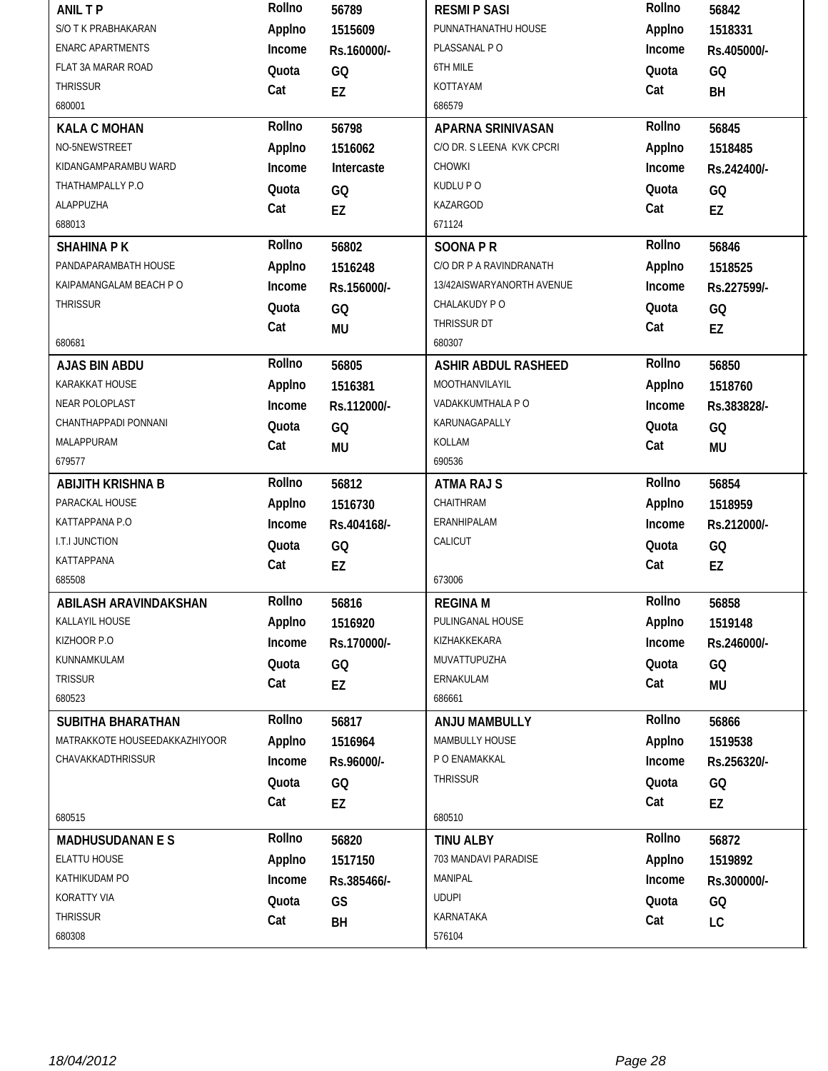| <b>ANIL TP</b>                | Rollno | 56789       | <b>RESMIP SASI</b>         | Rollno | 56842       |
|-------------------------------|--------|-------------|----------------------------|--------|-------------|
| S/O T K PRABHAKARAN           | Applno | 1515609     | PUNNATHANATHU HOUSE        | Applno | 1518331     |
| <b>ENARC APARTMENTS</b>       | Income | Rs.160000/- | PLASSANAL PO               | Income | Rs.405000/- |
| FLAT 3A MARAR ROAD            | Quota  | GQ          | 6TH MILE                   | Quota  | GQ          |
| THRISSUR                      | Cat    | EZ          | KOTTAYAM                   | Cat    | BH          |
| 680001                        |        |             | 686579                     |        |             |
| <b>KALA C MOHAN</b>           | Rollno | 56798       | APARNA SRINIVASAN          | Rollno | 56845       |
| NO-5NEWSTREET                 | Applno | 1516062     | C/O DR. S LEENA KVK CPCRI  | Applno | 1518485     |
| KIDANGAMPARAMBU WARD          | Income | Intercaste  | <b>CHOWKI</b>              | Income | Rs.242400/- |
| THATHAMPALLY P.O              | Quota  | GQ          | KUDLU P O                  | Quota  | GQ          |
| ALAPPUZHA                     | Cat    | <b>EZ</b>   | KAZARGOD                   | Cat    | EZ          |
| 688013                        |        |             | 671124                     |        |             |
| <b>SHAHINA PK</b>             | Rollno | 56802       | <b>SOONAPR</b>             | Rollno | 56846       |
| PANDAPARAMBATH HOUSE          | Applno | 1516248     | C/O DR P A RAVINDRANATH    | Applno | 1518525     |
| KAIPAMANGALAM BEACH PO        | Income | Rs.156000/- | 13/42AISWARYANORTH AVENUE  | Income | Rs.227599/- |
| <b>THRISSUR</b>               | Quota  | GQ          | CHALAKUDY PO               | Quota  | GQ          |
|                               | Cat    | <b>MU</b>   | THRISSUR DT                | Cat    | EZ          |
| 680681                        |        |             | 680307                     |        |             |
| <b>AJAS BIN ABDU</b>          | Rollno | 56805       | <b>ASHIR ABDUL RASHEED</b> | Rollno | 56850       |
| KARAKKAT HOUSE                | Applno | 1516381     | MOOTHANVILAYIL             | Applno | 1518760     |
| NEAR POLOPLAST                | Income | Rs.112000/- | VADAKKUMTHALA P O          | Income | Rs.383828/- |
| CHANTHAPPADI PONNANI          | Quota  | GQ          | KARUNAGAPALLY              | Quota  | GQ          |
| MALAPPURAM                    | Cat    | <b>MU</b>   | KOLLAM                     | Cat    | MU          |
| 679577                        |        |             | 690536                     |        |             |
| <b>ABIJITH KRISHNA B</b>      | Rollno | 56812       | <b>ATMA RAJ S</b>          | Rollno | 56854       |
| PARACKAL HOUSE                | Applno | 1516730     | CHAITHRAM                  | Applno | 1518959     |
| KATTAPPANA P.O                | Income | Rs.404168/- | ERANHIPALAM                | Income | Rs.212000/- |
| I.T.I JUNCTION                | Quota  | GQ          | CALICUT                    | Quota  | GQ          |
| KATTAPPANA                    | Cat    | EZ          |                            | Cat    | EZ          |
| 685508                        |        |             | 673006                     |        |             |
| ABILASH ARAVINDAKSHAN         | Rollno | 56816       | <b>REGINA M</b>            | Rollno | 56858       |
| KALLAYIL HOUSE                | Applno | 1516920     | PULINGANAL HOUSE           | Applno | 1519148     |
| KIZHOOR P.O                   | Income | Rs.170000/- | KIZHAKKEKARA               | Income | Rs.246000/- |
| KUNNAMKULAM                   | Quota  | GQ          | MUVATTUPUZHA               | Quota  | GQ          |
| <b>TRISSUR</b>                | Cat    | EZ          | ERNAKULAM                  | Cat    | MU          |
| 680523                        |        |             | 686661                     |        |             |
| <b>SUBITHA BHARATHAN</b>      | Rollno | 56817       | ANJU MAMBULLY              | Rollno | 56866       |
| MATRAKKOTE HOUSEEDAKKAZHIYOOR | Applno | 1516964     | MAMBULLY HOUSE             | Applno | 1519538     |
| CHAVAKKADTHRISSUR             | Income | Rs.96000/-  | P O ENAMAKKAL              | Income | Rs.256320/- |
|                               | Quota  | GQ          | <b>THRISSUR</b>            | Quota  | GQ          |
|                               | Cat    | EZ          |                            | Cat    | EZ          |
| 680515                        |        |             | 680510                     |        |             |
| <b>MADHUSUDANAN E S</b>       | Rollno | 56820       | <b>TINU ALBY</b>           | Rollno | 56872       |
| ELATTU HOUSE                  | Applno | 1517150     | 703 MANDAVI PARADISE       | Applno | 1519892     |
| KATHIKUDAM PO                 | Income | Rs.385466/- | MANIPAL                    | Income | Rs.300000/- |
|                               |        |             |                            |        |             |
| KORATTY VIA                   | Quota  | GS          | <b>UDUPI</b>               | Quota  | GQ          |
| <b>THRISSUR</b>               | Cat    | BH          | KARNATAKA                  | Cat    | LC          |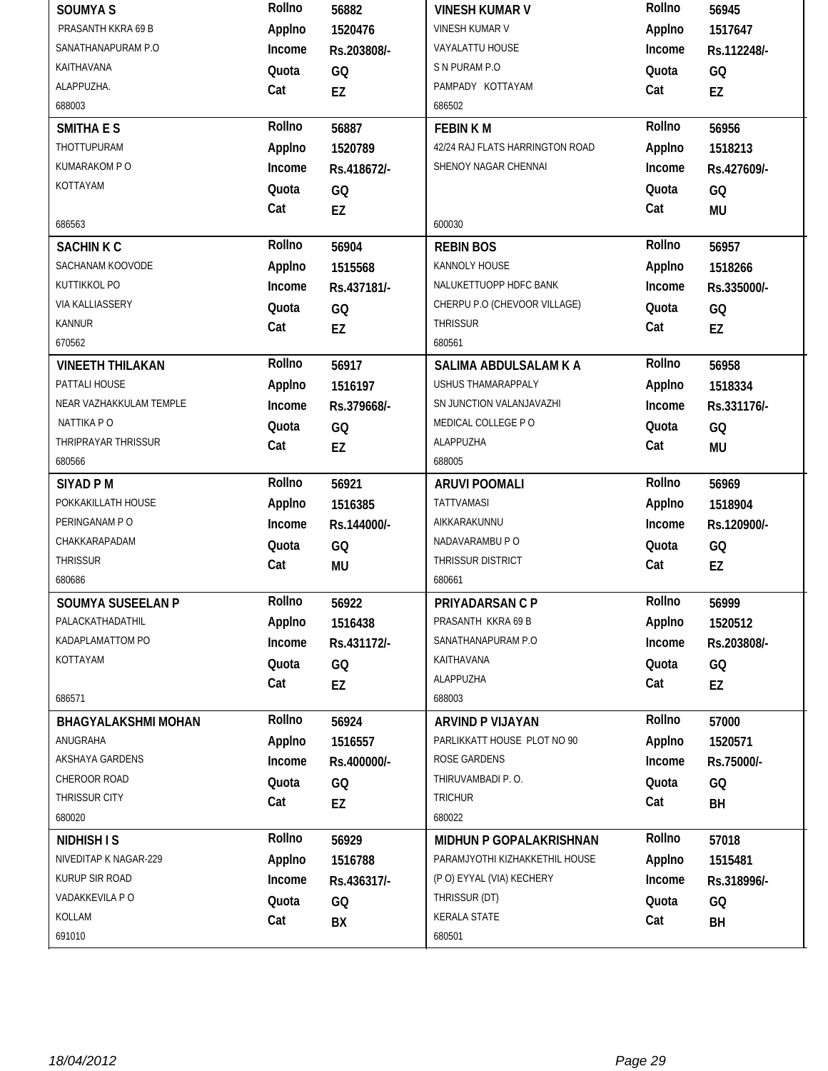| <b>SOUMYAS</b>             | Rollno | 56882       | <b>VINESH KUMAR V</b>           | Rollno | 56945       |
|----------------------------|--------|-------------|---------------------------------|--------|-------------|
| PRASANTH KKRA 69 B         | Applno | 1520476     | <b>VINESH KUMAR V</b>           | Applno | 1517647     |
| SANATHANAPURAM P.O         | Income | Rs.203808/- | VAYALATTU HOUSE                 | Income | Rs.112248/- |
| KAITHAVANA                 | Quota  | GQ          | S N PURAM P.O                   | Quota  | GQ          |
| ALAPPUZHA.                 | Cat    | EZ          | PAMPADY KOTTAYAM                | Cat    | EZ          |
| 688003                     |        |             | 686502                          |        |             |
| <b>SMITHA E S</b>          | Rollno | 56887       | <b>FEBINKM</b>                  | Rollno | 56956       |
| THOTTUPURAM                | Applno | 1520789     | 42/24 RAJ FLATS HARRINGTON ROAD | Applno | 1518213     |
| KUMARAKOM P O              | Income | Rs.418672/- | SHENOY NAGAR CHENNAI            | Income | Rs.427609/- |
| KOTTAYAM                   | Quota  | GQ          |                                 | Quota  | GQ          |
|                            | Cat    | <b>EZ</b>   |                                 | Cat    | <b>MU</b>   |
| 686563                     |        |             | 600030                          |        |             |
| <b>SACHINK C</b>           | Rollno | 56904       | <b>REBIN BOS</b>                | Rollno | 56957       |
| SACHANAM KOOVODE           | Applno | 1515568     | KANNOLY HOUSE                   | Applno | 1518266     |
| KUTTIKKOL PO               | Income | Rs.437181/- | NALUKETTUOPP HDFC BANK          | Income | Rs.335000/- |
| VIA KALLIASSERY            | Quota  | GQ          | CHERPU P.O (CHEVOOR VILLAGE)    | Quota  | GQ          |
| <b>KANNUR</b>              | Cat    | EZ          | <b>THRISSUR</b>                 | Cat    | EZ          |
| 670562                     |        |             | 680561                          |        |             |
| <b>VINEETH THILAKAN</b>    | Rollno | 56917       | SALIMA ABDULSALAM K A           | Rollno | 56958       |
| PATTALI HOUSE              | Applno | 1516197     | <b>USHUS THAMARAPPALY</b>       | Applno | 1518334     |
| NEAR VAZHAKKULAM TEMPLE    | Income | Rs.379668/- | SN JUNCTION VALANJAVAZHI        | Income | Rs.331176/- |
| NATTIKA PO                 | Quota  | GQ          | MEDICAL COLLEGE PO              | Quota  | GQ          |
| THRIPRAYAR THRISSUR        | Cat    | <b>EZ</b>   | ALAPPUZHA                       | Cat    | <b>MU</b>   |
| 680566                     |        |             | 688005                          |        |             |
| <b>SIYAD PM</b>            | Rollno | 56921       | <b>ARUVI POOMALI</b>            | Rollno | 56969       |
|                            |        |             |                                 |        |             |
| POKKAKILLATH HOUSE         | Applno | 1516385     | <b>TATTVAMASI</b>               | Applno | 1518904     |
| PERINGANAM PO              | Income | Rs.144000/- | AIKKARAKUNNU                    | Income | Rs.120900/- |
| CHAKKARAPADAM              | Quota  | GQ          | NADAVARAMBU P O                 | Quota  | GQ          |
| <b>THRISSUR</b>            | Cat    | <b>MU</b>   | THRISSUR DISTRICT               | Cat    | EZ          |
| 680686                     |        |             | 680661                          |        |             |
| SOUMYA SUSEELAN P          | Rollno | 56922       | PRIYADARSAN C P                 | Rollno | 56999       |
| PALACKATHADATHIL           | Applno | 1516438     | PRASANTH KKRA 69 B              | Applno | 1520512     |
| KADAPLAMATTOM PO           | Income | Rs.431172/- | SANATHANAPURAM P.O              | Income | Rs.203808/- |
| KOTTAYAM                   | Quota  | GQ          | KAITHAVANA                      | Quota  | GQ          |
|                            | Cat    | EZ          | ALAPPUZHA                       | Cat    | EZ          |
| 686571                     |        |             | 688003                          |        |             |
| <b>BHAGYALAKSHMI MOHAN</b> | Rollno | 56924       | ARVIND P VIJAYAN                | Rollno | 57000       |
| ANUGRAHA                   | Applno | 1516557     | PARLIKKATT HOUSE PLOT NO 90     | Applno | 1520571     |
| AKSHAYA GARDENS            | Income | Rs.400000/- | ROSE GARDENS                    | Income | Rs.75000/-  |
| CHEROOR ROAD               | Quota  | GQ          | THIRUVAMBADI P.O.               | Quota  | GQ          |
| THRISSUR CITY              | Cat    | EZ          | <b>TRICHUR</b>                  | Cat    | BH          |
| 680020                     |        |             | 680022                          |        |             |
| NIDHISH I S                | Rollno | 56929       | <b>MIDHUN P GOPALAKRISHNAN</b>  | Rollno | 57018       |
| NIVEDITAP K NAGAR-229      | Applno | 1516788     | PARAMJYOTHI KIZHAKKETHIL HOUSE  | Applno | 1515481     |
| KURUP SIR ROAD             | Income | Rs.436317/- | (PO) EYYAL (VIA) KECHERY        | Income | Rs.318996/- |
| VADAKKEVILA P O            | Quota  | GQ          | THRISSUR (DT)                   | Quota  | GQ          |
| KOLLAM                     | Cat    | BX          | <b>KERALA STATE</b>             | Cat    | BH          |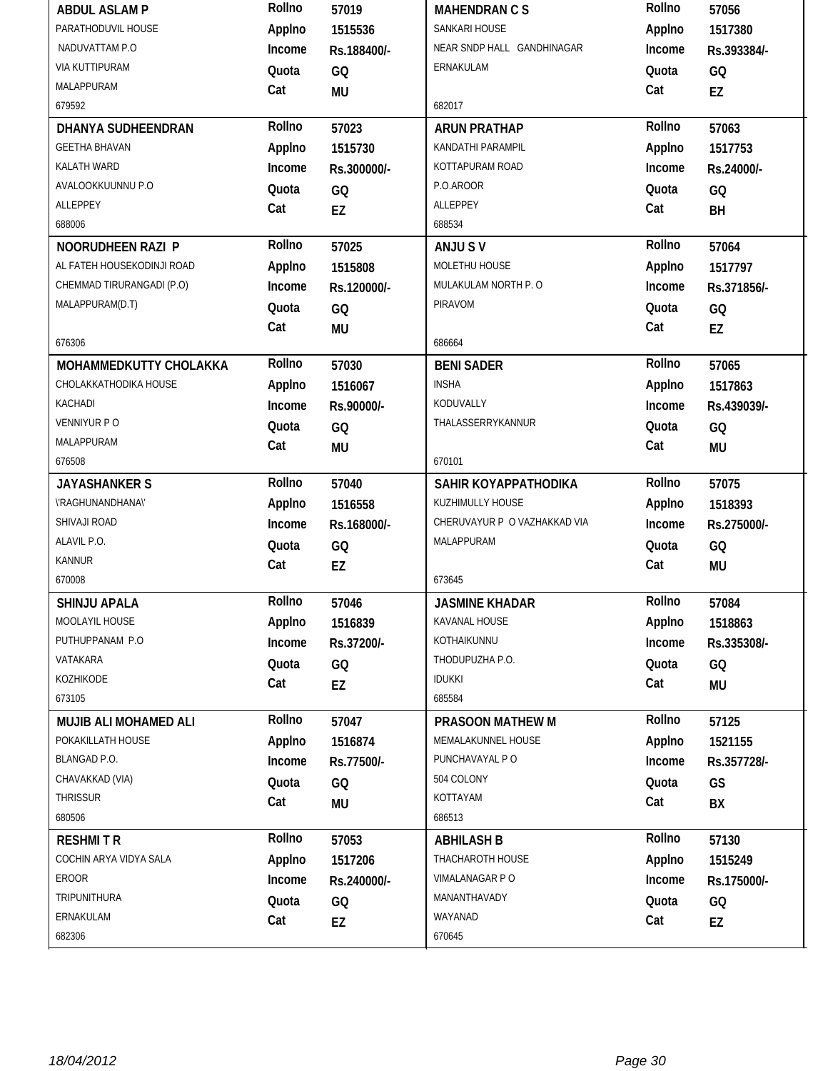| <b>ABDUL ASLAMP</b>        | Rollno | 57019       | <b>MAHENDRAN C S</b>         | Rollno | 57056       |
|----------------------------|--------|-------------|------------------------------|--------|-------------|
| PARATHODUVIL HOUSE         | Applno | 1515536     | SANKARI HOUSE                | Applno | 1517380     |
| NADUVATTAM P.O             | Income | Rs.188400/- | NEAR SNDP HALL GANDHINAGAR   | Income | Rs.393384/- |
| VIA KUTTIPURAM             | Quota  | GQ          | ERNAKULAM                    | Quota  | GQ          |
| MALAPPURAM                 | Cat    | MU          |                              | Cat    | EZ          |
| 679592                     |        |             | 682017                       |        |             |
| DHANYA SUDHEENDRAN         | Rollno | 57023       | <b>ARUN PRATHAP</b>          | Rollno | 57063       |
| <b>GEETHA BHAVAN</b>       | Applno | 1515730     | KANDATHI PARAMPIL            | Applno | 1517753     |
| KALATH WARD                | Income | Rs.300000/- | KOTTAPURAM ROAD              | Income | Rs.24000/-  |
| AVALOOKKUUNNU P.O          | Quota  | GQ          | P.O.AROOR                    | Quota  | GQ          |
| ALLEPPEY                   | Cat    | <b>EZ</b>   | ALLEPPEY                     | Cat    | BH          |
| 688006                     |        |             | 688534                       |        |             |
| NOORUDHEEN RAZI P          | Rollno | 57025       | ANJU SV                      | Rollno | 57064       |
| AL FATEH HOUSEKODINJI ROAD | Applno | 1515808     | MOLETHU HOUSE                | Applno | 1517797     |
| CHEMMAD TIRURANGADI (P.O)  | Income | Rs.120000/- | MULAKULAM NORTH P. O         | Income | Rs.371856/- |
| MALAPPURAM(D.T)            | Quota  | GQ          | PIRAVOM                      | Quota  | GQ          |
|                            | Cat    | MU          |                              | Cat    | EZ          |
| 676306                     |        |             | 686664                       |        |             |
| MOHAMMEDKUTTY CHOLAKKA     | Rollno | 57030       | <b>BENI SADER</b>            | Rollno | 57065       |
| CHOLAKKATHODIKA HOUSE      | Applno | 1516067     | <b>INSHA</b>                 | Applno | 1517863     |
| KACHADI                    | Income | Rs.90000/-  | KODUVALLY                    | Income | Rs.439039/- |
| VENNIYUR P O               | Quota  | GQ          | THALASSERRYKANNUR            | Quota  | GQ          |
| MALAPPURAM                 | Cat    | <b>MU</b>   |                              | Cat    | <b>MU</b>   |
| 676508                     |        |             | 670101                       |        |             |
| <b>JAYASHANKER S</b>       | Rollno | 57040       | SAHIR KOYAPPATHODIKA         | Rollno | 57075       |
| \'RAGHUNANDHANA\'          | Applno | 1516558     | KUZHIMULLY HOUSE             | Applno | 1518393     |
| SHIVAJI ROAD               | Income | Rs.168000/- | CHERUVAYUR P O VAZHAKKAD VIA | Income | Rs.275000/- |
| ALAVIL P.O.                | Quota  | GQ          | MALAPPURAM                   | Quota  | GQ          |
| <b>KANNUR</b>              | Cat    | EZ          |                              |        |             |
|                            |        |             |                              | Cat    | <b>MU</b>   |
| 670008                     |        |             | 673645                       |        |             |
| <b>SHINJU APALA</b>        | Rollno | 57046       | <b>JASMINE KHADAR</b>        | Rollno | 57084       |
| MOOLAYIL HOUSE             | Applno | 1516839     | KAVANAL HOUSE                | Applno | 1518863     |
| PUTHUPPANAM P.O            | Income | Rs.37200/-  | KOTHAIKUNNU                  | Income | Rs.335308/- |
| VATAKARA                   | Quota  | GQ          | THODUPUZHA P.O.              | Quota  | GQ          |
| KOZHIKODE                  | Cat    | EZ          | <b>IDUKKI</b>                | Cat    | <b>MU</b>   |
| 673105                     |        |             | 685584                       |        |             |
| MUJIB ALI MOHAMED ALI      | Rollno | 57047       | PRASOON MATHEW M             | Rollno | 57125       |
| POKAKILLATH HOUSE          | Applno | 1516874     | MEMALAKUNNEL HOUSE           | Applno | 1521155     |
| BLANGAD P.O.               | Income | Rs.77500/-  | PUNCHAVAYAL PO               | Income | Rs.357728/- |
| CHAVAKKAD (VIA)            | Quota  | GQ          | 504 COLONY                   | Quota  | GS          |
| THRISSUR                   | Cat    | MU          | KOTTAYAM                     | Cat    | BХ          |
| 680506                     |        |             | 686513                       |        |             |
| <b>RESHMITR</b>            | Rollno | 57053       | <b>ABHILASH B</b>            | Rollno | 57130       |
| COCHIN ARYA VIDYA SALA     | Applno | 1517206     | THACHAROTH HOUSE             | Applno | 1515249     |
| EROOR                      | Income | Rs.240000/- | VIMALANAGAR P O              | Income | Rs.175000/- |
| TRIPUNITHURA               | Quota  | GQ          | MANANTHAVADY                 | Quota  | GQ          |
| ERNAKULAM                  | Cat    | EZ          | WAYANAD                      | Cat    | EZ          |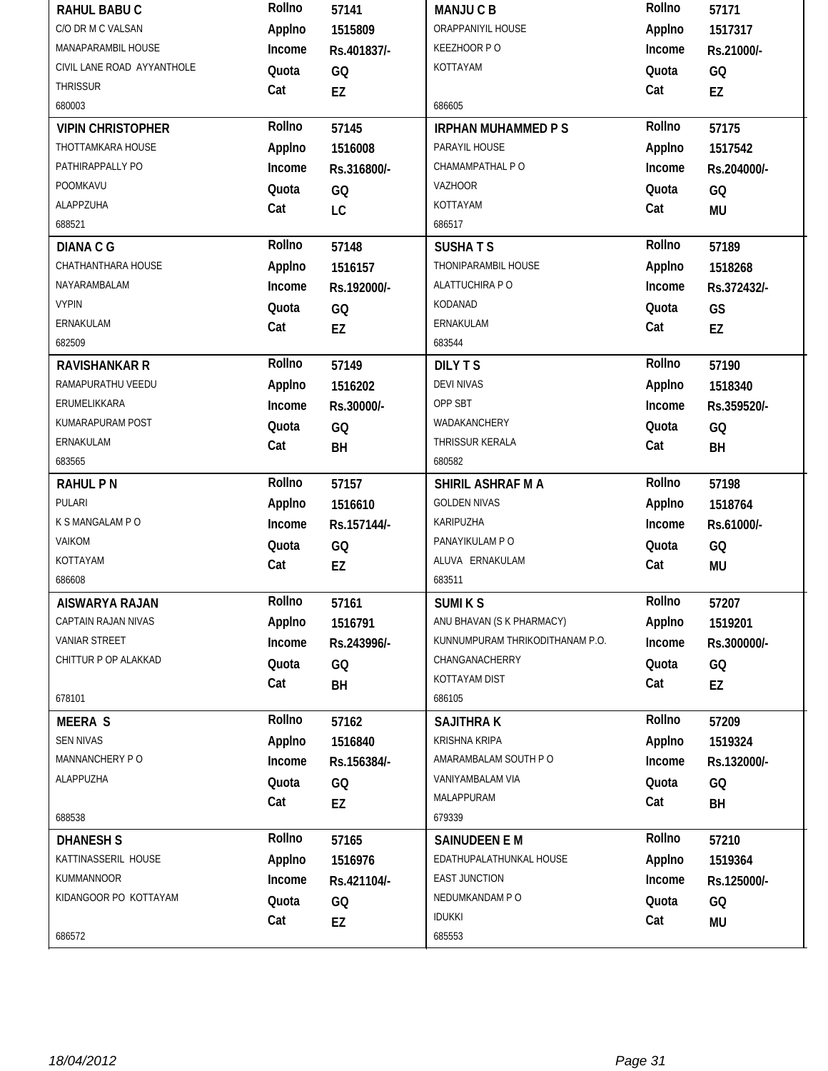| RAHUL BABU C               | Rollno | 57141       | <b>MANJUCB</b>                  | Rollno | 57171           |
|----------------------------|--------|-------------|---------------------------------|--------|-----------------|
| C/O DR M C VALSAN          | Applno | 1515809     | ORAPPANIYIL HOUSE               | Applno | 1517317         |
| MANAPARAMBIL HOUSE         | Income | Rs.401837/- | KEEZHOOR PO                     | Income | Rs.21000/-      |
| CIVIL LANE ROAD AYYANTHOLE | Quota  | GQ          | KOTTAYAM                        | Quota  | GQ              |
| <b>THRISSUR</b>            | Cat    | EZ          |                                 | Cat    | EZ              |
| 680003                     |        |             | 686605                          |        |                 |
| <b>VIPIN CHRISTOPHER</b>   | Rollno | 57145       | <b>IRPHAN MUHAMMED P S</b>      | Rollno | 57175           |
| THOTTAMKARA HOUSE          | Applno | 1516008     | PARAYIL HOUSE                   | Applno | 1517542         |
| PATHIRAPPALLY PO           | Income | Rs.316800/- | CHAMAMPATHAL P O                | Income | Rs.204000/-     |
| POOMKAVU                   | Quota  | GQ          | <b>VAZHOOR</b>                  | Quota  | GQ              |
| ALAPPZUHA                  | Cat    | LC          | KOTTAYAM                        | Cat    | <b>MU</b>       |
| 688521                     |        |             | 686517                          |        |                 |
| <b>DIANA C G</b>           | Rollno | 57148       | <b>SUSHATS</b>                  | Rollno | 57189           |
| CHATHANTHARA HOUSE         | Applno | 1516157     | THONIPARAMBIL HOUSE             | Applno | 1518268         |
| NAYARAMBALAM               | Income | Rs.192000/- | ALATTUCHIRA PO                  | Income | Rs.372432/-     |
| <b>VYPIN</b>               | Quota  | GQ          | KODANAD                         | Quota  | GS              |
| ERNAKULAM                  | Cat    | EZ          | ERNAKULAM                       | Cat    | EZ              |
| 682509                     |        |             | 683544                          |        |                 |
| <b>RAVISHANKAR R</b>       | Rollno | 57149       | <b>DILYTS</b>                   | Rollno | 57190           |
| RAMAPURATHU VEEDU          | Applno | 1516202     | <b>DEVI NIVAS</b>               | Applno | 1518340         |
| ERUMELIKKARA               | Income | Rs.30000/-  | OPP SBT                         | Income | Rs.359520/-     |
| KUMARAPURAM POST           | Quota  | GQ          | WADAKANCHERY                    | Quota  | GQ              |
| ERNAKULAM                  | Cat    | BH          | THRISSUR KERALA                 | Cat    | BH              |
| 683565                     |        |             | 680582                          |        |                 |
|                            |        |             |                                 |        |                 |
| <b>RAHUL PN</b>            | Rollno | 57157       | SHIRIL ASHRAF M A               | Rollno | 57198           |
| PULARI                     | Applno | 1516610     | <b>GOLDEN NIVAS</b>             | Applno | 1518764         |
| K S MANGALAM P O           | Income | Rs.157144/- | KARIPUZHA                       | Income | Rs.61000/-      |
| VAIKOM                     | Quota  | GQ          | PANAYIKULAM P O                 | Quota  | GQ              |
| KOTTAYAM                   | Cat    | EZ          | ALUVA ERNAKULAM                 | Cat    | <b>MU</b>       |
| 686608                     |        |             | 683511                          |        |                 |
| AISWARYA RAJAN             | Rollno | 57161       | <b>SUMIKS</b>                   | Rollno | 57207           |
| CAPTAIN RAJAN NIVAS        | Applno | 1516791     | ANU BHAVAN (S K PHARMACY)       | Applno | 1519201         |
| VANIAR STREET              | Income | Rs.243996/- | KUNNUMPURAM THRIKODITHANAM P.O. | Income | Rs.300000/-     |
| CHITTUR P OP ALAKKAD       | Quota  | GQ          | CHANGANACHERRY                  | Quota  | GQ              |
|                            | Cat    |             | KOTTAYAM DIST                   | Cat    |                 |
| 678101                     |        | BH          | 686105                          |        | EZ              |
| <b>MEERA S</b>             | Rollno | 57162       | <b>SAJITHRAK</b>                | Rollno | 57209           |
| <b>SEN NIVAS</b>           | Applno | 1516840     | <b>KRISHNA KRIPA</b>            | Applno | 1519324         |
| MANNANCHERY PO             | Income | Rs.156384/- | AMARAMBALAM SOUTH PO            | Income | Rs.132000/-     |
| ALAPPUZHA                  | Quota  |             | VANIYAMBALAM VIA                | Quota  |                 |
|                            | Cat    | GQ          | MALAPPURAM                      | Cat    | GQ              |
| 688538                     |        | EZ          | 679339                          |        | BH              |
| <b>DHANESH S</b>           | Rollno | 57165       | <b>SAINUDEEN E M</b>            | Rollno | 57210           |
| KATTINASSERIL HOUSE        | Applno | 1516976     | EDATHUPALATHUNKAL HOUSE         | Applno | 1519364         |
| KUMMANNOOR                 | Income | Rs.421104/- | <b>EAST JUNCTION</b>            | Income | Rs.125000/-     |
| KIDANGOOR PO KOTTAYAM      | Quota  |             | NEDUMKANDAM PO                  | Quota  |                 |
|                            | Cat    | GQ<br>EZ    | <b>IDUKKI</b>                   | Cat    | GQ<br><b>MU</b> |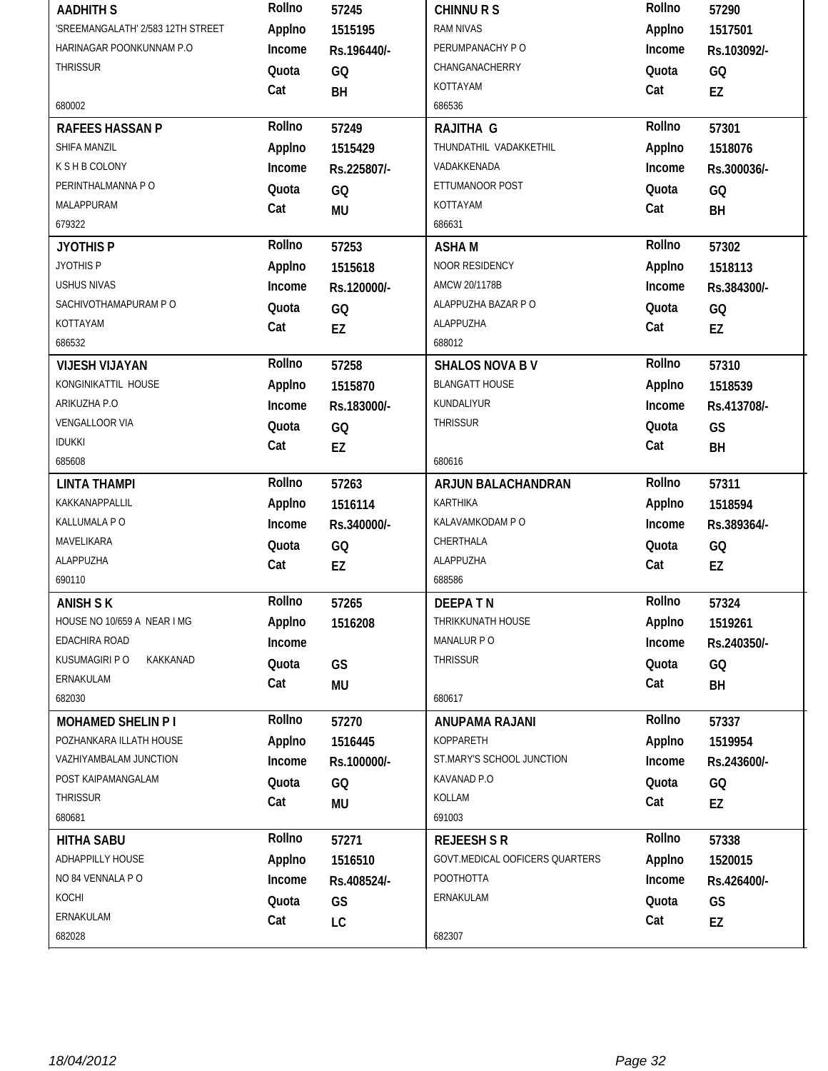| <b>AADHITH S</b>                  | Rollno | 57245       | <b>CHINNURS</b>                | Rollno | 57290       |
|-----------------------------------|--------|-------------|--------------------------------|--------|-------------|
| 'SREEMANGALATH' 2/583 12TH STREET | Applno | 1515195     | <b>RAM NIVAS</b>               | Applno | 1517501     |
| HARINAGAR POONKUNNAM P.O          | Income | Rs.196440/- | PERUMPANACHY PO                | Income | Rs.103092/- |
| THRISSUR                          | Quota  | GQ          | CHANGANACHERRY                 | Quota  | GQ          |
|                                   | Cat    | BH          | KOTTAYAM                       | Cat    | EZ          |
| 680002                            |        |             | 686536                         |        |             |
| <b>RAFEES HASSAN P</b>            | Rollno | 57249       | RAJITHA G                      | Rollno | 57301       |
| SHIFA MANZIL                      | Applno | 1515429     | THUNDATHIL VADAKKETHIL         | Applno | 1518076     |
| <b>K S H B COLONY</b>             | Income | Rs.225807/- | VADAKKENADA                    | Income | Rs.300036/- |
| PERINTHALMANNA PO                 | Quota  | GQ          | ETTUMANOOR POST                | Quota  | GQ          |
| MALAPPURAM                        | Cat    | <b>MU</b>   | KOTTAYAM                       | Cat    | BH          |
| 679322                            |        |             | 686631                         |        |             |
| <b>JYOTHIS P</b>                  | Rollno | 57253       | <b>ASHAM</b>                   | Rollno | 57302       |
| JYOTHIS P                         | Applno | 1515618     | NOOR RESIDENCY                 | Applno | 1518113     |
| <b>USHUS NIVAS</b>                | Income | Rs.120000/- | AMCW 20/1178B                  | Income | Rs.384300/- |
| SACHIVOTHAMAPURAM PO              | Quota  | GQ          | ALAPPUZHA BAZAR P O            | Quota  | GQ          |
| KOTTAYAM                          | Cat    | EZ          | ALAPPUZHA                      | Cat    | EZ          |
| 686532                            |        |             | 688012                         |        |             |
| <b>VIJESH VIJAYAN</b>             | Rollno | 57258       | <b>SHALOS NOVA BV</b>          | Rollno | 57310       |
| KONGINIKATTIL HOUSE               | Applno | 1515870     | <b>BLANGATT HOUSE</b>          | Applno | 1518539     |
| ARIKUZHA P.O                      | Income | Rs.183000/- | KUNDALIYUR                     | Income | Rs.413708/- |
| VENGALLOOR VIA                    | Quota  | GQ          | <b>THRISSUR</b>                | Quota  | GS          |
| <b>IDUKKI</b>                     | Cat    | EZ          |                                | Cat    | BH          |
| 685608                            |        |             | 680616                         |        |             |
|                                   | Rollno |             |                                | Rollno |             |
| <b>LINTA THAMPI</b>               |        | 57263       | ARJUN BALACHANDRAN             |        | 57311       |
| KAKKANAPPALLIL                    | Applno | 1516114     | <b>KARTHIKA</b>                | Applno | 1518594     |
| KALLUMALA P O                     | Income | Rs.340000/- | KALAVAMKODAM P O               | Income | Rs.389364/- |
| MAVELIKARA                        | Quota  | GQ          | CHERTHALA                      | Quota  | GQ          |
| ALAPPUZHA                         | Cat    | EZ          | ALAPPUZHA                      | Cat    | EZ          |
| 690110                            |        |             | 688586                         |        |             |
| <b>ANISH S K</b>                  | Rollno | 57265       | <b>DEEPATN</b>                 | Rollno | 57324       |
| HOUSE NO 10/659 A NEAR I MG       | Applno | 1516208     | THRIKKUNATH HOUSE              | Applno | 1519261     |
| EDACHIRA ROAD                     | Income |             | MANALUR P O                    | Income | Rs.240350/- |
| KUSUMAGIRI P O<br>KAKKANAD        | Quota  | GS          | <b>THRISSUR</b>                | Quota  | GQ          |
| ERNAKULAM                         | Cat    | <b>MU</b>   |                                | Cat    | BH          |
| 682030                            |        |             | 680617                         |        |             |
| <b>MOHAMED SHELIN P1</b>          | Rollno | 57270       | ANUPAMA RAJANI                 | Rollno | 57337       |
| POZHANKARA ILLATH HOUSE           | Applno | 1516445     | KOPPARETH                      | Applno | 1519954     |
| VAZHIYAMBALAM JUNCTION            | Income | Rs.100000/- | ST.MARY'S SCHOOL JUNCTION      | Income | Rs.243600/- |
| POST KAIPAMANGALAM                | Quota  | GQ          | KAVANAD P.O                    | Quota  | GQ          |
| <b>THRISSUR</b>                   | Cat    | MU          | KOLLAM                         | Cat    | EZ          |
| 680681                            |        |             | 691003                         |        |             |
| <b>HITHA SABU</b>                 | Rollno | 57271       | <b>REJEESH S R</b>             | Rollno | 57338       |
| ADHAPPILLY HOUSE                  | Applno | 1516510     | GOVT.MEDICAL OOFICERS QUARTERS | Applno | 1520015     |
| NO 84 VENNALA PO                  | Income | Rs.408524/- | POOTHOTTA                      | Income | Rs.426400/- |
| KOCHI                             | Quota  | GS          | ERNAKULAM                      | Quota  | GS          |
| ERNAKULAM                         | Cat    | LC          |                                | Cat    | EZ          |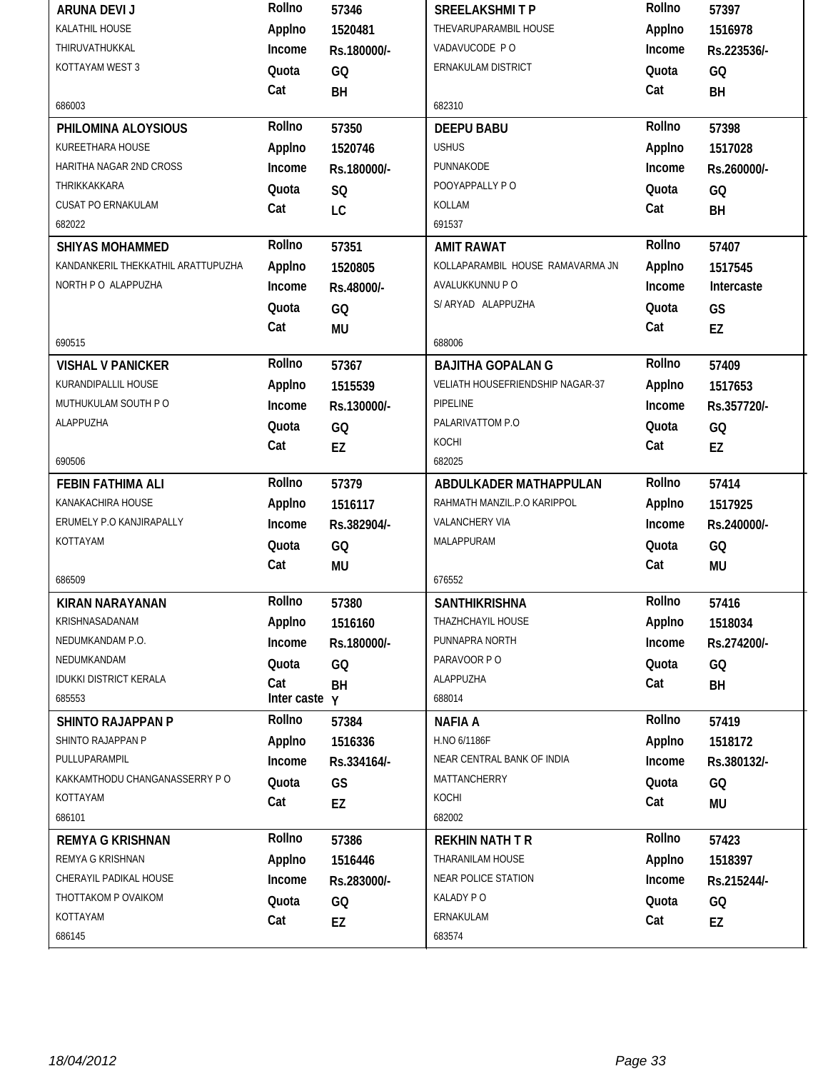| <b>ARUNA DEVI J</b>                | Rollno        | 57346       | <b>SREELAKSHMITP</b>             | Rollno | 57397       |
|------------------------------------|---------------|-------------|----------------------------------|--------|-------------|
| KALATHIL HOUSE                     | Applno        | 1520481     | THEVARUPARAMBIL HOUSE            | Applno | 1516978     |
| THIRUVATHUKKAL                     | Income        | Rs.180000/- | VADAVUCODE PO                    | Income | Rs.223536/- |
| KOTTAYAM WEST 3                    | Quota         | GQ          | ERNAKULAM DISTRICT               | Quota  | GQ          |
|                                    | Cat           | BH          |                                  | Cat    | BH          |
| 686003                             |               |             | 682310                           |        |             |
| PHILOMINA ALOYSIOUS                | Rollno        | 57350       | <b>DEEPU BABU</b>                | Rollno | 57398       |
| KUREETHARA HOUSE                   | Applno        | 1520746     | <b>USHUS</b>                     | Applno | 1517028     |
| HARITHA NAGAR 2ND CROSS            | Income        | Rs.180000/- | PUNNAKODE                        | Income | Rs.260000/- |
| THRIKKAKKARA                       | Quota         | SQ          | POOYAPPALLY PO                   | Quota  | GQ          |
| CUSAT PO ERNAKULAM                 | Cat           | LC          | KOLLAM                           | Cat    | BH          |
| 682022                             |               |             | 691537                           |        |             |
| <b>SHIYAS MOHAMMED</b>             | Rollno        | 57351       | <b>AMIT RAWAT</b>                | Rollno | 57407       |
| KANDANKERIL THEKKATHIL ARATTUPUZHA | Applno        | 1520805     | KOLLAPARAMBIL HOUSE RAMAVARMA JN | Applno | 1517545     |
| NORTH P O ALAPPUZHA                | Income        | Rs.48000/-  | AVALUKKUNNU P O                  | Income | Intercaste  |
|                                    | Quota         | GQ          | S/ ARYAD ALAPPUZHA               | Quota  | GS          |
|                                    | Cat           | MU          |                                  | Cat    | EZ          |
| 690515                             |               |             | 688006                           |        |             |
| <b>VISHAL V PANICKER</b>           | Rollno        | 57367       | <b>BAJITHA GOPALAN G</b>         | Rollno | 57409       |
| KURANDIPALLIL HOUSE                | Applno        | 1515539     | VELIATH HOUSEFRIENDSHIP NAGAR-37 | Applno | 1517653     |
| MUTHUKULAM SOUTH PO                | Income        | Rs.130000/- | PIPELINE                         | Income | Rs.357720/- |
| ALAPPUZHA                          | Quota         | GQ          | PALARIVATTOM P.O                 | Quota  | GQ          |
|                                    | Cat           | EZ          | KOCHI                            | Cat    | EZ          |
| 690506                             |               |             | 682025                           |        |             |
| <b>FEBIN FATHIMA ALI</b>           | Rollno        | 57379       | ABDULKADER MATHAPPULAN           | Rollno | 57414       |
|                                    |               |             |                                  |        |             |
| KANAKACHIRA HOUSE                  | Applno        | 1516117     | RAHMATH MANZIL.P.O KARIPPOL      | Applno | 1517925     |
| ERUMELY P.O KANJIRAPALLY           | Income        | Rs.382904/- | VALANCHERY VIA                   | Income | Rs.240000/- |
| KOTTAYAM                           | Quota         | GQ          | MALAPPURAM                       | Quota  | GQ          |
|                                    | Cat           | <b>MU</b>   |                                  | Cat    | <b>MU</b>   |
| 686509                             |               |             | 676552                           |        |             |
| KIRAN NARAYANAN                    | Rollno        | 57380       | SANTHIKRISHNA                    | Rollno | 57416       |
| KRISHNASADANAM                     | Applno        | 1516160     | THAZHCHAYIL HOUSE                | Applno | 1518034     |
| NEDUMKANDAM P.O.                   | Income        | Rs.180000/- | PUNNAPRA NORTH                   | Income | Rs.274200/- |
| NEDUMKANDAM                        | Quota         | GQ          | PARAVOOR PO                      | Quota  | GQ          |
| <b>IDUKKI DISTRICT KERALA</b>      | Cat           | BH          | ALAPPUZHA                        | Cat    | BH          |
| 685553                             | Inter caste y |             | 688014                           |        |             |
| <b>SHINTO RAJAPPAN P</b>           | Rollno        | 57384       | <b>NAFIA A</b>                   | Rollno | 57419       |
| SHINTO RAJAPPAN P                  | Applno        | 1516336     | H.NO 6/1186F                     | Applno | 1518172     |
| PULLUPARAMPIL                      | Income        | Rs.334164/- | NEAR CENTRAL BANK OF INDIA       | Income | Rs.380132/- |
| KAKKAMTHODU CHANGANASSERRY P O     | Quota         | GS          | MATTANCHERRY                     | Quota  | GQ          |
| KOTTAYAM                           | Cat           | EZ          | KOCHI                            | Cat    | <b>MU</b>   |
| 686101                             |               |             | 682002                           |        |             |
| <b>REMYA G KRISHNAN</b>            | Rollno        | 57386       | <b>REKHIN NATH T R</b>           | Rollno | 57423       |
| REMYA G KRISHNAN                   | Applno        | 1516446     | THARANILAM HOUSE                 | Applno | 1518397     |
| CHERAYIL PADIKAL HOUSE             | Income        | Rs.283000/- | NEAR POLICE STATION              | Income | Rs.215244/- |
| THOTTAKOM P OVAIKOM                | Quota         | GQ          | KALADY PO                        | Quota  | GQ          |
| KOTTAYAM                           | Cat           | EZ          | ERNAKULAM                        | Cat    | EZ          |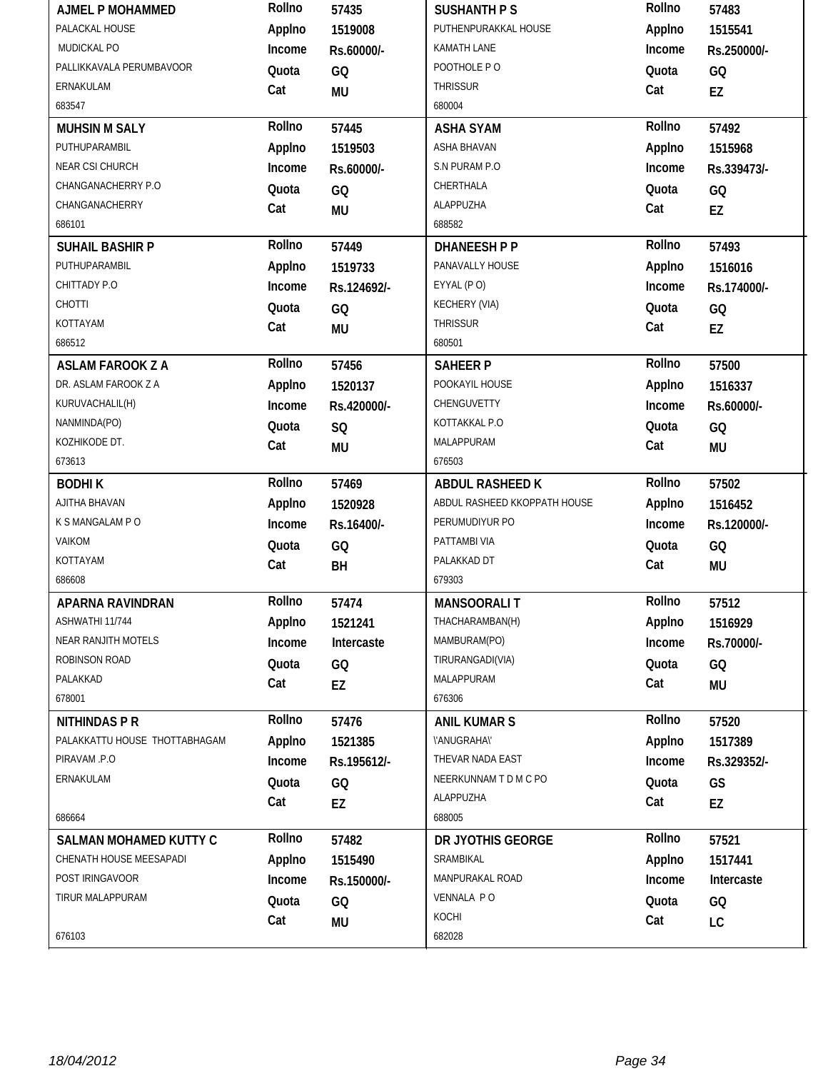| <b>AJMEL P MOHAMMED</b>       | Rollno | 57435       | <b>SUSHANTH P S</b>          | Rollno | 57483       |
|-------------------------------|--------|-------------|------------------------------|--------|-------------|
| PALACKAL HOUSE                | Applno | 1519008     | PUTHENPURAKKAL HOUSE         | Applno | 1515541     |
| MUDICKAL PO                   | Income | Rs.60000/-  | KAMATH LANE                  | Income | Rs.250000/- |
| PALLIKKAVALA PERUMBAVOOR      | Quota  | GQ          | POOTHOLE PO                  | Quota  | GQ          |
| ERNAKULAM                     | Cat    | <b>MU</b>   | <b>THRISSUR</b>              | Cat    | EZ          |
| 683547                        |        |             | 680004                       |        |             |
| <b>MUHSIN M SALY</b>          | Rollno | 57445       | <b>ASHA SYAM</b>             | Rollno | 57492       |
| PUTHUPARAMBIL                 | Applno | 1519503     | ASHA BHAVAN                  | Applno | 1515968     |
| NEAR CSI CHURCH               | Income | Rs.60000/-  | S.N PURAM P.O                | Income | Rs.339473/- |
| CHANGANACHERRY P.O            | Quota  | GQ          | CHERTHALA                    | Quota  | GQ          |
| CHANGANACHERRY                | Cat    | <b>MU</b>   | ALAPPUZHA                    | Cat    | EZ          |
| 686101                        |        |             | 688582                       |        |             |
| <b>SUHAIL BASHIR P</b>        | Rollno | 57449       | <b>DHANEESH P P</b>          | Rollno | 57493       |
| PUTHUPARAMBIL                 | Applno | 1519733     | PANAVALLY HOUSE              | Applno | 1516016     |
| CHITTADY P.O                  | Income | Rs.124692/- | EYYAL (PO)                   | Income | Rs.174000/- |
| CHOTTI                        | Quota  | GQ          | KECHERY (VIA)                | Quota  | GQ          |
| KOTTAYAM                      | Cat    | <b>MU</b>   | <b>THRISSUR</b>              | Cat    | EZ          |
| 686512                        |        |             | 680501                       |        |             |
| <b>ASLAM FAROOK Z A</b>       | Rollno | 57456       | <b>SAHEER P</b>              | Rollno | 57500       |
| DR. ASLAM FAROOK Z A          | Applno | 1520137     | POOKAYIL HOUSE               | Applno | 1516337     |
| KURUVACHALIL(H)               | Income | Rs.420000/- | CHENGUVETTY                  | Income | Rs.60000/-  |
| NANMINDA(PO)                  | Quota  | SQ          | KOTTAKKAL P.O                | Quota  | GQ          |
| KOZHIKODE DT.                 | Cat    | <b>MU</b>   | MALAPPURAM                   | Cat    | <b>MU</b>   |
| 673613                        |        |             | 676503                       |        |             |
| <b>BODHIK</b>                 | Rollno | 57469       | ABDUL RASHEED K              | Rollno | 57502       |
| AJITHA BHAVAN                 | Applno | 1520928     | ABDUL RASHEED KKOPPATH HOUSE | Applno | 1516452     |
| K S MANGALAM P O              | Income | Rs.16400/-  | PERUMUDIYUR PO               | Income | Rs.120000/- |
|                               |        |             |                              |        |             |
| VAIKOM                        | Quota  | GQ          | PATTAMBI VIA                 | Quota  | GQ          |
| KOTTAYAM                      | Cat    | BH          | PALAKKAD DT                  | Cat    | <b>MU</b>   |
| 686608                        |        |             | 679303                       |        |             |
| APARNA RAVINDRAN              | Rollno | 57474       | <b>MANSOORALIT</b>           | Rollno | 57512       |
| ASHWATHI 11/744               | Applno | 1521241     | THACHARAMBAN(H)              | Applno | 1516929     |
| <b>NEAR RANJITH MOTELS</b>    | Income | Intercaste  | MAMBURAM(PO)                 | Income | Rs.70000/-  |
| ROBINSON ROAD                 | Quota  | GQ          | TIRURANGADI(VIA)             | Quota  | GQ          |
| PALAKKAD                      | Cat    | EZ          | MALAPPURAM                   | Cat    | MU          |
| 678001                        |        |             | 676306                       |        |             |
| <b>NITHINDAS P R</b>          | Rollno | 57476       | <b>ANIL KUMAR S</b>          | Rollno | 57520       |
| PALAKKATTU HOUSE THOTTABHAGAM | Applno | 1521385     | <b><i>\'ANUGRAHA\'</i></b>   | Applno | 1517389     |
| PIRAVAM .P.O                  | Income | Rs.195612/- | THEVAR NADA EAST             | Income | Rs.329352/- |
| ERNAKULAM                     | Quota  | GQ          | NEERKUNNAM T D M C PO        | Quota  | GS          |
|                               | Cat    | EZ          | ALAPPUZHA                    | Cat    | EZ          |
| 686664                        |        |             | 688005                       |        |             |
| SALMAN MOHAMED KUTTY C        | Rollno | 57482       | DR JYOTHIS GEORGE            | Rollno | 57521       |
| CHENATH HOUSE MEESAPADI       | Applno | 1515490     | SRAMBIKAL                    | Applno | 1517441     |
| POST IRINGAVOOR               | Income | Rs.150000/- | MANPURAKAL ROAD              | Income | Intercaste  |
| TIRUR MALAPPURAM              | Quota  | GQ          | VENNALA PO                   | Quota  | GQ          |
| 676103                        | Cat    | MU          | KOCHI<br>682028              | Cat    | LC          |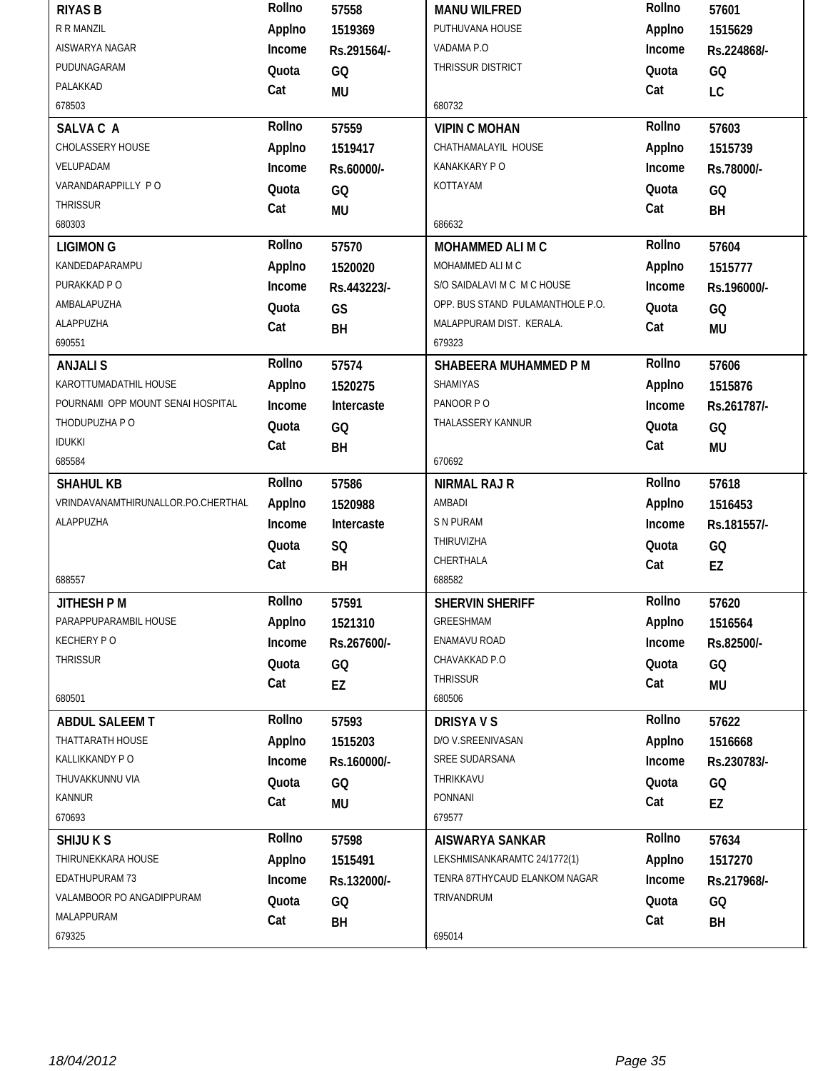| <b>RIYAS B</b>                     | Rollno       | 57558       | <b>MANU WILFRED</b>              | Rollno       | 57601       |
|------------------------------------|--------------|-------------|----------------------------------|--------------|-------------|
| R R MANZIL                         | Applno       | 1519369     | PUTHUVANA HOUSE                  | Applno       | 1515629     |
| AISWARYA NAGAR                     | Income       | Rs.291564/- | VADAMA P.O                       | Income       | Rs.224868/- |
| PUDUNAGARAM                        | Quota        | GQ          | THRISSUR DISTRICT                | Quota        | GQ          |
| PALAKKAD                           | Cat          | MU          |                                  | Cat          | LC          |
| 678503                             |              |             | 680732                           |              |             |
| SALVA C A                          | Rollno       | 57559       | <b>VIPIN C MOHAN</b>             | Rollno       | 57603       |
| CHOLASSERY HOUSE                   | Applno       | 1519417     | CHATHAMALAYIL HOUSE              | Applno       | 1515739     |
| VELUPADAM                          | Income       | Rs.60000/-  | KANAKKARY P O                    | Income       | Rs.78000/-  |
| VARANDARAPPILLY PO                 | Quota        | GQ          | KOTTAYAM                         | Quota        | GQ          |
| <b>THRISSUR</b>                    | Cat          | <b>MU</b>   |                                  | Cat          | BH          |
| 680303                             |              |             | 686632                           |              |             |
| <b>LIGIMON G</b>                   | Rollno       | 57570       | MOHAMMED ALI M C                 | Rollno       | 57604       |
| KANDEDAPARAMPU                     | Applno       | 1520020     | MOHAMMED ALI M C                 | Applno       | 1515777     |
| PURAKKAD P O                       | Income       | Rs.443223/- | S/O SAIDALAVI M C M C HOUSE      | Income       | Rs.196000/- |
| AMBALAPUZHA                        | Quota        | GS          | OPP. BUS STAND PULAMANTHOLE P.O. | Quota        | GQ          |
| ALAPPUZHA                          | Cat          | BH          | MALAPPURAM DIST. KERALA.         | Cat          | <b>MU</b>   |
| 690551                             |              |             | 679323                           |              |             |
| <b>ANJALIS</b>                     | Rollno       | 57574       | SHABEERA MUHAMMED P M            | Rollno       | 57606       |
| KAROTTUMADATHIL HOUSE              | Applno       | 1520275     | <b>SHAMIYAS</b>                  | Applno       | 1515876     |
| POURNAMI OPP MOUNT SENAI HOSPITAL  | Income       | Intercaste  | PANOOR PO                        | Income       | Rs.261787/- |
| THODUPUZHA P O                     | Quota        | GQ          | THALASSERY KANNUR                | Quota        | GQ          |
| <b>IDUKKI</b>                      | Cat          | BH          |                                  | Cat          | <b>MU</b>   |
| 685584                             |              |             | 670692                           |              |             |
|                                    |              |             |                                  |              |             |
| <b>SHAHUL KB</b>                   | Rollno       | 57586       | <b>NIRMAL RAJ R</b>              | Rollno       | 57618       |
| VRINDAVANAMTHIRUNALLOR.PO.CHERTHAL | Applno       | 1520988     | AMBADI                           | Applno       | 1516453     |
| ALAPPUZHA                          | Income       | Intercaste  | <b>S N PURAM</b>                 | Income       | Rs.181557/- |
|                                    | Quota        |             | THIRUVIZHA                       | Quota        |             |
|                                    | Cat          | SQ          | CHERTHALA                        | Cat          | GQ          |
| 688557                             |              | BH          | 688582                           |              | EZ          |
| JITHESH P M                        | Rollno       | 57591       | <b>SHERVIN SHERIFF</b>           | Rollno       | 57620       |
| PARAPPUPARAMBIL HOUSE              | Applno       | 1521310     | GREESHMAM                        | Applno       | 1516564     |
| <b>KECHERY PO</b>                  | Income       | Rs.267600/- | ENAMAVU ROAD                     | Income       | Rs.82500/-  |
| <b>THRISSUR</b>                    |              |             | CHAVAKKAD P.O                    |              |             |
|                                    | Quota        | GQ          | <b>THRISSUR</b>                  | Quota        | GQ          |
| 680501                             | Cat          | EZ          | 680506                           | Cat          | <b>MU</b>   |
| <b>ABDUL SALEEM T</b>              | Rollno       | 57593       | <b>DRISYAVS</b>                  | Rollno       | 57622       |
| THATTARATH HOUSE                   | Applno       | 1515203     | D/O V.SREENIVASAN                | Applno       | 1516668     |
| KALLIKKANDY PO                     | Income       | Rs.160000/- | SREE SUDARSANA                   | Income       | Rs.230783/- |
| THUVAKKUNNU VIA                    |              |             | THRIKKAVU                        |              |             |
| <b>KANNUR</b>                      | Quota        | GQ          | PONNANI                          | Quota        | GQ          |
| 670693                             | Cat          | MU          | 679577                           | Cat          | EZ          |
| SHIJU K S                          | Rollno       | 57598       | <b>AISWARYA SANKAR</b>           | Rollno       | 57634       |
| THIRUNEKKARA HOUSE                 | Applno       | 1515491     | LEKSHMISANKARAMTC 24/1772(1)     | Applno       | 1517270     |
| EDATHUPURAM 73                     | Income       | Rs.132000/- | TENRA 87THYCAUD ELANKOM NAGAR    | Income       | Rs.217968/- |
| VALAMBOOR PO ANGADIPPURAM          |              |             | TRIVANDRUM                       |              |             |
| MALAPPURAM                         | Quota<br>Cat | GQ<br>BH    |                                  | Quota<br>Cat | GQ<br>BH    |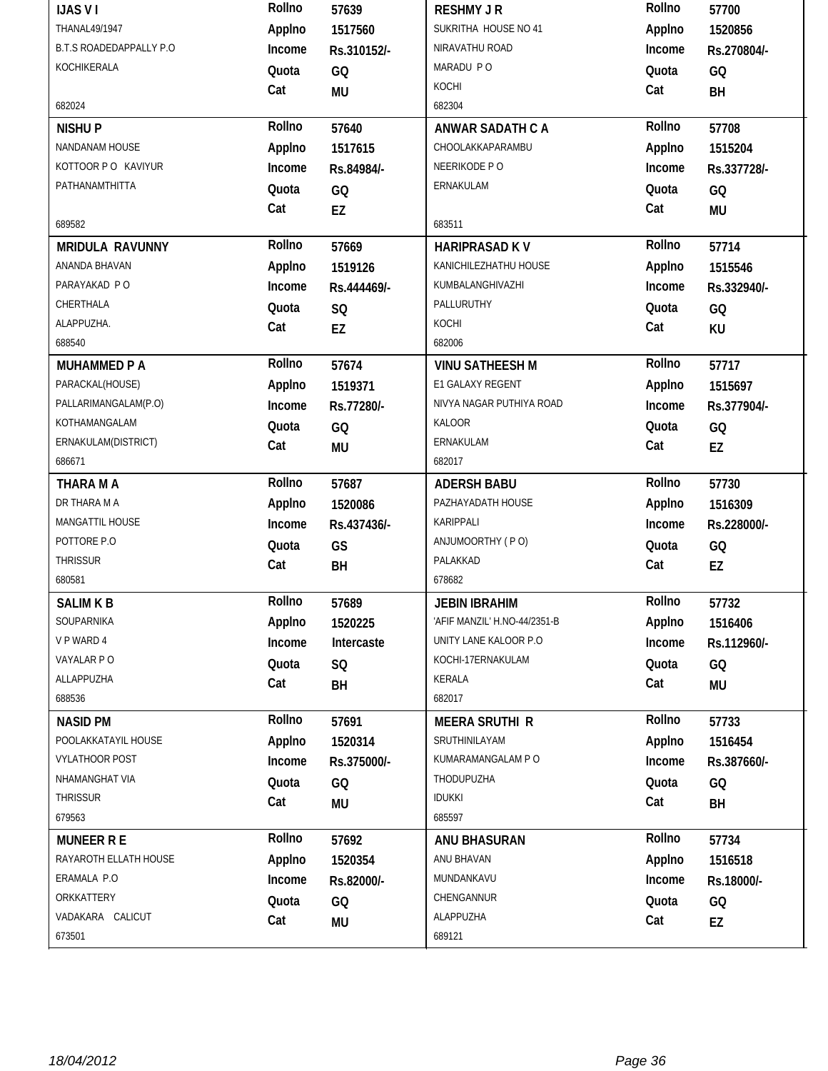| <b>IJAS VI</b>                 | Rollno | 57639           | <b>RESHMY J R</b>            | Rollno | 57700       |
|--------------------------------|--------|-----------------|------------------------------|--------|-------------|
| <b>THANAL49/1947</b>           | Applno | 1517560         | SUKRITHA HOUSE NO 41         | Applno | 1520856     |
| <b>B.T.S ROADEDAPPALLY P.O</b> | Income | Rs.310152/-     | NIRAVATHU ROAD               | Income | Rs.270804/- |
| KOCHIKERALA                    | Quota  | GQ              | MARADU PO                    | Quota  | GQ          |
|                                | Cat    | <b>MU</b>       | KOCHI                        | Cat    | BH          |
| 682024                         |        |                 | 682304                       |        |             |
| <b>NISHUP</b>                  | Rollno | 57640           | <b>ANWAR SADATH C A</b>      | Rollno | 57708       |
| NANDANAM HOUSE                 | Applno | 1517615         | CHOOLAKKAPARAMBU             | Applno | 1515204     |
| KOTTOOR PO KAVIYUR             | Income | Rs.84984/-      | NEERIKODE P O                | Income | Rs.337728/- |
| PATHANAMTHITTA                 | Quota  | GQ              | ERNAKULAM                    | Quota  | GQ          |
|                                | Cat    | EZ              |                              | Cat    | <b>MU</b>   |
| 689582                         |        |                 | 683511                       |        |             |
| <b>MRIDULA RAVUNNY</b>         | Rollno | 57669           | <b>HARIPRASAD KV</b>         | Rollno | 57714       |
| ANANDA BHAVAN                  | Applno | 1519126         | KANICHILEZHATHU HOUSE        | Applno | 1515546     |
| PARAYAKAD PO                   | Income | Rs.444469/-     | KUMBALANGHIVAZHI             | Income | Rs.332940/- |
| CHERTHALA                      | Quota  | SQ              | PALLURUTHY                   | Quota  | GQ          |
| ALAPPUZHA.                     | Cat    | EZ              | KOCHI                        | Cat    | KU          |
| 688540                         |        |                 | 682006                       |        |             |
| <b>MUHAMMED P A</b>            | Rollno | 57674           | <b>VINU SATHEESH M</b>       | Rollno | 57717       |
| PARACKAL(HOUSE)                | Applno | 1519371         | E1 GALAXY REGENT             | Applno | 1515697     |
| PALLARIMANGALAM(P.O)           | Income | Rs.77280/-      | NIVYA NAGAR PUTHIYA ROAD     | Income | Rs.377904/- |
| KOTHAMANGALAM                  | Quota  | GQ              | KALOOR                       | Quota  | GQ          |
| ERNAKULAM(DISTRICT)            | Cat    | MU              | ERNAKULAM                    | Cat    | EZ          |
| 686671                         |        |                 | 682017                       |        |             |
|                                |        |                 |                              |        |             |
| THARA M A                      | Rollno | 57687           | <b>ADERSH BABU</b>           | Rollno | 57730       |
| DR THARA M A                   | Applno | 1520086         | PAZHAYADATH HOUSE            | Applno | 1516309     |
| MANGATTIL HOUSE                | Income | Rs.437436/-     | KARIPPALI                    | Income | Rs.228000/- |
| POTTORE P.O                    | Quota  | GS              | ANJUMOORTHY (PO)             | Quota  | GQ          |
| <b>THRISSUR</b>                | Cat    | BH              | PALAKKAD                     | Cat    | EZ          |
| 680581                         |        |                 | 678682                       |        |             |
| <b>SALIM K B</b>               | Rollno | 57689           | <b>JEBIN IBRAHIM</b>         | Rollno | 57732       |
| SOUPARNIKA                     | Applno | 1520225         | 'AFIF MANZIL' H.NO-44/2351-B | Applno | 1516406     |
| V P WARD 4                     | Income | Intercaste      | UNITY LANE KALOOR P.O        | Income | Rs.112960/- |
| VAYALAR PO                     | Quota  | <b>SQ</b>       | KOCHI-17ERNAKULAM            | Quota  | GQ          |
| ALLAPPUZHA                     | Cat    | BH              | <b>KERALA</b>                | Cat    | <b>MU</b>   |
| 688536                         |        |                 | 682017                       |        |             |
| <b>NASID PM</b>                | Rollno | 57691           | <b>MEERA SRUTHI R</b>        | Rollno | 57733       |
| POOLAKKATAYIL HOUSE            | Applno | 1520314         | SRUTHINILAYAM                | Applno | 1516454     |
| <b>VYLATHOOR POST</b>          | Income | Rs.375000/-     | KUMARAMANGALAM P O           | Income | Rs.387660/- |
| NHAMANGHAT VIA                 | Quota  | GQ              | THODUPUZHA                   | Quota  | GQ          |
| <b>THRISSUR</b>                | Cat    | MU              | <b>IDUKKI</b>                | Cat    | BH          |
| 679563                         |        |                 | 685597                       |        |             |
| <b>MUNEER R E</b>              | Rollno | 57692           | ANU BHASURAN                 | Rollno | 57734       |
| RAYAROTH ELLATH HOUSE          | Applno | 1520354         | ANU BHAVAN                   | Applno | 1516518     |
| ERAMALA P.O                    | Income | Rs.82000/-      | MUNDANKAVU                   | Income | Rs.18000/-  |
| ORKKATTERY                     | Quota  |                 | CHENGANNUR                   | Quota  |             |
| VADAKARA CALICUT               | Cat    | GQ<br><b>MU</b> | ALAPPUZHA                    | Cat    | GQ<br>EZ    |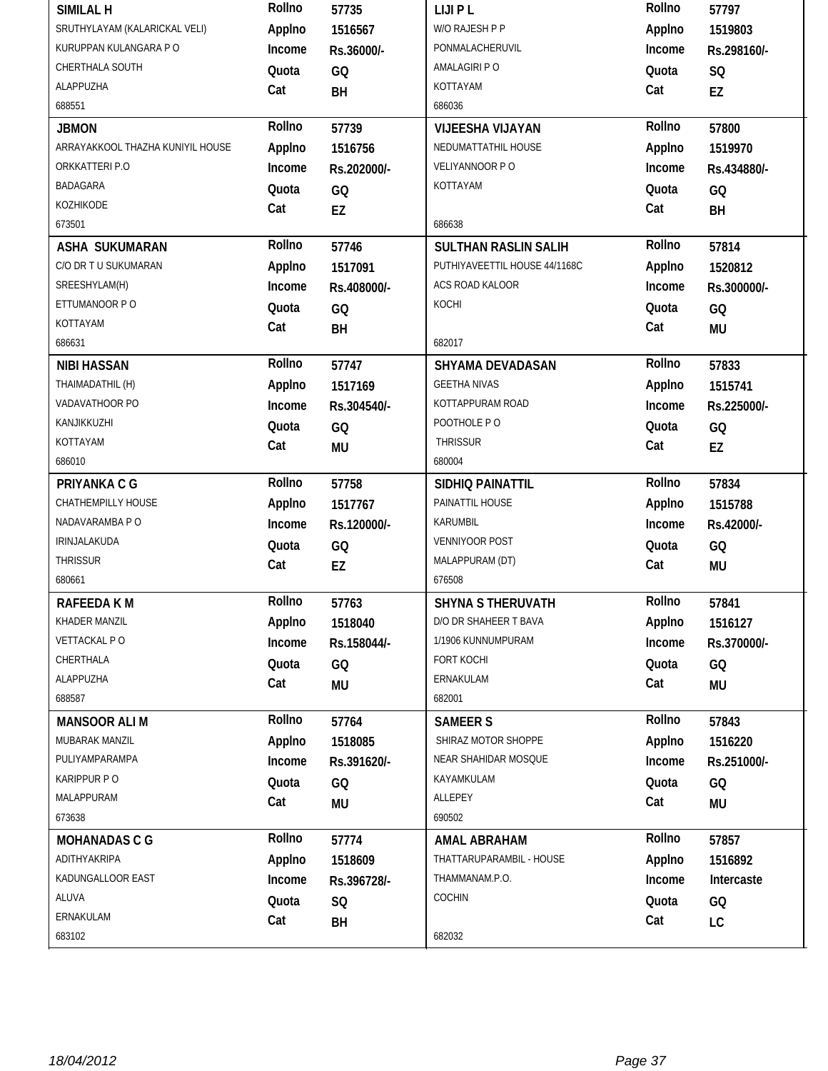| SIMILAL H                        | Rollno | 57735       | <b>LIJIPL</b>                 | Rollno | 57797       |
|----------------------------------|--------|-------------|-------------------------------|--------|-------------|
| SRUTHYLAYAM (KALARICKAL VELI)    | Applno | 1516567     | W/O RAJESH P P                | Applno | 1519803     |
| KURUPPAN KULANGARA P O           | Income | Rs.36000/-  | PONMALACHERUVIL               | Income | Rs.298160/- |
| CHERTHALA SOUTH                  | Quota  | GQ          | AMALAGIRI P O                 | Quota  | SQ          |
| ALAPPUZHA                        | Cat    | BH          | KOTTAYAM                      | Cat    | EZ          |
| 688551                           |        |             | 686036                        |        |             |
| <b>JBMON</b>                     | Rollno | 57739       | <b>VIJEESHA VIJAYAN</b>       | Rollno | 57800       |
| ARRAYAKKOOL THAZHA KUNIYIL HOUSE | Applno | 1516756     | NEDUMATTATHIL HOUSE           | Applno | 1519970     |
| ORKKATTERI P.O                   | Income | Rs.202000/- | VELIYANNOOR PO                | Income | Rs.434880/- |
| BADAGARA                         | Quota  | GQ          | KOTTAYAM                      | Quota  | GQ          |
| KOZHIKODE                        | Cat    | EZ          |                               | Cat    | BH          |
| 673501                           |        |             | 686638                        |        |             |
| <b>ASHA SUKUMARAN</b>            | Rollno | 57746       | <b>SULTHAN RASLIN SALIH</b>   | Rollno | 57814       |
| C/O DR T U SUKUMARAN             | Applno | 1517091     | PUTHIYAVEETTIL HOUSE 44/1168C | Applno | 1520812     |
| SREESHYLAM(H)                    | Income | Rs.408000/- | ACS ROAD KALOOR               | Income | Rs.300000/- |
| ETTUMANOOR P O                   | Quota  | GQ          | KOCHI                         | Quota  | GQ          |
| KOTTAYAM                         | Cat    | BH          |                               | Cat    | <b>MU</b>   |
| 686631                           |        |             | 682017                        |        |             |
| <b>NIBI HASSAN</b>               | Rollno | 57747       | SHYAMA DEVADASAN              | Rollno | 57833       |
| THAIMADATHIL (H)                 | Applno | 1517169     | <b>GEETHA NIVAS</b>           | Applno | 1515741     |
| VADAVATHOOR PO                   | Income | Rs.304540/- | KOTTAPPURAM ROAD              | Income | Rs.225000/- |
| KANJIKKUZHI                      | Quota  | GQ          | POOTHOLE PO                   | Quota  | GQ          |
| KOTTAYAM                         | Cat    | <b>MU</b>   | <b>THRISSUR</b>               | Cat    | EZ          |
| 686010                           |        |             | 680004                        |        |             |
| PRIYANKA C G                     | Rollno | 57758       | SIDHIQ PAINATTIL              | Rollno | 57834       |
|                                  |        |             |                               |        |             |
| CHATHEMPILLY HOUSE               | Applno | 1517767     | PAINATTIL HOUSE               | Applno | 1515788     |
| NADAVARAMBA P O                  | Income | Rs.120000/- | <b>KARUMBIL</b>               | Income | Rs.42000/-  |
| IRINJALAKUDA                     | Quota  | GQ          | VENNIYOOR POST                | Quota  | GQ          |
| <b>THRISSUR</b>                  | Cat    | EZ          | MALAPPURAM (DT)               | Cat    | <b>MU</b>   |
| 680661                           |        |             | 676508                        |        |             |
| RAFEEDA K M                      | Rollno | 57763       | <b>SHYNA S THERUVATH</b>      | Rollno | 57841       |
| KHADER MANZIL                    | Applno | 1518040     | D/O DR SHAHEER T BAVA         | Applno | 1516127     |
| VETTACKAL PO                     | Income | Rs.158044/- | 1/1906 KUNNUMPURAM            | Income | Rs.370000/- |
| CHERTHALA                        | Quota  | GQ          | FORT KOCHI                    | Quota  | GQ          |
| ALAPPUZHA                        | Cat    | MU          | ERNAKULAM                     | Cat    | MU          |
| 688587                           |        |             | 682001                        |        |             |
| <b>MANSOOR ALIM</b>              | Rollno | 57764       | <b>SAMEER S</b>               | Rollno | 57843       |
| MUBARAK MANZIL                   | Applno | 1518085     | SHIRAZ MOTOR SHOPPE           | Applno | 1516220     |
| PULIYAMPARAMPA                   | Income | Rs.391620/- | NEAR SHAHIDAR MOSQUE          | Income | Rs.251000/- |
| KARIPPUR PO                      | Quota  | GQ          | KAYAMKULAM                    | Quota  | GQ          |
| MALAPPURAM                       | Cat    | <b>MU</b>   | ALLEPEY                       | Cat    | <b>MU</b>   |
| 673638                           |        |             | 690502                        |        |             |
| <b>MOHANADAS C G</b>             | Rollno | 57774       | AMAL ABRAHAM                  | Rollno | 57857       |
| ADITHYAKRIPA                     | Applno | 1518609     | THATTARUPARAMBIL - HOUSE      | Applno | 1516892     |
| KADUNGALLOOR EAST                | Income | Rs.396728/- | THAMMANAM.P.O.                | Income | Intercaste  |
| ALUVA                            | Quota  | SQ          | COCHIN                        | Quota  | GQ          |
| ERNAKULAM                        | Cat    | BH          |                               | Cat    | LC          |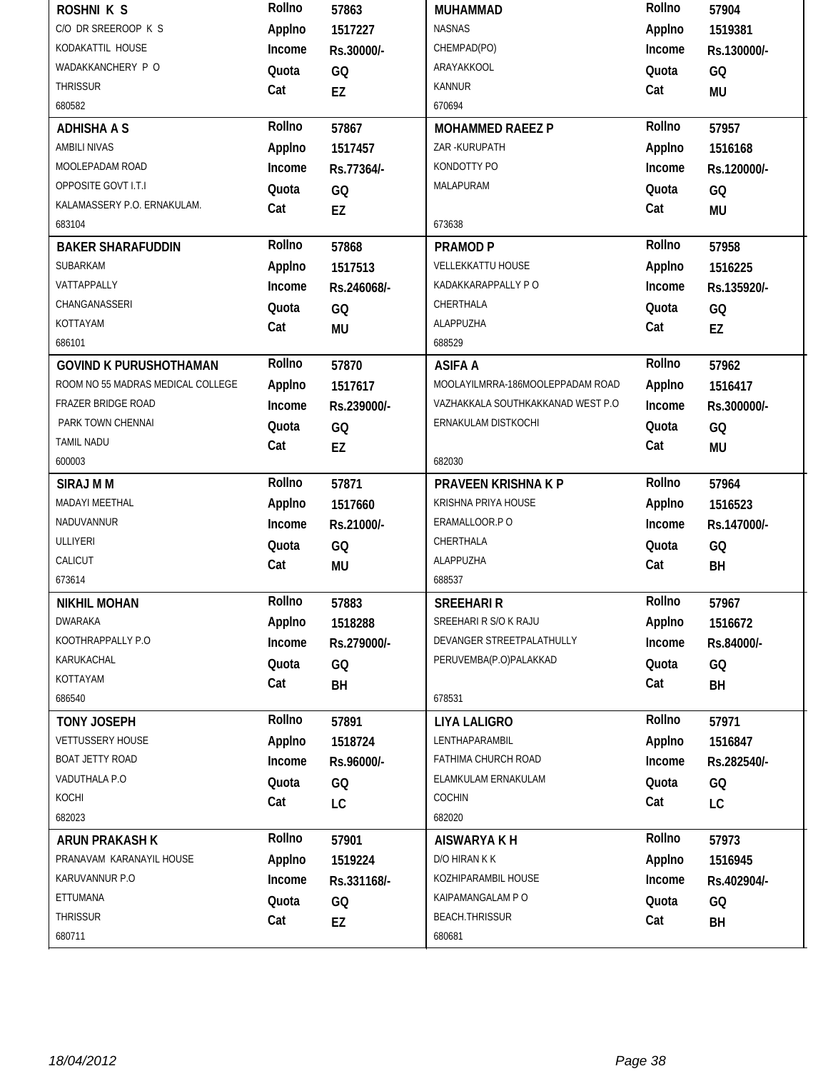| <b>ROSHNI K S</b>                 | Rollno | 57863       | MUHAMMAD                          | Rollno | 57904       |
|-----------------------------------|--------|-------------|-----------------------------------|--------|-------------|
| C/O DR SREEROOP K S               | Applno | 1517227     | <b>NASNAS</b>                     | Applno | 1519381     |
| KODAKATTIL HOUSE                  | Income | Rs.30000/-  | CHEMPAD(PO)                       | Income | Rs.130000/- |
| WADAKKANCHERY P O                 | Quota  | GQ          | ARAYAKKOOL                        | Quota  | GQ          |
| <b>THRISSUR</b>                   | Cat    | EZ          | <b>KANNUR</b>                     | Cat    | <b>MU</b>   |
| 680582                            |        |             | 670694                            |        |             |
| <b>ADHISHA A S</b>                | Rollno | 57867       | <b>MOHAMMED RAEEZ P</b>           | Rollno | 57957       |
| <b>AMBILI NIVAS</b>               | Applno | 1517457     | ZAR-KURUPATH                      | Applno | 1516168     |
| MOOLEPADAM ROAD                   | Income | Rs.77364/-  | KONDOTTY PO                       | Income | Rs.120000/- |
| OPPOSITE GOVT I.T.I               | Quota  | GQ          | MALAPURAM                         | Quota  | GQ          |
| KALAMASSERY P.O. ERNAKULAM.       | Cat    | EZ          |                                   | Cat    | <b>MU</b>   |
| 683104                            |        |             | 673638                            |        |             |
| <b>BAKER SHARAFUDDIN</b>          | Rollno | 57868       | <b>PRAMOD P</b>                   | Rollno | 57958       |
| SUBARKAM                          | Applno | 1517513     | <b>VELLEKKATTU HOUSE</b>          | Applno | 1516225     |
| VATTAPPALLY                       | Income | Rs.246068/- | KADAKKARAPPALLY P O               | Income | Rs.135920/- |
| CHANGANASSERI                     | Quota  | GQ          | CHERTHALA                         | Quota  | GQ          |
| KOTTAYAM                          | Cat    | <b>MU</b>   | ALAPPUZHA                         | Cat    | EZ          |
| 686101                            |        |             | 688529                            |        |             |
| <b>GOVIND K PURUSHOTHAMAN</b>     | Rollno | 57870       | <b>ASIFA A</b>                    | Rollno | 57962       |
| ROOM NO 55 MADRAS MEDICAL COLLEGE | Applno | 1517617     | MOOLAYILMRRA-186MOOLEPPADAM ROAD  | Applno | 1516417     |
| <b>FRAZER BRIDGE ROAD</b>         | Income | Rs.239000/- | VAZHAKKALA SOUTHKAKKANAD WEST P.O | Income | Rs.300000/- |
| PARK TOWN CHENNAI                 | Quota  | GQ          | ERNAKULAM DISTKOCHI               | Quota  | GQ          |
| TAMIL NADU                        | Cat    | EZ          |                                   | Cat    | <b>MU</b>   |
|                                   |        |             |                                   |        |             |
| 600003                            |        |             | 682030                            |        |             |
| <b>SIRAJ M M</b>                  | Rollno | 57871       | PRAVEEN KRISHNA K P               | Rollno | 57964       |
| MADAYI MEETHAL                    | Applno | 1517660     | KRISHNA PRIYA HOUSE               | Applno | 1516523     |
| NADUVANNUR                        | Income | Rs.21000/-  | ERAMALLOOR.P O                    | Income | Rs.147000/- |
| <b>ULLIYERI</b>                   | Quota  | GQ          | CHERTHALA                         | Quota  |             |
| CALICUT                           |        |             | ALAPPUZHA                         | Cat    | GQ          |
| 673614                            | Cat    | <b>MU</b>   | 688537                            |        | BH          |
| <b>NIKHIL MOHAN</b>               | Rollno | 57883       | <b>SREEHARI R</b>                 | Rollno | 57967       |
| <b>DWARAKA</b>                    | Applno | 1518288     | SREEHARI R S/O K RAJU             | Applno | 1516672     |
| KOOTHRAPPALLY P.O                 | Income | Rs.279000/- | DEVANGER STREETPALATHULLY         | Income | Rs.84000/-  |
| KARUKACHAL                        | Quota  |             | PERUVEMBA(P.O)PALAKKAD            | Quota  |             |
| KOTTAYAM                          |        | GQ          |                                   |        | GQ          |
| 686540                            | Cat    | BH          | 678531                            | Cat    | BH          |
| <b>TONY JOSEPH</b>                | Rollno | 57891       | <b>LIYA LALIGRO</b>               | Rollno | 57971       |
| VETTUSSERY HOUSE                  | Applno | 1518724     | LENTHAPARAMBIL                    | Applno | 1516847     |
| BOAT JETTY ROAD                   | Income | Rs.96000/-  | FATHIMA CHURCH ROAD               | Income | Rs.282540/- |
| VADUTHALA P.O                     | Quota  |             | ELAMKULAM ERNAKULAM               | Quota  |             |
| KOCHI                             |        | GQ          | COCHIN                            |        | GQ          |
| 682023                            | Cat    | LC          | 682020                            | Cat    | LC          |
| <b>ARUN PRAKASH K</b>             | Rollno | 57901       | <b>AISWARYA K H</b>               | Rollno | 57973       |
| PRANAVAM KARANAYIL HOUSE          | Applno | 1519224     | D/O HIRAN K K                     | Applno | 1516945     |
| KARUVANNUR P.O                    | Income | Rs.331168/- | KOZHIPARAMBIL HOUSE               | Income | Rs.402904/- |
| ETTUMANA                          | Quota  |             | KAIPAMANGALAM PO                  | Quota  |             |
| <b>THRISSUR</b>                   | Cat    | GQ<br>EZ    | <b>BEACH.THRISSUR</b>             | Cat    | GQ<br>BH    |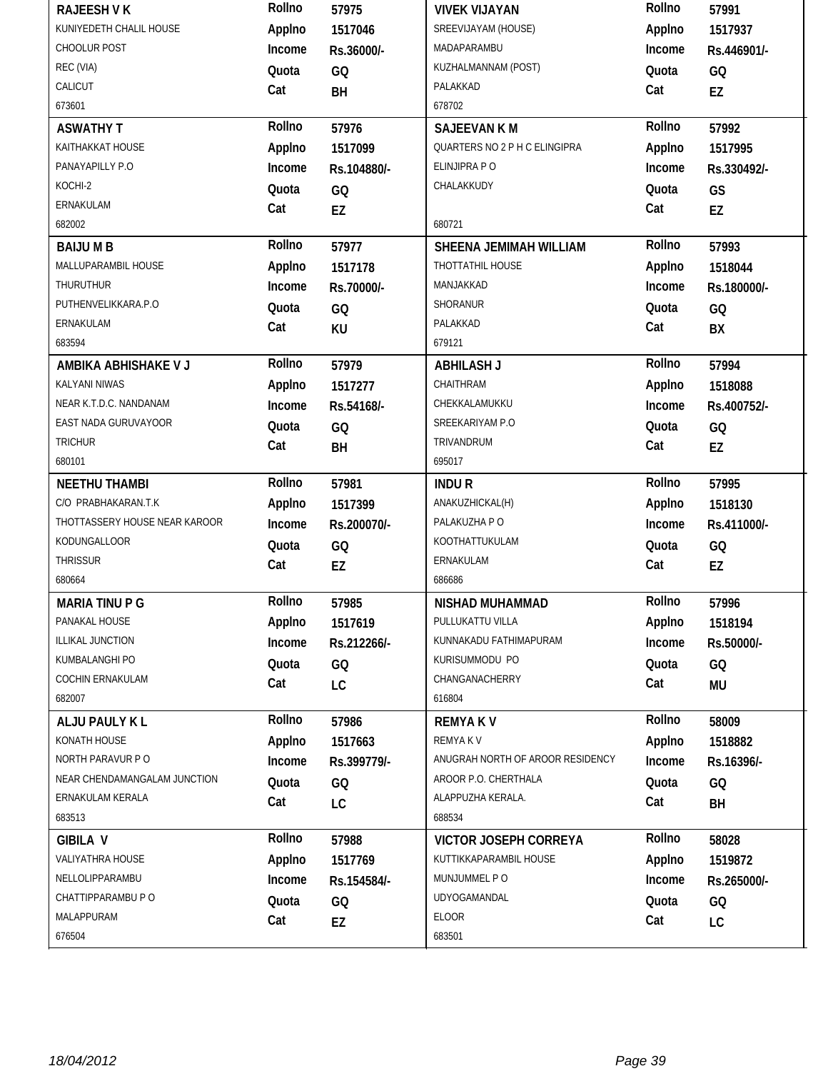|                               | Rollno       | 57975       | <b>VIVEK VIJAYAN</b>             | Rollno           | 57991       |
|-------------------------------|--------------|-------------|----------------------------------|------------------|-------------|
| KUNIYEDETH CHALIL HOUSE       | Applno       | 1517046     | SREEVIJAYAM (HOUSE)              | Applno           | 1517937     |
| CHOOLUR POST                  | Income       | Rs.36000/-  | MADAPARAMBU                      | Income           | Rs.446901/- |
| REC (VIA)                     | Quota        | GQ          | KUZHALMANNAM (POST)              | Quota            | GQ          |
| CALICUT                       | Cat          | BH          | PALAKKAD                         | Cat              | EZ          |
| 673601                        |              |             | 678702                           |                  |             |
| <b>ASWATHY T</b>              | Rollno       | 57976       | <b>SAJEEVAN KM</b>               | Rollno           | 57992       |
| KAITHAKKAT HOUSE              | Applno       | 1517099     | QUARTERS NO 2 P H C ELINGIPRA    | Applno           | 1517995     |
| PANAYAPILLY P.O               | Income       | Rs.104880/- | ELINJIPRA PO                     | Income           | Rs.330492/- |
| KOCHI-2                       | Quota        | GQ          | CHALAKKUDY                       | Quota            | GS          |
| ERNAKULAM                     | Cat          | <b>EZ</b>   |                                  | Cat              | EZ          |
| 682002                        |              |             | 680721                           |                  |             |
| <b>BAIJUMB</b>                | Rollno       | 57977       | SHEENA JEMIMAH WILLIAM           | Rollno           | 57993       |
| MALLUPARAMBIL HOUSE           | Applno       | 1517178     | THOTTATHIL HOUSE                 | Applno           | 1518044     |
| <b>THURUTHUR</b>              | Income       | Rs.70000/-  | MANJAKKAD                        | Income           | Rs.180000/- |
| PUTHENVELIKKARA.P.O           | Quota        | GQ          | SHORANUR                         | Quota            | GQ          |
| ERNAKULAM                     | Cat          | KU          | PALAKKAD                         | Cat              | BX          |
| 683594                        |              |             | 679121                           |                  |             |
| AMBIKA ABHISHAKE V J          | Rollno       | 57979       | <b>ABHILASH J</b>                | Rollno           | 57994       |
| <b>KALYANI NIWAS</b>          | Applno       | 1517277     | CHAITHRAM                        | Applno           | 1518088     |
| NEAR K.T.D.C. NANDANAM        | Income       | Rs.54168/-  | CHEKKALAMUKKU                    | Income           | Rs.400752/- |
| EAST NADA GURUVAYOOR          | Quota        | GQ          | SREEKARIYAM P.O                  | Quota            | GQ          |
| <b>TRICHUR</b>                | Cat          | <b>BH</b>   | TRIVANDRUM                       | Cat              | EZ          |
| 680101                        |              |             | 695017                           |                  |             |
| <b>NEETHU THAMBI</b>          | Rollno       | 57981       | <b>INDUR</b>                     | Rollno           | 57995       |
| C/O PRABHAKARAN.T.K           | Applno       | 1517399     | ANAKUZHICKAL(H)                  | Applno           | 1518130     |
| THOTTASSERY HOUSE NEAR KAROOR | Income       | Rs.200070/- | PALAKUZHA P O                    | Income           | Rs.411000/- |
| KODUNGALLOOR                  | Quota        | GQ          | KOOTHATTUKULAM                   | Quota            | GQ          |
| <b>THRISSUR</b>               | Cat          | EZ          | ERNAKULAM                        | Cat              | EZ          |
|                               |              |             |                                  |                  |             |
| 680664                        |              |             | 686686                           |                  |             |
| <b>MARIA TINU P G</b>         | Rollno       | 57985       | NISHAD MUHAMMAD                  | Rollno           | 57996       |
| PANAKAL HOUSE                 | Applno       | 1517619     | PULLUKATTU VILLA                 | Applno           | 1518194     |
| ILLIKAL JUNCTION              | Income       | Rs.212266/- | KUNNAKADU FATHIMAPURAM           | Income           | Rs.50000/-  |
| KUMBALANGHI PO                |              |             | KURISUMMODU PO                   | Quota            |             |
| COCHIN ERNAKULAM              | Quota        | GQ          | CHANGANACHERRY                   |                  | GQ          |
| 682007                        | Cat          | LC          | 616804                           | Cat              | MU          |
| ALJU PAULY K L                | Rollno       | 57986       | <b>REMYAKV</b>                   | Rollno           | 58009       |
| KONATH HOUSE                  | Applno       | 1517663     | REMYAK V                         |                  | 1518882     |
| NORTH PARAVUR PO              | Income       | Rs.399779/- | ANUGRAH NORTH OF AROOR RESIDENCY | Applno<br>Income | Rs.16396/-  |
| NEAR CHENDAMANGALAM JUNCTION  |              |             | AROOR P.O. CHERTHALA             |                  |             |
| ERNAKULAM KERALA              | Quota        | GQ          | ALAPPUZHA KERALA.                | Quota            | GQ          |
| 683513                        | Cat          | LC          | 688534                           | Cat              | BH          |
| <b>GIBILA V</b>               | Rollno       | 57988       | <b>VICTOR JOSEPH CORREYA</b>     | Rollno           | 58028       |
| VALIYATHRA HOUSE              | Applno       | 1517769     | KUTTIKKAPARAMBIL HOUSE           | Applno           | 1519872     |
| NELLOLIPPARAMBU               | Income       | Rs.154584/- | MUNJUMMEL PO                     | Income           | Rs.265000/- |
| CHATTIPPARAMBU P O            |              |             | UDYOGAMANDAL                     |                  |             |
| MALAPPURAM                    | Quota<br>Cat | GQ<br>EZ    | ELOOR                            | Quota<br>Cat     | GQ<br>LC    |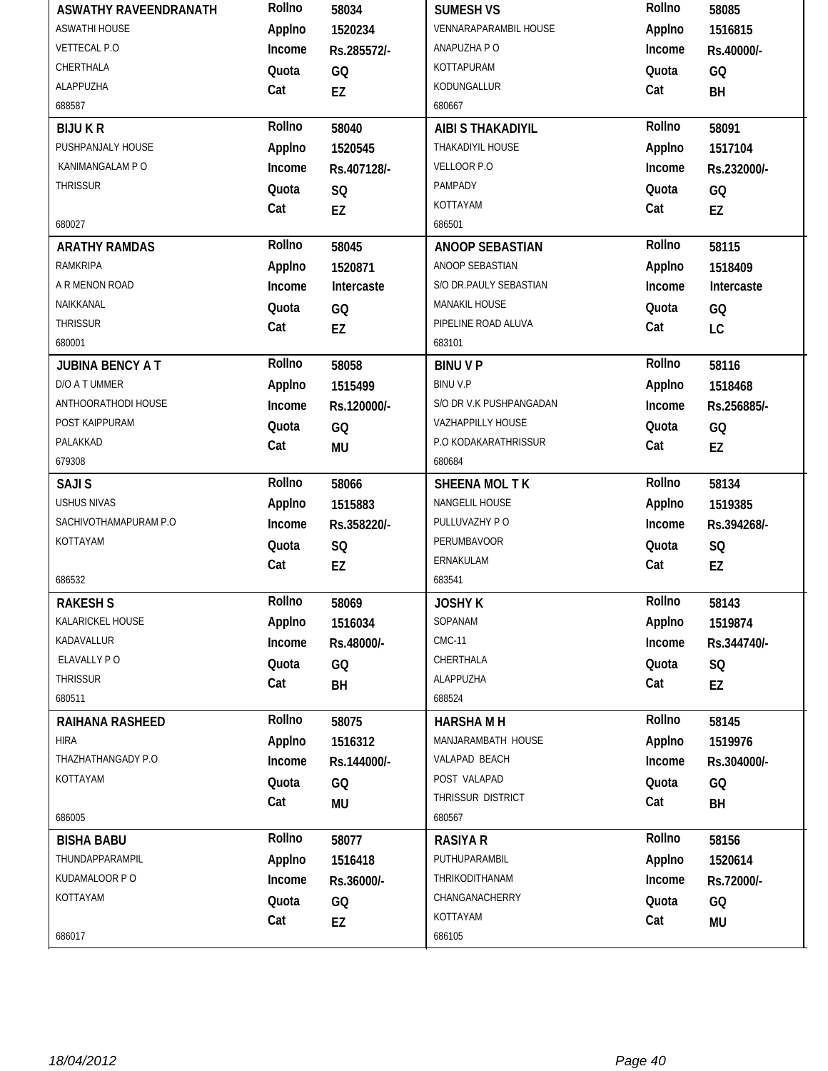| <b>ASWATHY RAVEENDRANATH</b> | Rollno | 58034       | <b>SUMESH VS</b>        | Rollno | 58085       |
|------------------------------|--------|-------------|-------------------------|--------|-------------|
| <b>ASWATHI HOUSE</b>         | Applno | 1520234     | VENNARAPARAMBIL HOUSE   | Applno | 1516815     |
| <b>VETTECAL P.O</b>          | Income | Rs.285572/- | ANAPUZHA P O            | Income | Rs.40000/-  |
| CHERTHALA                    | Quota  | GQ          | KOTTAPURAM              | Quota  | GQ          |
| ALAPPUZHA                    | Cat    | EZ          | KODUNGALLUR             | Cat    | BH          |
| 688587                       |        |             | 680667                  |        |             |
| <b>BIJUKR</b>                | Rollno | 58040       | AIBI S THAKADIYIL       | Rollno | 58091       |
| PUSHPANJALY HOUSE            | Applno | 1520545     | THAKADIYIL HOUSE        | Applno | 1517104     |
| KANIMANGALAM P O             | Income | Rs.407128/- | VELLOOR P.O             | Income | Rs.232000/- |
| <b>THRISSUR</b>              | Quota  | SQ          | PAMPADY                 | Quota  | GQ          |
|                              | Cat    | <b>EZ</b>   | KOTTAYAM                | Cat    | EZ          |
| 680027                       |        |             | 686501                  |        |             |
| <b>ARATHY RAMDAS</b>         | Rollno | 58045       | <b>ANOOP SEBASTIAN</b>  | Rollno | 58115       |
| RAMKRIPA                     | Applno | 1520871     | ANOOP SEBASTIAN         | Applno | 1518409     |
| A R MENON ROAD               | Income | Intercaste  | S/O DR.PAULY SEBASTIAN  | Income | Intercaste  |
| NAIKKANAL                    | Quota  | GQ          | <b>MANAKIL HOUSE</b>    | Quota  | GQ          |
| <b>THRISSUR</b>              | Cat    | EZ          | PIPELINE ROAD ALUVA     | Cat    | LC          |
| 680001                       |        |             | 683101                  |        |             |
| <b>JUBINA BENCY A T</b>      | Rollno | 58058       | <b>BINUVP</b>           | Rollno | 58116       |
| D/O A T UMMER                | Applno | 1515499     | <b>BINUV.P</b>          | Applno | 1518468     |
| ANTHOORATHODI HOUSE          | Income | Rs.120000/- | S/O DR V.K PUSHPANGADAN | Income | Rs.256885/- |
| POST KAIPPURAM               | Quota  | GQ          | VAZHAPPILLY HOUSE       | Quota  | GQ          |
| PALAKKAD                     | Cat    | <b>MU</b>   | P.O KODAKARATHRISSUR    | Cat    | EZ          |
| 679308                       |        |             | 680684                  |        |             |
| <b>SAJIS</b>                 | Rollno | 58066       | SHEENA MOL T K          | Rollno | 58134       |
| <b>USHUS NIVAS</b>           | Applno | 1515883     | NANGELIL HOUSE          | Applno | 1519385     |
| SACHIVOTHAMAPURAM P.O        | Income | Rs.358220/- | PULLUVAZHY PO           | Income | Rs.394268/- |
| KOTTAYAM                     | Quota  | SQ          | PERUMBAVOOR             | Quota  | SQ          |
|                              | Cat    | EZ          | ERNAKULAM               | Cat    | EZ          |
| 686532                       |        |             | 683541                  |        |             |
| <b>RAKESHS</b>               | Rollno | 58069       | <b>JOSHY K</b>          | Rollno | 58143       |
| KALARICKEL HOUSE             | Applno | 1516034     | SOPANAM                 | Applno | 1519874     |
| KADAVALLUR                   | Income | Rs.48000/-  | <b>CMC-11</b>           | Income | Rs.344740/- |
| ELAVALLY PO                  | Quota  | GQ          | CHERTHALA               | Quota  | SQ          |
| <b>THRISSUR</b>              | Cat    | BH          | ALAPPUZHA               | Cat    | EZ          |
| 680511                       |        |             | 688524                  |        |             |
| RAIHANA RASHEED              | Rollno | 58075       | <b>HARSHAMH</b>         | Rollno | 58145       |
| <b>HIRA</b>                  | Applno | 1516312     | MANJARAMBATH HOUSE      | Applno | 1519976     |
| THAZHATHANGADY P.O           | Income | Rs.144000/- | VALAPAD BEACH           | Income | Rs.304000/- |
| KOTTAYAM                     | Quota  | GQ          | POST VALAPAD            | Quota  | GQ          |
|                              | Cat    | MU          | THRISSUR DISTRICT       | Cat    | BH          |
| 686005                       |        |             | 680567                  |        |             |
| <b>BISHA BABU</b>            | Rollno | 58077       | <b>RASIYA R</b>         | Rollno | 58156       |
| THUNDAPPARAMPIL              | Applno | 1516418     | PUTHUPARAMBIL           | Applno | 1520614     |
| KUDAMALOOR P O               | Income | Rs.36000/-  | THRIKODITHANAM          | Income | Rs.72000/-  |
| KOTTAYAM                     | Quota  | GQ          | CHANGANACHERRY          | Quota  | GQ          |
|                              | Cat    | EZ          | KOTTAYAM                | Cat    | MU          |
| 686017                       |        |             | 686105                  |        |             |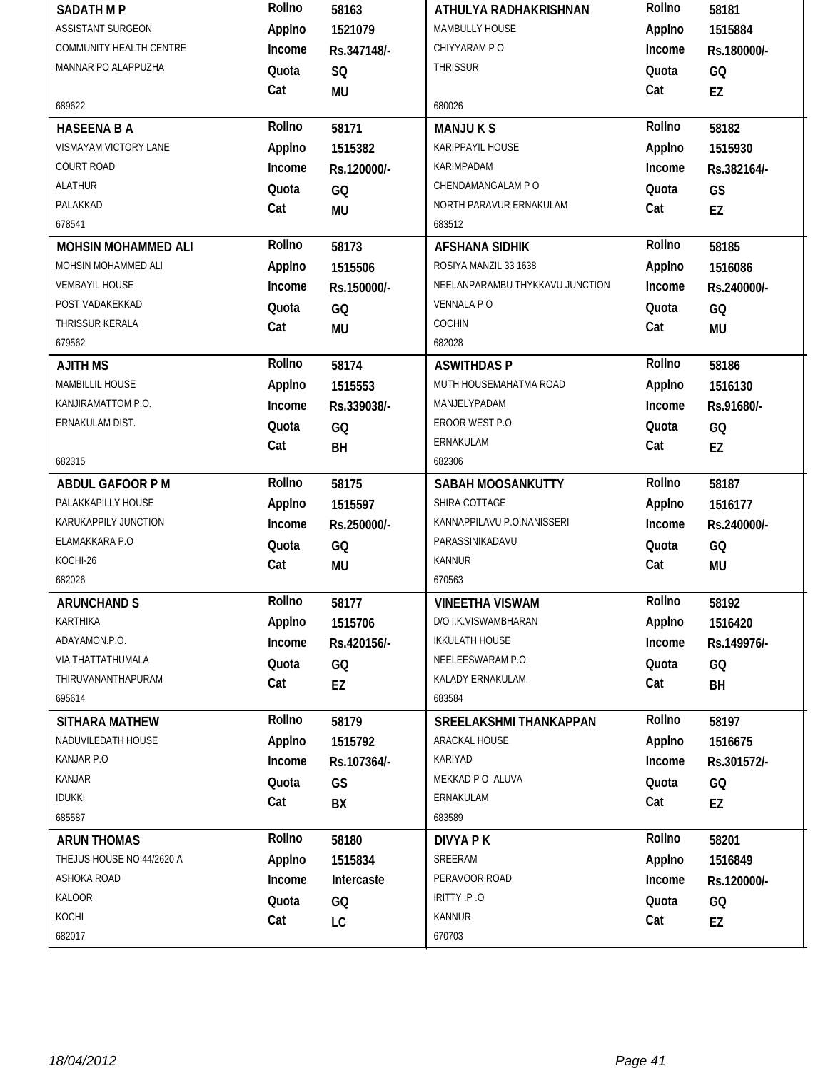| <b>SADATH MP</b>                            | Rollno | 58163       | ATHULYA RADHAKRISHNAN                                 | Rollno | 58181       |
|---------------------------------------------|--------|-------------|-------------------------------------------------------|--------|-------------|
| <b>ASSISTANT SURGEON</b>                    | Applno | 1521079     | MAMBULLY HOUSE                                        | Applno | 1515884     |
| COMMUNITY HEALTH CENTRE                     | Income | Rs.347148/- | CHIYYARAM P O                                         | Income | Rs.180000/- |
| MANNAR PO ALAPPUZHA                         | Quota  | <b>SQ</b>   | <b>THRISSUR</b>                                       | Quota  | GQ          |
|                                             | Cat    | <b>MU</b>   |                                                       | Cat    | EZ          |
| 689622                                      |        |             | 680026                                                |        |             |
| <b>HASEENA B A</b>                          | Rollno | 58171       | <b>MANJUKS</b>                                        | Rollno | 58182       |
| VISMAYAM VICTORY LANE                       | Applno | 1515382     | KARIPPAYIL HOUSE                                      | Applno | 1515930     |
| <b>COURT ROAD</b>                           | Income | Rs.120000/- | KARIMPADAM                                            | Income | Rs.382164/- |
| <b>ALATHUR</b>                              | Quota  | GQ          | CHENDAMANGALAM P O                                    | Quota  | GS          |
| PALAKKAD                                    | Cat    | <b>MU</b>   | NORTH PARAVUR ERNAKULAM                               | Cat    | EZ          |
| 678541                                      |        |             | 683512                                                |        |             |
| <b>MOHSIN MOHAMMED ALI</b>                  | Rollno | 58173       | <b>AFSHANA SIDHIK</b>                                 | Rollno | 58185       |
| MOHSIN MOHAMMED ALI                         | Applno | 1515506     | ROSIYA MANZIL 33 1638                                 | Applno | 1516086     |
| <b>VEMBAYIL HOUSE</b>                       | Income | Rs.150000/- | NEELANPARAMBU THYKKAVU JUNCTION                       | Income | Rs.240000/- |
| POST VADAKEKKAD                             | Quota  | GQ          | <b>VENNALA PO</b>                                     | Quota  | GQ          |
| THRISSUR KERALA                             | Cat    | <b>MU</b>   | COCHIN                                                | Cat    | <b>MU</b>   |
| 679562                                      |        |             | 682028                                                |        |             |
| <b>AJITH MS</b>                             | Rollno | 58174       | <b>ASWITHDAS P</b>                                    | Rollno | 58186       |
| MAMBILLIL HOUSE                             | Applno | 1515553     | MUTH HOUSEMAHATMA ROAD                                | Applno | 1516130     |
| KANJIRAMATTOM P.O.                          | Income | Rs.339038/- | MANJELYPADAM                                          | Income | Rs.91680/-  |
| ERNAKULAM DIST.                             | Quota  | GQ          | EROOR WEST P.O                                        | Quota  | GQ          |
|                                             | Cat    | <b>BH</b>   | ERNAKULAM                                             | Cat    | EZ          |
| 682315                                      |        |             | 682306                                                |        |             |
| ABDUL GAFOOR P M                            | Rollno | 58175       | <b>SABAH MOOSANKUTTY</b>                              | Rollno | 58187       |
| PALAKKAPILLY HOUSE                          | Applno | 1515597     | SHIRA COTTAGE                                         | Applno | 1516177     |
| KARUKAPPILY JUNCTION                        | Income | Rs.250000/- | KANNAPPILAVU P.O.NANISSERI                            | Income | Rs.240000/- |
| ELAMAKKARA P.O                              | Quota  | GQ          | PARASSINIKADAVU                                       | Quota  | GQ          |
| KOCHI-26                                    | Cat    | MU          | <b>KANNUR</b>                                         | Cat    | <b>MU</b>   |
| 682026                                      |        |             | 670563                                                |        |             |
| <b>ARUNCHAND S</b>                          | Rollno | 58177       | <b>VINEETHA VISWAM</b>                                | Rollno | 58192       |
| KARTHIKA                                    | Applno | 1515706     | D/O I.K.VISWAMBHARAN                                  | Applno | 1516420     |
| ADAYAMON.P.O.                               | Income | Rs.420156/- | <b>IKKULATH HOUSE</b>                                 | Income | Rs.149976/- |
| VIA THATTATHUMALA                           | Quota  | GQ          | NEELEESWARAM P.O.                                     | Quota  | GQ          |
| THIRUVANANTHAPURAM<br>695614                | Cat    | EZ          | KALADY ERNAKULAM.<br>683584                           | Cat    | BH          |
|                                             | Rollno |             |                                                       | Rollno |             |
| <b>SITHARA MATHEW</b><br>NADUVILEDATH HOUSE |        | 58179       | <b>SREELAKSHMI THANKAPPAN</b><br><b>ARACKAL HOUSE</b> |        | 58197       |
| KANJAR P.O                                  | Applno | 1515792     |                                                       | Applno | 1516675     |
| <b>KANJAR</b>                               | Income | Rs.107364/- | KARIYAD<br>MEKKAD P O ALUVA                           | Income | Rs.301572/- |
|                                             | Quota  | GS          |                                                       | Quota  | GQ          |
| <b>IDUKKI</b><br>685587                     | Cat    | BX          | ERNAKULAM<br>683589                                   | Cat    | EZ          |
|                                             | Rollno |             |                                                       | Rollno |             |
| <b>ARUN THOMAS</b>                          |        | 58180       | DIVYA P K                                             |        | 58201       |
| THEJUS HOUSE NO 44/2620 A                   | Applno | 1515834     | SREERAM                                               | Applno | 1516849     |
| ASHOKA ROAD                                 | Income | Intercaste  | PERAVOOR ROAD                                         | Income | Rs.120000/- |
| <b>KALOOR</b><br>KOCHI                      | Quota  | GQ          | IRITTY .P.O                                           | Quota  | GQ          |
| 682017                                      | Cat    | LC          | <b>KANNUR</b>                                         | Cat    | EZ          |
|                                             |        |             | 670703                                                |        |             |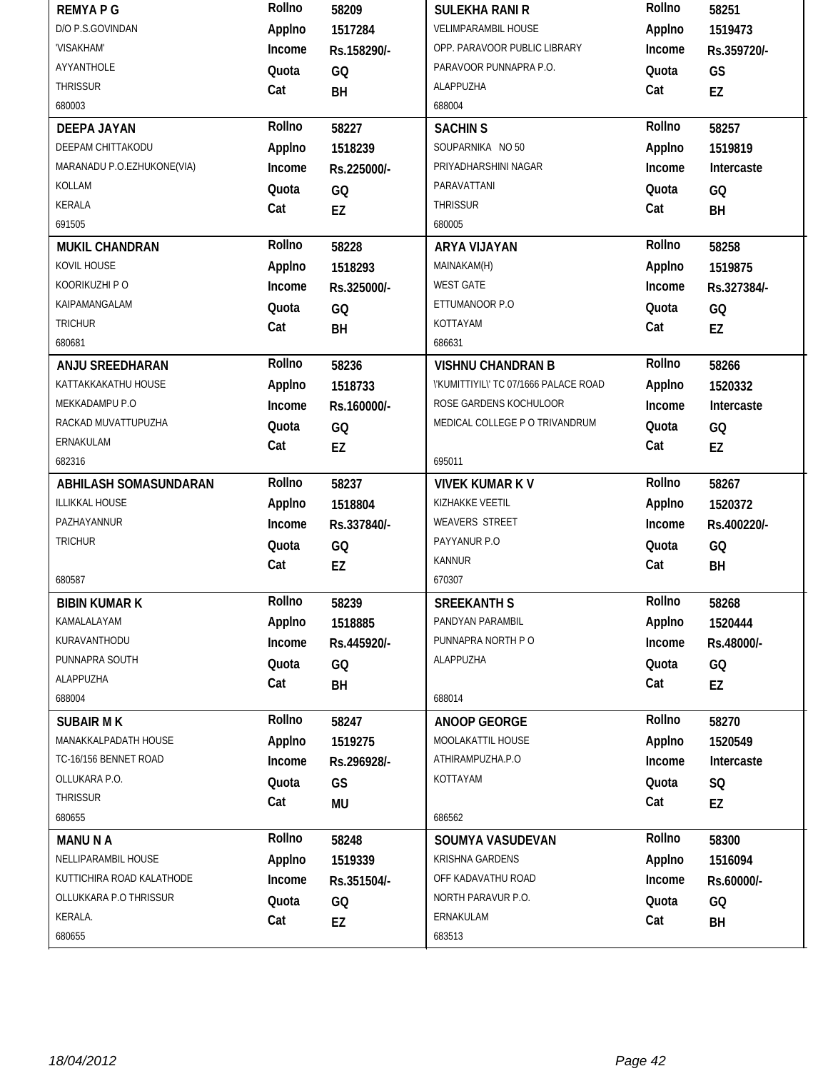| <b>REMYAPG</b>             | Rollno | 58209       | <b>SULEKHA RANI R</b>                 | Rollno | 58251       |
|----------------------------|--------|-------------|---------------------------------------|--------|-------------|
| D/O P.S.GOVINDAN           | Applno | 1517284     | <b>VELIMPARAMBIL HOUSE</b>            | Applno | 1519473     |
| 'VISAKHAM'                 | Income | Rs.158290/- | OPP. PARAVOOR PUBLIC LIBRARY          | Income | Rs.359720/- |
| AYYANTHOLE                 | Quota  | GQ          | PARAVOOR PUNNAPRA P.O.                | Quota  | GS          |
| <b>THRISSUR</b>            | Cat    | BH          | <b>ALAPPUZHA</b>                      | Cat    | EZ          |
| 680003                     |        |             | 688004                                |        |             |
| <b>DEEPA JAYAN</b>         | Rollno | 58227       | <b>SACHIN S</b>                       | Rollno | 58257       |
| DEEPAM CHITTAKODU          | Applno | 1518239     | SOUPARNIKA NO 50                      | Applno | 1519819     |
| MARANADU P.O.EZHUKONE(VIA) | Income | Rs.225000/- | PRIYADHARSHINI NAGAR                  | Income | Intercaste  |
| KOLLAM                     | Quota  | GQ          | PARAVATTANI                           | Quota  | GQ          |
| KERALA                     | Cat    | EZ          | THRISSUR                              | Cat    | BH          |
| 691505                     |        |             | 680005                                |        |             |
| <b>MUKIL CHANDRAN</b>      | Rollno | 58228       | ARYA VIJAYAN                          | Rollno | 58258       |
| KOVIL HOUSE                | Applno | 1518293     | MAINAKAM(H)                           | Applno | 1519875     |
| KOORIKUZHI P O             | Income | Rs.325000/- | <b>WEST GATE</b>                      | Income | Rs.327384/- |
| KAIPAMANGALAM              | Quota  | GQ          | ETTUMANOOR P.O                        | Quota  | GQ          |
| <b>TRICHUR</b>             | Cat    | BH          | KOTTAYAM                              | Cat    | EZ          |
| 680681                     |        |             | 686631                                |        |             |
| ANJU SREEDHARAN            | Rollno | 58236       | <b>VISHNU CHANDRAN B</b>              | Rollno | 58266       |
| KATTAKKAKATHU HOUSE        | Applno | 1518733     | \'KUMITTIYIL\' TC 07/1666 PALACE ROAD | Applno | 1520332     |
| MEKKADAMPU P.O             | Income | Rs.160000/- | ROSE GARDENS KOCHULOOR                | Income | Intercaste  |
| RACKAD MUVATTUPUZHA        | Quota  | GQ          | MEDICAL COLLEGE P O TRIVANDRUM        | Quota  | GQ          |
| ERNAKULAM                  | Cat    | EZ          |                                       | Cat    | EZ          |
| 682316                     |        |             | 695011                                |        |             |
| ABHILASH SOMASUNDARAN      | Rollno | 58237       | <b>VIVEK KUMAR K V</b>                | Rollno | 58267       |
|                            |        | 1518804     | KIZHAKKE VEETIL                       |        |             |
| ILLIKKAL HOUSE             | Applno |             |                                       | Applno | 1520372     |
| PAZHAYANNUR                | Income | Rs.337840/- | WEAVERS STREET                        | Income | Rs.400220/- |
| <b>TRICHUR</b>             | Quota  | GQ          | PAYYANUR P.O                          | Quota  | GQ          |
|                            | Cat    | EZ          | <b>KANNUR</b>                         | Cat    | BH          |
| 680587                     |        |             | 670307                                |        |             |
| <b>BIBIN KUMAR K</b>       | Rollno | 58239       | <b>SREEKANTH S</b>                    | Rollno | 58268       |
| KAMALALAYAM                | Applno | 1518885     | PANDYAN PARAMBIL                      | Applno | 1520444     |
| KURAVANTHODU               | Income | Rs.445920/- | PUNNAPRA NORTH P O                    | Income | Rs.48000/-  |
| PUNNAPRA SOUTH             | Quota  | GQ          | ALAPPUZHA                             | Quota  | GQ          |
| ALAPPUZHA                  | Cat    | BH          |                                       | Cat    | EZ          |
| 688004                     |        |             | 688014                                |        |             |
| <b>SUBAIR MK</b>           | Rollno | 58247       | <b>ANOOP GEORGE</b>                   | Rollno | 58270       |
| MANAKKALPADATH HOUSE       | Applno | 1519275     | MOOLAKATTIL HOUSE                     | Applno | 1520549     |
| TC-16/156 BENNET ROAD      | Income | Rs.296928/- | ATHIRAMPUZHA.P.O                      | Income | Intercaste  |
| OLLUKARA P.O.              | Quota  | GS          | KOTTAYAM                              | Quota  | SQ          |
| <b>THRISSUR</b>            | Cat    | <b>MU</b>   |                                       | Cat    | EZ          |
| 680655                     |        |             | 686562                                |        |             |
| <b>MANUNA</b>              | Rollno | 58248       | SOUMYA VASUDEVAN                      | Rollno | 58300       |
| NELLIPARAMBIL HOUSE        | Applno | 1519339     | KRISHNA GARDENS                       | Applno | 1516094     |
| KUTTICHIRA ROAD KALATHODE  | Income | Rs.351504/- | OFF KADAVATHU ROAD                    | Income | Rs.60000/-  |
| OLLUKKARA P.O THRISSUR     | Quota  | GQ          | NORTH PARAVUR P.O.                    | Quota  | GQ          |
| KERALA.                    | Cat    | EZ          | ERNAKULAM                             | Cat    | BH          |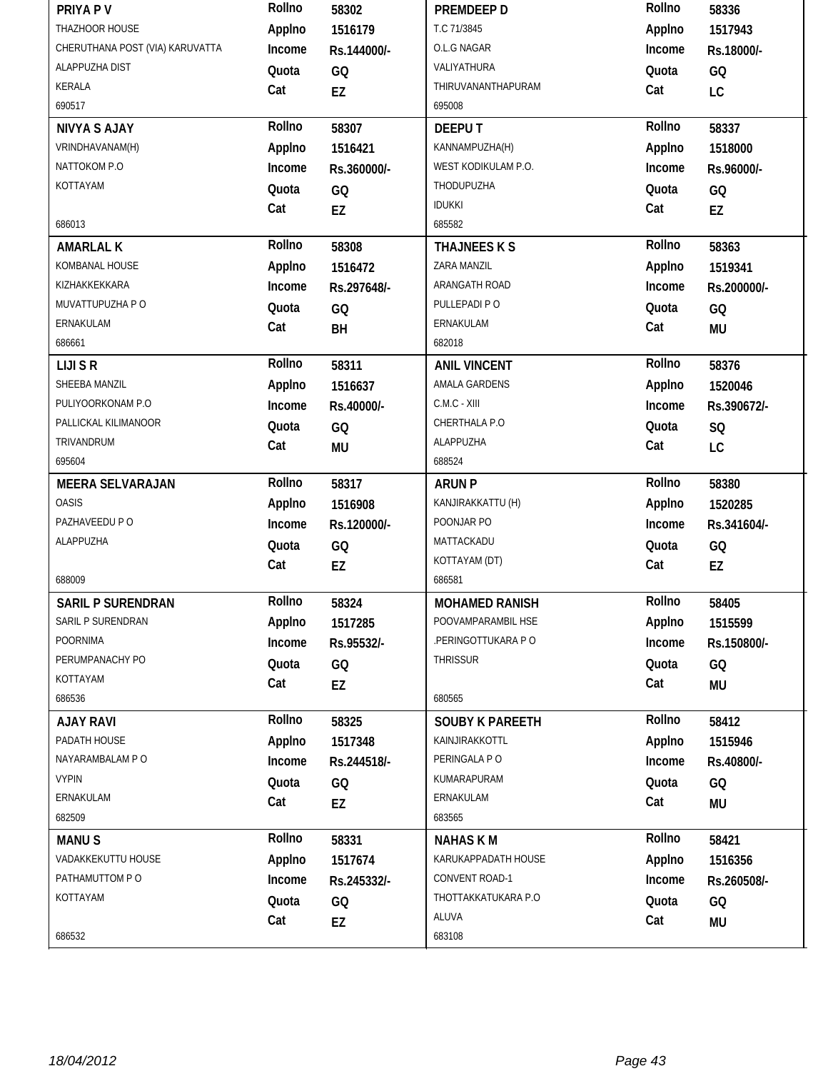| PRIYA P V                       | Rollno | 58302       | PREMDEEP D             | Rollno | 58336       |
|---------------------------------|--------|-------------|------------------------|--------|-------------|
| THAZHOOR HOUSE                  | Applno | 1516179     | T.C 71/3845            | Applno | 1517943     |
| CHERUTHANA POST (VIA) KARUVATTA | Income | Rs.144000/- | O.L.G NAGAR            | Income | Rs.18000/-  |
| ALAPPUZHA DIST                  | Quota  | GQ          | VALIYATHURA            | Quota  | GQ          |
| KERALA                          | Cat    | EZ          | THIRUVANANTHAPURAM     | Cat    | LC          |
| 690517                          |        |             | 695008                 |        |             |
| <b>NIVYA S AJAY</b>             | Rollno | 58307       | <b>DEEPUT</b>          | Rollno | 58337       |
| VRINDHAVANAM(H)                 | Applno | 1516421     | KANNAMPUZHA(H)         | Applno | 1518000     |
| NATTOKOM P.O                    | Income | Rs.360000/- | WEST KODIKULAM P.O.    | Income | Rs.96000/-  |
| KOTTAYAM                        | Quota  | GQ          | THODUPUZHA             | Quota  | GQ          |
|                                 | Cat    | EZ          | <b>IDUKKI</b>          | Cat    | EZ          |
| 686013                          |        |             | 685582                 |        |             |
| <b>AMARLAL K</b>                | Rollno | 58308       | THAJNEES K S           | Rollno | 58363       |
| KOMBANAL HOUSE                  | Applno | 1516472     | ZARA MANZIL            | Applno | 1519341     |
| KIZHAKKEKKARA                   | Income | Rs.297648/- | ARANGATH ROAD          | Income | Rs.200000/- |
| MUVATTUPUZHA P O                | Quota  | GQ          | PULLEPADI PO           | Quota  | GQ          |
| ERNAKULAM                       | Cat    | BH          | ERNAKULAM              | Cat    | <b>MU</b>   |
| 686661                          |        |             | 682018                 |        |             |
| <b>LIJI S R</b>                 | Rollno | 58311       | <b>ANIL VINCENT</b>    | Rollno | 58376       |
| SHEEBA MANZIL                   | Applno | 1516637     | AMALA GARDENS          | Applno | 1520046     |
| PULIYOORKONAM P.O               | Income | Rs.40000/-  | C.M.C - XIII           | Income | Rs.390672/- |
| PALLICKAL KILIMANOOR            | Quota  | GQ          | CHERTHALA P.O          | Quota  | SQ          |
| TRIVANDRUM                      | Cat    | <b>MU</b>   | ALAPPUZHA              | Cat    | LC          |
| 695604                          |        |             | 688524                 |        |             |
|                                 | Rollno | 58317       |                        | Rollno | 58380       |
| <b>MEERA SELVARAJAN</b>         |        |             | <b>ARUN P</b>          |        |             |
| <b>OASIS</b>                    | Applno | 1516908     | KANJIRAKKATTU (H)      | Applno | 1520285     |
| PAZHAVEEDU P O                  | Income | Rs.120000/- | POONJAR PO             | Income | Rs.341604/- |
| ALAPPUZHA                       | Quota  | GQ          | MATTACKADU             | Quota  | GQ          |
|                                 | Cat    | EZ          | KOTTAYAM (DT)          | Cat    | EZ          |
| 688009                          |        |             | 686581                 |        |             |
| <b>SARIL P SURENDRAN</b>        | Rollno | 58324       | <b>MOHAMED RANISH</b>  | Rollno | 58405       |
| SARIL P SURENDRAN               | Applno | 1517285     | POOVAMPARAMBIL HSE     | Applno | 1515599     |
| <b>POORNIMA</b>                 | Income | Rs.95532/-  | .PERINGOTTUKARA P O    | Income | Rs.150800/- |
| PERUMPANACHY PO                 | Quota  | GQ          | <b>THRISSUR</b>        | Quota  | GQ          |
| KOTTAYAM                        | Cat    | EZ          |                        | Cat    | <b>MU</b>   |
| 686536                          |        |             | 680565                 |        |             |
| <b>AJAY RAVI</b>                | Rollno | 58325       | <b>SOUBY K PAREETH</b> | Rollno | 58412       |
| PADATH HOUSE                    | Applno | 1517348     | KAINJIRAKKOTTL         | Applno | 1515946     |
| NAYARAMBALAM P O                | Income | Rs.244518/- | PERINGALA PO           | Income | Rs.40800/-  |
| <b>VYPIN</b>                    | Quota  | GQ          | KUMARAPURAM            | Quota  | GQ          |
| ERNAKULAM                       | Cat    | EZ          | ERNAKULAM              | Cat    | MU          |
| 682509                          |        |             | 683565                 |        |             |
| <b>MANUS</b>                    | Rollno | 58331       | <b>NAHASKM</b>         | Rollno | 58421       |
| VADAKKEKUTTU HOUSE              | Applno | 1517674     | KARUKAPPADATH HOUSE    | Applno | 1516356     |
| PATHAMUTTOM PO                  | Income | Rs.245332/- | CONVENT ROAD-1         | Income | Rs.260508/- |
| KOTTAYAM                        | Quota  | GQ          | THOTTAKKATUKARA P.O    | Quota  | GQ          |
|                                 | Cat    | EZ          | ALUVA                  | Cat    | <b>MU</b>   |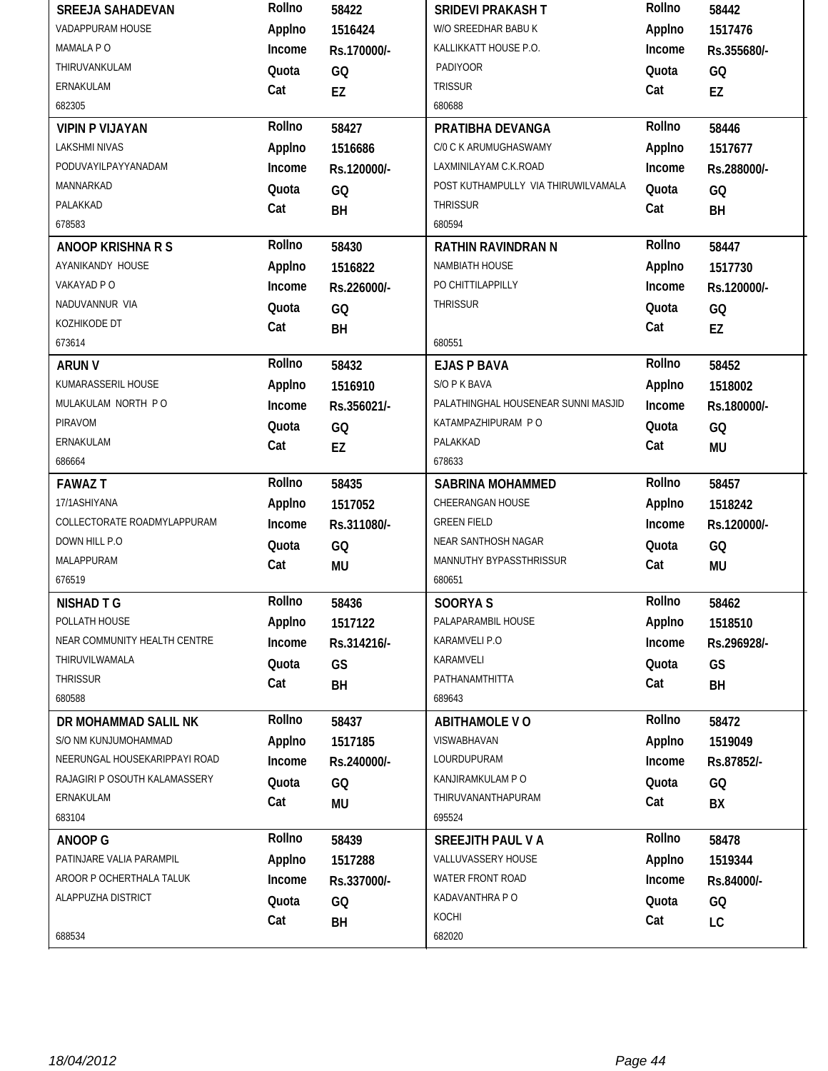| <b>SREEJA SAHADEVAN</b>       | Rollno | 58422       | <b>SRIDEVI PRAKASH T</b>            | Rollno | 58442       |
|-------------------------------|--------|-------------|-------------------------------------|--------|-------------|
| VADAPPURAM HOUSE              | Applno | 1516424     | W/O SREEDHAR BABU K                 | Applno | 1517476     |
| MAMALA P O                    | Income | Rs.170000/- | KALLIKKATT HOUSE P.O.               | Income | Rs.355680/- |
| THIRUVANKULAM                 | Quota  | GQ          | <b>PADIYOOR</b>                     | Quota  | GQ          |
| ERNAKULAM                     | Cat    | EZ          | <b>TRISSUR</b>                      | Cat    | EZ          |
| 682305                        |        |             | 680688                              |        |             |
| <b>VIPIN P VIJAYAN</b>        | Rollno | 58427       | PRATIBHA DEVANGA                    | Rollno | 58446       |
| LAKSHMI NIVAS                 | Applno | 1516686     | C/0 C K ARUMUGHASWAMY               | Applno | 1517677     |
| PODUVAYILPAYYANADAM           | Income | Rs.120000/- | LAXMINILAYAM C.K.ROAD               | Income | Rs.288000/- |
| MANNARKAD                     | Quota  | GQ          | POST KUTHAMPULLY VIA THIRUWILVAMALA | Quota  | GQ          |
| PALAKKAD                      | Cat    | BH          | <b>THRISSUR</b>                     | Cat    | BH          |
| 678583                        |        |             | 680594                              |        |             |
| <b>ANOOP KRISHNA R S</b>      | Rollno | 58430       | <b>RATHIN RAVINDRAN N</b>           | Rollno | 58447       |
| AYANIKANDY HOUSE              | Applno | 1516822     | NAMBIATH HOUSE                      | Applno | 1517730     |
| VAKAYAD P O                   | Income | Rs.226000/- | PO CHITTILAPPILLY                   | Income | Rs.120000/- |
| NADUVANNUR VIA                | Quota  | GQ          | <b>THRISSUR</b>                     | Quota  | GQ          |
| KOZHIKODE DT                  | Cat    | BH          |                                     | Cat    | EZ          |
| 673614                        |        |             | 680551                              |        |             |
| <b>ARUN V</b>                 | Rollno | 58432       | <b>EJAS P BAVA</b>                  | Rollno | 58452       |
| KUMARASSERIL HOUSE            | Applno | 1516910     | S/O P K BAVA                        | Applno | 1518002     |
| MULAKULAM NORTH PO            | Income | Rs.356021/- | PALATHINGHAL HOUSENEAR SUNNI MASJID | Income | Rs.180000/- |
| PIRAVOM                       | Quota  | GQ          | KATAMPAZHIPURAM P O                 | Quota  | GQ          |
| ERNAKULAM                     | Cat    | EZ          | PALAKKAD                            | Cat    | <b>MU</b>   |
| 686664                        |        |             | 678633                              |        |             |
| <b>FAWAZ T</b>                | Rollno | 58435       | <b>SABRINA MOHAMMED</b>             | Rollno | 58457       |
| 17/1ASHIYANA                  | Applno | 1517052     | CHEERANGAN HOUSE                    | Applno | 1518242     |
| COLLECTORATE ROADMYLAPPURAM   | Income | Rs.311080/- | <b>GREEN FIELD</b>                  | Income | Rs.120000/- |
| DOWN HILL P.O                 | Quota  | GQ          | NEAR SANTHOSH NAGAR                 | Quota  | GQ          |
| MALAPPURAM                    | Cat    | MU          | MANNUTHY BYPASSTHRISSUR             | Cat    | <b>MU</b>   |
| 676519                        |        |             | 680651                              |        |             |
| <b>NISHAD T G</b>             | Rollno | 58436       | SOORYA S                            | Rollno | 58462       |
| POLLATH HOUSE                 | Applno | 1517122     | PALAPARAMBIL HOUSE                  | Applno | 1518510     |
| NEAR COMMUNITY HEALTH CENTRE  | Income | Rs.314216/- | KARAMVELI P.O                       | Income | Rs.296928/- |
| THIRUVILWAMALA                | Quota  | GS          | KARAMVELI                           | Quota  | GS          |
| <b>THRISSUR</b>               | Cat    | BH          | PATHANAMTHITTA                      | Cat    | BH          |
| 680588                        |        |             | 689643                              |        |             |
| DR MOHAMMAD SALIL NK          | Rollno | 58437       | <b>ABITHAMOLE VO</b>                | Rollno | 58472       |
| S/O NM KUNJUMOHAMMAD          | Applno | 1517185     | VISWABHAVAN                         | Applno | 1519049     |
| NEERUNGAL HOUSEKARIPPAYI ROAD | Income | Rs.240000/- | LOURDUPURAM                         | Income | Rs.87852/-  |
| RAJAGIRI P OSOUTH KALAMASSERY | Quota  | GQ          | KANJIRAMKULAM P O                   | Quota  | GQ          |
| ERNAKULAM                     | Cat    | MU          | THIRUVANANTHAPURAM                  | Cat    | BX          |
| 683104                        |        |             | 695524                              |        |             |
| ANOOP G                       | Rollno | 58439       | <b>SREEJITH PAUL V A</b>            | Rollno | 58478       |
|                               |        |             |                                     |        |             |
| PATINJARE VALIA PARAMPIL      | Applno | 1517288     | VALLUVASSERY HOUSE                  | Applno | 1519344     |
| AROOR P OCHERTHALA TALUK      | Income | Rs.337000/- | WATER FRONT ROAD                    | Income | Rs.84000/-  |
| ALAPPUZHA DISTRICT            |        |             | KADAVANTHRA P O                     |        |             |
|                               | Quota  | GQ          | KOCHI                               | Quota  | GQ          |
| 688534                        | Cat    | BH          | 682020                              | Cat    | LC          |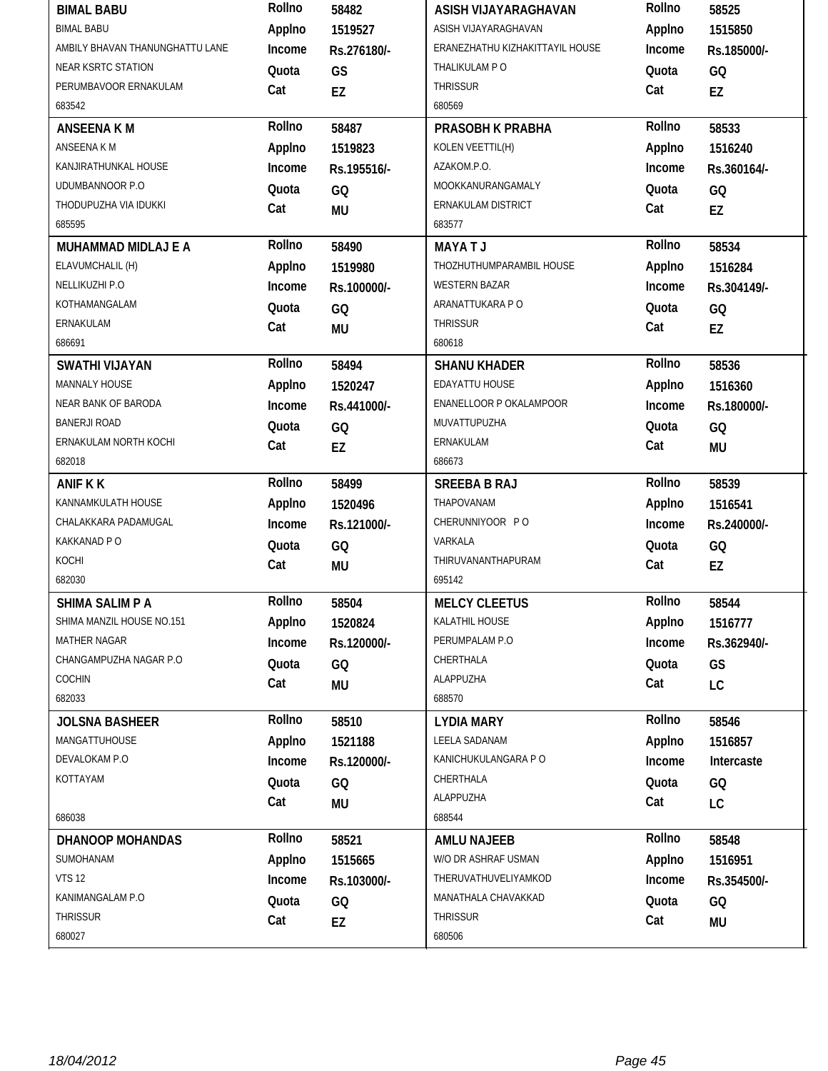| <b>BIMAL BABU</b>               | Rollno | 58482       | ASISH VIJAYARAGHAVAN            | Rollno | 58525       |
|---------------------------------|--------|-------------|---------------------------------|--------|-------------|
| <b>BIMAL BABU</b>               | Applno | 1519527     | ASISH VIJAYARAGHAVAN            | Applno | 1515850     |
| AMBILY BHAVAN THANUNGHATTU LANE | Income | Rs.276180/- | ERANEZHATHU KIZHAKITTAYIL HOUSE | Income | Rs.185000/- |
| <b>NEAR KSRTC STATION</b>       | Quota  | GS          | THALIKULAM P O                  | Quota  | GQ          |
| PERUMBAVOOR ERNAKULAM           | Cat    | EZ          | <b>THRISSUR</b>                 | Cat    | EZ          |
| 683542                          |        |             | 680569                          |        |             |
| <b>ANSEENA KM</b>               | Rollno | 58487       | PRASOBH K PRABHA                | Rollno | 58533       |
| ANSEENA K M                     | Applno | 1519823     | KOLEN VEETTIL(H)                | Applno | 1516240     |
| KANJIRATHUNKAL HOUSE            | Income | Rs.195516/- | AZAKOM.P.O.                     | Income | Rs.360164/- |
| UDUMBANNOOR P.O.                | Quota  | GQ          | MOOKKANURANGAMALY               | Quota  | GQ          |
| THODUPUZHA VIA IDUKKI           | Cat    | <b>MU</b>   | ERNAKULAM DISTRICT              | Cat    | EZ          |
| 685595                          |        |             | 683577                          |        |             |
| MUHAMMAD MIDLAJ E A             | Rollno | 58490       | <b>MAYATJ</b>                   | Rollno | 58534       |
| ELAVUMCHALIL (H)                | Applno | 1519980     | THOZHUTHUMPARAMBIL HOUSE        | Applno | 1516284     |
| NELLIKUZHI P.O                  | Income | Rs.100000/- | <b>WESTERN BAZAR</b>            | Income | Rs.304149/- |
| KOTHAMANGALAM                   | Quota  | GQ          | ARANATTUKARA P O                | Quota  | GQ          |
| ERNAKULAM                       | Cat    | <b>MU</b>   | THRISSUR                        | Cat    | EZ          |
| 686691                          |        |             | 680618                          |        |             |
| <b>SWATHI VIJAYAN</b>           | Rollno | 58494       | <b>SHANU KHADER</b>             | Rollno | 58536       |
| MANNALY HOUSE                   | Applno | 1520247     | EDAYATTU HOUSE                  | Applno | 1516360     |
| NEAR BANK OF BARODA             | Income | Rs.441000/- | ENANELLOOR P OKALAMPOOR         | Income | Rs.180000/- |
| <b>BANERJI ROAD</b>             | Quota  | GQ          | MUVATTUPUZHA                    | Quota  | GQ          |
| ERNAKULAM NORTH KOCHI           | Cat    | <b>EZ</b>   | ERNAKULAM                       | Cat    | <b>MU</b>   |
| 682018                          |        |             | 686673                          |        |             |
| <b>ANIF K K</b>                 | Rollno | 58499       | <b>SREEBA B RAJ</b>             | Rollno | 58539       |
| KANNAMKULATH HOUSE              | Applno | 1520496     | THAPOVANAM                      | Applno | 1516541     |
| CHALAKKARA PADAMUGAL            | Income | Rs.121000/- | CHERUNNIYOOR PO                 | Income | Rs.240000/- |
|                                 |        |             |                                 |        |             |
| KAKKANAD P O                    | Quota  | GQ          | VARKALA                         | Quota  | GQ          |
| KOCHI                           | Cat    |             | THIRUVANANTHAPURAM              | Cat    |             |
| 682030                          |        | MU          | 695142                          |        | EZ          |
| <b>SHIMA SALIM P A</b>          | Rollno | 58504       | <b>MELCY CLEETUS</b>            | Rollno | 58544       |
| SHIMA MANZIL HOUSE NO.151       | Applno | 1520824     | KALATHIL HOUSE                  | Applno | 1516777     |
| <b>MATHER NAGAR</b>             | Income | Rs.120000/- | PERUMPALAM P.O                  | Income | Rs.362940/- |
| CHANGAMPUZHA NAGAR P.O          | Quota  | GQ          | CHERTHALA                       | Quota  | GS          |
| COCHIN                          | Cat    |             | ALAPPUZHA                       | Cat    |             |
| 682033                          |        | MU          | 688570                          |        | LC          |
| <b>JOLSNA BASHEER</b>           | Rollno | 58510       | <b>LYDIA MARY</b>               | Rollno | 58546       |
| MANGATTUHOUSE                   | Applno | 1521188     | LEELA SADANAM                   | Applno | 1516857     |
| DEVALOKAM P.O                   | Income | Rs.120000/- | KANICHUKULANGARA P O            | Income | Intercaste  |
| KOTTAYAM                        | Quota  |             | CHERTHALA                       | Quota  |             |
|                                 |        | GQ          | ALAPPUZHA                       |        | GQ          |
| 686038                          | Cat    | MU          | 688544                          | Cat    | LC          |
| DHANOOP MOHANDAS                | Rollno | 58521       | <b>AMLU NAJEEB</b>              | Rollno | 58548       |
| SUMOHANAM                       | Applno | 1515665     | W/O DR ASHRAF USMAN             | Applno | 1516951     |
| <b>VTS 12</b>                   | Income | Rs.103000/- | THERUVATHUVELIYAMKOD            | Income | Rs.354500/- |
| KANIMANGALAM P.O                | Quota  |             | MANATHALA CHAVAKKAD             | Quota  | GQ          |
| <b>THRISSUR</b>                 | Cat    | GQ<br>EZ    | THRISSUR                        | Cat    | MU          |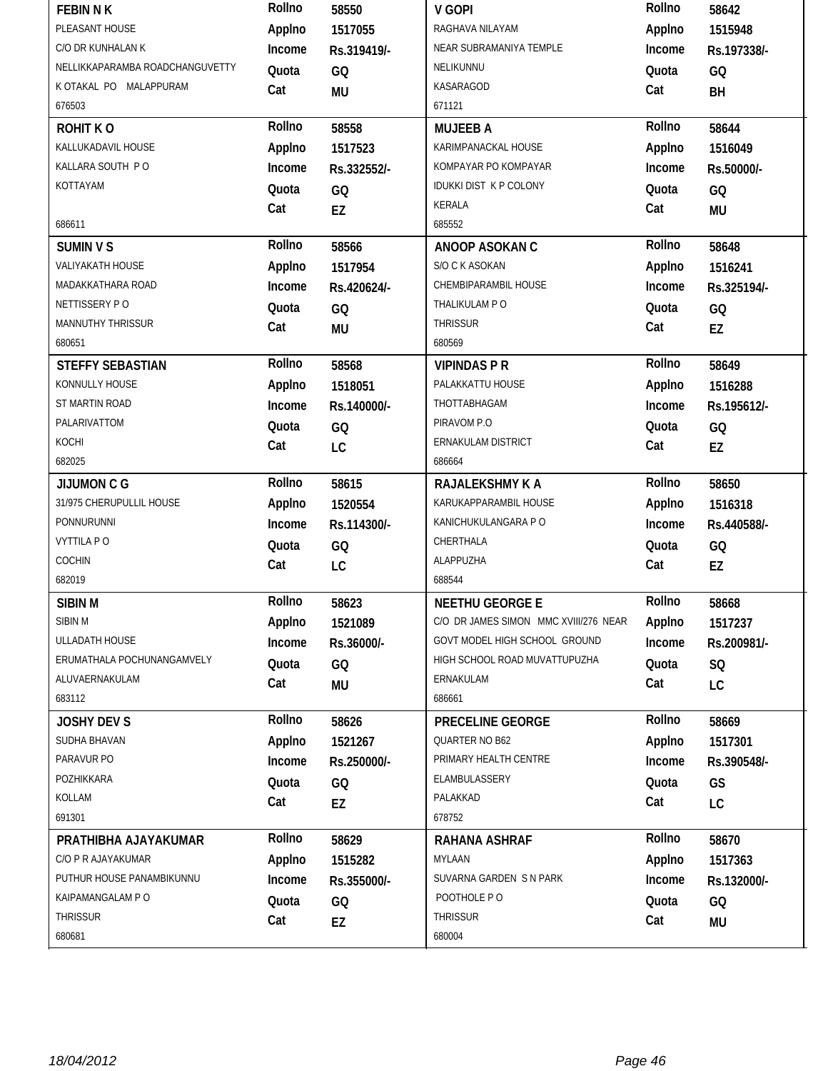| <b>FEBIN N K</b>                | Rollno       | 58550       | V GOPI                                | Rollno       | 58642           |
|---------------------------------|--------------|-------------|---------------------------------------|--------------|-----------------|
| PLEASANT HOUSE                  | Applno       | 1517055     | RAGHAVA NILAYAM                       | Applno       | 1515948         |
| C/O DR KUNHALAN K               | Income       | Rs.319419/- | NEAR SUBRAMANIYA TEMPLE               | Income       | Rs.197338/-     |
| NELLIKKAPARAMBA ROADCHANGUVETTY | Quota        | GQ          | NELIKUNNU                             | Quota        | GQ              |
| K OTAKAL PO MALAPPURAM          | Cat          | <b>MU</b>   | KASARAGOD                             | Cat          | BH              |
| 676503                          |              |             | 671121                                |              |                 |
| <b>ROHIT KO</b>                 | Rollno       | 58558       | <b>MUJEEB A</b>                       | Rollno       | 58644           |
| KALLUKADAVIL HOUSE              | Applno       | 1517523     | KARIMPANACKAL HOUSE                   | Applno       | 1516049         |
| KALLARA SOUTH PO                | Income       | Rs.332552/- | KOMPAYAR PO KOMPAYAR                  | Income       | Rs.50000/-      |
| KOTTAYAM                        | Quota        | GQ          | <b>IDUKKI DIST K P COLONY</b>         | Quota        | GQ              |
|                                 | Cat          | EZ          | KERALA                                | Cat          | <b>MU</b>       |
| 686611                          |              |             | 685552                                |              |                 |
| <b>SUMIN V S</b>                | Rollno       | 58566       | ANOOP ASOKAN C                        | Rollno       | 58648           |
| VALIYAKATH HOUSE                | Applno       | 1517954     | S/O C K ASOKAN                        | Applno       | 1516241         |
| MADAKKATHARA ROAD               | Income       | Rs.420624/- | CHEMBIPARAMBIL HOUSE                  | Income       | Rs.325194/-     |
| NETTISSERY PO                   | Quota        | GQ          | THALIKULAM P O                        | Quota        | GQ              |
| <b>MANNUTHY THRISSUR</b>        | Cat          | <b>MU</b>   | <b>THRISSUR</b>                       | Cat          | EZ              |
| 680651                          |              |             | 680569                                |              |                 |
| <b>STEFFY SEBASTIAN</b>         | Rollno       | 58568       | <b>VIPINDAS P R</b>                   | Rollno       | 58649           |
| KONNULLY HOUSE                  | Applno       | 1518051     | PALAKKATTU HOUSE                      | Applno       | 1516288         |
| ST MARTIN ROAD                  | Income       | Rs.140000/- | THOTTABHAGAM                          | Income       | Rs.195612/-     |
| PALARIVATTOM                    | Quota        | GQ          | PIRAVOM P.O                           | Quota        | GQ              |
| KOCHI                           | Cat          | LC          | ERNAKULAM DISTRICT                    | Cat          | EZ              |
| 682025                          |              |             | 686664                                |              |                 |
|                                 |              |             |                                       |              |                 |
| <b>JIJUMON C G</b>              | Rollno       | 58615       | RAJALEKSHMY K A                       | Rollno       | 58650           |
| 31/975 CHERUPULLIL HOUSE        | Applno       | 1520554     | KARUKAPPARAMBIL HOUSE                 | Applno       | 1516318         |
| PONNURUNNI                      | Income       | Rs.114300/- | KANICHUKULANGARA P O                  | Income       | Rs.440588/-     |
| <b>VYTTILA PO</b>               | Quota        | GQ          | CHERTHALA                             | Quota        | GQ              |
| COCHIN                          | Cat          | LC          | ALAPPUZHA                             | Cat          | EZ              |
| 682019                          |              |             | 688544                                |              |                 |
| SIBIN M                         | Rollno       | 58623       | <b>NEETHU GEORGE E</b>                | Rollno       | 58668           |
| SIBIN M                         | Applno       | 1521089     | C/O DR JAMES SIMON MMC XVIII/276 NEAR | Applno       | 1517237         |
| ULLADATH HOUSE                  | Income       | Rs.36000/-  | GOVT MODEL HIGH SCHOOL GROUND         | Income       | Rs.200981/-     |
| ERUMATHALA POCHUNANGAMVELY      | Quota        | GQ          | HIGH SCHOOL ROAD MUVATTUPUZHA         | Quota        | SQ              |
| ALUVAERNAKULAM                  | Cat          |             | ERNAKULAM                             | Cat          |                 |
| 683112                          |              | <b>MU</b>   | 686661                                |              | LC              |
| <b>JOSHY DEV S</b>              | Rollno       | 58626       | PRECELINE GEORGE                      | Rollno       | 58669           |
| SUDHA BHAVAN                    | Applno       | 1521267     | QUARTER NO B62                        | Applno       | 1517301         |
| PARAVUR PO                      | Income       | Rs.250000/- | PRIMARY HEALTH CENTRE                 | Income       | Rs.390548/-     |
| POZHIKKARA                      |              |             | ELAMBULASSERY                         | Quota        |                 |
| KOLLAM                          | Quota<br>Cat | GQ          | PALAKKAD                              | Cat          | GS              |
| 691301                          |              | EZ          | 678752                                |              | LC              |
| PRATHIBHA AJAYAKUMAR            | Rollno       | 58629       | <b>RAHANA ASHRAF</b>                  | Rollno       | 58670           |
| C/O P R AJAYAKUMAR              | Applno       | 1515282     | MYLAAN                                | Applno       | 1517363         |
| PUTHUR HOUSE PANAMBIKUNNU       | Income       | Rs.355000/- | SUVARNA GARDEN S N PARK               | Income       | Rs.132000/-     |
| KAIPAMANGALAM P O               |              |             | POOTHOLE PO                           |              |                 |
| <b>THRISSUR</b>                 | Quota<br>Cat | GQ<br>EZ    | <b>THRISSUR</b>                       | Quota<br>Cat | GQ<br><b>MU</b> |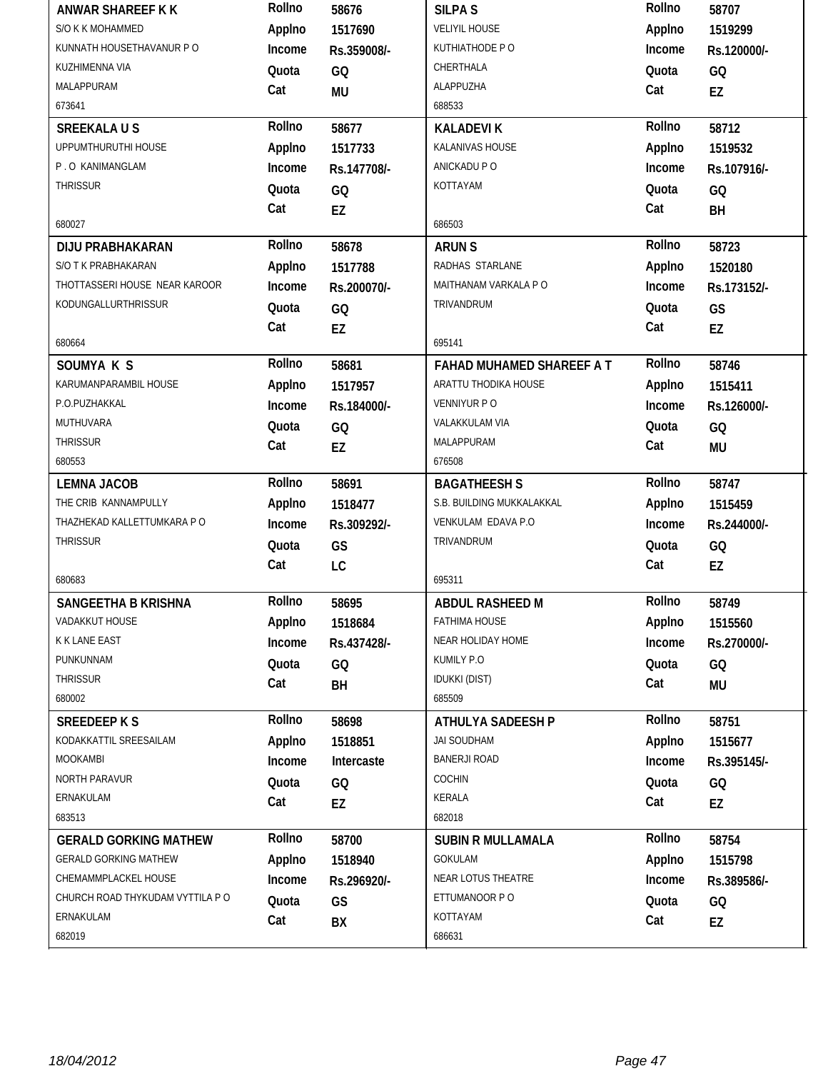| ANWAR SHAREEF K K                | Rollno | 58676       | <b>SILPA S</b>            | Rollno | 58707       |
|----------------------------------|--------|-------------|---------------------------|--------|-------------|
| S/O K K MOHAMMED                 | Applno | 1517690     | <b>VELIYIL HOUSE</b>      | Applno | 1519299     |
| KUNNATH HOUSETHAVANUR P O        | Income | Rs.359008/- | KUTHIATHODE PO            | Income | Rs.120000/- |
| KUZHIMENNA VIA                   | Quota  | GQ          | CHERTHALA                 | Quota  | GQ          |
| MALAPPURAM                       | Cat    | <b>MU</b>   | ALAPPUZHA                 | Cat    | EZ          |
| 673641                           |        |             | 688533                    |        |             |
| <b>SREEKALAUS</b>                | Rollno | 58677       | <b>KALADEVIK</b>          | Rollno | 58712       |
| UPPUMTHURUTHI HOUSE              | Applno | 1517733     | KALANIVAS HOUSE           | Applno | 1519532     |
| P.O KANIMANGLAM                  | Income | Rs.147708/- | ANICKADU P O              | Income | Rs.107916/- |
| <b>THRISSUR</b>                  | Quota  | GQ          | KOTTAYAM                  | Quota  | GQ          |
|                                  | Cat    | EZ          |                           | Cat    | BH          |
| 680027                           |        |             | 686503                    |        |             |
| <b>DIJU PRABHAKARAN</b>          | Rollno | 58678       | <b>ARUN S</b>             | Rollno | 58723       |
| S/O T K PRABHAKARAN              | Applno | 1517788     | RADHAS STARLANE           | Applno | 1520180     |
| THOTTASSERI HOUSE NEAR KAROOR    | Income | Rs.200070/- | MAITHANAM VARKALA P O     | Income | Rs.173152/- |
| KODUNGALLURTHRISSUR              | Quota  | GQ          | TRIVANDRUM                | Quota  | GS          |
|                                  | Cat    | EZ          |                           | Cat    | EZ          |
| 680664                           |        |             | 695141                    |        |             |
| SOUMYA K S                       | Rollno | 58681       | FAHAD MUHAMED SHAREEF A T | Rollno | 58746       |
| KARUMANPARAMBIL HOUSE            | Applno | 1517957     | ARATTU THODIKA HOUSE      | Applno | 1515411     |
| P.O.PUZHAKKAL                    | Income | Rs.184000/- | VENNIYUR P O              | Income | Rs.126000/- |
| MUTHUVARA                        | Quota  | GQ          | VALAKKULAM VIA            | Quota  | GQ          |
| <b>THRISSUR</b>                  | Cat    | EZ          | MALAPPURAM                | Cat    | MU          |
| 680553                           |        |             | 676508                    |        |             |
|                                  |        |             |                           |        |             |
| <b>LEMNA JACOB</b>               | Rollno | 58691       | <b>BAGATHEESH S</b>       | Rollno | 58747       |
| THE CRIB KANNAMPULLY             | Applno | 1518477     | S.B. BUILDING MUKKALAKKAL | Applno | 1515459     |
| THAZHEKAD KALLETTUMKARA P O      | Income | Rs.309292/- | VENKULAM EDAVA P.O        | Income | Rs.244000/- |
| <b>THRISSUR</b>                  | Quota  | GS          | TRIVANDRUM                | Quota  | GQ          |
|                                  | Cat    | LC          |                           | Cat    | EZ          |
| 680683                           |        |             | 695311                    |        |             |
| SANGEETHA B KRISHNA              | Rollno | 58695       | ABDUL RASHEED M           | Rollno | 58749       |
| VADAKKUT HOUSE                   | Applno | 1518684     | <b>FATHIMA HOUSE</b>      | Applno | 1515560     |
| K K LANE EAST                    | Income | Rs.437428/- | NEAR HOLIDAY HOME         | Income | Rs.270000/- |
| PUNKUNNAM                        | Quota  | GQ          | KUMILY P.O                | Quota  | GQ          |
| <b>THRISSUR</b>                  | Cat    | BH          | <b>IDUKKI (DIST)</b>      | Cat    | MU          |
| 680002                           |        |             | 685509                    |        |             |
| <b>SREEDEEPKS</b>                | Rollno | 58698       | ATHULYA SADEESH P         | Rollno | 58751       |
| KODAKKATTIL SREESAILAM           | Applno | 1518851     | JAI SOUDHAM               | Applno | 1515677     |
| <b>MOOKAMBI</b>                  | Income | Intercaste  | <b>BANERJI ROAD</b>       | Income | Rs.395145/- |
| NORTH PARAVUR                    | Quota  | GQ          | COCHIN                    | Quota  | GQ          |
| ERNAKULAM                        | Cat    | EZ          | KERALA                    | Cat    | EZ          |
| 683513                           |        |             | 682018                    |        |             |
| <b>GERALD GORKING MATHEW</b>     | Rollno | 58700       | <b>SUBIN R MULLAMALA</b>  | Rollno | 58754       |
| <b>GERALD GORKING MATHEW</b>     | Applno | 1518940     | GOKULAM                   | Applno | 1515798     |
| CHEMAMMPLACKEL HOUSE             | Income | Rs.296920/- | NEAR LOTUS THEATRE        | Income | Rs.389586/- |
| CHURCH ROAD THYKUDAM VYTTILA P O | Quota  | GS          | ETTUMANOOR P O            | Quota  | GQ          |
| ERNAKULAM<br>682019              | Cat    | BX          | KOTTAYAM<br>686631        | Cat    | EZ          |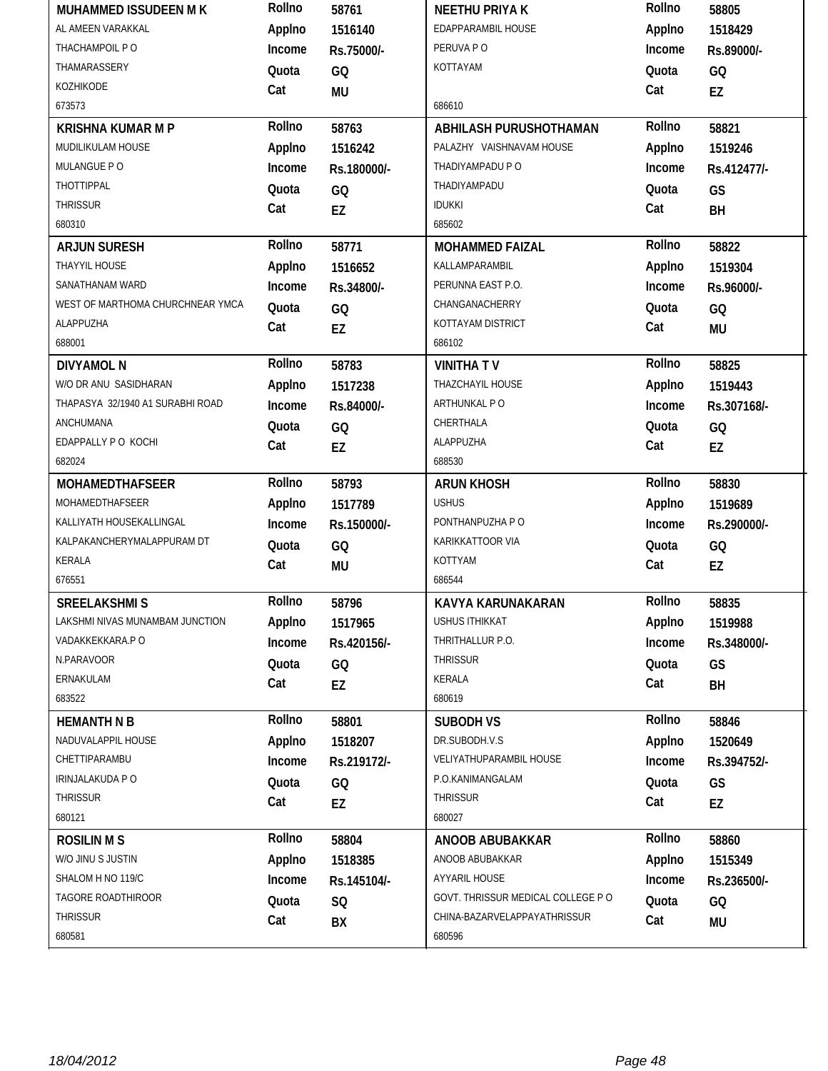| MUHAMMED ISSUDEEN M K            | Rollno       | 58761       | <b>NEETHU PRIYAK</b>               | Rollno       | 58805       |
|----------------------------------|--------------|-------------|------------------------------------|--------------|-------------|
| AL AMEEN VARAKKAL                | Applno       | 1516140     | EDAPPARAMBIL HOUSE                 | Applno       | 1518429     |
| THACHAMPOIL PO                   | Income       | Rs.75000/-  | PERUVA PO                          | Income       | Rs.89000/-  |
| THAMARASSERY                     | Quota        | GQ          | KOTTAYAM                           | Quota        | GQ          |
| KOZHIKODE                        | Cat          | MU          |                                    | Cat          | EZ          |
| 673573                           |              |             | 686610                             |              |             |
| <b>KRISHNA KUMAR M P</b>         | Rollno       | 58763       | ABHILASH PURUSHOTHAMAN             | Rollno       | 58821       |
| MUDILIKULAM HOUSE                | Applno       | 1516242     | PALAZHY VAISHNAVAM HOUSE           | Applno       | 1519246     |
| MULANGUE PO                      | Income       | Rs.180000/- | THADIYAMPADU P O                   | Income       | Rs.412477/- |
| THOTTIPPAL                       | Quota        | GQ          | THADIYAMPADU                       | Quota        | GS          |
| <b>THRISSUR</b>                  | Cat          | <b>EZ</b>   | <b>IDUKKI</b>                      | Cat          | BH          |
| 680310                           |              |             | 685602                             |              |             |
| <b>ARJUN SURESH</b>              | Rollno       | 58771       | <b>MOHAMMED FAIZAL</b>             | Rollno       | 58822       |
| THAYYIL HOUSE                    | Applno       | 1516652     | KALLAMPARAMBIL                     | Applno       | 1519304     |
| SANATHANAM WARD                  | Income       | Rs.34800/-  | PERUNNA EAST P.O.                  | Income       | Rs.96000/-  |
| WEST OF MARTHOMA CHURCHNEAR YMCA | Quota        | GQ          | CHANGANACHERRY                     | Quota        | GQ          |
| ALAPPUZHA                        | Cat          | EZ          | KOTTAYAM DISTRICT                  | Cat          | <b>MU</b>   |
| 688001                           |              |             | 686102                             |              |             |
| <b>DIVYAMOL N</b>                | Rollno       | 58783       | <b>VINITHATV</b>                   | Rollno       | 58825       |
| W/O DR ANU SASIDHARAN            | Applno       | 1517238     | THAZCHAYIL HOUSE                   | Applno       | 1519443     |
| THAPASYA 32/1940 A1 SURABHI ROAD | Income       | Rs.84000/-  | ARTHUNKAL PO                       | Income       | Rs.307168/- |
| ANCHUMANA                        | Quota        | GQ          | CHERTHALA                          | Quota        | GQ          |
| EDAPPALLY P O KOCHI              | Cat          | <b>EZ</b>   | ALAPPUZHA                          | Cat          | EZ          |
| 682024                           |              |             | 688530                             |              |             |
|                                  |              |             |                                    |              |             |
| <b>MOHAMEDTHAFSEER</b>           | Rollno       | 58793       | <b>ARUN KHOSH</b>                  | Rollno       | 58830       |
| MOHAMEDTHAFSEER                  | Applno       | 1517789     | <b>USHUS</b>                       | Applno       | 1519689     |
| KALLIYATH HOUSEKALLINGAL         | Income       | Rs.150000/- | PONTHANPUZHA P O                   | Income       | Rs.290000/- |
| KALPAKANCHERYMALAPPURAM DT       | Quota        | GQ          | KARIKKATTOOR VIA                   | Quota        |             |
| <b>KERALA</b>                    |              |             | KOTTYAM                            | Cat          | GQ          |
| 676551                           | Cat          | <b>MU</b>   | 686544                             |              | EZ          |
| <b>SREELAKSHMIS</b>              | Rollno       | 58796       | KAVYA KARUNAKARAN                  | Rollno       | 58835       |
| LAKSHMI NIVAS MUNAMBAM JUNCTION  | Applno       | 1517965     | <b>USHUS ITHIKKAT</b>              | Applno       | 1519988     |
| VADAKKEKKARA.P O                 | Income       | Rs.420156/- | THRITHALLUR P.O.                   | Income       | Rs.348000/- |
| N.PARAVOOR                       | Quota        |             | <b>THRISSUR</b>                    | Quota        |             |
| ERNAKULAM                        |              | GQ          | KERALA                             |              | GS          |
| 683522                           | Cat          | EZ          | 680619                             | Cat          | BH          |
| <b>HEMANTH N B</b>               | Rollno       | 58801       | <b>SUBODH VS</b>                   | Rollno       | 58846       |
| NADUVALAPPIL HOUSE               | Applno       | 1518207     | DR.SUBODH.V.S                      | Applno       | 1520649     |
| CHETTIPARAMBU                    | Income       | Rs.219172/- | VELIYATHUPARAMBIL HOUSE            | Income       | Rs.394752/- |
| IRINJALAKUDA P O                 |              |             | P.O.KANIMANGALAM                   |              |             |
| THRISSUR                         | Quota        | GQ          | THRISSUR                           | Quota        | GS          |
| 680121                           | Cat          | EZ          | 680027                             | Cat          | EZ          |
| <b>ROSILIN M S</b>               | Rollno       | 58804       | ANOOB ABUBAKKAR                    | Rollno       | 58860       |
| W/O JINU S JUSTIN                | Applno       | 1518385     | ANOOB ABUBAKKAR                    | Applno       | 1515349     |
| SHALOM H NO 119/C                | Income       | Rs.145104/- | AYYARIL HOUSE                      | Income       | Rs.236500/- |
| TAGORE ROADTHIROOR               |              |             | GOVT. THRISSUR MEDICAL COLLEGE P O |              |             |
| THRISSUR                         | Quota<br>Cat | SQ<br>BX    | CHINA-BAZARVELAPPAYATHRISSUR       | Quota<br>Cat | GQ<br>MU    |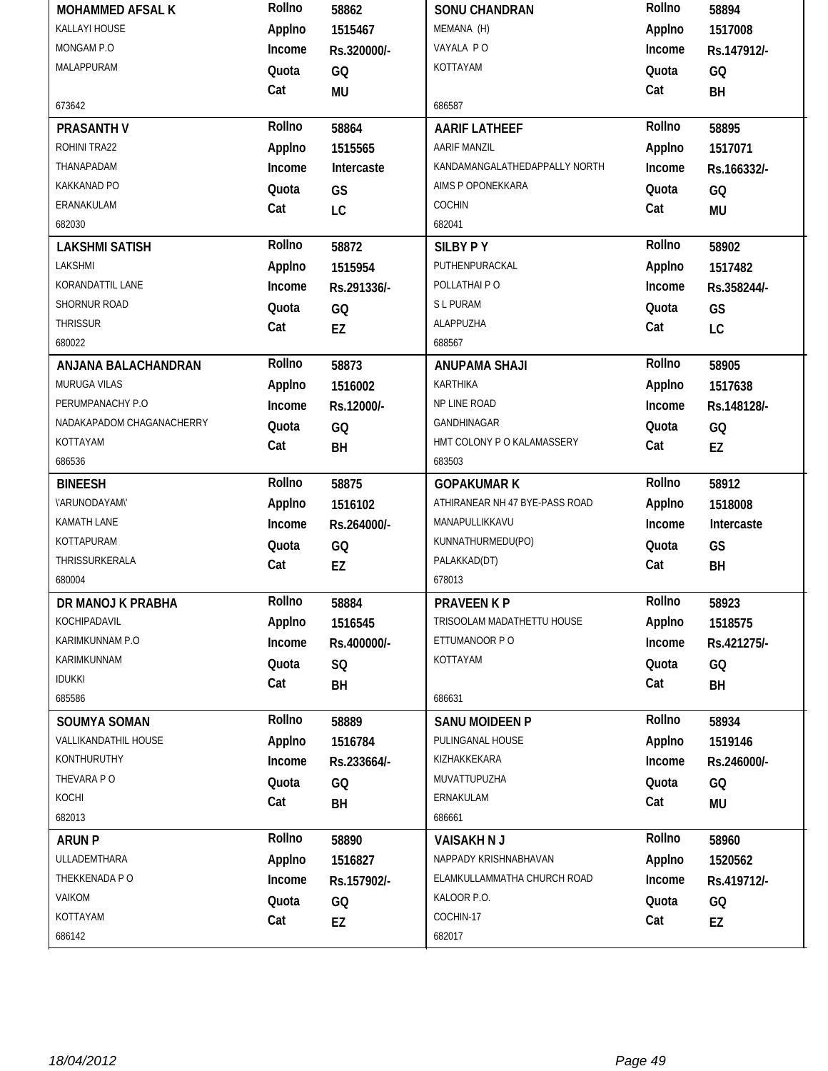| <b>MOHAMMED AFSAL K</b>   | Rollno | 58862       | <b>SONU CHANDRAN</b>           | Rollno | 58894       |
|---------------------------|--------|-------------|--------------------------------|--------|-------------|
| KALLAYI HOUSE             | Applno | 1515467     | MEMANA (H)                     | Applno | 1517008     |
| MONGAM P.O                | Income | Rs.320000/- | VAYALA PO                      | Income | Rs.147912/- |
| MALAPPURAM                | Quota  | GQ          | KOTTAYAM                       | Quota  | GQ          |
|                           | Cat    | MU          |                                | Cat    | BH          |
| 673642                    |        |             | 686587                         |        |             |
| PRASANTH V                | Rollno | 58864       | <b>AARIF LATHEEF</b>           | Rollno | 58895       |
| ROHINI TRA22              | Applno | 1515565     | <b>AARIF MANZIL</b>            | Applno | 1517071     |
| THANAPADAM                | Income | Intercaste  | KANDAMANGALATHEDAPPALLY NORTH  | Income | Rs.166332/- |
| KAKKANAD PO               | Quota  | GS          | AIMS P OPONEKKARA              | Quota  | GQ          |
| ERANAKULAM                | Cat    | LC          | COCHIN                         | Cat    | <b>MU</b>   |
| 682030                    |        |             | 682041                         |        |             |
| <b>LAKSHMI SATISH</b>     | Rollno | 58872       | <b>SILBY PY</b>                | Rollno | 58902       |
| <b>LAKSHMI</b>            | Applno | 1515954     | PUTHENPURACKAL                 | Applno | 1517482     |
| KORANDATTIL LANE          | Income | Rs.291336/- | POLLATHAI PO                   | Income | Rs.358244/- |
| SHORNUR ROAD              | Quota  | GQ          | S L PURAM                      | Quota  | GS          |
| THRISSUR                  | Cat    | EZ          | ALAPPUZHA                      | Cat    | LC          |
| 680022                    |        |             | 688567                         |        |             |
| ANJANA BALACHANDRAN       | Rollno | 58873       | <b>ANUPAMA SHAJI</b>           | Rollno | 58905       |
| MURUGA VILAS              | Applno | 1516002     | <b>KARTHIKA</b>                | Applno | 1517638     |
| PERUMPANACHY P.O          | Income | Rs.12000/-  | NP LINE ROAD                   | Income | Rs.148128/- |
| NADAKAPADOM CHAGANACHERRY | Quota  | GQ          | GANDHINAGAR                    | Quota  | GQ          |
| KOTTAYAM                  | Cat    | <b>BH</b>   | HMT COLONY P O KALAMASSERY     | Cat    | EZ          |
| 686536                    |        |             | 683503                         |        |             |
| <b>BINEESH</b>            | Rollno | 58875       | <b>GOPAKUMARK</b>              | Rollno | 58912       |
| <b>\'ARUNODAYAM\'</b>     | Applno | 1516102     | ATHIRANEAR NH 47 BYE-PASS ROAD | Applno | 1518008     |
| KAMATH LANE               | Income | Rs.264000/- | MANAPULLIKKAVU                 | Income | Intercaste  |
| KOTTAPURAM                | Quota  | GQ          | KUNNATHURMEDU(PO)              | Quota  | GS          |
| THRISSURKERALA            | Cat    | EZ          | PALAKKAD(DT)                   | Cat    | BH          |
| 680004                    |        |             | 678013                         |        |             |
| DR MANOJ K PRABHA         |        |             |                                |        |             |
|                           | Rollno | 58884       | <b>PRAVEEN K P</b>             | Rollno | 58923       |
| KOCHIPADAVIL              | Applno | 1516545     | TRISOOLAM MADATHETTU HOUSE     | Applno | 1518575     |
| KARIMKUNNAM P.O           | Income | Rs.400000/- | ETTUMANOOR P O                 | Income | Rs.421275/- |
| KARIMKUNNAM               | Quota  | SQ          | KOTTAYAM                       | Quota  | GQ          |
| <b>IDUKKI</b>             | Cat    | BH          |                                | Cat    | BH          |
| 685586                    |        |             | 686631                         |        |             |
| <b>SOUMYA SOMAN</b>       | Rollno | 58889       | <b>SANU MOIDEEN P</b>          | Rollno | 58934       |
| VALLIKANDATHIL HOUSE      | Applno | 1516784     | PULINGANAL HOUSE               | Applno | 1519146     |
| KONTHURUTHY               | Income | Rs.233664/- | KIZHAKKEKARA                   | Income | Rs.246000/- |
| THEVARA PO                | Quota  | GQ          | MUVATTUPUZHA                   | Quota  | GQ          |
| KOCHI                     | Cat    | BH          | ERNAKULAM                      | Cat    | <b>MU</b>   |
| 682013                    |        |             | 686661                         |        |             |
| <b>ARUN P</b>             | Rollno | 58890       | <b>VAISAKH N J</b>             | Rollno | 58960       |
| ULLADEMTHARA              | Applno | 1516827     | NAPPADY KRISHNABHAVAN          | Applno | 1520562     |
| THEKKENADA PO             | Income | Rs.157902/- | ELAMKULLAMMATHA CHURCH ROAD    | Income | Rs.419712/- |
| VAIKOM                    | Quota  | GQ          | KALOOR P.O.                    | Quota  | GQ          |
| KOTTAYAM                  | Cat    | EZ          | COCHIN-17                      | Cat    | EZ          |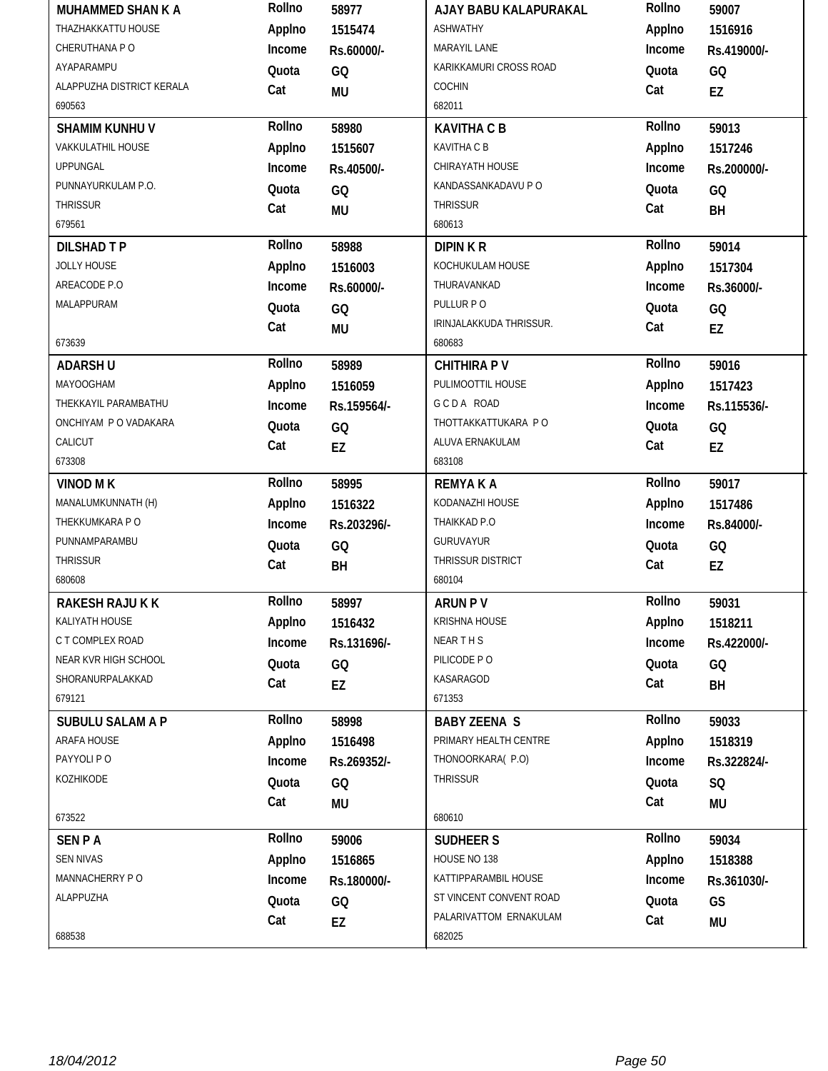| MUHAMMED SHAN K A         | Rollno | 58977       | AJAY BABU KALAPURAKAL            | Rollno | 59007       |
|---------------------------|--------|-------------|----------------------------------|--------|-------------|
| THAZHAKKATTU HOUSE        | Applno | 1515474     | <b>ASHWATHY</b>                  | Applno | 1516916     |
| CHERUTHANA PO             | Income | Rs.60000/-  | MARAYIL LANE                     | Income | Rs.419000/- |
| AYAPARAMPU                | Quota  | GQ          | KARIKKAMURI CROSS ROAD           | Quota  | GQ          |
| ALAPPUZHA DISTRICT KERALA | Cat    | MU          | COCHIN                           | Cat    | EZ          |
| 690563                    |        |             | 682011                           |        |             |
| <b>SHAMIM KUNHU V</b>     | Rollno | 58980       | <b>KAVITHA C B</b>               | Rollno | 59013       |
| <b>VAKKULATHIL HOUSE</b>  | Applno | 1515607     | <b>KAVITHA C B</b>               | Applno | 1517246     |
| <b>UPPUNGAL</b>           | Income | Rs.40500/-  | CHIRAYATH HOUSE                  | Income | Rs.200000/- |
| PUNNAYURKULAM P.O.        | Quota  | GQ          | KANDASSANKADAVU P O              | Quota  | GQ          |
| THRISSUR                  | Cat    | <b>MU</b>   | <b>THRISSUR</b>                  | Cat    | BH          |
| 679561                    |        |             | 680613                           |        |             |
| <b>DILSHAD T P</b>        | Rollno | 58988       | <b>DIPINKR</b>                   | Rollno | 59014       |
| <b>JOLLY HOUSE</b>        | Applno | 1516003     | KOCHUKULAM HOUSE                 | Applno | 1517304     |
| AREACODE P.O              | Income | Rs.60000/-  | THURAVANKAD                      | Income | Rs.36000/-  |
| MALAPPURAM                | Quota  | GQ          | PULLUR PO                        | Quota  | GQ          |
|                           | Cat    | MU          | IRINJALAKKUDA THRISSUR.          | Cat    | EZ          |
| 673639                    |        |             | 680683                           |        |             |
| <b>ADARSH U</b>           | Rollno | 58989       | <b>CHITHIRA PV</b>               | Rollno | 59016       |
| <b>MAYOOGHAM</b>          | Applno | 1516059     | PULIMOOTTIL HOUSE                | Applno | 1517423     |
| THEKKAYIL PARAMBATHU      | Income | Rs.159564/- | GCDA ROAD                        | Income | Rs.115536/- |
| ONCHIYAM P O VADAKARA     | Quota  | GQ          | THOTTAKKATTUKARA PO              | Quota  | GQ          |
| CALICUT                   | Cat    | EZ          | ALUVA ERNAKULAM                  | Cat    | EZ          |
| 673308                    |        |             | 683108                           |        |             |
|                           |        |             |                                  |        |             |
| <b>VINOD MK</b>           | Rollno | 58995       | <b>REMYAKA</b>                   | Rollno | 59017       |
| MANALUMKUNNATH (H)        | Applno | 1516322     | KODANAZHI HOUSE                  | Applno | 1517486     |
| THEKKUMKARA P O           | Income | Rs.203296/- | THAIKKAD P.O                     | Income | Rs.84000/-  |
| PUNNAMPARAMBU             | Quota  | GQ          | <b>GURUVAYUR</b>                 | Quota  | GQ          |
| THRISSUR                  | Cat    | BH          | THRISSUR DISTRICT                | Cat    | EZ          |
| 680608                    |        |             | 680104                           |        |             |
| RAKESH RAJU K K           | Rollno | 58997       | <b>ARUN PV</b>                   | Rollno | 59031       |
| KALIYATH HOUSE            | Applno | 1516432     | <b>KRISHNA HOUSE</b>             | Applno | 1518211     |
| C T COMPLEX ROAD          | Income | Rs.131696/- | NEARTHS                          | Income | Rs.422000/- |
| NEAR KVR HIGH SCHOOL      | Quota  | GQ          | PILICODE PO                      | Quota  | GQ          |
| SHORANURPALAKKAD          | Cat    | EZ          | KASARAGOD                        | Cat    | BH          |
| 679121                    |        |             | 671353                           |        |             |
| <b>SUBULU SALAM A P</b>   | Rollno | 58998       | <b>BABY ZEENA S</b>              | Rollno | 59033       |
| ARAFA HOUSE               | Applno | 1516498     | PRIMARY HEALTH CENTRE            | Applno | 1518319     |
| PAYYOLI P O               | Income | Rs.269352/- | THONOORKARA(P.O)                 | Income | Rs.322824/- |
| KOZHIKODE                 | Quota  | GQ          | THRISSUR                         | Quota  | SQ          |
|                           | Cat    | MU          |                                  | Cat    | <b>MU</b>   |
| 673522                    |        |             | 680610                           |        |             |
| <b>SENPA</b>              | Rollno | 59006       | <b>SUDHEER S</b>                 | Rollno | 59034       |
| <b>SEN NIVAS</b>          | Applno | 1516865     | HOUSE NO 138                     | Applno | 1518388     |
| MANNACHERRY PO            | Income | Rs.180000/- | KATTIPPARAMBIL HOUSE             | Income | Rs.361030/- |
| ALAPPUZHA                 | Quota  | GQ          | ST VINCENT CONVENT ROAD          | Quota  | GS          |
| 688538                    | Cat    | EZ          | PALARIVATTOM ERNAKULAM<br>682025 | Cat    | <b>MU</b>   |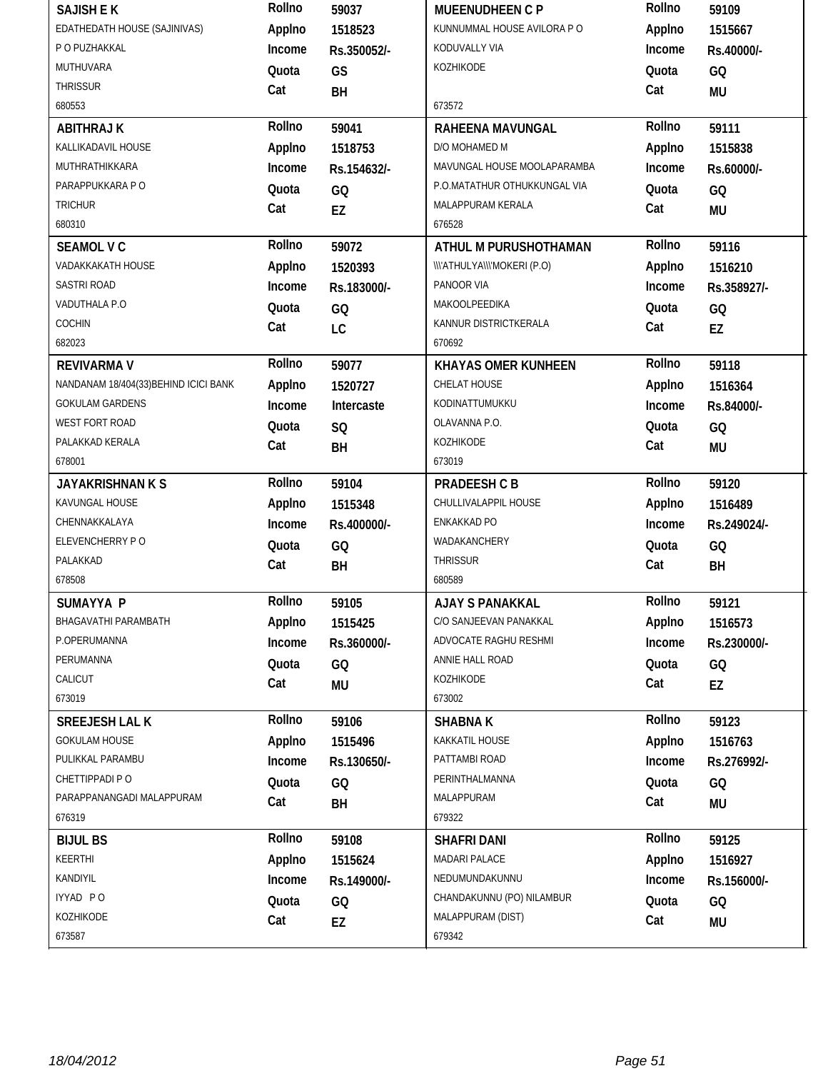| <b>SAJISH E K</b>                     | Rollno | 59037       | MUEENUDHEEN C P              | Rollno       | 59109       |
|---------------------------------------|--------|-------------|------------------------------|--------------|-------------|
| EDATHEDATH HOUSE (SAJINIVAS)          | Applno | 1518523     | KUNNUMMAL HOUSE AVILORA PO   | Applno       | 1515667     |
| P O PUZHAKKAL                         | Income | Rs.350052/- | KODUVALLY VIA                | Income       | Rs.40000/-  |
| MUTHUVARA                             | Quota  | GS          | KOZHIKODE                    | Quota        | GQ          |
| <b>THRISSUR</b>                       | Cat    | BH          |                              | Cat          | <b>MU</b>   |
| 680553                                |        |             | 673572                       |              |             |
| <b>ABITHRAJ K</b>                     | Rollno | 59041       | RAHEENA MAVUNGAL             | Rollno       | 59111       |
| KALLIKADAVIL HOUSE                    | Applno | 1518753     | D/O MOHAMED M                | Applno       | 1515838     |
| MUTHRATHIKKARA                        | Income | Rs.154632/- | MAVUNGAL HOUSE MOOLAPARAMBA  | Income       | Rs.60000/-  |
| PARAPPUKKARA P O                      | Quota  | GQ          | P.O.MATATHUR OTHUKKUNGAL VIA | Quota        | GQ          |
| <b>TRICHUR</b>                        | Cat    | EZ          | MALAPPURAM KERALA            | Cat          | <b>MU</b>   |
| 680310                                |        |             | 676528                       |              |             |
| <b>SEAMOL V C</b>                     | Rollno | 59072       | ATHUL M PURUSHOTHAMAN        | Rollno       | 59116       |
| VADAKKAKATH HOUSE                     | Applno | 1520393     | \\\'ATHULYA\\\'MOKERI (P.O)  | Applno       | 1516210     |
| <b>SASTRI ROAD</b>                    | Income | Rs.183000/- | PANOOR VIA                   | Income       | Rs.358927/- |
| VADUTHALA P.O                         | Quota  | GQ          | MAKOOLPEEDIKA                | Quota        | GQ          |
| COCHIN                                | Cat    | LC          | KANNUR DISTRICTKERALA        | Cat          | EZ          |
| 682023                                |        |             | 670692                       |              |             |
| <b>REVIVARMA V</b>                    | Rollno | 59077       | <b>KHAYAS OMER KUNHEEN</b>   | Rollno       | 59118       |
| NANDANAM 18/404(33) BEHIND ICICI BANK | Applno | 1520727     | CHELAT HOUSE                 | Applno       | 1516364     |
| <b>GOKULAM GARDENS</b>                | Income | Intercaste  | KODINATTUMUKKU               | Income       | Rs.84000/-  |
| WEST FORT ROAD                        | Quota  | SQ          | OLAVANNA P.O.                | Quota        | GQ          |
| PALAKKAD KERALA                       | Cat    | <b>BH</b>   | KOZHIKODE                    | Cat          | <b>MU</b>   |
| 678001                                |        |             | 673019                       |              |             |
| <b>JAYAKRISHNAN K S</b>               | Rollno | 59104       | PRADEESH C B                 | Rollno       | 59120       |
|                                       |        | 1515348     | CHULLIVALAPPIL HOUSE         | Applno       | 1516489     |
| KAVUNGAL HOUSE                        | Applno |             |                              |              |             |
| CHENNAKKALAYA                         | Income | Rs.400000/- | ENKAKKAD PO                  | Income       | Rs.249024/- |
| ELEVENCHERRY PO                       | Quota  |             | WADAKANCHERY                 | Quota        |             |
| PALAKKAD                              | Cat    | GQ          | <b>THRISSUR</b>              | Cat          | GQ          |
| 678508                                |        | BH          | 680589                       |              | BH          |
| <b>SUMAYYA P</b>                      | Rollno | 59105       | <b>AJAY S PANAKKAL</b>       | Rollno       | 59121       |
| BHAGAVATHI PARAMBATH                  | Applno | 1515425     | C/O SANJEEVAN PANAKKAL       | Applno       | 1516573     |
| P.OPERUMANNA                          | Income | Rs.360000/- | ADVOCATE RAGHU RESHMI        | Income       | Rs.230000/- |
| PERUMANNA                             | Quota  | GQ          | ANNIE HALL ROAD              | Quota        | GQ          |
| CALICUT                               | Cat    |             | KOZHIKODE                    | Cat          |             |
| 673019                                |        | MU          | 673002                       |              | EZ          |
| <b>SREEJESH LAL K</b>                 | Rollno | 59106       | <b>SHABNAK</b>               | Rollno       | 59123       |
| <b>GOKULAM HOUSE</b>                  | Applno | 1515496     | KAKKATIL HOUSE               | Applno       | 1516763     |
| PULIKKAL PARAMBU                      | Income | Rs.130650/- | PATTAMBI ROAD                | Income       | Rs.276992/- |
| CHETTIPPADI PO                        |        |             | PERINTHALMANNA               |              |             |
| PARAPPANANGADI MALAPPURAM             | Quota  | GQ          | MALAPPURAM                   | Quota<br>Cat | GQ          |
| 676319                                | Cat    | BH          | 679322                       |              | <b>MU</b>   |
| <b>BIJUL BS</b>                       | Rollno | 59108       | <b>SHAFRI DANI</b>           | Rollno       | 59125       |
| KEERTHI                               | Applno | 1515624     | MADARI PALACE                | Applno       | 1516927     |
| KANDIYIL                              | Income | Rs.149000/- | NEDUMUNDAKUNNU               | Income       | Rs.156000/- |
| IYYAD PO                              | Quota  |             | CHANDAKUNNU (PO) NILAMBUR    | Quota        | GQ          |
| KOZHIKODE                             | Cat    | GQ<br>EZ    | MALAPPURAM (DIST)            | Cat          | MU          |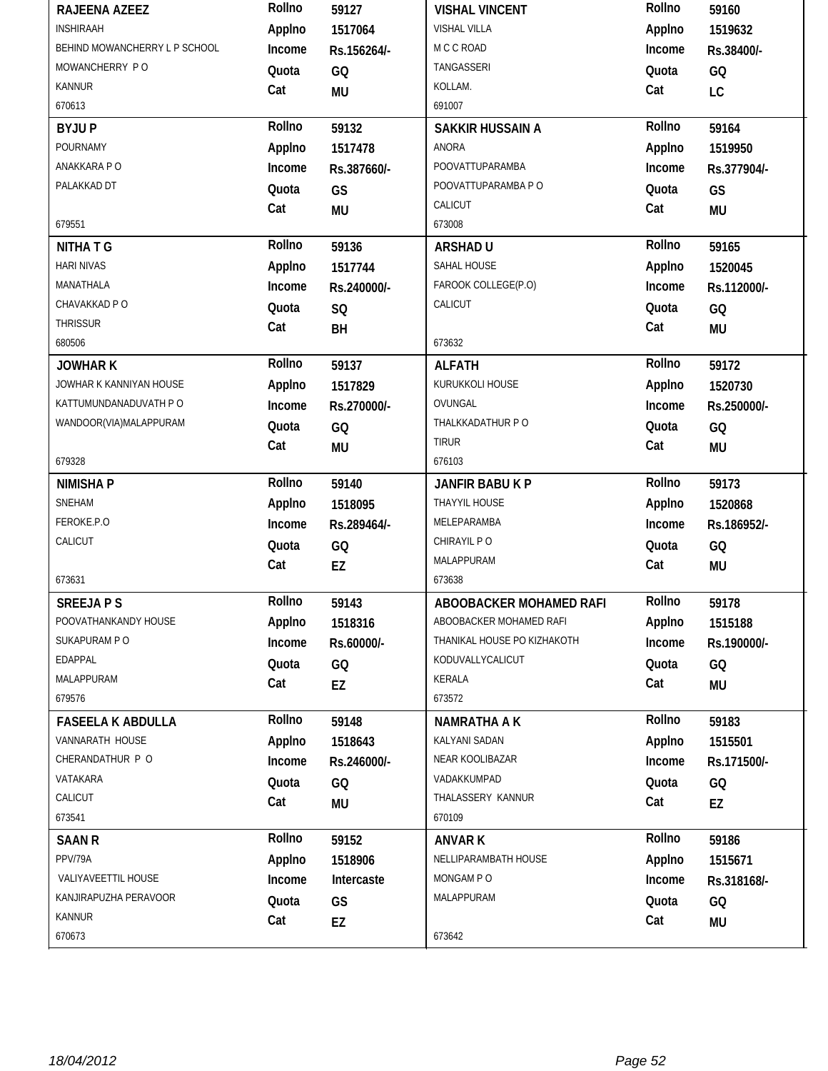| RAJEENA AZEEZ                 | Rollno | 59127       | <b>VISHAL VINCENT</b>       | Rollno | 59160       |
|-------------------------------|--------|-------------|-----------------------------|--------|-------------|
| <b>INSHIRAAH</b>              | Applno | 1517064     | <b>VISHAL VILLA</b>         | Applno | 1519632     |
| BEHIND MOWANCHERRY L P SCHOOL | Income | Rs.156264/- | M C C ROAD                  | Income | Rs.38400/-  |
| MOWANCHERRY PO                | Quota  | GQ          | TANGASSERI                  | Quota  | GQ          |
| <b>KANNUR</b>                 | Cat    | MU          | KOLLAM.                     | Cat    | LC          |
| 670613                        |        |             | 691007                      |        |             |
| <b>BYJUP</b>                  | Rollno | 59132       | <b>SAKKIR HUSSAIN A</b>     | Rollno | 59164       |
| POURNAMY                      | Applno | 1517478     | <b>ANORA</b>                | Applno | 1519950     |
| ANAKKARA PO                   | Income | Rs.387660/- | <b>POOVATTUPARAMBA</b>      | Income | Rs.377904/- |
| PALAKKAD DT                   | Quota  | GS          | POOVATTUPARAMBA P O         | Quota  | GS          |
|                               | Cat    | <b>MU</b>   | CALICUT                     | Cat    | <b>MU</b>   |
| 679551                        |        |             | 673008                      |        |             |
| <b>NITHATG</b>                | Rollno | 59136       | <b>ARSHAD U</b>             | Rollno | 59165       |
| <b>HARI NIVAS</b>             | Applno | 1517744     | SAHAL HOUSE                 | Applno | 1520045     |
| MANATHALA                     | Income | Rs.240000/- | FAROOK COLLEGE(P.O)         | Income | Rs.112000/- |
| CHAVAKKAD P O                 | Quota  | SQ          | CALICUT                     | Quota  | GQ          |
| <b>THRISSUR</b>               | Cat    | BH          |                             | Cat    | <b>MU</b>   |
| 680506                        |        |             | 673632                      |        |             |
| <b>JOWHARK</b>                | Rollno | 59137       | <b>ALFATH</b>               | Rollno | 59172       |
| JOWHAR K KANNIYAN HOUSE       | Applno | 1517829     | KURUKKOLI HOUSE             | Applno | 1520730     |
| KATTUMUNDANADUVATH P O        | Income | Rs.270000/- | OVUNGAL                     | Income | Rs.250000/- |
| WANDOOR(VIA)MALAPPURAM        | Quota  | GQ          | THALKKADATHUR PO            | Quota  | GQ          |
|                               | Cat    | <b>MU</b>   | <b>TIRUR</b>                | Cat    | MU          |
| 679328                        |        |             | 676103                      |        |             |
|                               |        |             |                             |        |             |
| <b>NIMISHAP</b>               | Rollno | 59140       | JANFIR BABU K P             | Rollno | 59173       |
| SNEHAM                        | Applno | 1518095     | THAYYIL HOUSE               | Applno | 1520868     |
| FEROKE.P.O                    | Income | Rs.289464/- | MELEPARAMBA                 | Income | Rs.186952/- |
| CALICUT                       | Quota  | GQ          | CHIRAYIL PO                 | Quota  | GQ          |
|                               | Cat    | EZ          | MALAPPURAM                  | Cat    | MU          |
| 673631                        |        |             | 673638                      |        |             |
| <b>SREEJAPS</b>               | Rollno | 59143       | ABOOBACKER MOHAMED RAFI     | Rollno | 59178       |
| POOVATHANKANDY HOUSE          | Applno | 1518316     | ABOOBACKER MOHAMED RAFI     | Applno | 1515188     |
| SUKAPURAM P O                 | Income | Rs.60000/-  | THANIKAL HOUSE PO KIZHAKOTH | Income | Rs.190000/- |
| EDAPPAL                       | Quota  | GQ          | KODUVALLYCALICUT            | Quota  | GQ          |
| MALAPPURAM                    | Cat    | EZ          | KERALA                      | Cat    | MU          |
| 679576                        |        |             | 673572                      |        |             |
| <b>FASEELA K ABDULLA</b>      | Rollno | 59148       | NAMRATHA A K                | Rollno | 59183       |
| VANNARATH HOUSE               | Applno | 1518643     | KALYANI SADAN               | Applno | 1515501     |
| CHERANDATHUR P O              | Income | Rs.246000/- | NEAR KOOLIBAZAR             | Income | Rs.171500/- |
| VATAKARA                      | Quota  | GQ          | VADAKKUMPAD                 | Quota  | GQ          |
| CALICUT                       | Cat    |             | THALASSERY KANNUR           | Cat    |             |
| 673541                        |        | MU          | 670109                      |        | EZ          |
| <b>SAAN R</b>                 | Rollno | 59152       | <b>ANVAR K</b>              | Rollno | 59186       |
| PPV/79A                       | Applno | 1518906     | NELLIPARAMBATH HOUSE        | Applno | 1515671     |
| VALIYAVEETTIL HOUSE           | Income | Intercaste  | MONGAM PO                   | Income | Rs.318168/- |
| KANJIRAPUZHA PERAVOOR         | Quota  | GS          | MALAPPURAM                  | Quota  | GQ          |
| <b>KANNUR</b>                 | Cat    | EZ          |                             | Cat    | MU          |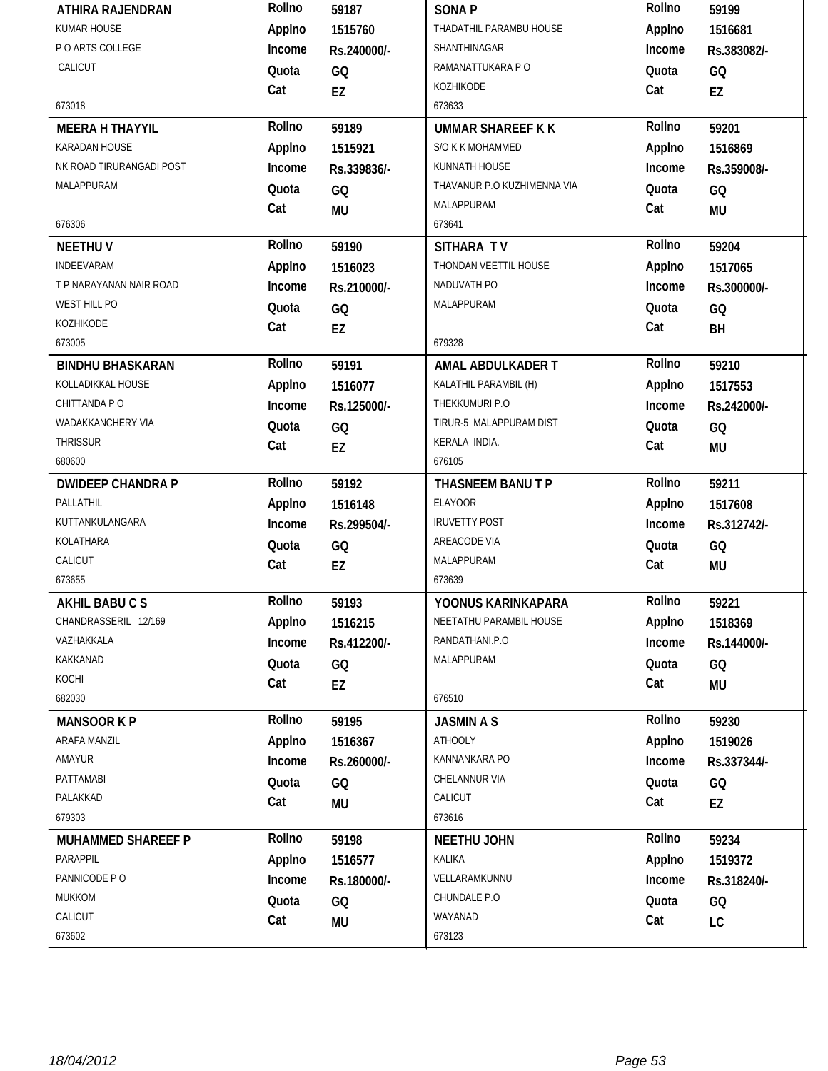| ATHIRA RAJENDRAN          | Rollno | 59187       | <b>SONAP</b>                | Rollno | 59199       |
|---------------------------|--------|-------------|-----------------------------|--------|-------------|
| <b>KUMAR HOUSE</b>        | Applno | 1515760     | THADATHIL PARAMBU HOUSE     | Applno | 1516681     |
| P O ARTS COLLEGE          | Income | Rs.240000/- | SHANTHINAGAR                | Income | Rs.383082/- |
| CALICUT                   | Quota  | GQ          | RAMANATTUKARA P O           | Quota  | GQ          |
|                           | Cat    | EZ          | KOZHIKODE                   | Cat    | EZ          |
| 673018                    |        |             | 673633                      |        |             |
| <b>MEERA H THAYYIL</b>    | Rollno | 59189       | <b>UMMAR SHAREEF K K</b>    | Rollno | 59201       |
| KARADAN HOUSE             | Applno | 1515921     | S/O K K MOHAMMED            | Applno | 1516869     |
| NK ROAD TIRURANGADI POST  | Income | Rs.339836/- | KUNNATH HOUSE               | Income | Rs.359008/- |
| MALAPPURAM                | Quota  | GQ          | THAVANUR P.O KUZHIMENNA VIA | Quota  | GQ          |
|                           | Cat    | <b>MU</b>   | MALAPPURAM                  | Cat    | <b>MU</b>   |
| 676306                    |        |             | 673641                      |        |             |
| <b>NEETHUV</b>            | Rollno | 59190       | SITHARA TV                  | Rollno | 59204       |
| INDEEVARAM                | Applno | 1516023     | THONDAN VEETTIL HOUSE       | Applno | 1517065     |
| T P NARAYANAN NAIR ROAD   | Income | Rs.210000/- | NADUVATH PO                 | Income | Rs.300000/- |
| WEST HILL PO              | Quota  | GQ          | MALAPPURAM                  | Quota  | GQ          |
| KOZHIKODE                 | Cat    | EZ          |                             | Cat    | BH          |
| 673005                    |        |             | 679328                      |        |             |
| <b>BINDHU BHASKARAN</b>   | Rollno | 59191       | AMAL ABDULKADER T           | Rollno | 59210       |
| KOLLADIKKAL HOUSE         | Applno | 1516077     | KALATHIL PARAMBIL (H)       | Applno | 1517553     |
| CHITTANDA P O             | Income | Rs.125000/- | THEKKUMURI P.O              | Income | Rs.242000/- |
| WADAKKANCHERY VIA         | Quota  | GQ          | TIRUR-5 MALAPPURAM DIST     | Quota  | GQ          |
| <b>THRISSUR</b>           | Cat    | <b>EZ</b>   | KERALA INDIA.               | Cat    | <b>MU</b>   |
| 680600                    |        |             | 676105                      |        |             |
|                           |        |             |                             |        |             |
| <b>DWIDEEP CHANDRA P</b>  | Rollno | 59192       | THASNEEM BANU T P           | Rollno | 59211       |
| PALLATHIL                 | Applno | 1516148     | <b>ELAYOOR</b>              | Applno | 1517608     |
| KUTTANKULANGARA           | Income | Rs.299504/- | <b>IRUVETTY POST</b>        | Income | Rs.312742/- |
| KOLATHARA                 | Quota  | GQ          | AREACODE VIA                | Quota  | GQ          |
| CALICUT                   | Cat    | EZ          | MALAPPURAM                  | Cat    | <b>MU</b>   |
| 673655                    |        |             | 673639                      |        |             |
| <b>AKHIL BABUCS</b>       | Rollno | 59193       | YOONUS KARINKAPARA          | Rollno | 59221       |
| CHANDRASSERIL 12/169      | Applno | 1516215     | NEETATHU PARAMBIL HOUSE     | Applno | 1518369     |
| VAZHAKKALA                | Income | Rs.412200/- | RANDATHANI.P.O              | Income | Rs.144000/- |
| KAKKANAD                  | Quota  | GQ          | MALAPPURAM                  | Quota  | GQ          |
| KOCHI                     | Cat    | EZ          |                             | Cat    |             |
| 682030                    |        |             | 676510                      |        | <b>MU</b>   |
| <b>MANSOOR K P</b>        | Rollno | 59195       | <b>JASMIN A S</b>           | Rollno | 59230       |
| ARAFA MANZIL              | Applno | 1516367     | <b>ATHOOLY</b>              | Applno | 1519026     |
| AMAYUR                    | Income | Rs.260000/- | KANNANKARA PO               | Income | Rs.337344/- |
| PATTAMABI                 | Quota  | GQ          | CHELANNUR VIA               | Quota  | GQ          |
| PALAKKAD                  | Cat    | MU          | CALICUT                     | Cat    | EZ          |
| 679303                    |        |             | 673616                      |        |             |
| <b>MUHAMMED SHAREEF P</b> | Rollno | 59198       | <b>NEETHU JOHN</b>          | Rollno | 59234       |
| PARAPPIL                  | Applno | 1516577     | KALIKA                      | Applno | 1519372     |
| PANNICODE PO              | Income | Rs.180000/- | VELLARAMKUNNU               | Income | Rs.318240/- |
| MUKKOM                    | Quota  | GQ          | CHUNDALE P.O                | Quota  | GQ          |
| CALICUT<br>673602         | Cat    | MU          | WAYANAD                     | Cat    | LC          |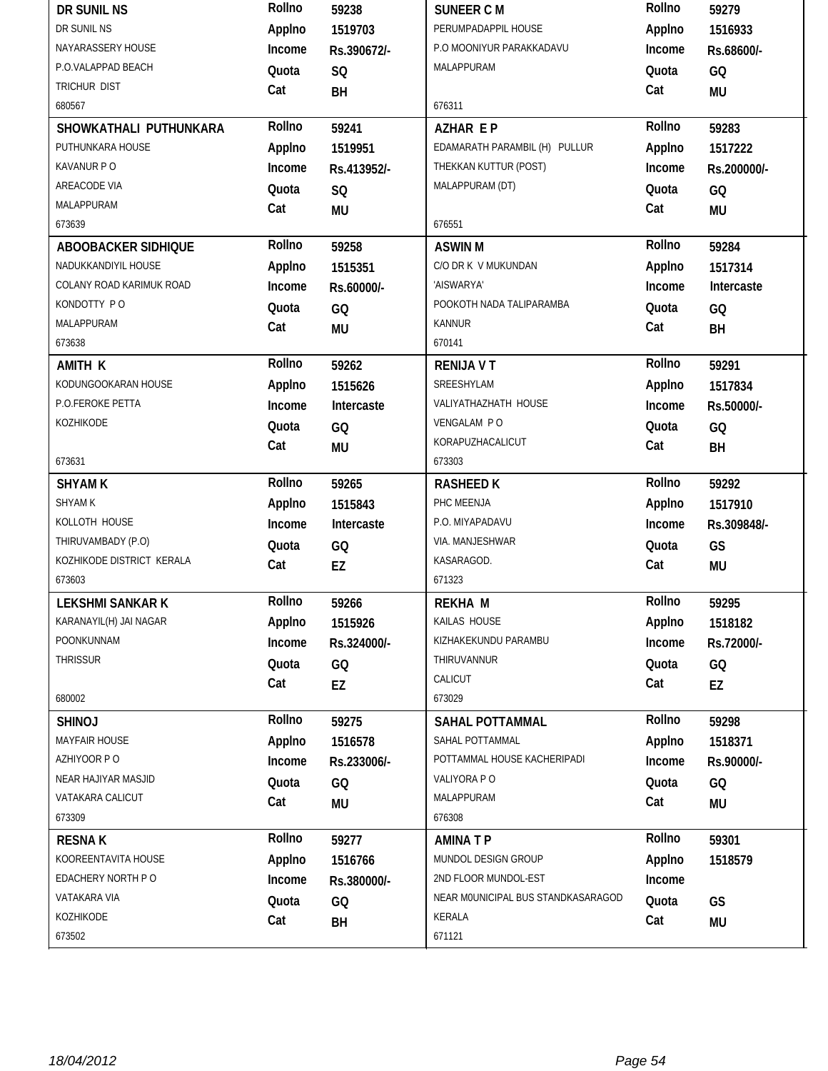| DR SUNIL NS               | Rollno | 59238       | <b>SUNEER C M</b>                  | Rollno | 59279       |
|---------------------------|--------|-------------|------------------------------------|--------|-------------|
| DR SUNIL NS               | Applno | 1519703     | PERUMPADAPPIL HOUSE                | Applno | 1516933     |
| NAYARASSERY HOUSE         | Income | Rs.390672/- | P.O MOONIYUR PARAKKADAVU           | Income | Rs.68600/-  |
| P.O.VALAPPAD BEACH        | Quota  | SQ          | MALAPPURAM                         | Quota  | GQ          |
| <b>TRICHUR DIST</b>       | Cat    | BH          |                                    | Cat    | MU          |
| 680567                    |        |             | 676311                             |        |             |
| SHOWKATHALI PUTHUNKARA    | Rollno | 59241       | <b>AZHAR EP</b>                    | Rollno | 59283       |
| PUTHUNKARA HOUSE          | Applno | 1519951     | EDAMARATH PARAMBIL (H) PULLUR      | Applno | 1517222     |
| KAVANUR PO                | Income | Rs.413952/- | THEKKAN KUTTUR (POST)              | Income | Rs.200000/- |
| AREACODE VIA              | Quota  | SQ          | MALAPPURAM (DT)                    | Quota  | GQ          |
| MALAPPURAM                | Cat    | <b>MU</b>   |                                    | Cat    | <b>MU</b>   |
| 673639                    |        |             | 676551                             |        |             |
| ABOOBACKER SIDHIQUE       | Rollno | 59258       | <b>ASWIN M</b>                     | Rollno | 59284       |
| NADUKKANDIYIL HOUSE       | Applno | 1515351     | C/O DR K V MUKUNDAN                | Applno | 1517314     |
| COLANY ROAD KARIMUK ROAD  | Income | Rs.60000/-  | 'AISWARYA'                         | Income | Intercaste  |
| KONDOTTY PO               | Quota  | GQ          | POOKOTH NADA TALIPARAMBA           | Quota  | GQ          |
| MALAPPURAM                | Cat    | <b>MU</b>   | <b>KANNUR</b>                      | Cat    | BH          |
| 673638                    |        |             | 670141                             |        |             |
| AMITH K                   | Rollno | 59262       | <b>RENIJA V T</b>                  | Rollno | 59291       |
| KODUNGOOKARAN HOUSE       | Applno | 1515626     | SREESHYLAM                         | Applno | 1517834     |
| P.O.FEROKE PETTA          | Income | Intercaste  | VALIYATHAZHATH HOUSE               | Income | Rs.50000/-  |
| KOZHIKODE                 | Quota  | GQ          | VENGALAM PO                        | Quota  | GQ          |
|                           | Cat    | <b>MU</b>   | KORAPUZHACALICUT                   | Cat    | BH          |
| 673631                    |        |             | 673303                             |        |             |
|                           |        |             |                                    |        |             |
| <b>SHYAM K</b>            | Rollno | 59265       | <b>RASHEED K</b>                   | Rollno | 59292       |
| SHYAM K                   | Applno | 1515843     | PHC MEENJA                         | Applno | 1517910     |
| KOLLOTH HOUSE             | Income | Intercaste  | P.O. MIYAPADAVU                    | Income | Rs.309848/- |
| THIRUVAMBADY (P.O)        | Quota  | GQ          | VIA. MANJESHWAR                    | Quota  | GS          |
| KOZHIKODE DISTRICT KERALA | Cat    | EZ          | KASARAGOD.                         | Cat    | <b>MU</b>   |
| 673603                    |        |             | 671323                             |        |             |
| <b>LEKSHMI SANKAR K</b>   | Rollno | 59266       | <b>REKHA M</b>                     | Rollno | 59295       |
| KARANAYIL(H) JAI NAGAR    | Applno | 1515926     | KAILAS HOUSE                       | Applno | 1518182     |
| POONKUNNAM                | Income | Rs.324000/- | KIZHAKEKUNDU PARAMBU               | Income | Rs.72000/-  |
| <b>THRISSUR</b>           | Quota  | GQ          | THIRUVANNUR                        | Quota  | GQ          |
|                           | Cat    | EZ          | CALICUT                            | Cat    | EZ          |
| 680002                    |        |             | 673029                             |        |             |
| <b>SHINOJ</b>             | Rollno | 59275       | <b>SAHAL POTTAMMAL</b>             | Rollno | 59298       |
| MAYFAIR HOUSE             | Applno | 1516578     | SAHAL POTTAMMAL                    | Applno | 1518371     |
| AZHIYOOR P O              | Income | Rs.233006/- | POTTAMMAL HOUSE KACHERIPADI        | Income | Rs.90000/-  |
| NEAR HAJIYAR MASJID       | Quota  | GQ          | VALIYORA P O                       | Quota  | GQ          |
| VATAKARA CALICUT          | Cat    | MU          | MALAPPURAM                         | Cat    | MU          |
| 673309                    |        |             | 676308                             |        |             |
| <b>RESNAK</b>             | Rollno | 59277       | <b>AMINATP</b>                     | Rollno | 59301       |
| KOOREENTAVITA HOUSE       | Applno | 1516766     | MUNDOL DESIGN GROUP                | Applno | 1518579     |
| EDACHERY NORTH PO         | Income | Rs.380000/- | 2ND FLOOR MUNDOL-EST               | Income |             |
| VATAKARA VIA              | Quota  | GQ          | NEAR MOUNICIPAL BUS STANDKASARAGOD | Quota  | GS          |
| KOZHIKODE<br>673502       | Cat    | BH          | KERALA<br>671121                   | Cat    | <b>MU</b>   |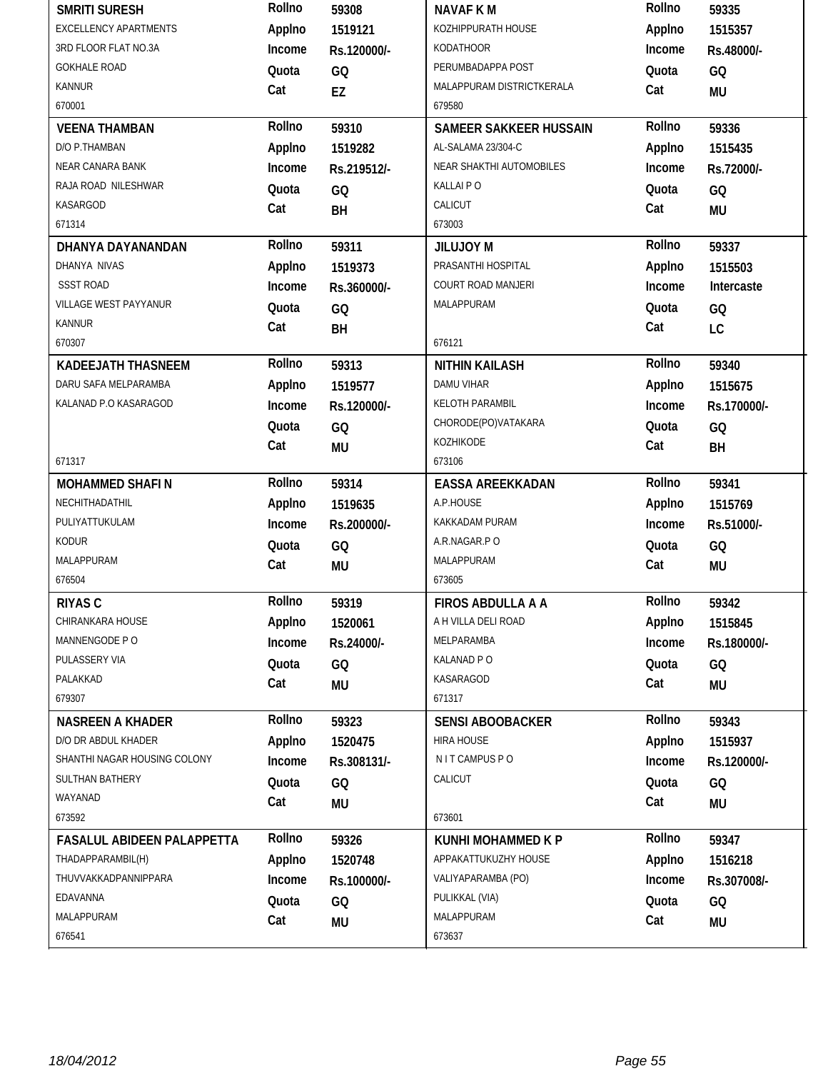| <b>EXCELLENCY APARTMENTS</b><br>KOZHIPPURATH HOUSE<br>Applno<br>Applno<br>1519121<br>1515357<br>3RD FLOOR FLAT NO.3A<br><b>KODATHOOR</b><br>Income<br>Rs.120000/-<br>Income<br>Rs.48000/-<br><b>GOKHALE ROAD</b><br>PERUMBADAPPA POST<br>Quota<br>GQ<br>Quota<br>GQ<br><b>KANNUR</b><br>MALAPPURAM DISTRICTKERALA<br>Cat<br>Cat<br>EZ<br>MU<br>670001<br>679580<br>Rollno<br>Rollno<br><b>VEENA THAMBAN</b><br>59310<br>SAMEER SAKKEER HUSSAIN<br>59336<br>D/O P.THAMBAN<br>Applno<br>AL-SALAMA 23/304-C<br>Applno<br>1519282<br>1515435<br>NEAR CANARA BANK<br>NEAR SHAKTHI AUTOMOBILES<br>Income<br>Income<br>Rs.219512/-<br>Rs.72000/-<br>RAJA ROAD NILESHWAR<br>KALLAI PO<br>Quota<br>GQ<br>Quota<br>GQ<br>KASARGOD<br>CALICUT<br>Cat<br>Cat<br>BH<br><b>MU</b><br>671314<br>673003<br>Rollno<br>Rollno<br>59311<br>59337<br>DHANYA DAYANANDAN<br>JILUJOY M<br>PRASANTHI HOSPITAL<br>DHANYA NIVAS<br>Applno<br>Applno<br>1519373<br>1515503<br><b>SSST ROAD</b><br>COURT ROAD MANJERI<br>Income<br>Income<br>Intercaste<br>Rs.360000/-<br>VILLAGE WEST PAYYANUR<br>MALAPPURAM<br>Quota<br>Quota<br>GQ<br>GQ<br><b>KANNUR</b><br>Cat<br>Cat<br>BH<br>LC<br>670307<br>676121<br>Rollno<br>Rollno<br>59340<br><b>KADEEJATH THASNEEM</b><br>59313<br><b>NITHIN KAILASH</b><br>DARU SAFA MELPARAMBA<br><b>DAMU VIHAR</b><br>Applno<br>Applno<br>1519577<br>1515675<br>KELOTH PARAMBIL<br>KALANAD P.O KASARAGOD<br>Income<br>Income<br>Rs.120000/-<br>Rs.170000/-<br>CHORODE(PO)VATAKARA<br>Quota<br>Quota<br>GQ<br>GQ<br>KOZHIKODE<br>Cat<br>Cat<br><b>MU</b><br>BH<br>671317<br>673106<br>Rollno<br>Rollno<br>59314<br>59341<br><b>MOHAMMED SHAFIN</b><br><b>EASSA AREEKKADAN</b><br>A.P.HOUSE<br>NECHITHADATHIL<br>Applno<br>Applno<br>1519635<br>1515769<br>PULIYATTUKULAM<br>KAKKADAM PURAM<br>Income<br>Income<br>Rs.200000/-<br>Rs.51000/-<br><b>KODUR</b><br>A.R.NAGAR.PO<br>Quota<br>Quota<br>GQ<br>GQ<br>MALAPPURAM<br>MALAPPURAM<br>Cat<br>Cat<br><b>MU</b><br>MU<br>676504<br>673605<br>Rollno<br>Rollno<br><b>RIYAS C</b><br>59319<br><b>FIROS ABDULLA A A</b><br>59342<br>A H VILLA DELI ROAD<br>CHIRANKARA HOUSE<br>Applno<br>Applno<br>1520061<br>1515845<br>MANNENGODE PO<br>MELPARAMBA<br>Income<br>Income<br>Rs.24000/-<br>Rs.180000/-<br>PULASSERY VIA<br>KALANAD P O<br>Quota<br>GQ<br>Quota<br>GQ<br>PALAKKAD<br>KASARAGOD<br>Cat<br>Cat<br><b>MU</b><br>MU<br>679307<br>671317<br>Rollno<br>Rollno<br><b>NASREEN A KHADER</b><br>59323<br><b>SENSI ABOOBACKER</b><br>59343 |
|-------------------------------------------------------------------------------------------------------------------------------------------------------------------------------------------------------------------------------------------------------------------------------------------------------------------------------------------------------------------------------------------------------------------------------------------------------------------------------------------------------------------------------------------------------------------------------------------------------------------------------------------------------------------------------------------------------------------------------------------------------------------------------------------------------------------------------------------------------------------------------------------------------------------------------------------------------------------------------------------------------------------------------------------------------------------------------------------------------------------------------------------------------------------------------------------------------------------------------------------------------------------------------------------------------------------------------------------------------------------------------------------------------------------------------------------------------------------------------------------------------------------------------------------------------------------------------------------------------------------------------------------------------------------------------------------------------------------------------------------------------------------------------------------------------------------------------------------------------------------------------------------------------------------------------------------------------------------------------------------------------------------------------------------------------------------------------------------------------------------------------------------------------------------------------------------------------------------------------------------------------------------------------------------------------------------------------------------------------------------------------------------------------------------------------------------------------------------------------------------------|
|                                                                                                                                                                                                                                                                                                                                                                                                                                                                                                                                                                                                                                                                                                                                                                                                                                                                                                                                                                                                                                                                                                                                                                                                                                                                                                                                                                                                                                                                                                                                                                                                                                                                                                                                                                                                                                                                                                                                                                                                                                                                                                                                                                                                                                                                                                                                                                                                                                                                                                 |
|                                                                                                                                                                                                                                                                                                                                                                                                                                                                                                                                                                                                                                                                                                                                                                                                                                                                                                                                                                                                                                                                                                                                                                                                                                                                                                                                                                                                                                                                                                                                                                                                                                                                                                                                                                                                                                                                                                                                                                                                                                                                                                                                                                                                                                                                                                                                                                                                                                                                                                 |
|                                                                                                                                                                                                                                                                                                                                                                                                                                                                                                                                                                                                                                                                                                                                                                                                                                                                                                                                                                                                                                                                                                                                                                                                                                                                                                                                                                                                                                                                                                                                                                                                                                                                                                                                                                                                                                                                                                                                                                                                                                                                                                                                                                                                                                                                                                                                                                                                                                                                                                 |
|                                                                                                                                                                                                                                                                                                                                                                                                                                                                                                                                                                                                                                                                                                                                                                                                                                                                                                                                                                                                                                                                                                                                                                                                                                                                                                                                                                                                                                                                                                                                                                                                                                                                                                                                                                                                                                                                                                                                                                                                                                                                                                                                                                                                                                                                                                                                                                                                                                                                                                 |
|                                                                                                                                                                                                                                                                                                                                                                                                                                                                                                                                                                                                                                                                                                                                                                                                                                                                                                                                                                                                                                                                                                                                                                                                                                                                                                                                                                                                                                                                                                                                                                                                                                                                                                                                                                                                                                                                                                                                                                                                                                                                                                                                                                                                                                                                                                                                                                                                                                                                                                 |
|                                                                                                                                                                                                                                                                                                                                                                                                                                                                                                                                                                                                                                                                                                                                                                                                                                                                                                                                                                                                                                                                                                                                                                                                                                                                                                                                                                                                                                                                                                                                                                                                                                                                                                                                                                                                                                                                                                                                                                                                                                                                                                                                                                                                                                                                                                                                                                                                                                                                                                 |
|                                                                                                                                                                                                                                                                                                                                                                                                                                                                                                                                                                                                                                                                                                                                                                                                                                                                                                                                                                                                                                                                                                                                                                                                                                                                                                                                                                                                                                                                                                                                                                                                                                                                                                                                                                                                                                                                                                                                                                                                                                                                                                                                                                                                                                                                                                                                                                                                                                                                                                 |
|                                                                                                                                                                                                                                                                                                                                                                                                                                                                                                                                                                                                                                                                                                                                                                                                                                                                                                                                                                                                                                                                                                                                                                                                                                                                                                                                                                                                                                                                                                                                                                                                                                                                                                                                                                                                                                                                                                                                                                                                                                                                                                                                                                                                                                                                                                                                                                                                                                                                                                 |
|                                                                                                                                                                                                                                                                                                                                                                                                                                                                                                                                                                                                                                                                                                                                                                                                                                                                                                                                                                                                                                                                                                                                                                                                                                                                                                                                                                                                                                                                                                                                                                                                                                                                                                                                                                                                                                                                                                                                                                                                                                                                                                                                                                                                                                                                                                                                                                                                                                                                                                 |
|                                                                                                                                                                                                                                                                                                                                                                                                                                                                                                                                                                                                                                                                                                                                                                                                                                                                                                                                                                                                                                                                                                                                                                                                                                                                                                                                                                                                                                                                                                                                                                                                                                                                                                                                                                                                                                                                                                                                                                                                                                                                                                                                                                                                                                                                                                                                                                                                                                                                                                 |
|                                                                                                                                                                                                                                                                                                                                                                                                                                                                                                                                                                                                                                                                                                                                                                                                                                                                                                                                                                                                                                                                                                                                                                                                                                                                                                                                                                                                                                                                                                                                                                                                                                                                                                                                                                                                                                                                                                                                                                                                                                                                                                                                                                                                                                                                                                                                                                                                                                                                                                 |
|                                                                                                                                                                                                                                                                                                                                                                                                                                                                                                                                                                                                                                                                                                                                                                                                                                                                                                                                                                                                                                                                                                                                                                                                                                                                                                                                                                                                                                                                                                                                                                                                                                                                                                                                                                                                                                                                                                                                                                                                                                                                                                                                                                                                                                                                                                                                                                                                                                                                                                 |
|                                                                                                                                                                                                                                                                                                                                                                                                                                                                                                                                                                                                                                                                                                                                                                                                                                                                                                                                                                                                                                                                                                                                                                                                                                                                                                                                                                                                                                                                                                                                                                                                                                                                                                                                                                                                                                                                                                                                                                                                                                                                                                                                                                                                                                                                                                                                                                                                                                                                                                 |
|                                                                                                                                                                                                                                                                                                                                                                                                                                                                                                                                                                                                                                                                                                                                                                                                                                                                                                                                                                                                                                                                                                                                                                                                                                                                                                                                                                                                                                                                                                                                                                                                                                                                                                                                                                                                                                                                                                                                                                                                                                                                                                                                                                                                                                                                                                                                                                                                                                                                                                 |
|                                                                                                                                                                                                                                                                                                                                                                                                                                                                                                                                                                                                                                                                                                                                                                                                                                                                                                                                                                                                                                                                                                                                                                                                                                                                                                                                                                                                                                                                                                                                                                                                                                                                                                                                                                                                                                                                                                                                                                                                                                                                                                                                                                                                                                                                                                                                                                                                                                                                                                 |
|                                                                                                                                                                                                                                                                                                                                                                                                                                                                                                                                                                                                                                                                                                                                                                                                                                                                                                                                                                                                                                                                                                                                                                                                                                                                                                                                                                                                                                                                                                                                                                                                                                                                                                                                                                                                                                                                                                                                                                                                                                                                                                                                                                                                                                                                                                                                                                                                                                                                                                 |
|                                                                                                                                                                                                                                                                                                                                                                                                                                                                                                                                                                                                                                                                                                                                                                                                                                                                                                                                                                                                                                                                                                                                                                                                                                                                                                                                                                                                                                                                                                                                                                                                                                                                                                                                                                                                                                                                                                                                                                                                                                                                                                                                                                                                                                                                                                                                                                                                                                                                                                 |
|                                                                                                                                                                                                                                                                                                                                                                                                                                                                                                                                                                                                                                                                                                                                                                                                                                                                                                                                                                                                                                                                                                                                                                                                                                                                                                                                                                                                                                                                                                                                                                                                                                                                                                                                                                                                                                                                                                                                                                                                                                                                                                                                                                                                                                                                                                                                                                                                                                                                                                 |
|                                                                                                                                                                                                                                                                                                                                                                                                                                                                                                                                                                                                                                                                                                                                                                                                                                                                                                                                                                                                                                                                                                                                                                                                                                                                                                                                                                                                                                                                                                                                                                                                                                                                                                                                                                                                                                                                                                                                                                                                                                                                                                                                                                                                                                                                                                                                                                                                                                                                                                 |
|                                                                                                                                                                                                                                                                                                                                                                                                                                                                                                                                                                                                                                                                                                                                                                                                                                                                                                                                                                                                                                                                                                                                                                                                                                                                                                                                                                                                                                                                                                                                                                                                                                                                                                                                                                                                                                                                                                                                                                                                                                                                                                                                                                                                                                                                                                                                                                                                                                                                                                 |
|                                                                                                                                                                                                                                                                                                                                                                                                                                                                                                                                                                                                                                                                                                                                                                                                                                                                                                                                                                                                                                                                                                                                                                                                                                                                                                                                                                                                                                                                                                                                                                                                                                                                                                                                                                                                                                                                                                                                                                                                                                                                                                                                                                                                                                                                                                                                                                                                                                                                                                 |
|                                                                                                                                                                                                                                                                                                                                                                                                                                                                                                                                                                                                                                                                                                                                                                                                                                                                                                                                                                                                                                                                                                                                                                                                                                                                                                                                                                                                                                                                                                                                                                                                                                                                                                                                                                                                                                                                                                                                                                                                                                                                                                                                                                                                                                                                                                                                                                                                                                                                                                 |
|                                                                                                                                                                                                                                                                                                                                                                                                                                                                                                                                                                                                                                                                                                                                                                                                                                                                                                                                                                                                                                                                                                                                                                                                                                                                                                                                                                                                                                                                                                                                                                                                                                                                                                                                                                                                                                                                                                                                                                                                                                                                                                                                                                                                                                                                                                                                                                                                                                                                                                 |
|                                                                                                                                                                                                                                                                                                                                                                                                                                                                                                                                                                                                                                                                                                                                                                                                                                                                                                                                                                                                                                                                                                                                                                                                                                                                                                                                                                                                                                                                                                                                                                                                                                                                                                                                                                                                                                                                                                                                                                                                                                                                                                                                                                                                                                                                                                                                                                                                                                                                                                 |
|                                                                                                                                                                                                                                                                                                                                                                                                                                                                                                                                                                                                                                                                                                                                                                                                                                                                                                                                                                                                                                                                                                                                                                                                                                                                                                                                                                                                                                                                                                                                                                                                                                                                                                                                                                                                                                                                                                                                                                                                                                                                                                                                                                                                                                                                                                                                                                                                                                                                                                 |
|                                                                                                                                                                                                                                                                                                                                                                                                                                                                                                                                                                                                                                                                                                                                                                                                                                                                                                                                                                                                                                                                                                                                                                                                                                                                                                                                                                                                                                                                                                                                                                                                                                                                                                                                                                                                                                                                                                                                                                                                                                                                                                                                                                                                                                                                                                                                                                                                                                                                                                 |
|                                                                                                                                                                                                                                                                                                                                                                                                                                                                                                                                                                                                                                                                                                                                                                                                                                                                                                                                                                                                                                                                                                                                                                                                                                                                                                                                                                                                                                                                                                                                                                                                                                                                                                                                                                                                                                                                                                                                                                                                                                                                                                                                                                                                                                                                                                                                                                                                                                                                                                 |
|                                                                                                                                                                                                                                                                                                                                                                                                                                                                                                                                                                                                                                                                                                                                                                                                                                                                                                                                                                                                                                                                                                                                                                                                                                                                                                                                                                                                                                                                                                                                                                                                                                                                                                                                                                                                                                                                                                                                                                                                                                                                                                                                                                                                                                                                                                                                                                                                                                                                                                 |
|                                                                                                                                                                                                                                                                                                                                                                                                                                                                                                                                                                                                                                                                                                                                                                                                                                                                                                                                                                                                                                                                                                                                                                                                                                                                                                                                                                                                                                                                                                                                                                                                                                                                                                                                                                                                                                                                                                                                                                                                                                                                                                                                                                                                                                                                                                                                                                                                                                                                                                 |
|                                                                                                                                                                                                                                                                                                                                                                                                                                                                                                                                                                                                                                                                                                                                                                                                                                                                                                                                                                                                                                                                                                                                                                                                                                                                                                                                                                                                                                                                                                                                                                                                                                                                                                                                                                                                                                                                                                                                                                                                                                                                                                                                                                                                                                                                                                                                                                                                                                                                                                 |
|                                                                                                                                                                                                                                                                                                                                                                                                                                                                                                                                                                                                                                                                                                                                                                                                                                                                                                                                                                                                                                                                                                                                                                                                                                                                                                                                                                                                                                                                                                                                                                                                                                                                                                                                                                                                                                                                                                                                                                                                                                                                                                                                                                                                                                                                                                                                                                                                                                                                                                 |
|                                                                                                                                                                                                                                                                                                                                                                                                                                                                                                                                                                                                                                                                                                                                                                                                                                                                                                                                                                                                                                                                                                                                                                                                                                                                                                                                                                                                                                                                                                                                                                                                                                                                                                                                                                                                                                                                                                                                                                                                                                                                                                                                                                                                                                                                                                                                                                                                                                                                                                 |
|                                                                                                                                                                                                                                                                                                                                                                                                                                                                                                                                                                                                                                                                                                                                                                                                                                                                                                                                                                                                                                                                                                                                                                                                                                                                                                                                                                                                                                                                                                                                                                                                                                                                                                                                                                                                                                                                                                                                                                                                                                                                                                                                                                                                                                                                                                                                                                                                                                                                                                 |
|                                                                                                                                                                                                                                                                                                                                                                                                                                                                                                                                                                                                                                                                                                                                                                                                                                                                                                                                                                                                                                                                                                                                                                                                                                                                                                                                                                                                                                                                                                                                                                                                                                                                                                                                                                                                                                                                                                                                                                                                                                                                                                                                                                                                                                                                                                                                                                                                                                                                                                 |
|                                                                                                                                                                                                                                                                                                                                                                                                                                                                                                                                                                                                                                                                                                                                                                                                                                                                                                                                                                                                                                                                                                                                                                                                                                                                                                                                                                                                                                                                                                                                                                                                                                                                                                                                                                                                                                                                                                                                                                                                                                                                                                                                                                                                                                                                                                                                                                                                                                                                                                 |
|                                                                                                                                                                                                                                                                                                                                                                                                                                                                                                                                                                                                                                                                                                                                                                                                                                                                                                                                                                                                                                                                                                                                                                                                                                                                                                                                                                                                                                                                                                                                                                                                                                                                                                                                                                                                                                                                                                                                                                                                                                                                                                                                                                                                                                                                                                                                                                                                                                                                                                 |
| D/O DR ABDUL KHADER<br>Applno<br><b>HIRA HOUSE</b><br>Applno<br>1520475<br>1515937                                                                                                                                                                                                                                                                                                                                                                                                                                                                                                                                                                                                                                                                                                                                                                                                                                                                                                                                                                                                                                                                                                                                                                                                                                                                                                                                                                                                                                                                                                                                                                                                                                                                                                                                                                                                                                                                                                                                                                                                                                                                                                                                                                                                                                                                                                                                                                                                              |
| SHANTHI NAGAR HOUSING COLONY<br>N IT CAMPUS PO<br>Income<br>Income<br>Rs.308131/-<br>Rs.120000/-                                                                                                                                                                                                                                                                                                                                                                                                                                                                                                                                                                                                                                                                                                                                                                                                                                                                                                                                                                                                                                                                                                                                                                                                                                                                                                                                                                                                                                                                                                                                                                                                                                                                                                                                                                                                                                                                                                                                                                                                                                                                                                                                                                                                                                                                                                                                                                                                |
| CALICUT<br><b>SULTHAN BATHERY</b><br>Quota<br>Quota<br>GQ<br>GQ                                                                                                                                                                                                                                                                                                                                                                                                                                                                                                                                                                                                                                                                                                                                                                                                                                                                                                                                                                                                                                                                                                                                                                                                                                                                                                                                                                                                                                                                                                                                                                                                                                                                                                                                                                                                                                                                                                                                                                                                                                                                                                                                                                                                                                                                                                                                                                                                                                 |
| WAYANAD<br>Cat<br>Cat<br>MU<br><b>MU</b>                                                                                                                                                                                                                                                                                                                                                                                                                                                                                                                                                                                                                                                                                                                                                                                                                                                                                                                                                                                                                                                                                                                                                                                                                                                                                                                                                                                                                                                                                                                                                                                                                                                                                                                                                                                                                                                                                                                                                                                                                                                                                                                                                                                                                                                                                                                                                                                                                                                        |
| 673592<br>673601                                                                                                                                                                                                                                                                                                                                                                                                                                                                                                                                                                                                                                                                                                                                                                                                                                                                                                                                                                                                                                                                                                                                                                                                                                                                                                                                                                                                                                                                                                                                                                                                                                                                                                                                                                                                                                                                                                                                                                                                                                                                                                                                                                                                                                                                                                                                                                                                                                                                                |
| Rollno<br>Rollno<br><b>FASALUL ABIDEEN PALAPPETTA</b><br>59326<br>KUNHI MOHAMMED K P<br>59347                                                                                                                                                                                                                                                                                                                                                                                                                                                                                                                                                                                                                                                                                                                                                                                                                                                                                                                                                                                                                                                                                                                                                                                                                                                                                                                                                                                                                                                                                                                                                                                                                                                                                                                                                                                                                                                                                                                                                                                                                                                                                                                                                                                                                                                                                                                                                                                                   |
|                                                                                                                                                                                                                                                                                                                                                                                                                                                                                                                                                                                                                                                                                                                                                                                                                                                                                                                                                                                                                                                                                                                                                                                                                                                                                                                                                                                                                                                                                                                                                                                                                                                                                                                                                                                                                                                                                                                                                                                                                                                                                                                                                                                                                                                                                                                                                                                                                                                                                                 |
| THADAPPARAMBIL(H)<br>APPAKATTUKUZHY HOUSE<br>Applno<br>Applno<br>1520748<br>1516218                                                                                                                                                                                                                                                                                                                                                                                                                                                                                                                                                                                                                                                                                                                                                                                                                                                                                                                                                                                                                                                                                                                                                                                                                                                                                                                                                                                                                                                                                                                                                                                                                                                                                                                                                                                                                                                                                                                                                                                                                                                                                                                                                                                                                                                                                                                                                                                                             |
| THUVVAKKADPANNIPPARA<br>VALIYAPARAMBA (PO)<br>Income<br>Income<br>Rs.100000/-<br>Rs.307008/-                                                                                                                                                                                                                                                                                                                                                                                                                                                                                                                                                                                                                                                                                                                                                                                                                                                                                                                                                                                                                                                                                                                                                                                                                                                                                                                                                                                                                                                                                                                                                                                                                                                                                                                                                                                                                                                                                                                                                                                                                                                                                                                                                                                                                                                                                                                                                                                                    |
| PULIKKAL (VIA)<br>EDAVANNA<br>Quota<br>Quota                                                                                                                                                                                                                                                                                                                                                                                                                                                                                                                                                                                                                                                                                                                                                                                                                                                                                                                                                                                                                                                                                                                                                                                                                                                                                                                                                                                                                                                                                                                                                                                                                                                                                                                                                                                                                                                                                                                                                                                                                                                                                                                                                                                                                                                                                                                                                                                                                                                    |
| GQ<br>GQ<br>MALAPPURAM<br>MALAPPURAM<br>Cat<br>Cat<br>MU<br><b>MU</b>                                                                                                                                                                                                                                                                                                                                                                                                                                                                                                                                                                                                                                                                                                                                                                                                                                                                                                                                                                                                                                                                                                                                                                                                                                                                                                                                                                                                                                                                                                                                                                                                                                                                                                                                                                                                                                                                                                                                                                                                                                                                                                                                                                                                                                                                                                                                                                                                                           |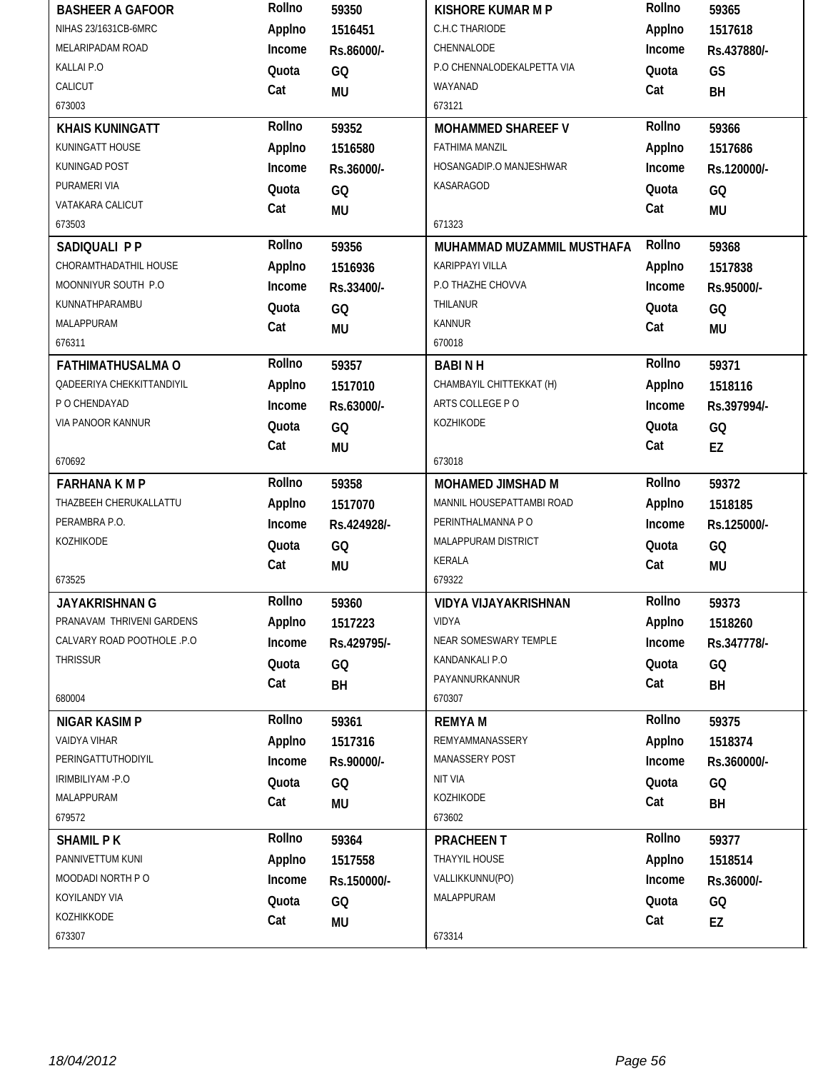| <b>BASHEER A GAFOOR</b>     | Rollno | 59350       | KISHORE KUMAR M P          | Rollno | 59365       |
|-----------------------------|--------|-------------|----------------------------|--------|-------------|
| NIHAS 23/1631CB-6MRC        | Applno | 1516451     | C.H.C THARIODE             | Applno | 1517618     |
| MELARIPADAM ROAD            | Income | Rs.86000/-  | CHENNALODE                 | Income | Rs.437880/- |
| KALLAI P.O                  | Quota  | GQ          | P.O CHENNALODEKALPETTA VIA | Quota  | GS          |
| CALICUT                     | Cat    | MU          | WAYANAD                    | Cat    | BH          |
| 673003                      |        |             | 673121                     |        |             |
| <b>KHAIS KUNINGATT</b>      | Rollno | 59352       | <b>MOHAMMED SHAREEF V</b>  | Rollno | 59366       |
| KUNINGATT HOUSE             | Applno | 1516580     | <b>FATHIMA MANZIL</b>      | Applno | 1517686     |
| KUNINGAD POST               | Income | Rs.36000/-  | HOSANGADIP.O MANJESHWAR    | Income | Rs.120000/- |
| PURAMERI VIA                | Quota  | GQ          | KASARAGOD                  | Quota  | GQ          |
| VATAKARA CALICUT            | Cat    | <b>MU</b>   |                            | Cat    | <b>MU</b>   |
| 673503                      |        |             | 671323                     |        |             |
| SADIQUALI P P               | Rollno | 59356       | MUHAMMAD MUZAMMIL MUSTHAFA | Rollno | 59368       |
| CHORAMTHADATHIL HOUSE       | Applno | 1516936     | <b>KARIPPAYI VILLA</b>     | Applno | 1517838     |
| MOONNIYUR SOUTH P.O         | Income | Rs.33400/-  | P.O THAZHE CHOVVA          | Income | Rs.95000/-  |
| KUNNATHPARAMBU              | Quota  | GQ          | THILANUR                   | Quota  | GQ          |
| <b>MALAPPURAM</b>           | Cat    | MU          | <b>KANNUR</b>              | Cat    | <b>MU</b>   |
| 676311                      |        |             | 670018                     |        |             |
| <b>FATHIMATHUSALMA O</b>    | Rollno | 59357       | <b>BABINH</b>              | Rollno | 59371       |
| QADEERIYA CHEKKITTANDIYIL   | Applno | 1517010     | CHAMBAYIL CHITTEKKAT (H)   | Applno | 1518116     |
| P O CHENDAYAD               | Income | Rs.63000/-  | ARTS COLLEGE PO            | Income | Rs.397994/- |
| VIA PANOOR KANNUR           | Quota  | GQ          | KOZHIKODE                  | Quota  | GQ          |
|                             | Cat    | MU          |                            | Cat    | EZ          |
| 670692                      |        |             | 673018                     |        |             |
| <b>FARHANA K M P</b>        | Rollno | 59358       | MOHAMED JIMSHAD M          | Rollno | 59372       |
| THAZBEEH CHERUKALLATTU      | Applno | 1517070     | MANNIL HOUSEPATTAMBI ROAD  | Applno | 1518185     |
| PERAMBRA P.O.               | Income | Rs.424928/- | PERINTHALMANNA PO          | Income | Rs.125000/- |
| KOZHIKODE                   | Quota  | GQ          | MALAPPURAM DISTRICT        | Quota  | GQ          |
|                             | Cat    | MU          | KERALA                     | Cat    | <b>MU</b>   |
| 673525                      |        |             | 679322                     |        |             |
| JAYAKRISHNAN G              | Rollno | 59360       | VIDYA VIJAYAKRISHNAN       | Rollno | 59373       |
| PRANAVAM THRIVENI GARDENS   | Applno | 1517223     | <b>VIDYA</b>               | Applno | 1518260     |
| CALVARY ROAD POOTHOLE .P.O. | Income | Rs.429795/- | NEAR SOMESWARY TEMPLE      | Income | Rs.347778/- |
| <b>THRISSUR</b>             | Quota  | GQ          | KANDANKALI P.O             | Quota  | GQ          |
|                             | Cat    | BH          | PAYANNURKANNUR             | Cat    | BH          |
| 680004                      |        |             | 670307                     |        |             |
| <b>NIGAR KASIM P</b>        | Rollno | 59361       | <b>REMYAM</b>              | Rollno | 59375       |
| VAIDYA VIHAR                | Applno | 1517316     | REMYAMMANASSERY            | Applno | 1518374     |
| PERINGATTUTHODIYIL          | Income | Rs.90000/-  | <b>MANASSERY POST</b>      | Income | Rs.360000/- |
| IRIMBILIYAM - P.O           | Quota  | GQ          | <b>NIT VIA</b>             | Quota  | GQ          |
| MALAPPURAM                  | Cat    | MU          | KOZHIKODE                  | Cat    | BH          |
| 679572                      |        |             | 673602                     |        |             |
| <b>SHAMIL PK</b>            | Rollno | 59364       | <b>PRACHEENT</b>           | Rollno | 59377       |
| PANNIVETTUM KUNI            | Applno | 1517558     | THAYYIL HOUSE              | Applno | 1518514     |
| MOODADI NORTH P O           | Income | Rs.150000/- | VALLIKKUNNU(PO)            | Income | Rs.36000/-  |
| KOYILANDY VIA               | Quota  | GQ          | MALAPPURAM                 | Quota  | GQ          |
| KOZHIKKODE                  | Cat    | <b>MU</b>   |                            | Cat    | EZ          |
| 673307                      |        |             | 673314                     |        |             |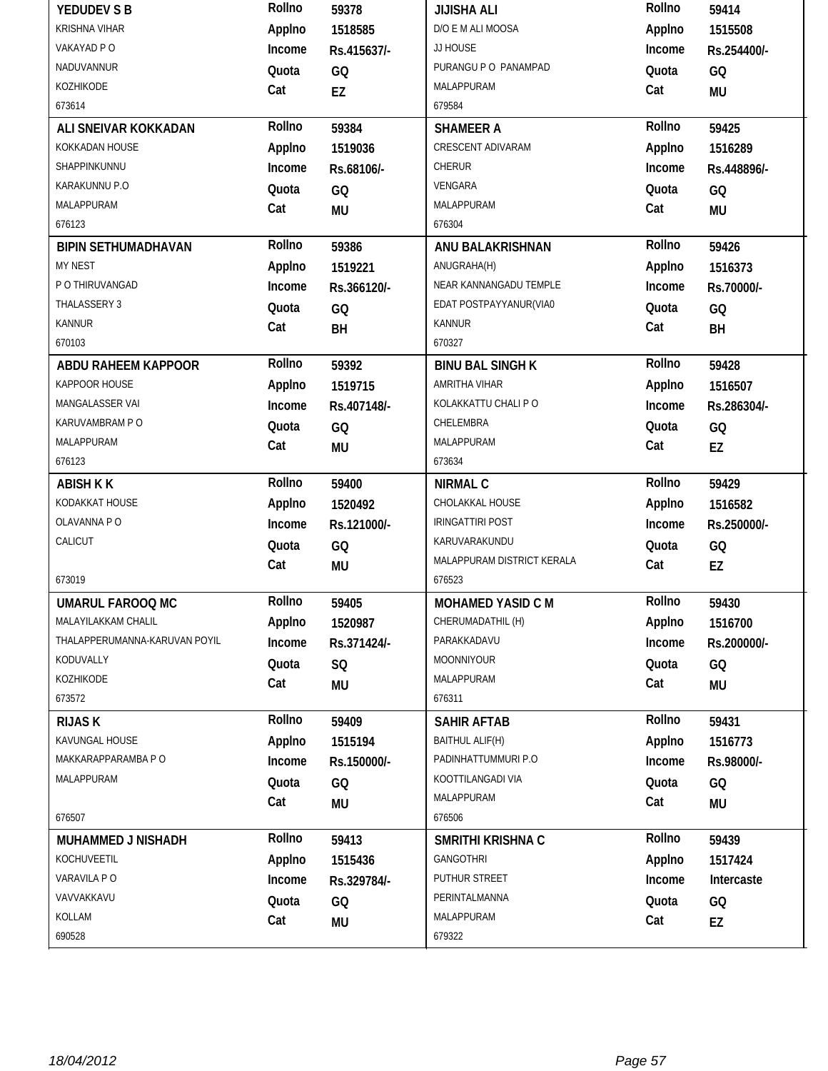| YEDUDEV S B                   | Rollno | 59378       | <b>JIJISHA ALI</b>         | Rollno | 59414       |
|-------------------------------|--------|-------------|----------------------------|--------|-------------|
| <b>KRISHNA VIHAR</b>          | Applno | 1518585     | D/O E M ALI MOOSA          | Applno | 1515508     |
| VAKAYAD P O                   | Income | Rs.415637/- | JJ HOUSE                   | Income | Rs.254400/- |
| NADUVANNUR                    | Quota  | GQ          | PURANGU P O PANAMPAD       | Quota  | GQ          |
| KOZHIKODE                     | Cat    | EZ          | MALAPPURAM                 | Cat    | <b>MU</b>   |
| 673614                        |        |             | 679584                     |        |             |
| ALI SNEIVAR KOKKADAN          | Rollno | 59384       | <b>SHAMEER A</b>           | Rollno | 59425       |
| KOKKADAN HOUSE                | Applno | 1519036     | CRESCENT ADIVARAM          | Applno | 1516289     |
| SHAPPINKUNNU                  | Income | Rs.68106/-  | CHERUR                     | Income | Rs.448896/- |
| KARAKUNNU P.O                 | Quota  | GQ          | VENGARA                    | Quota  | GQ          |
| MALAPPURAM                    | Cat    | <b>MU</b>   | MALAPPURAM                 | Cat    | <b>MU</b>   |
| 676123                        |        |             | 676304                     |        |             |
| <b>BIPIN SETHUMADHAVAN</b>    | Rollno | 59386       | ANU BALAKRISHNAN           | Rollno | 59426       |
| MY NEST                       | Applno | 1519221     | ANUGRAHA(H)                | Applno | 1516373     |
| P O THIRUVANGAD               | Income | Rs.366120/- | NEAR KANNANGADU TEMPLE     | Income | Rs.70000/-  |
| THALASSERY 3                  | Quota  | GQ          | EDAT POSTPAYYANUR(VIA0     | Quota  | GQ          |
| <b>KANNUR</b>                 | Cat    | BH          | <b>KANNUR</b>              | Cat    | BH          |
| 670103                        |        |             | 670327                     |        |             |
| <b>ABDU RAHEEM KAPPOOR</b>    | Rollno | 59392       | <b>BINU BAL SINGH K</b>    | Rollno | 59428       |
| KAPPOOR HOUSE                 | Applno | 1519715     | AMRITHA VIHAR              | Applno | 1516507     |
| MANGALASSER VAI               | Income | Rs.407148/- | KOLAKKATTU CHALI P O       | Income | Rs.286304/- |
| KARUVAMBRAM P O               | Quota  | GQ          | CHELEMBRA                  | Quota  | GQ          |
| MALAPPURAM                    | Cat    | <b>MU</b>   | MALAPPURAM                 | Cat    | EZ          |
| 676123                        |        |             | 673634                     |        |             |
|                               |        |             |                            |        |             |
| <b>ABISH K K</b>              | Rollno | 59400       | <b>NIRMAL C</b>            | Rollno | 59429       |
| KODAKKAT HOUSE                | Applno | 1520492     | CHOLAKKAL HOUSE            | Applno | 1516582     |
| OLAVANNA PO                   | Income | Rs.121000/- | <b>IRINGATTIRI POST</b>    | Income | Rs.250000/- |
| CALICUT                       | Quota  | GQ          | KARUVARAKUNDU              | Quota  | GQ          |
|                               | Cat    | <b>MU</b>   | MALAPPURAM DISTRICT KERALA | Cat    | EZ          |
| 673019                        |        |             | 676523                     |        |             |
| <b>UMARUL FAROOQ MC</b>       | Rollno | 59405       | MOHAMED YASID C M          | Rollno | 59430       |
| MALAYILAKKAM CHALIL           | Applno | 1520987     | CHERUMADATHIL (H)          | Applno | 1516700     |
| THALAPPERUMANNA-KARUVAN POYIL | Income | Rs.371424/- | PARAKKADAVU                | Income | Rs.200000/- |
| KODUVALLY                     | Quota  | SQ          | MOONNIYOUR                 | Quota  | GQ          |
| KOZHIKODE                     | Cat    | <b>MU</b>   | MALAPPURAM                 | Cat    | MU          |
| 673572                        |        |             | 676311                     |        |             |
| <b>RIJAS K</b>                | Rollno | 59409       | <b>SAHIR AFTAB</b>         | Rollno | 59431       |
| KAVUNGAL HOUSE                | Applno | 1515194     | BAITHUL ALIF(H)            | Applno | 1516773     |
| MAKKARAPPARAMBA P O           | Income | Rs.150000/- | PADINHATTUMMURI P.O        | Income | Rs.98000/-  |
| MALAPPURAM                    | Quota  | GQ          | KOOTTILANGADI VIA          | Quota  | GQ          |
|                               | Cat    | <b>MU</b>   | MALAPPURAM                 | Cat    |             |
| 676507                        |        |             | 676506                     |        | <b>MU</b>   |
| <b>MUHAMMED J NISHADH</b>     | Rollno | 59413       | SMRITHI KRISHNA C          | Rollno | 59439       |
| KOCHUVEETIL                   | Applno | 1515436     | <b>GANGOTHRI</b>           | Applno | 1517424     |
| VARAVILA PO                   | Income | Rs.329784/- | PUTHUR STREET              | Income | Intercaste  |
| VAVVAKKAVU                    | Quota  | GQ          | PERINTALMANNA              | Quota  | GQ          |
| KOLLAM                        | Cat    | MU          | MALAPPURAM                 | Cat    | EZ          |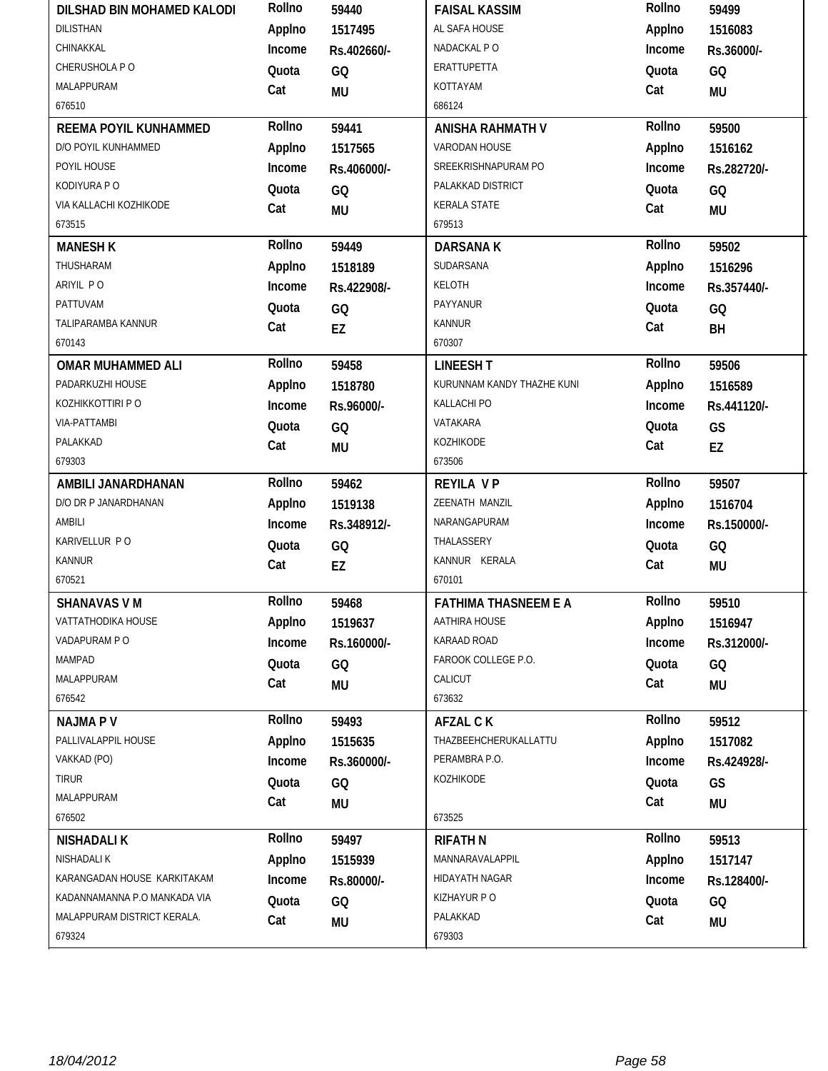| DILSHAD BIN MOHAMED KALODI            | Rollno | 59440       | <b>FAISAL KASSIM</b>        | Rollno | 59499       |
|---------------------------------------|--------|-------------|-----------------------------|--------|-------------|
| <b>DILISTHAN</b>                      | Applno | 1517495     | AL SAFA HOUSE               | Applno | 1516083     |
| CHINAKKAL                             | Income | Rs.402660/- | NADACKAL PO                 | Income | Rs.36000/-  |
| CHERUSHOLA P O                        | Quota  | GQ          | ERATTUPETTA                 | Quota  | GQ          |
| MALAPPURAM                            | Cat    | <b>MU</b>   | KOTTAYAM                    | Cat    | <b>MU</b>   |
| 676510                                |        |             | 686124                      |        |             |
| REEMA POYIL KUNHAMMED                 | Rollno | 59441       | <b>ANISHA RAHMATH V</b>     | Rollno | 59500       |
| D/O POYIL KUNHAMMED                   | Applno | 1517565     | VARODAN HOUSE               | Applno | 1516162     |
| POYIL HOUSE                           | Income | Rs.406000/- | SREEKRISHNAPURAM PO         | Income | Rs.282720/- |
| KODIYURA P O                          | Quota  | GQ          | PALAKKAD DISTRICT           | Quota  | GQ          |
| VIA KALLACHI KOZHIKODE                | Cat    | <b>MU</b>   | <b>KERALA STATE</b>         | Cat    | <b>MU</b>   |
| 673515                                |        |             | 679513                      |        |             |
| <b>MANESH K</b>                       | Rollno | 59449       | <b>DARSANAK</b>             | Rollno | 59502       |
| THUSHARAM                             | Applno | 1518189     | SUDARSANA                   | Applno | 1516296     |
| ARIYIL PO                             | Income | Rs.422908/- | KELOTH                      | Income | Rs.357440/- |
| PATTUVAM                              | Quota  | GQ          | PAYYANUR                    | Quota  | GQ          |
| TALIPARAMBA KANNUR                    | Cat    | EZ          | <b>KANNUR</b>               | Cat    | BH          |
| 670143                                |        |             | 670307                      |        |             |
| <b>OMAR MUHAMMED ALI</b>              | Rollno | 59458       | <b>LINEESH T</b>            | Rollno | 59506       |
| PADARKUZHI HOUSE                      | Applno | 1518780     | KURUNNAM KANDY THAZHE KUNI  | Applno | 1516589     |
| KOZHIKKOTTIRI P O                     | Income | Rs.96000/-  | KALLACHI PO                 | Income | Rs.441120/- |
| <b>VIA-PATTAMBI</b>                   | Quota  | GQ          | VATAKARA                    | Quota  | GS          |
| PALAKKAD                              | Cat    | <b>MU</b>   | KOZHIKODE                   | Cat    | EZ          |
| 679303                                |        |             | 673506                      |        |             |
| AMBILI JANARDHANAN                    | Rollno | 59462       | <b>REYILA VP</b>            | Rollno | 59507       |
| D/O DR P JANARDHANAN                  |        |             | ZEENATH MANZIL              |        |             |
|                                       | Applno | 1519138     |                             | Applno | 1516704     |
| AMBILI                                | Income | Rs.348912/- | NARANGAPURAM                | Income | Rs.150000/- |
| KARIVELLUR PO                         | Quota  | GQ          | THALASSERY                  | Quota  | GQ          |
| KANNUR                                | Cat    | EZ          | KANNUR KERALA               | Cat    | <b>MU</b>   |
| 670521                                |        |             | 670101                      |        |             |
| <b>SHANAVAS VM</b>                    | Rollno | 59468       | <b>FATHIMA THASNEEM E A</b> | Rollno | 59510       |
| VATTATHODIKA HOUSE                    | Applno | 1519637     | AATHIRA HOUSE               | Applno | 1516947     |
| VADAPURAM PO                          | Income | Rs.160000/- | KARAAD ROAD                 | Income | Rs.312000/- |
| MAMPAD                                | Quota  | GQ          | FAROOK COLLEGE P.O.         | Quota  | GQ          |
| MALAPPURAM                            | Cat    | MU          | CALICUT                     | Cat    | MU          |
| 676542                                |        |             | 673632                      |        |             |
| <b>NAJMAPV</b>                        | Rollno | 59493       | <b>AFZAL CK</b>             | Rollno | 59512       |
| PALLIVALAPPIL HOUSE                   | Applno | 1515635     | THAZBEEHCHERUKALLATTU       | Applno | 1517082     |
| VAKKAD (PO)                           | Income | Rs.360000/- | PERAMBRA P.O.               | Income | Rs.424928/- |
| TIRUR                                 | Quota  | GQ          | KOZHIKODE                   | Quota  | GS          |
| MALAPPURAM                            | Cat    | <b>MU</b>   |                             | Cat    | <b>MU</b>   |
| 676502                                |        |             | 673525                      |        |             |
| <b>NISHADALIK</b>                     | Rollno | 59497       | <b>RIFATH N</b>             | Rollno | 59513       |
| NISHADALI K                           | Applno | 1515939     | MANNARAVALAPPIL             | Applno | 1517147     |
| KARANGADAN HOUSE KARKITAKAM           | Income | Rs.80000/-  | HIDAYATH NAGAR              | Income | Rs.128400/- |
| KADANNAMANNA P.O MANKADA VIA          | Quota  | GQ          | KIZHAYUR P O                | Quota  | GQ          |
| MALAPPURAM DISTRICT KERALA.<br>679324 | Cat    | MU          | PALAKKAD<br>679303          | Cat    | <b>MU</b>   |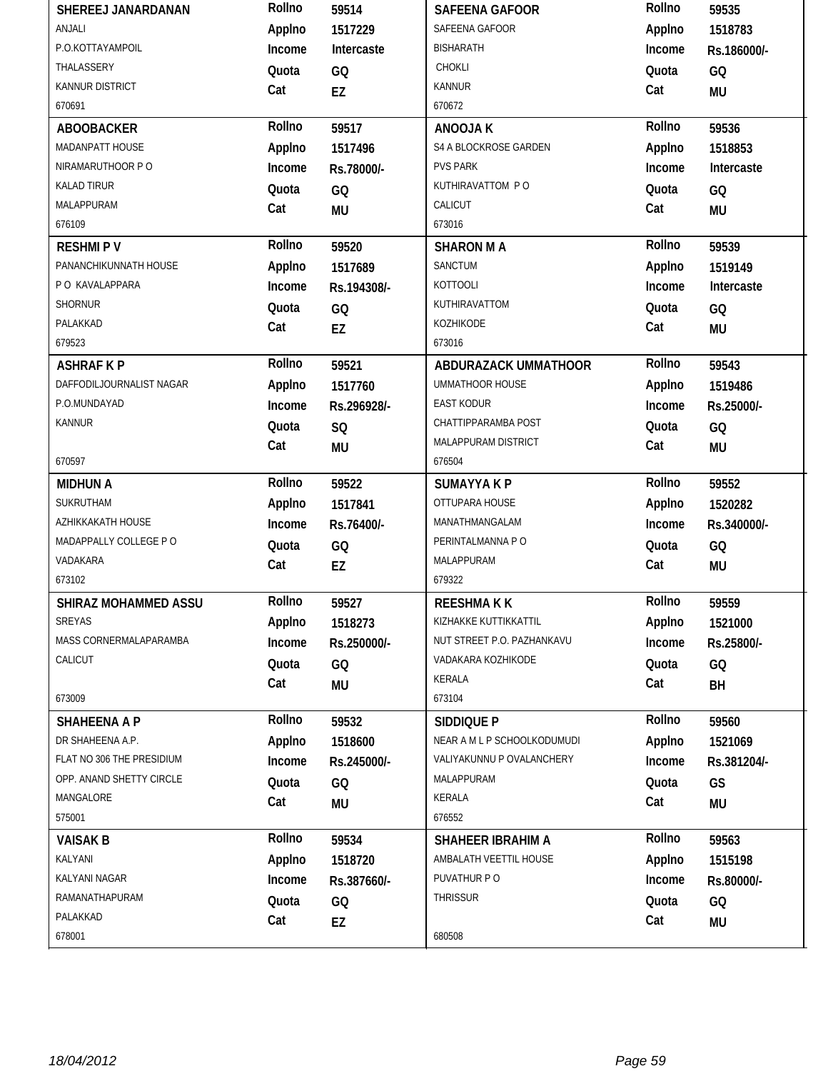| SHEREEJ JANARDANAN        | Rollno | 59514       | <b>SAFEENA GAFOOR</b>       | Rollno | 59535       |
|---------------------------|--------|-------------|-----------------------------|--------|-------------|
| ANJALI                    | Applno | 1517229     | SAFEENA GAFOOR              | Applno | 1518783     |
| P.O.KOTTAYAMPOIL          | Income | Intercaste  | <b>BISHARATH</b>            | Income | Rs.186000/- |
| THALASSERY                | Quota  | GQ          | CHOKLI                      | Quota  | GQ          |
| <b>KANNUR DISTRICT</b>    | Cat    | EZ          | <b>KANNUR</b>               | Cat    | MU          |
| 670691                    |        |             | 670672                      |        |             |
| <b>ABOOBACKER</b>         | Rollno | 59517       | <b>ANOOJAK</b>              | Rollno | 59536       |
| MADANPATT HOUSE           | Applno | 1517496     | S4 A BLOCKROSE GARDEN       | Applno | 1518853     |
| NIRAMARUTHOOR PO          | Income | Rs.78000/-  | <b>PVS PARK</b>             | Income | Intercaste  |
| <b>KALAD TIRUR</b>        | Quota  | GQ          | KUTHIRAVATTOM PO            | Quota  | GQ          |
| MALAPPURAM                | Cat    | <b>MU</b>   | CALICUT                     | Cat    | <b>MU</b>   |
| 676109                    |        |             | 673016                      |        |             |
| <b>RESHMIPV</b>           | Rollno | 59520       | <b>SHARON MA</b>            | Rollno | 59539       |
| PANANCHIKUNNATH HOUSE     | Applno | 1517689     | SANCTUM                     | Applno | 1519149     |
| P O KAVALAPPARA           | Income | Rs.194308/- | <b>KOTTOOLI</b>             | Income | Intercaste  |
| SHORNUR                   | Quota  | GQ          | KUTHIRAVATTOM               | Quota  | GQ          |
| PALAKKAD                  | Cat    | EZ          | KOZHIKODE                   | Cat    | MU          |
| 679523                    |        |             | 673016                      |        |             |
| <b>ASHRAF K P</b>         | Rollno | 59521       | ABDURAZACK UMMATHOOR        | Rollno | 59543       |
| DAFFODILJOURNALIST NAGAR  | Applno | 1517760     | <b>UMMATHOOR HOUSE</b>      | Applno | 1519486     |
| P.O.MUNDAYAD              | Income | Rs.296928/- | <b>EAST KODUR</b>           | Income | Rs.25000/-  |
| <b>KANNUR</b>             | Quota  | SQ          | CHATTIPPARAMBA POST         | Quota  | GQ          |
|                           | Cat    | <b>MU</b>   | MALAPPURAM DISTRICT         | Cat    | <b>MU</b>   |
| 670597                    |        |             | 676504                      |        |             |
|                           |        |             |                             |        |             |
| <b>MIDHUN A</b>           | Rollno | 59522       | <b>SUMAYYAKP</b>            | Rollno | 59552       |
| SUKRUTHAM                 | Applno | 1517841     | OTTUPARA HOUSE              | Applno | 1520282     |
| AZHIKKAKATH HOUSE         | Income | Rs.76400/-  | MANATHMANGALAM              | Income | Rs.340000/- |
| MADAPPALLY COLLEGE PO     | Quota  | GQ          | PERINTALMANNA P O           | Quota  | GQ          |
| VADAKARA                  | Cat    | EZ          | MALAPPURAM                  | Cat    | <b>MU</b>   |
| 673102                    |        |             | 679322                      |        |             |
| SHIRAZ MOHAMMED ASSU      | Rollno | 59527       | <b>REESHMAKK</b>            | Rollno | 59559       |
| SREYAS                    | Applno | 1518273     | KIZHAKKE KUTTIKKATTIL       | Applno | 1521000     |
| MASS CORNERMALAPARAMBA    | Income | Rs.250000/- | NUT STREET P.O. PAZHANKAVU  | Income | Rs.25800/-  |
| CALICUT                   | Quota  | GQ          | VADAKARA KOZHIKODE          | Quota  | GQ          |
|                           | Cat    | MU          | KERALA                      | Cat    | BH          |
| 673009                    |        |             | 673104                      |        |             |
| <b>SHAHEENA A P</b>       | Rollno | 59532       | SIDDIQUE P                  | Rollno | 59560       |
| DR SHAHEENA A.P.          | Applno | 1518600     | NEAR A M L P SCHOOLKODUMUDI | Applno | 1521069     |
| FLAT NO 306 THE PRESIDIUM | Income | Rs.245000/- | VALIYAKUNNU P OVALANCHERY   | Income | Rs.381204/- |
| OPP. ANAND SHETTY CIRCLE  | Quota  | GQ          | MALAPPURAM                  | Quota  | GS          |
| MANGALORE                 | Cat    | MU          | KERALA                      | Cat    | MU          |
| 575001                    |        |             | 676552                      |        |             |
| <b>VAISAK B</b>           | Rollno | 59534       | <b>SHAHEER IBRAHIM A</b>    | Rollno | 59563       |
| KALYANI                   | Applno | 1518720     | AMBALATH VEETTIL HOUSE      | Applno | 1515198     |
| KALYANI NAGAR             | Income | Rs.387660/- | PUVATHUR PO                 | Income | Rs.80000/-  |
| RAMANATHAPURAM            | Quota  | GQ          | THRISSUR                    | Quota  | GQ          |
| PALAKKAD<br>678001        | Cat    | EZ          | 680508                      | Cat    | <b>MU</b>   |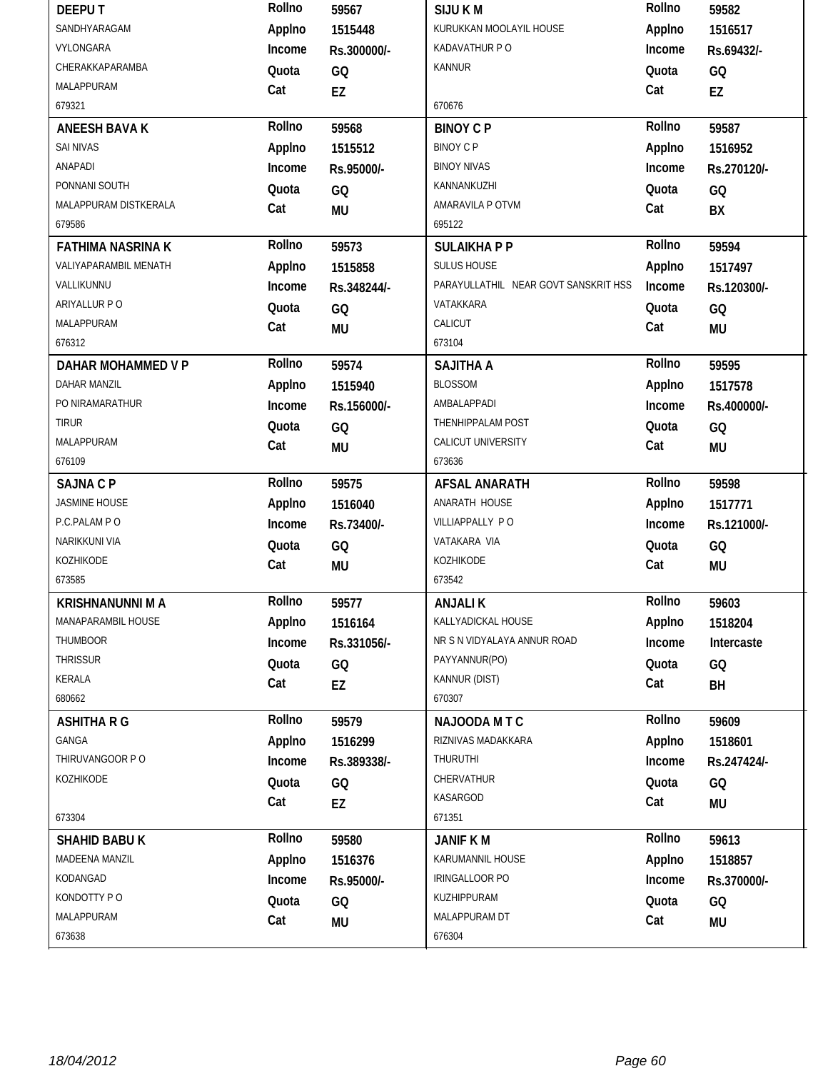| <b>DEEPUT</b>             | Rollno       | 59567           | <b>SIJUKM</b>                        | Rollno       | 59582           |
|---------------------------|--------------|-----------------|--------------------------------------|--------------|-----------------|
| SANDHYARAGAM              | Applno       | 1515448         | KURUKKAN MOOLAYIL HOUSE              | Applno       | 1516517         |
| VYLONGARA                 | Income       | Rs.300000/-     | KADAVATHUR P O                       | Income       | Rs.69432/-      |
| CHERAKKAPARAMBA           | Quota        | GQ              | KANNUR                               | Quota        | GQ              |
| MALAPPURAM                | Cat          | EZ              |                                      | Cat          | EZ              |
| 679321                    |              |                 | 670676                               |              |                 |
| <b>ANEESH BAVA K</b>      | Rollno       | 59568           | <b>BINOY C P</b>                     | Rollno       | 59587           |
| <b>SAI NIVAS</b>          | Applno       | 1515512         | <b>BINOY C P</b>                     | Applno       | 1516952         |
| ANAPADI                   | Income       | Rs.95000/-      | <b>BINOY NIVAS</b>                   | Income       | Rs.270120/-     |
| PONNANI SOUTH             | Quota        | GQ              | KANNANKUZHI                          | Quota        | GQ              |
| MALAPPURAM DISTKERALA     | Cat          | <b>MU</b>       | AMARAVILA P OTVM                     | Cat          | BX              |
| 679586                    |              |                 | 695122                               |              |                 |
| <b>FATHIMA NASRINA K</b>  | Rollno       | 59573           | <b>SULAIKHAPP</b>                    | Rollno       | 59594           |
| VALIYAPARAMBIL MENATH     | Applno       | 1515858         | SULUS HOUSE                          | Applno       | 1517497         |
| VALLIKUNNU                | Income       | Rs.348244/-     | PARAYULLATHIL NEAR GOVT SANSKRIT HSS | Income       | Rs.120300/-     |
| ARIYALLUR P O             | Quota        | GQ              | VATAKKARA                            | Quota        | GQ              |
| MALAPPURAM                | Cat          | <b>MU</b>       | CALICUT                              | Cat          | <b>MU</b>       |
| 676312                    |              |                 | 673104                               |              |                 |
| <b>DAHAR MOHAMMED V P</b> | Rollno       | 59574           | <b>SAJITHA A</b>                     | Rollno       | 59595           |
| <b>DAHAR MANZIL</b>       | Applno       | 1515940         | <b>BLOSSOM</b>                       | Applno       | 1517578         |
| PO NIRAMARATHUR           | Income       | Rs.156000/-     | AMBALAPPADI                          | Income       | Rs.400000/-     |
| <b>TIRUR</b>              | Quota        | GQ              | THENHIPPALAM POST                    | Quota        | GQ              |
| MALAPPURAM                | Cat          | <b>MU</b>       | CALICUT UNIVERSITY                   | Cat          | <b>MU</b>       |
| 676109                    |              |                 | 673636                               |              |                 |
|                           |              |                 |                                      |              |                 |
| <b>SAJNA C P</b>          | Rollno       | 59575           | <b>AFSAL ANARATH</b>                 | Rollno       | 59598           |
| <b>JASMINE HOUSE</b>      | Applno       | 1516040         | ANARATH HOUSE                        | Applno       | 1517771         |
| P.C.PALAM PO              | Income       | Rs.73400/-      | VILLIAPPALLY PO                      | Income       | Rs.121000/-     |
| NARIKKUNI VIA             |              |                 | VATAKARA VIA                         |              |                 |
| KOZHIKODE                 | Quota        | GQ              | KOZHIKODE                            | Quota        | GQ              |
| 673585                    | Cat          | <b>MU</b>       | 673542                               | Cat          | <b>MU</b>       |
| <b>KRISHNANUNNI M A</b>   | Rollno       | 59577           | <b>ANJALIK</b>                       | Rollno       | 59603           |
| MANAPARAMBIL HOUSE        | Applno       | 1516164         | KALLYADICKAL HOUSE                   | Applno       | 1518204         |
| <b>THUMBOOR</b>           | Income       | Rs.331056/-     | NR S N VIDYALAYA ANNUR ROAD          | Income       | Intercaste      |
| THRISSUR                  | Quota        |                 | PAYYANNUR(PO)                        | Quota        |                 |
| KERALA                    |              | GQ              | KANNUR (DIST)                        |              | GQ              |
| 680662                    | Cat          | EZ              | 670307                               | Cat          | BH              |
| <b>ASHITHA R G</b>        | Rollno       | 59579           | NAJOODA MTC                          | Rollno       | 59609           |
| GANGA                     | Applno       | 1516299         | RIZNIVAS MADAKKARA                   | Applno       | 1518601         |
| THIRUVANGOOR P O          | Income       | Rs.389338/-     | THURUTHI                             | Income       | Rs.247424/-     |
| KOZHIKODE                 |              |                 | CHERVATHUR                           |              |                 |
|                           | Quota        | GQ              | KASARGOD                             | Quota<br>Cat | GQ              |
| 673304                    | Cat          | EZ              | 671351                               |              | <b>MU</b>       |
| <b>SHAHID BABU K</b>      | Rollno       | 59580           | <b>JANIF KM</b>                      | Rollno       | 59613           |
| MADEENA MANZIL            | Applno       | 1516376         | KARUMANNIL HOUSE                     | Applno       | 1518857         |
| KODANGAD                  | Income       | Rs.95000/-      | IRINGALLOOR PO                       | Income       | Rs.370000/-     |
| KONDOTTY PO               |              |                 | KUZHIPPURAM                          |              |                 |
| MALAPPURAM                | Quota<br>Cat | GQ<br><b>MU</b> | MALAPPURAM DT                        | Quota<br>Cat | GQ<br><b>MU</b> |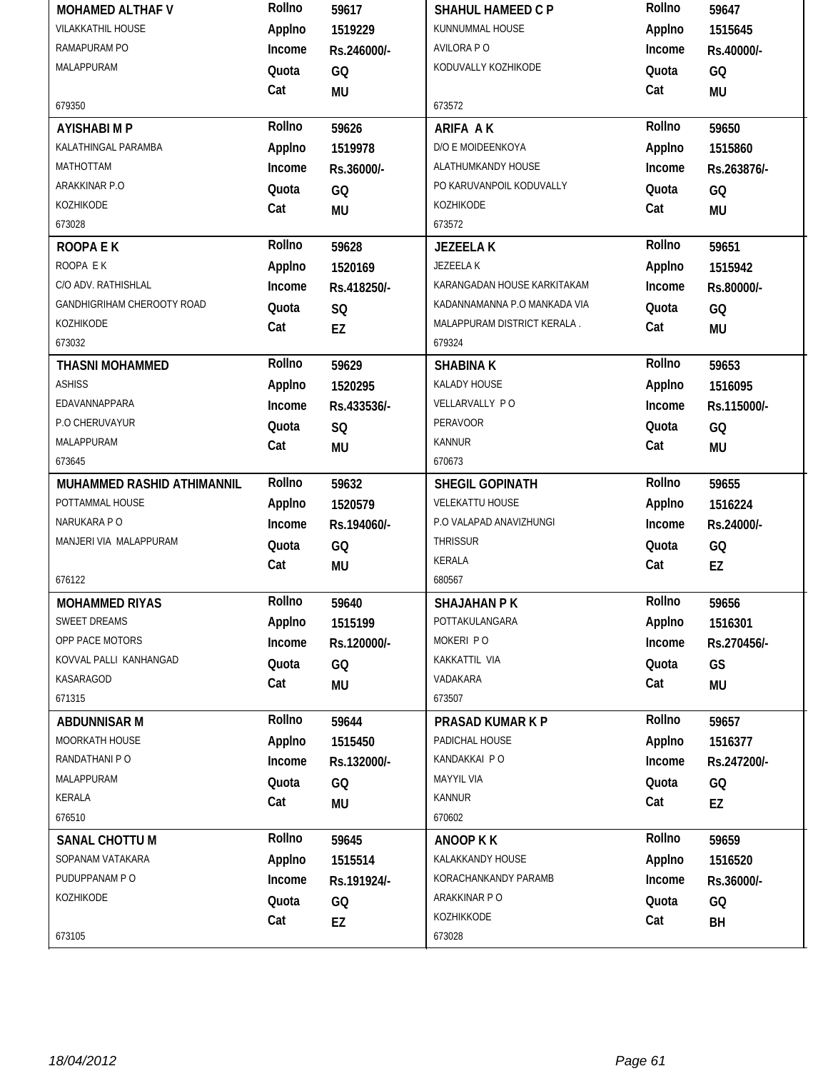| <b>MOHAMED ALTHAF V</b>    | Rollno | 59617       | <b>SHAHUL HAMEED C P</b>     | Rollno | 59647       |
|----------------------------|--------|-------------|------------------------------|--------|-------------|
| <b>VILAKKATHIL HOUSE</b>   | Applno | 1519229     | KUNNUMMAL HOUSE              | Applno | 1515645     |
| RAMAPURAM PO               | Income | Rs.246000/- | AVILORA P O                  | Income | Rs.40000/-  |
| MALAPPURAM                 | Quota  | GQ          | KODUVALLY KOZHIKODE          | Quota  | GQ          |
|                            | Cat    | <b>MU</b>   |                              | Cat    | <b>MU</b>   |
| 679350                     |        |             | 673572                       |        |             |
| <b>AYISHABI M P</b>        | Rollno | 59626       | <b>ARIFA AK</b>              | Rollno | 59650       |
| KALATHINGAL PARAMBA        | Applno | 1519978     | D/O E MOIDEENKOYA            | Applno | 1515860     |
| MATHOTTAM                  | Income | Rs.36000/-  | ALATHUMKANDY HOUSE           | Income | Rs.263876/- |
| ARAKKINAR P.O              | Quota  | GQ          | PO KARUVANPOIL KODUVALLY     | Quota  | GQ          |
| KOZHIKODE                  | Cat    | <b>MU</b>   | KOZHIKODE                    | Cat    | <b>MU</b>   |
| 673028                     |        |             | 673572                       |        |             |
| ROOPA E K                  | Rollno | 59628       | <b>JEZEELAK</b>              | Rollno | 59651       |
| ROOPA EK                   | Applno | 1520169     | JEZEELAK                     | Applno | 1515942     |
| C/O ADV. RATHISHLAL        | Income | Rs.418250/- | KARANGADAN HOUSE KARKITAKAM  | Income | Rs.80000/-  |
| GANDHIGRIHAM CHEROOTY ROAD | Quota  | SQ          | KADANNAMANNA P.O MANKADA VIA | Quota  | GQ          |
| KOZHIKODE                  | Cat    | EZ          | MALAPPURAM DISTRICT KERALA.  | Cat    | MU          |
| 673032                     |        |             | 679324                       |        |             |
| <b>THASNI MOHAMMED</b>     | Rollno | 59629       | <b>SHABINAK</b>              | Rollno | 59653       |
| <b>ASHISS</b>              | Applno | 1520295     | KALADY HOUSE                 | Applno | 1516095     |
| EDAVANNAPPARA              | Income | Rs.433536/- | VELLARVALLY PO               | Income | Rs.115000/- |
| P.O CHERUVAYUR             | Quota  | SQ          | PERAVOOR                     | Quota  | GQ          |
| MALAPPURAM                 | Cat    | <b>MU</b>   | <b>KANNUR</b>                | Cat    | <b>MU</b>   |
| 673645                     |        |             | 670673                       |        |             |
| MUHAMMED RASHID ATHIMANNIL | Rollno | 59632       | SHEGIL GOPINATH              | Rollno | 59655       |
| POTTAMMAL HOUSE            | Applno | 1520579     | <b>VELEKATTU HOUSE</b>       | Applno | 1516224     |
| NARUKARA PO                | Income | Rs.194060/- | P.O VALAPAD ANAVIZHUNGI      | Income | Rs.24000/-  |
| MANJERI VIA MALAPPURAM     | Quota  | GQ          | <b>THRISSUR</b>              | Quota  | GQ          |
|                            | Cat    | MU          | KERALA                       | Cat    | EZ          |
| 676122                     |        |             | 680567                       |        |             |
| <b>MOHAMMED RIYAS</b>      | Rollno | 59640       | <b>SHAJAHAN PK</b>           | Rollno | 59656       |
| <b>SWEET DREAMS</b>        | Applno | 1515199     | POTTAKULANGARA               | Applno | 1516301     |
| OPP PACE MOTORS            | Income | Rs.120000/- | MOKERI PO                    | Income | Rs.270456/- |
| KOVVAL PALLI KANHANGAD     | Quota  | GQ          | KAKKATTIL VIA                | Quota  | GS          |
| KASARAGOD                  |        |             |                              |        |             |
|                            | Cat    | MU          | VADAKARA                     | Cat    | MU          |
| 671315                     |        |             | 673507                       |        |             |
| <b>ABDUNNISAR M</b>        | Rollno | 59644       | PRASAD KUMAR K P             | Rollno | 59657       |
| MOORKATH HOUSE             | Applno | 1515450     | PADICHAL HOUSE               | Applno | 1516377     |
| RANDATHANI P O             | Income | Rs.132000/- | KANDAKKAI PO                 | Income | Rs.247200/- |
| MALAPPURAM                 | Quota  | GQ          | <b>MAYYIL VIA</b>            | Quota  | GQ          |
| KERALA                     | Cat    | <b>MU</b>   | KANNUR                       | Cat    | EZ          |
| 676510                     |        |             | 670602                       |        |             |
| <b>SANAL CHOTTUM</b>       | Rollno | 59645       | <b>ANOOP K K</b>             | Rollno | 59659       |
| SOPANAM VATAKARA           | Applno | 1515514     | KALAKKANDY HOUSE             | Applno | 1516520     |
| PUDUPPANAM P O             | Income | Rs.191924/- | KORACHANKANDY PARAMB         | Income | Rs.36000/-  |
| KOZHIKODE                  | Quota  | GQ          | ARAKKINAR PO                 | Quota  | GQ          |
|                            | Cat    | EZ          | KOZHIKKODE                   | Cat    | BH          |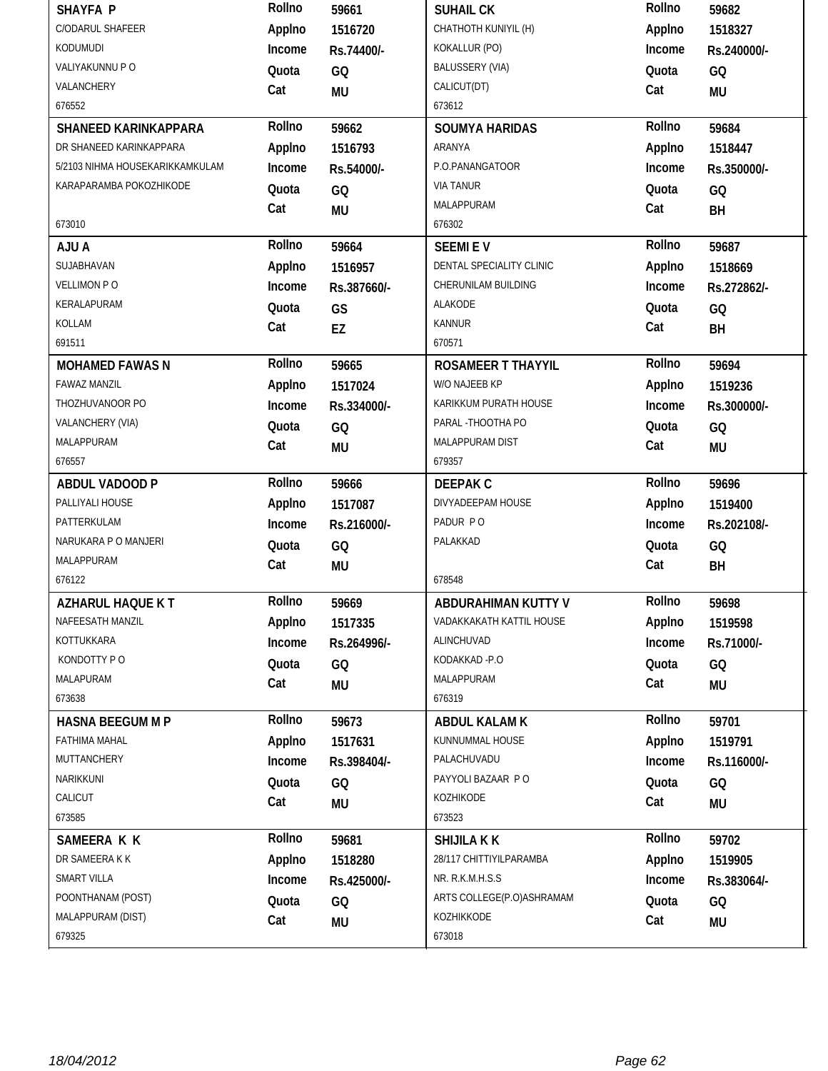| <b>SHAYFA P</b>                 | Rollno | 59661       | <b>SUHAIL CK</b>          | Rollno | 59682       |
|---------------------------------|--------|-------------|---------------------------|--------|-------------|
| C/ODARUL SHAFEER                | Applno | 1516720     | CHATHOTH KUNIYIL (H)      | Applno | 1518327     |
| KODUMUDI                        | Income | Rs.74400/-  | KOKALLUR (PO)             | Income | Rs.240000/- |
| VALIYAKUNNU P O                 | Quota  | GQ          | <b>BALUSSERY (VIA)</b>    | Quota  | GQ          |
| VALANCHERY                      | Cat    | <b>MU</b>   | CALICUT(DT)               | Cat    | MU          |
| 676552                          |        |             | 673612                    |        |             |
| SHANEED KARINKAPPARA            | Rollno | 59662       | <b>SOUMYA HARIDAS</b>     | Rollno | 59684       |
| DR SHANEED KARINKAPPARA         | Applno | 1516793     | ARANYA                    | Applno | 1518447     |
| 5/2103 NIHMA HOUSEKARIKKAMKULAM | Income | Rs.54000/-  | P.O.PANANGATOOR           | Income | Rs.350000/- |
| KARAPARAMBA POKOZHIKODE         | Quota  | GQ          | <b>VIA TANUR</b>          | Quota  | GQ          |
|                                 | Cat    | <b>MU</b>   | MALAPPURAM                | Cat    | BH          |
| 673010                          |        |             | 676302                    |        |             |
| AJU A                           | Rollno | 59664       | <b>SEEMIEV</b>            | Rollno | 59687       |
| SUJABHAVAN                      | Applno | 1516957     | DENTAL SPECIALITY CLINIC  | Applno | 1518669     |
| <b>VELLIMON PO</b>              | Income | Rs.387660/- | CHERUNILAM BUILDING       | Income | Rs.272862/- |
| KERALAPURAM                     | Quota  | GS          | ALAKODE                   | Quota  | GQ          |
| KOLLAM                          | Cat    | EZ          | <b>KANNUR</b>             | Cat    | BH          |
| 691511                          |        |             | 670571                    |        |             |
| <b>MOHAMED FAWAS N</b>          | Rollno | 59665       | <b>ROSAMEER T THAYYIL</b> | Rollno | 59694       |
| <b>FAWAZ MANZIL</b>             | Applno | 1517024     | W/O NAJEEB KP             | Applno | 1519236     |
| THOZHUVANOOR PO                 | Income | Rs.334000/- | KARIKKUM PURATH HOUSE     | Income | Rs.300000/- |
| VALANCHERY (VIA)                | Quota  | GQ          | PARAL - THOOTHA PO        | Quota  | GQ          |
| MALAPPURAM                      | Cat    | <b>MU</b>   | MALAPPURAM DIST           | Cat    | <b>MU</b>   |
| 676557                          |        |             | 679357                    |        |             |
|                                 |        |             |                           |        |             |
| ABDUL VADOOD P                  | Rollno | 59666       | <b>DEEPAK C</b>           | Rollno | 59696       |
| PALLIYALI HOUSE                 | Applno | 1517087     | DIVYADEEPAM HOUSE         | Applno | 1519400     |
| PATTERKULAM                     | Income | Rs.216000/- | PADUR PO                  | Income | Rs.202108/- |
| NARUKARA P O MANJERI            | Quota  | GQ          | PALAKKAD                  | Quota  | GQ          |
| <b>MALAPPURAM</b>               | Cat    | <b>MU</b>   |                           | Cat    | BH          |
| 676122                          |        |             | 678548                    |        |             |
| AZHARUL HAQUE K T               | Rollno | 59669       | ABDURAHIMAN KUTTY V       | Rollno | 59698       |
| NAFEESATH MANZIL                | Applno | 1517335     | VADAKKAKATH KATTIL HOUSE  | Applno | 1519598     |
| KOTTUKKARA                      | Income | Rs.264996/- | ALINCHUVAD                | Income | Rs.71000/-  |
| KONDOTTY PO                     | Quota  | GQ          | KODAKKAD-P.O              | Quota  | GQ          |
| MALAPURAM                       | Cat    | MU          | MALAPPURAM                | Cat    | MU          |
| 673638                          |        |             | 676319                    |        |             |
| <b>HASNA BEEGUM M P</b>         | Rollno | 59673       | <b>ABDUL KALAM K</b>      | Rollno | 59701       |
| FATHIMA MAHAL                   | Applno | 1517631     | KUNNUMMAL HOUSE           | Applno | 1519791     |
| MUTTANCHERY                     | Income | Rs.398404/- | PALACHUVADU               | Income | Rs.116000/- |
| NARIKKUNI                       | Quota  | GQ          | PAYYOLI BAZAAR P O        | Quota  | GQ          |
| CALICUT                         | Cat    | MU          | KOZHIKODE                 | Cat    | MU          |
| 673585                          |        |             | 673523                    |        |             |
| SAMEERA K K                     | Rollno | 59681       | <b>SHIJILA K K</b>        | Rollno | 59702       |
| DR SAMEERA K K                  | Applno | 1518280     | 28/117 CHITTIYILPARAMBA   | Applno | 1519905     |
| SMART VILLA                     | Income | Rs.425000/- | NR. R.K.M.H.S.S           | Income | Rs.383064/- |
| POONTHANAM (POST)               | Quota  | GQ          | ARTS COLLEGE(P.O)ASHRAMAM | Quota  | GQ          |
| MALAPPURAM (DIST)<br>679325     | Cat    | MU          | KOZHIKKODE<br>673018      | Cat    | <b>MU</b>   |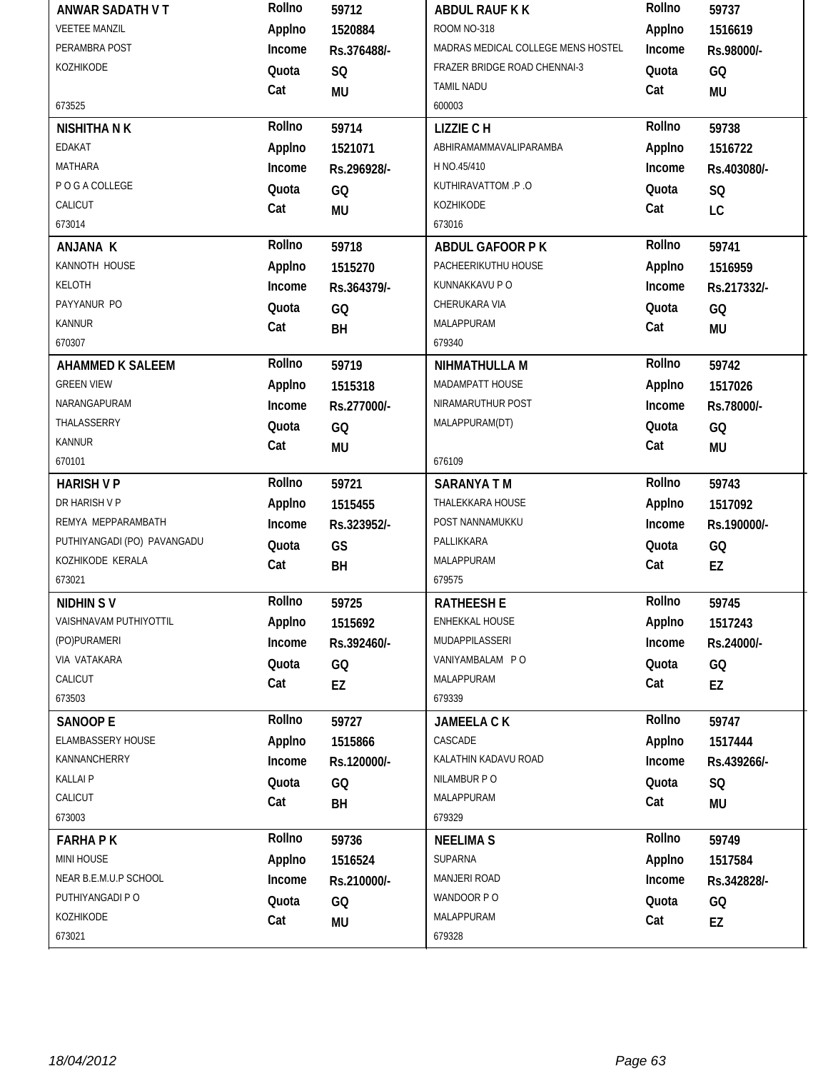| ANWAR SADATH V T            | Rollno | 59712       | ABDUL RAUF K K                     | Rollno | 59737       |
|-----------------------------|--------|-------------|------------------------------------|--------|-------------|
| <b>VEETEE MANZIL</b>        | Applno | 1520884     | ROOM NO-318                        | Applno | 1516619     |
| PERAMBRA POST               | Income | Rs.376488/- | MADRAS MEDICAL COLLEGE MENS HOSTEL | Income | Rs.98000/-  |
| KOZHIKODE                   | Quota  | SQ          | FRAZER BRIDGE ROAD CHENNAI-3       | Quota  | GQ          |
|                             | Cat    | MU          | <b>TAMIL NADU</b>                  | Cat    | <b>MU</b>   |
| 673525                      |        |             | 600003                             |        |             |
| <b>NISHITHA N K</b>         | Rollno | 59714       | <b>LIZZIE CH</b>                   | Rollno | 59738       |
| EDAKAT                      | Applno | 1521071     | ABHIRAMAMMAVALIPARAMBA             | Applno | 1516722     |
| MATHARA                     | Income | Rs.296928/- | H NO.45/410                        | Income | Rs.403080/- |
| P O G A COLLEGE             | Quota  | GQ          | KUTHIRAVATTOM .P.O                 | Quota  | SQ          |
| CALICUT                     | Cat    | <b>MU</b>   | KOZHIKODE                          | Cat    | LC          |
| 673014                      |        |             | 673016                             |        |             |
| ANJANA K                    | Rollno | 59718       | <b>ABDUL GAFOOR PK</b>             | Rollno | 59741       |
| KANNOTH HOUSE               | Applno | 1515270     | PACHEERIKUTHU HOUSE                | Applno | 1516959     |
| KELOTH                      | Income | Rs.364379/- | KUNNAKKAVU P O                     | Income | Rs.217332/- |
| PAYYANUR PO                 | Quota  | GQ          | CHERUKARA VIA                      | Quota  | GQ          |
| <b>KANNUR</b>               | Cat    | BH          | MALAPPURAM                         | Cat    | <b>MU</b>   |
| 670307                      |        |             | 679340                             |        |             |
| <b>AHAMMED K SALEEM</b>     | Rollno | 59719       | NIHMATHULLA M                      | Rollno | 59742       |
| <b>GREEN VIEW</b>           | Applno | 1515318     | MADAMPATT HOUSE                    | Applno | 1517026     |
| NARANGAPURAM                | Income | Rs.277000/- | NIRAMARUTHUR POST                  | Income | Rs.78000/-  |
| THALASSERRY                 | Quota  | GQ          | MALAPPURAM(DT)                     | Quota  | GQ          |
| <b>KANNUR</b>               | Cat    | MU          |                                    | Cat    | <b>MU</b>   |
| 670101                      |        |             | 676109                             |        |             |
| <b>HARISH V P</b>           | Rollno | 59721       | <b>SARANYA TM</b>                  | Rollno | 59743       |
| DR HARISH V P               | Applno | 1515455     | THALEKKARA HOUSE                   | Applno | 1517092     |
| REMYA MEPPARAMBATH          | Income | Rs.323952/- | POST NANNAMUKKU                    | Income | Rs.190000/- |
| PUTHIYANGADI (PO) PAVANGADU | Quota  | GS          | PALLIKKARA                         | Quota  | GQ          |
| KOZHIKODE KERALA            | Cat    | BH          | MALAPPURAM                         | Cat    | EZ          |
| 673021                      |        |             | 679575                             |        |             |
| <b>NIDHIN SV</b>            | Rollno | 59725       | <b>RATHEESH E</b>                  | Rollno | 59745       |
| VAISHNAVAM PUTHIYOTTIL      | Applno | 1515692     | ENHEKKAL HOUSE                     | Applno | 1517243     |
| (PO)PURAMERI                | Income | Rs.392460/- | MUDAPPILASSERI                     | Income | Rs.24000/-  |
| VIA VATAKARA                | Quota  | GQ          | VANIYAMBALAM PO                    | Quota  | GQ          |
| CALICUT                     | Cat    | EZ          | MALAPPURAM                         | Cat    | EZ          |
| 673503                      |        |             | 679339                             |        |             |
| <b>SANOOP E</b>             | Rollno | 59727       | JAMEELA CK                         | Rollno | 59747       |
| ELAMBASSERY HOUSE           | Applno | 1515866     | CASCADE                            | Applno | 1517444     |
| KANNANCHERRY                | Income | Rs.120000/- | KALATHIN KADAVU ROAD               | Income | Rs.439266/- |
| <b>KALLAIP</b>              | Quota  | GQ          | NILAMBUR PO                        | Quota  | SQ          |
| CALICUT                     | Cat    | BH          | MALAPPURAM                         | Cat    | <b>MU</b>   |
| 673003                      |        |             | 679329                             |        |             |
| <b>FARHAPK</b>              | Rollno | 59736       | <b>NEELIMA S</b>                   | Rollno | 59749       |
| MINI HOUSE                  | Applno | 1516524     | SUPARNA                            | Applno | 1517584     |
| NEAR B.E.M.U.P SCHOOL       | Income | Rs.210000/- | MANJERI ROAD                       | Income | Rs.342828/- |
| PUTHIYANGADI P O            | Quota  | GQ          | WANDOOR PO                         | Quota  | GQ          |
| KOZHIKODE                   | Cat    | <b>MU</b>   | MALAPPURAM                         | Cat    | EZ          |
| 673021                      |        |             | 679328                             |        |             |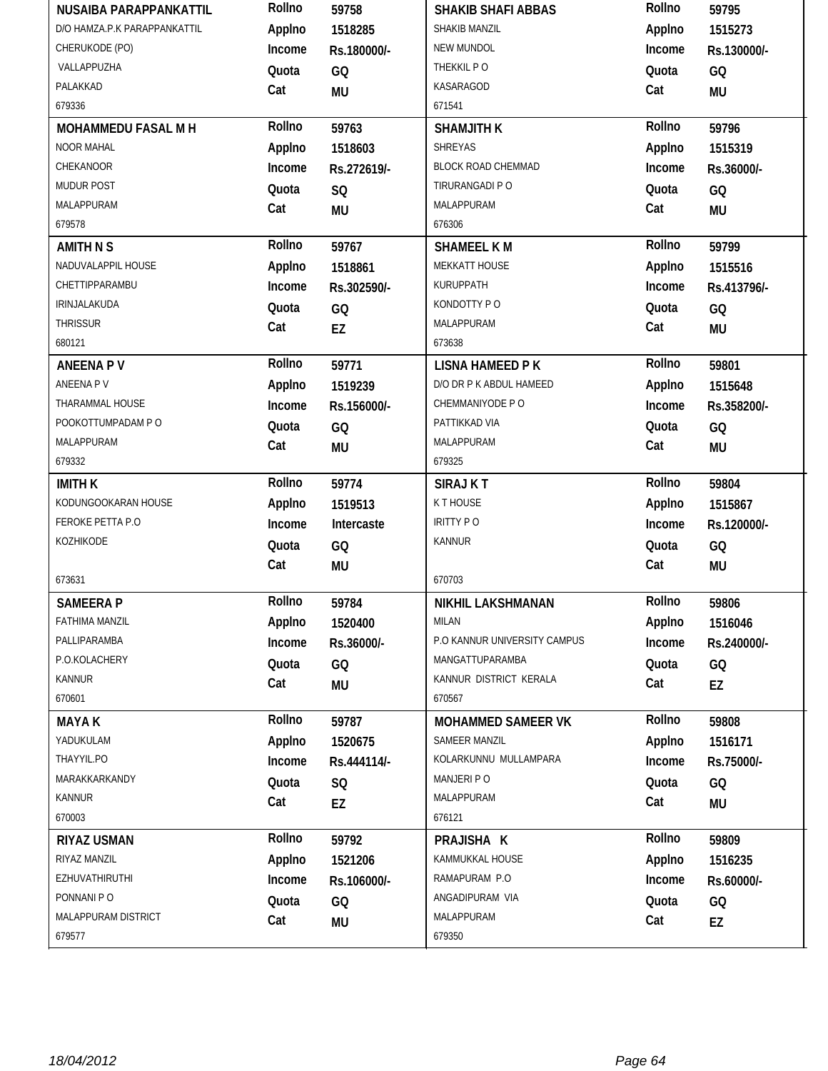| NUSAIBA PARAPPANKATTIL       | Rollno | 59758       | <b>SHAKIB SHAFI ABBAS</b>    | Rollno | 59795       |
|------------------------------|--------|-------------|------------------------------|--------|-------------|
| D/O HAMZA.P.K PARAPPANKATTIL | Applno | 1518285     | SHAKIB MANZIL                | Applno | 1515273     |
| CHERUKODE (PO)               | Income | Rs.180000/- | NEW MUNDOL                   | Income | Rs.130000/- |
| VALLAPPUZHA                  | Quota  | GQ          | THEKKIL PO                   | Quota  | GQ          |
| PALAKKAD                     | Cat    | <b>MU</b>   | KASARAGOD                    | Cat    | MU          |
| 679336                       |        |             | 671541                       |        |             |
| MOHAMMEDU FASAL M H          | Rollno | 59763       | <b>SHAMJITH K</b>            | Rollno | 59796       |
| <b>NOOR MAHAL</b>            | Applno | 1518603     | <b>SHREYAS</b>               | Applno | 1515319     |
| CHEKANOOR                    | Income | Rs.272619/- | BLOCK ROAD CHEMMAD           | Income | Rs.36000/-  |
| <b>MUDUR POST</b>            | Quota  | SQ          | TIRURANGADI P O              | Quota  | GQ          |
| MALAPPURAM                   | Cat    | <b>MU</b>   | MALAPPURAM                   | Cat    | <b>MU</b>   |
| 679578                       |        |             | 676306                       |        |             |
| <b>AMITH N S</b>             | Rollno | 59767       | <b>SHAMEEL KM</b>            | Rollno | 59799       |
| NADUVALAPPIL HOUSE           | Applno | 1518861     | MEKKATT HOUSE                | Applno | 1515516     |
| CHETTIPPARAMBU               | Income | Rs.302590/- | KURUPPATH                    | Income | Rs.413796/- |
| IRINJALAKUDA                 | Quota  | GQ          | KONDOTTY PO                  | Quota  | GQ          |
| THRISSUR                     | Cat    | EZ          | MALAPPURAM                   | Cat    | MU          |
| 680121                       |        |             | 673638                       |        |             |
| <b>ANEENA PV</b>             | Rollno | 59771       | <b>LISNA HAMEED PK</b>       | Rollno | 59801       |
| ANEENA P V                   | Applno | 1519239     | D/O DR P K ABDUL HAMEED      | Applno | 1515648     |
| THARAMMAL HOUSE              | Income | Rs.156000/- | CHEMMANIYODE P O             | Income | Rs.358200/- |
| POOKOTTUMPADAM P O           | Quota  | GQ          | PATTIKKAD VIA                | Quota  | GQ          |
| MALAPPURAM                   | Cat    | <b>MU</b>   | MALAPPURAM                   | Cat    | <b>MU</b>   |
| 679332                       |        |             | 679325                       |        |             |
|                              |        |             |                              |        |             |
| <b>IMITH K</b>               | Rollno | 59774       | <b>SIRAJ KT</b>              | Rollno | 59804       |
| KODUNGOOKARAN HOUSE          | Applno | 1519513     | K T HOUSE                    | Applno | 1515867     |
| FEROKE PETTA P.O             | Income | Intercaste  | <b>IRITTY PO</b>             | Income | Rs.120000/- |
| KOZHIKODE                    | Quota  | GQ          | <b>KANNUR</b>                | Quota  | GQ          |
|                              | Cat    | <b>MU</b>   |                              | Cat    | <b>MU</b>   |
| 673631                       |        |             | 670703                       |        |             |
| <b>SAMEERAP</b>              | Rollno | 59784       | NIKHIL LAKSHMANAN            | Rollno | 59806       |
| FATHIMA MANZIL               | Applno | 1520400     | <b>MILAN</b>                 | Applno | 1516046     |
| PALLIPARAMBA                 | Income | Rs.36000/-  | P.O KANNUR UNIVERSITY CAMPUS | Income | Rs.240000/- |
| P.O.KOLACHERY                | Quota  | GQ          | MANGATTUPARAMBA              | Quota  | GQ          |
| KANNUR                       | Cat    | MU          | KANNUR DISTRICT KERALA       | Cat    | EZ          |
| 670601                       |        |             | 670567                       |        |             |
| <b>MAYAK</b>                 | Rollno | 59787       | MOHAMMED SAMEER VK           | Rollno | 59808       |
| YADUKULAM                    | Applno | 1520675     | SAMEER MANZIL                | Applno | 1516171     |
| THAYYIL.PO                   | Income | Rs.444114/- | KOLARKUNNU MULLAMPARA        | Income | Rs.75000/-  |
| MARAKKARKANDY                | Quota  | SQ          | MANJERI PO                   | Quota  | GQ          |
| KANNUR                       | Cat    | EZ          | MALAPPURAM                   | Cat    | MU          |
| 670003                       |        |             | 676121                       |        |             |
| <b>RIYAZ USMAN</b>           | Rollno | 59792       | PRAJISHA K                   | Rollno | 59809       |
| RIYAZ MANZIL                 | Applno | 1521206     | KAMMUKKAL HOUSE              | Applno | 1516235     |
| <b>EZHUVATHIRUTHI</b>        | Income | Rs.106000/- | RAMAPURAM P.O                | Income | Rs.60000/-  |
| PONNANI PO                   | Quota  | GQ          | ANGADIPURAM VIA              | Quota  | GQ          |
| MALAPPURAM DISTRICT          | Cat    | MU          | MALAPPURAM                   | Cat    | EZ          |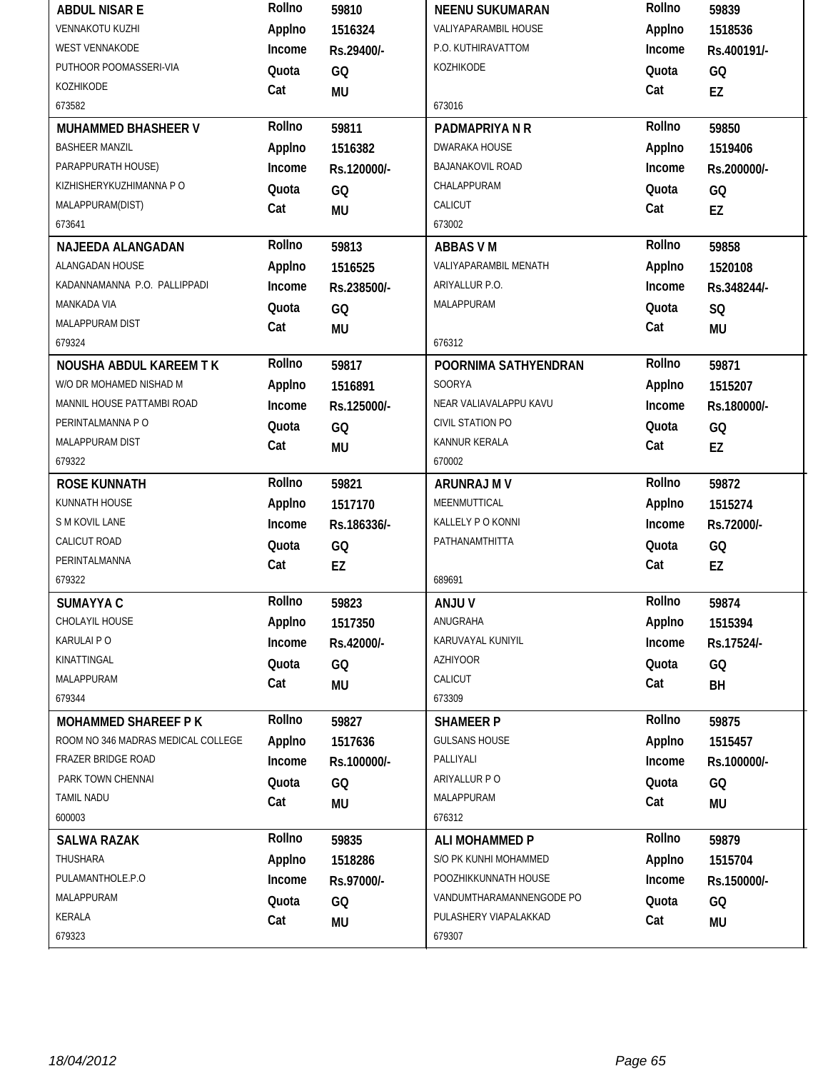| <b>ABDUL NISAR E</b>               | Rollno | 59810           | <b>NEENU SUKUMARAN</b>       | Rollno | 59839       |
|------------------------------------|--------|-----------------|------------------------------|--------|-------------|
| <b>VENNAKOTU KUZHI</b>             | Applno | 1516324         | <b>VALIYAPARAMBIL HOUSE</b>  | Applno | 1518536     |
| <b>WEST VENNAKODE</b>              | Income | Rs.29400/-      | P.O. KUTHIRAVATTOM           | Income | Rs.400191/- |
| PUTHOOR POOMASSERI-VIA             | Quota  | GQ              | KOZHIKODE                    | Quota  | GQ          |
| KOZHIKODE                          | Cat    | <b>MU</b>       |                              | Cat    | EZ          |
| 673582                             |        |                 | 673016                       |        |             |
| MUHAMMED BHASHEER V                | Rollno | 59811           | PADMAPRIYA N R               | Rollno | 59850       |
| <b>BASHEER MANZIL</b>              | Applno | 1516382         | <b>DWARAKA HOUSE</b>         | Applno | 1519406     |
| PARAPPURATH HOUSE)                 | Income | Rs.120000/-     | BAJANAKOVIL ROAD             | Income | Rs.200000/- |
| KIZHISHERYKUZHIMANNA P O           | Quota  | GQ              | CHALAPPURAM                  | Quota  | GQ          |
| MALAPPURAM(DIST)                   | Cat    | <b>MU</b>       | CALICUT                      | Cat    | <b>EZ</b>   |
| 673641                             |        |                 | 673002                       |        |             |
| NAJEEDA ALANGADAN                  | Rollno | 59813           | <b>ABBAS VM</b>              | Rollno | 59858       |
| ALANGADAN HOUSE                    | Applno | 1516525         | <b>VALIYAPARAMBIL MENATH</b> | Applno | 1520108     |
| KADANNAMANNA P.O. PALLIPPADI       | Income | Rs.238500/-     | ARIYALLUR P.O.               | Income | Rs.348244/- |
| MANKADA VIA                        | Quota  | GQ              | MALAPPURAM                   | Quota  | <b>SQ</b>   |
| MALAPPURAM DIST                    | Cat    | <b>MU</b>       |                              | Cat    | <b>MU</b>   |
| 679324                             |        |                 | 676312                       |        |             |
| NOUSHA ABDUL KAREEM TK             | Rollno | 59817           | POORNIMA SATHYENDRAN         | Rollno | 59871       |
| W/O DR MOHAMED NISHAD M            | Applno | 1516891         | SOORYA                       | Applno | 1515207     |
| MANNIL HOUSE PATTAMBI ROAD         | Income | Rs.125000/-     | NEAR VALIAVALAPPU KAVU       | Income | Rs.180000/- |
| PERINTALMANNA PO                   | Quota  | GQ              | CIVIL STATION PO             | Quota  | GQ          |
| MALAPPURAM DIST                    | Cat    | <b>MU</b>       | KANNUR KERALA                | Cat    | EZ          |
| 679322                             |        |                 | 670002                       |        |             |
|                                    |        |                 |                              |        |             |
| <b>ROSE KUNNATH</b>                | Rollno | 59821           | ARUNRAJ M V                  | Rollno | 59872       |
| KUNNATH HOUSE                      | Applno | 1517170         | MEENMUTTICAL                 | Applno | 1515274     |
| S M KOVIL LANE                     | Income | Rs.186336/-     | KALLELY PO KONNI             | Income | Rs.72000/-  |
| CALICUT ROAD                       | Quota  |                 | PATHANAMTHITTA               | Quota  |             |
| PERINTALMANNA                      | Cat    | GQ              |                              | Cat    | GQ          |
| 679322                             |        | EZ              | 689691                       |        | EZ          |
| SUMAYYA C                          | Rollno | 59823           | <b>ANJUV</b>                 | Rollno | 59874       |
| CHOLAYIL HOUSE                     | Applno | 1517350         | ANUGRAHA                     | Applno | 1515394     |
| KARULAI PO                         | Income | Rs.42000/-      | KARUVAYAL KUNIYIL            | Income | Rs.17524/-  |
| KINATTINGAL                        | Quota  | GQ              | <b>AZHIYOOR</b>              | Quota  |             |
| MALAPPURAM                         |        |                 | CALICUT                      | Cat    | GQ          |
| 679344                             | Cat    | <b>MU</b>       | 673309                       |        | BH          |
| <b>MOHAMMED SHAREEF PK</b>         | Rollno | 59827           | <b>SHAMEER P</b>             | Rollno | 59875       |
| ROOM NO 346 MADRAS MEDICAL COLLEGE | Applno | 1517636         | <b>GULSANS HOUSE</b>         | Applno | 1515457     |
| FRAZER BRIDGE ROAD                 | Income | Rs.100000/-     | PALLIYALI                    | Income | Rs.100000/- |
| PARK TOWN CHENNAL                  |        |                 | ARIYALLUR P O                |        |             |
| <b>TAMIL NADU</b>                  | Quota  | GQ              | MALAPPURAM                   | Quota  | GQ          |
| 600003                             | Cat    | <b>MU</b>       | 676312                       | Cat    | <b>MU</b>   |
| <b>SALWA RAZAK</b>                 | Rollno | 59835           | <b>ALI MOHAMMED P</b>        | Rollno | 59879       |
| THUSHARA                           | Applno | 1518286         | S/O PK KUNHI MOHAMMED        | Applno | 1515704     |
| PULAMANTHOLE.P.O                   | Income | Rs.97000/-      | POOZHIKKUNNATH HOUSE         | Income | Rs.150000/- |
| MALAPPURAM                         | Quota  |                 | VANDUMTHARAMANNENGODE PO     | Quota  |             |
| KERALA                             | Cat    | GQ<br><b>MU</b> | PULASHERY VIAPALAKKAD        | Cat    | GQ<br>MU    |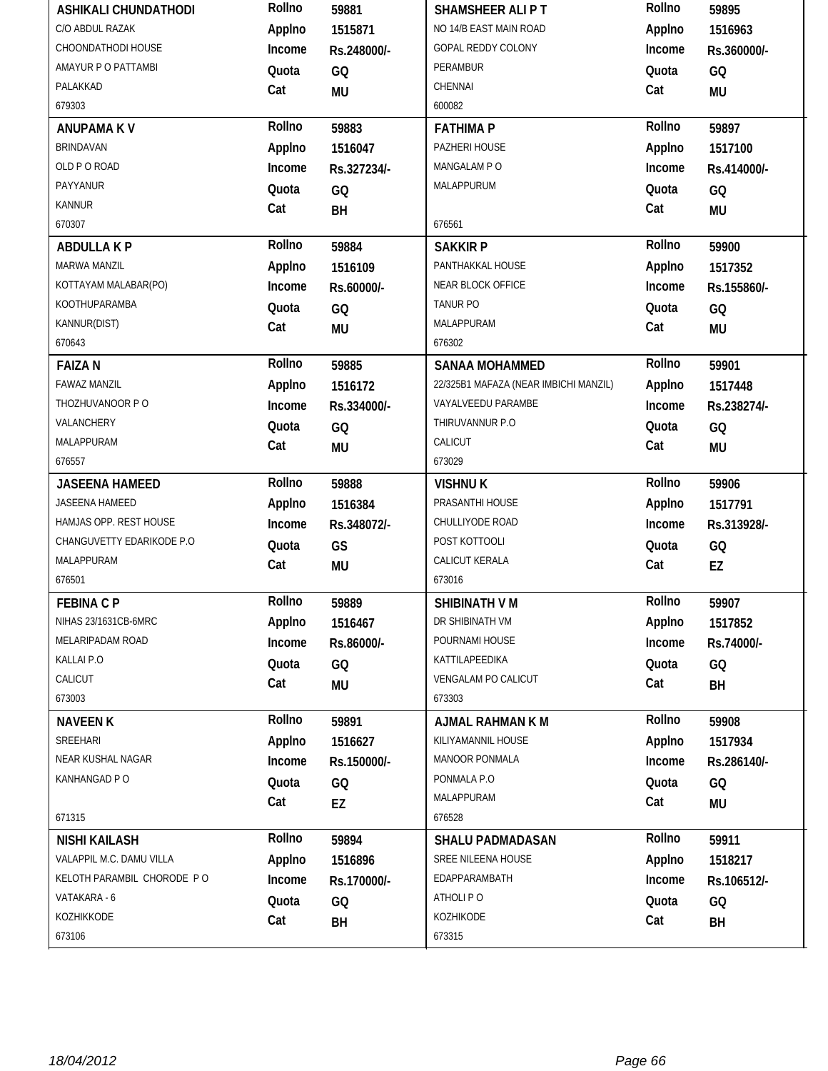| <b>ASHIKALI CHUNDATHODI</b> | Rollno | 59881       | <b>SHAMSHEER ALIPT</b>                | Rollno | 59895       |
|-----------------------------|--------|-------------|---------------------------------------|--------|-------------|
| C/O ABDUL RAZAK             | Applno | 1515871     | NO 14/B EAST MAIN ROAD                | Applno | 1516963     |
| CHOONDATHODI HOUSE          | Income | Rs.248000/- | GOPAL REDDY COLONY                    | Income | Rs.360000/- |
| AMAYUR P O PATTAMBI         | Quota  | GQ          | PERAMBUR                              | Quota  | GQ          |
| PALAKKAD                    | Cat    | <b>MU</b>   | CHENNAI                               | Cat    | <b>MU</b>   |
| 679303                      |        |             | 600082                                |        |             |
| <b>ANUPAMA KV</b>           | Rollno | 59883       | <b>FATHIMA P</b>                      | Rollno | 59897       |
| <b>BRINDAVAN</b>            | Applno | 1516047     | PAZHERI HOUSE                         | Applno | 1517100     |
| OLD P O ROAD                | Income | Rs.327234/- | MANGALAM PO                           | Income | Rs.414000/- |
| PAYYANUR                    | Quota  | GQ          | MALAPPURUM                            | Quota  | GQ          |
| <b>KANNUR</b>               | Cat    | BH          |                                       | Cat    | <b>MU</b>   |
| 670307                      |        |             | 676561                                |        |             |
| <b>ABDULLAKP</b>            | Rollno | 59884       | <b>SAKKIRP</b>                        | Rollno | 59900       |
| MARWA MANZIL                | Applno | 1516109     | PANTHAKKAL HOUSE                      | Applno | 1517352     |
| KOTTAYAM MALABAR(PO)        | Income | Rs.60000/-  | NEAR BLOCK OFFICE                     | Income | Rs.155860/- |
| KOOTHUPARAMBA               | Quota  | GQ          | <b>TANUR PO</b>                       | Quota  | GQ          |
| KANNUR(DIST)                | Cat    | <b>MU</b>   | MALAPPURAM                            | Cat    | <b>MU</b>   |
| 670643                      |        |             | 676302                                |        |             |
| <b>FAIZAN</b>               | Rollno | 59885       | <b>SANAA MOHAMMED</b>                 | Rollno | 59901       |
| <b>FAWAZ MANZIL</b>         | Applno | 1516172     | 22/325B1 MAFAZA (NEAR IMBICHI MANZIL) | Applno | 1517448     |
| THOZHUVANOOR PO             | Income | Rs.334000/- | VAYALVEEDU PARAMBE                    | Income | Rs.238274/- |
| VALANCHERY                  | Quota  | GQ          | THIRUVANNUR P.O                       | Quota  | GQ          |
| MALAPPURAM                  | Cat    | <b>MU</b>   | CALICUT                               | Cat    | <b>MU</b>   |
| 676557                      |        |             | 673029                                |        |             |
| <b>JASEENA HAMEED</b>       | Rollno | 59888       | <b>VISHNUK</b>                        | Rollno | 59906       |
|                             |        |             |                                       |        |             |
| JASEENA HAMEED              | Applno | 1516384     | PRASANTHI HOUSE                       | Applno | 1517791     |
| HAMJAS OPP. REST HOUSE      | Income | Rs.348072/- | CHULLIYODE ROAD                       | Income | Rs.313928/- |
| CHANGUVETTY EDARIKODE P.O   | Quota  | GS          | POST KOTTOOLI                         | Quota  | GQ          |
| MALAPPURAM                  | Cat    | <b>MU</b>   | CALICUT KERALA                        | Cat    | EZ          |
| 676501                      |        |             | 673016                                |        |             |
| <b>FEBINACP</b>             | Rollno | 59889       | SHIBINATH V M                         | Rollno | 59907       |
| NIHAS 23/1631CB-6MRC        | Applno | 1516467     | DR SHIBINATH VM                       | Applno | 1517852     |
| MELARIPADAM ROAD            | Income | Rs.86000/-  | POURNAMI HOUSE                        | Income | Rs.74000/-  |
| KALLAI P.O                  | Quota  | GQ          | KATTILAPEEDIKA                        | Quota  | GQ          |
| CALICUT                     | Cat    | <b>MU</b>   | VENGALAM PO CALICUT                   | Cat    | BH          |
| 673003                      |        |             | 673303                                |        |             |
| <b>NAVEEN K</b>             | Rollno | 59891       | AJMAL RAHMAN K M                      | Rollno | 59908       |
| SREEHARI                    | Applno | 1516627     | KILIYAMANNIL HOUSE                    | Applno | 1517934     |
| NEAR KUSHAL NAGAR           | Income | Rs.150000/- | MANOOR PONMALA                        | Income | Rs.286140/- |
| KANHANGAD P O               | Quota  | GQ          | PONMALA P.O                           | Quota  | GQ          |
|                             | Cat    | EZ          | MALAPPURAM                            | Cat    | MU          |
| 671315                      |        |             | 676528                                |        |             |
| <b>NISHI KAILASH</b>        | Rollno | 59894       | <b>SHALU PADMADASAN</b>               | Rollno | 59911       |
| VALAPPIL M.C. DAMU VILLA    | Applno | 1516896     | SREE NILEENA HOUSE                    | Applno | 1518217     |
| KELOTH PARAMBIL CHORODE PO  | Income | Rs.170000/- | EDAPPARAMBATH                         | Income | Rs.106512/- |
| VATAKARA - 6                | Quota  | GQ          | ATHOLI PO                             | Quota  | GQ          |
| KOZHIKKODE                  | Cat    | BH          | KOZHIKODE                             | Cat    | BH          |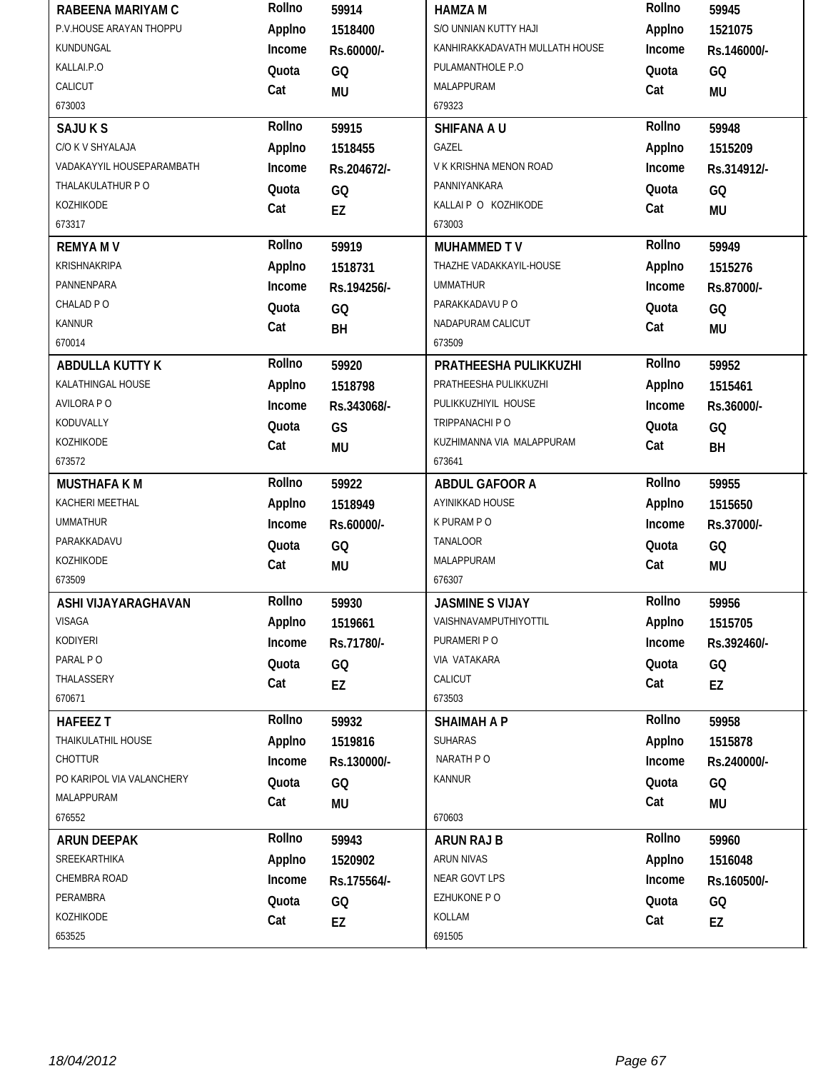| RABEENA MARIYAM C         | Rollno       | 59914       | <b>HAMZA M</b>                 | Rollno       | 59945       |
|---------------------------|--------------|-------------|--------------------------------|--------------|-------------|
| P.V.HOUSE ARAYAN THOPPU   | Applno       | 1518400     | S/O UNNIAN KUTTY HAJI          | Applno       | 1521075     |
| KUNDUNGAL                 | Income       | Rs.60000/-  | KANHIRAKKADAVATH MULLATH HOUSE | Income       | Rs.146000/- |
| KALLAI.P.O                | Quota        | GQ          | PULAMANTHOLE P.O               | Quota        | GQ          |
| CALICUT                   | Cat          | <b>MU</b>   | MALAPPURAM                     | Cat          | MU          |
| 673003                    |              |             | 679323                         |              |             |
| <b>SAJUKS</b>             | Rollno       | 59915       | SHIFANA A U                    | Rollno       | 59948       |
| C/O K V SHYALAJA          | Applno       | 1518455     | GAZEL                          | Applno       | 1515209     |
| VADAKAYYIL HOUSEPARAMBATH | Income       | Rs.204672/- | V K KRISHNA MENON ROAD         | Income       | Rs.314912/- |
| THALAKULATHUR PO          | Quota        | GQ          | PANNIYANKARA                   | Quota        | GQ          |
| KOZHIKODE                 | Cat          | EZ          | KALLAI P O KOZHIKODE           | Cat          | <b>MU</b>   |
| 673317                    |              |             | 673003                         |              |             |
| <b>REMYAMV</b>            | Rollno       | 59919       | <b>MUHAMMED TV</b>             | Rollno       | 59949       |
| KRISHNAKRIPA              | Applno       | 1518731     | THAZHE VADAKKAYIL-HOUSE        | Applno       | 1515276     |
| PANNENPARA                | Income       | Rs.194256/- | <b>UMMATHUR</b>                | Income       | Rs.87000/-  |
| CHALAD PO                 | Quota        | GQ          | PARAKKADAVU P O                | Quota        | GQ          |
| <b>KANNUR</b>             | Cat          | BH          | NADAPURAM CALICUT              | Cat          | <b>MU</b>   |
| 670014                    |              |             | 673509                         |              |             |
| <b>ABDULLA KUTTY K</b>    | Rollno       | 59920       | PRATHEESHA PULIKKUZHI          | Rollno       | 59952       |
| KALATHINGAL HOUSE         | Applno       | 1518798     | PRATHEESHA PULIKKUZHI          | Applno       | 1515461     |
| AVILORA PO                | Income       | Rs.343068/- | PULIKKUZHIYIL HOUSE            | Income       | Rs.36000/-  |
| KODUVALLY                 | Quota        | GS          | TRIPPANACHI P O                | Quota        | GQ          |
| KOZHIKODE                 | Cat          | <b>MU</b>   | KUZHIMANNA VIA MALAPPURAM      | Cat          | BH          |
| 673572                    |              |             | 673641                         |              |             |
| <b>MUSTHAFA KM</b>        | Rollno       | 59922       | ABDUL GAFOOR A                 | Rollno       | 59955       |
| KACHERI MEETHAL           | Applno       | 1518949     | AYINIKKAD HOUSE                | Applno       | 1515650     |
| <b>UMMATHUR</b>           | Income       | Rs.60000/-  | K PURAM P O                    | Income       | Rs.37000/-  |
|                           |              |             |                                |              |             |
| PARAKKADAVU               | Quota        | GQ          | <b>TANALOOR</b>                | Quota        | GQ          |
| KOZHIKODE                 | Cat          | <b>MU</b>   | MALAPPURAM                     | Cat          | <b>MU</b>   |
| 673509                    |              |             | 676307                         |              |             |
| ASHI VIJAYARAGHAVAN       | Rollno       | 59930       | <b>JASMINE S VIJAY</b>         | Rollno       | 59956       |
| VISAGA                    | Applno       | 1519661     | VAISHNAVAMPUTHIYOTTIL          | Applno       | 1515705     |
| KODIYERI                  | Income       | Rs.71780/-  | PURAMERI P O                   | Income       | Rs.392460/- |
| PARAL PO                  | Quota        | GQ          | VIA VATAKARA                   | Quota        | GQ          |
| THALASSERY                | Cat          | EZ          | CALICUT                        | Cat          | EZ          |
| 670671                    |              |             | 673503                         |              |             |
| <b>HAFEEZ T</b>           | Rollno       | 59932       | <b>SHAIMAH A P</b>             | Rollno       | 59958       |
| THAIKULATHIL HOUSE        | Applno       | 1519816     | <b>SUHARAS</b>                 | Applno       | 1515878     |
| <b>CHOTTUR</b>            | Income       | Rs.130000/- | NARATH PO                      | Income       | Rs.240000/- |
| PO KARIPOL VIA VALANCHERY | Quota        |             | <b>KANNUR</b>                  | Quota        |             |
| MALAPPURAM                | Cat          | GQ          |                                | Cat          | GQ          |
| 676552                    |              | MU          | 670603                         |              | <b>MU</b>   |
| <b>ARUN DEEPAK</b>        | Rollno       | 59943       | <b>ARUN RAJ B</b>              | Rollno       | 59960       |
| SREEKARTHIKA              | Applno       | 1520902     | ARUN NIVAS                     | Applno       | 1516048     |
| CHEMBRA ROAD              | Income       | Rs.175564/- | NEAR GOVT LPS                  | Income       | Rs.160500/- |
| PERAMBRA                  |              |             | EZHUKONE PO                    |              |             |
| KOZHIKODE                 | Quota<br>Cat | GQ<br>EZ    | KOLLAM                         | Quota<br>Cat | GQ<br>EZ    |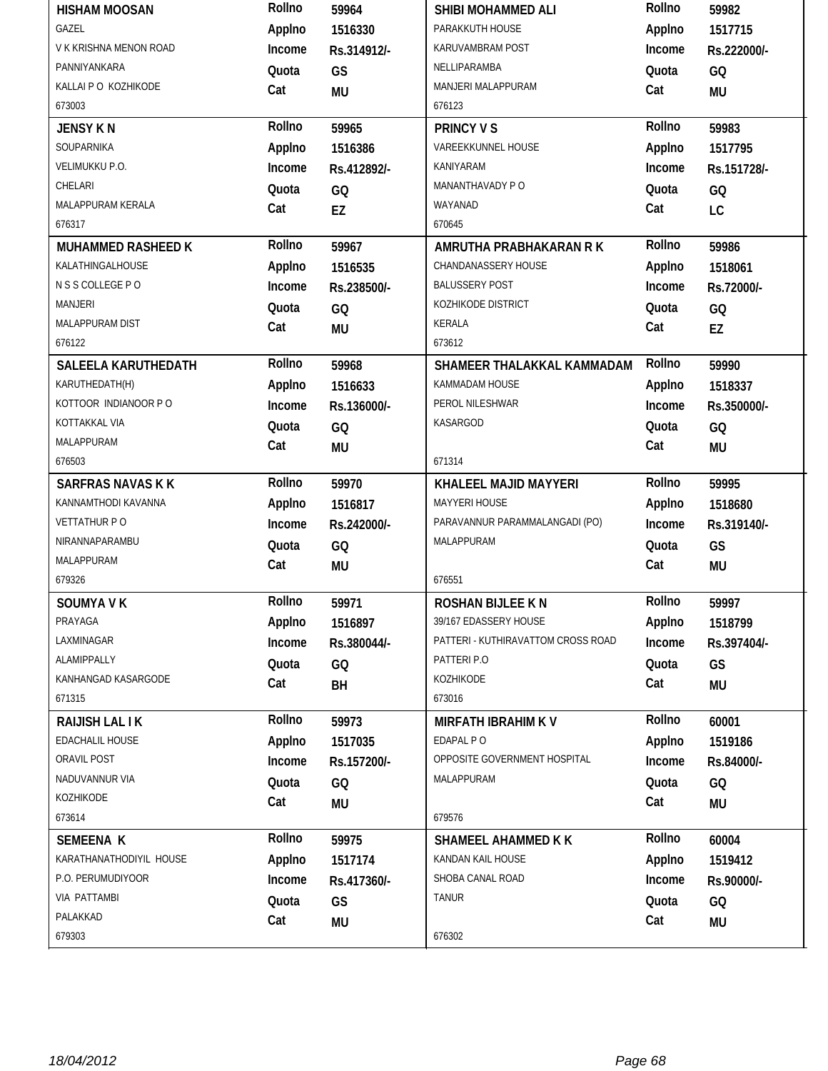| <b>HISHAM MOOSAN</b>     | Rollno | 59964       | SHIBI MOHAMMED ALI                 | Rollno | 59982       |
|--------------------------|--------|-------------|------------------------------------|--------|-------------|
| GAZEL                    | Applno | 1516330     | PARAKKUTH HOUSE                    | Applno | 1517715     |
| V K KRISHNA MENON ROAD   | Income | Rs.314912/- | KARUVAMBRAM POST                   | Income | Rs.222000/- |
| PANNIYANKARA             | Quota  | GS          | NELLIPARAMBA                       | Quota  | GQ          |
| KALLAI P O KOZHIKODE     | Cat    | <b>MU</b>   | MANJERI MALAPPURAM                 | Cat    | <b>MU</b>   |
| 673003                   |        |             | 676123                             |        |             |
| <b>JENSY KN</b>          | Rollno | 59965       | <b>PRINCY V S</b>                  | Rollno | 59983       |
| SOUPARNIKA               | Applno | 1516386     | VAREEKKUNNEL HOUSE                 | Applno | 1517795     |
| <b>VELIMUKKU P.O.</b>    | Income | Rs.412892/- | KANIYARAM                          | Income | Rs.151728/- |
| CHELARI                  | Quota  | GQ          | MANANTHAVADY P O                   | Quota  | GQ          |
| MALAPPURAM KERALA        | Cat    | EZ          | WAYANAD                            | Cat    | LC          |
| 676317                   |        |             | 670645                             |        |             |
| MUHAMMED RASHEED K       | Rollno | 59967       | AMRUTHA PRABHAKARAN R K            | Rollno | 59986       |
| KALATHINGALHOUSE         | Applno | 1516535     | CHANDANASSERY HOUSE                | Applno | 1518061     |
| N S S COLLEGE P O        | Income | Rs.238500/- | <b>BALUSSERY POST</b>              | Income | Rs.72000/-  |
| <b>MANJERI</b>           | Quota  | GQ          | KOZHIKODE DISTRICT                 | Quota  | GQ          |
| MALAPPURAM DIST          | Cat    | MU          | <b>KERALA</b>                      | Cat    | EZ          |
| 676122                   |        |             | 673612                             |        |             |
| SALEELA KARUTHEDATH      | Rollno | 59968       | SHAMEER THALAKKAL KAMMADAM         | Rollno | 59990       |
| KARUTHEDATH(H)           | Applno | 1516633     | KAMMADAM HOUSE                     | Applno | 1518337     |
| KOTTOOR INDIANOOR P O    | Income | Rs.136000/- | PEROL NILESHWAR                    | Income | Rs.350000/- |
| KOTTAKKAL VIA            | Quota  | GQ          | KASARGOD                           | Quota  | GQ          |
| MALAPPURAM               | Cat    | MU          |                                    | Cat    | <b>MU</b>   |
| 676503                   |        |             | 671314                             |        |             |
|                          |        |             |                                    |        |             |
| <b>SARFRAS NAVAS K K</b> | Rollno | 59970       | KHALEEL MAJID MAYYERI              | Rollno | 59995       |
| KANNAMTHODI KAVANNA      | Applno | 1516817     | MAYYERI HOUSE                      | Applno | 1518680     |
| <b>VETTATHUR PO</b>      | Income | Rs.242000/- | PARAVANNUR PARAMMALANGADI (PO)     | Income | Rs.319140/- |
| NIRANNAPARAMBU           | Quota  | GQ          | MALAPPURAM                         | Quota  | GS          |
| MALAPPURAM               | Cat    | <b>MU</b>   |                                    | Cat    | <b>MU</b>   |
| 679326                   |        |             | 676551                             |        |             |
| SOUMYA V K               | Rollno | 59971       | ROSHAN BIJLEE K N                  | Rollno | 59997       |
| PRAYAGA                  | Applno | 1516897     | 39/167 EDASSERY HOUSE              | Applno | 1518799     |
| LAXMINAGAR               | Income | Rs.380044/- | PATTERI - KUTHIRAVATTOM CROSS ROAD | Income | Rs.397404/- |
| ALAMIPPALLY              | Quota  | GQ          | PATTERI P.O                        | Quota  | GS          |
| KANHANGAD KASARGODE      | Cat    | BH          | KOZHIKODE                          | Cat    | <b>MU</b>   |
| 671315                   |        |             | 673016                             |        |             |
| <b>RAIJISH LAL IK</b>    | Rollno | 59973       | <b>MIRFATH IBRAHIM KV</b>          | Rollno | 60001       |
| EDACHALIL HOUSE          | Applno | 1517035     | EDAPAL PO                          | Applno | 1519186     |
| ORAVIL POST              | Income | Rs.157200/- | OPPOSITE GOVERNMENT HOSPITAL       | Income | Rs.84000/-  |
| NADUVANNUR VIA           | Quota  | GQ          | MALAPPURAM                         | Quota  | GQ          |
| KOZHIKODE                | Cat    | <b>MU</b>   |                                    | Cat    | <b>MU</b>   |
| 673614                   |        |             | 679576                             |        |             |
| <b>SEMEENA K</b>         | Rollno | 59975       | SHAMEEL AHAMMED K K                | Rollno | 60004       |
| KARATHANATHODIYIL HOUSE  | Applno | 1517174     | KANDAN KAIL HOUSE                  | Applno | 1519412     |
| P.O. PERUMUDIYOOR        | Income | Rs.417360/- | SHOBA CANAL ROAD                   | Income | Rs.90000/-  |
| VIA PATTAMBI             | Quota  | GS          | <b>TANUR</b>                       | Quota  | GQ          |
| PALAKKAD                 | Cat    | <b>MU</b>   |                                    | Cat    | MU          |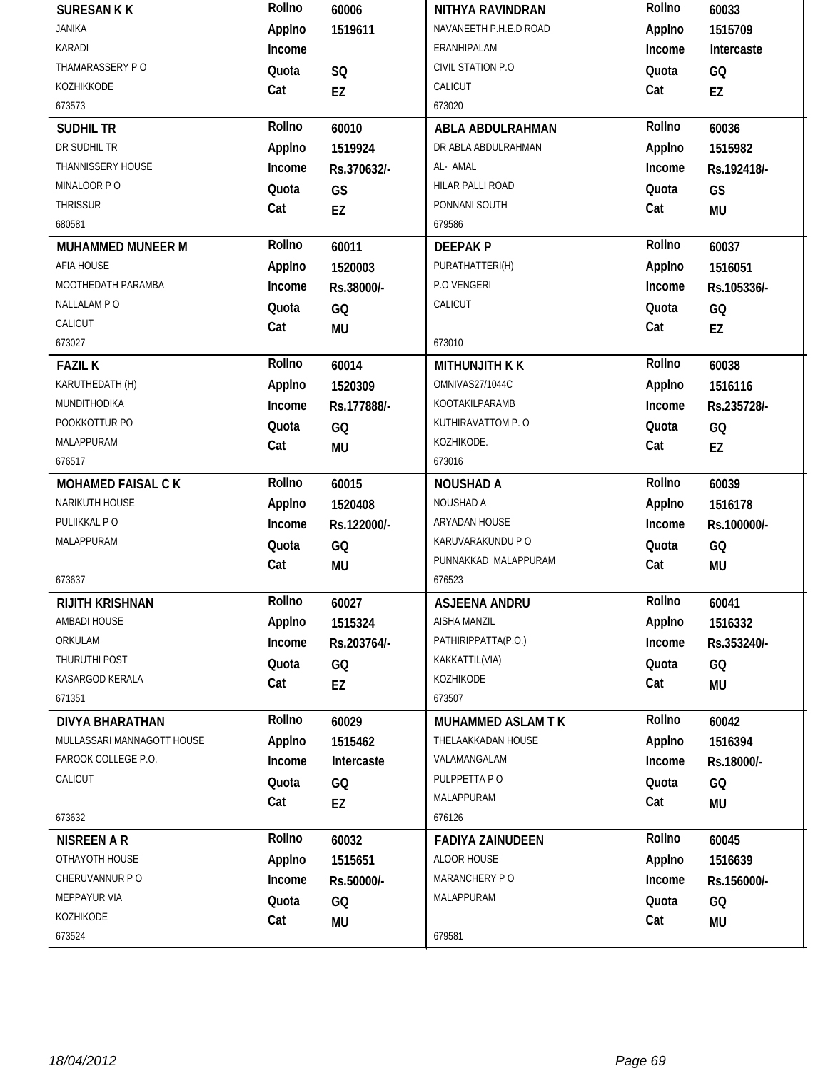| <b>SURESAN K K</b>         | Rollno | 60006       | NITHYA RAVINDRAN         | Rollno | 60033       |
|----------------------------|--------|-------------|--------------------------|--------|-------------|
| <b>JANIKA</b>              | Applno | 1519611     | NAVANEETH P.H.E.D ROAD   | Applno | 1515709     |
| KARADI                     | Income |             | ERANHIPALAM              | Income | Intercaste  |
| THAMARASSERY PO            | Quota  | SQ          | CIVIL STATION P.O        | Quota  | GQ          |
| KOZHIKKODE                 | Cat    | EZ          | CALICUT                  | Cat    | <b>EZ</b>   |
| 673573                     |        |             | 673020                   |        |             |
| <b>SUDHIL TR</b>           | Rollno | 60010       | ABLA ABDULRAHMAN         | Rollno | 60036       |
| DR SUDHIL TR               | Applno | 1519924     | DR ABLA ABDULRAHMAN      | Applno | 1515982     |
| THANNISSERY HOUSE          | Income | Rs.370632/- | AL- AMAL                 | Income | Rs.192418/- |
| MINALOOR PO                | Quota  | GS          | HILAR PALLI ROAD         | Quota  | GS          |
| THRISSUR                   | Cat    | EZ          | PONNANI SOUTH            | Cat    | <b>MU</b>   |
| 680581                     |        |             | 679586                   |        |             |
| <b>MUHAMMED MUNEER M</b>   | Rollno | 60011       | <b>DEEPAKP</b>           | Rollno | 60037       |
| AFIA HOUSE                 | Applno | 1520003     | PURATHATTERI(H)          | Applno | 1516051     |
| MOOTHEDATH PARAMBA         | Income | Rs.38000/-  | P.O VENGERI              | Income | Rs.105336/- |
| NALLALAM PO                | Quota  | GQ          | CALICUT                  | Quota  | GQ          |
| CALICUT                    | Cat    | MU          |                          | Cat    | EZ          |
| 673027                     |        |             | 673010                   |        |             |
| <b>FAZIL K</b>             | Rollno | 60014       | <b>MITHUNJITH K K</b>    | Rollno | 60038       |
| KARUTHEDATH (H)            | Applno | 1520309     | OMNIVAS27/1044C          | Applno | 1516116     |
| MUNDITHODIKA               | Income | Rs.177888/- | KOOTAKILPARAMB           | Income | Rs.235728/- |
| POOKKOTTUR PO              | Quota  | GQ          | KUTHIRAVATTOM P.O        | Quota  | GQ          |
| MALAPPURAM                 | Cat    | MU          | KOZHIKODE.               | Cat    | EZ          |
| 676517                     |        |             | 673016                   |        |             |
| <b>MOHAMED FAISAL CK</b>   | Rollno | 60015       | <b>NOUSHAD A</b>         | Rollno | 60039       |
| NARIKUTH HOUSE             | Applno | 1520408     | NOUSHAD A                | Applno | 1516178     |
| PULIIKKAL PO               | Income | Rs.122000/- | ARYADAN HOUSE            | Income | Rs.100000/- |
| MALAPPURAM                 | Quota  | GQ          | KARUVARAKUNDU P O        | Quota  | GQ          |
|                            | Cat    | <b>MU</b>   | PUNNAKKAD MALAPPURAM     | Cat    | <b>MU</b>   |
| 673637                     |        |             | 676523                   |        |             |
| <b>RIJITH KRISHNAN</b>     | Rollno | 60027       | ASJEENA ANDRU            | Rollno | 60041       |
| AMBADI HOUSE               | Applno | 1515324     | AISHA MANZIL             | Applno | 1516332     |
| ORKULAM                    | Income | Rs.203764/- | PATHIRIPPATTA(P.O.)      | Income | Rs.353240/- |
| THURUTHI POST              | Quota  | GQ          | KAKKATTIL(VIA)           | Quota  | GQ          |
| KASARGOD KERALA            | Cat    | EZ          | KOZHIKODE                | Cat    | <b>MU</b>   |
| 671351                     |        |             | 673507                   |        |             |
| <b>DIVYA BHARATHAN</b>     | Rollno | 60029       | <b>MUHAMMED ASLAM TK</b> | Rollno | 60042       |
| MULLASSARI MANNAGOTT HOUSE | Applno | 1515462     | THELAAKKADAN HOUSE       | Applno | 1516394     |
| FAROOK COLLEGE P.O.        | Income | Intercaste  | VALAMANGALAM             | Income | Rs.18000/-  |
| CALICUT                    | Quota  | GQ          | PULPPETTA PO             | Quota  | GQ          |
|                            | Cat    | EZ          | MALAPPURAM               | Cat    | <b>MU</b>   |
| 673632                     |        |             | 676126                   |        |             |
| <b>NISREEN A R</b>         | Rollno | 60032       | <b>FADIYA ZAINUDEEN</b>  | Rollno | 60045       |
| OTHAYOTH HOUSE             | Applno | 1515651     | ALOOR HOUSE              | Applno | 1516639     |
| CHERUVANNUR PO             | Income | Rs.50000/-  | MARANCHERY PO            | Income | Rs.156000/- |
|                            |        |             |                          |        |             |
| MEPPAYUR VIA               | Quota  | GQ          | MALAPPURAM               | Quota  | GQ          |
| KOZHIKODE                  | Cat    | MU          |                          | Cat    | <b>MU</b>   |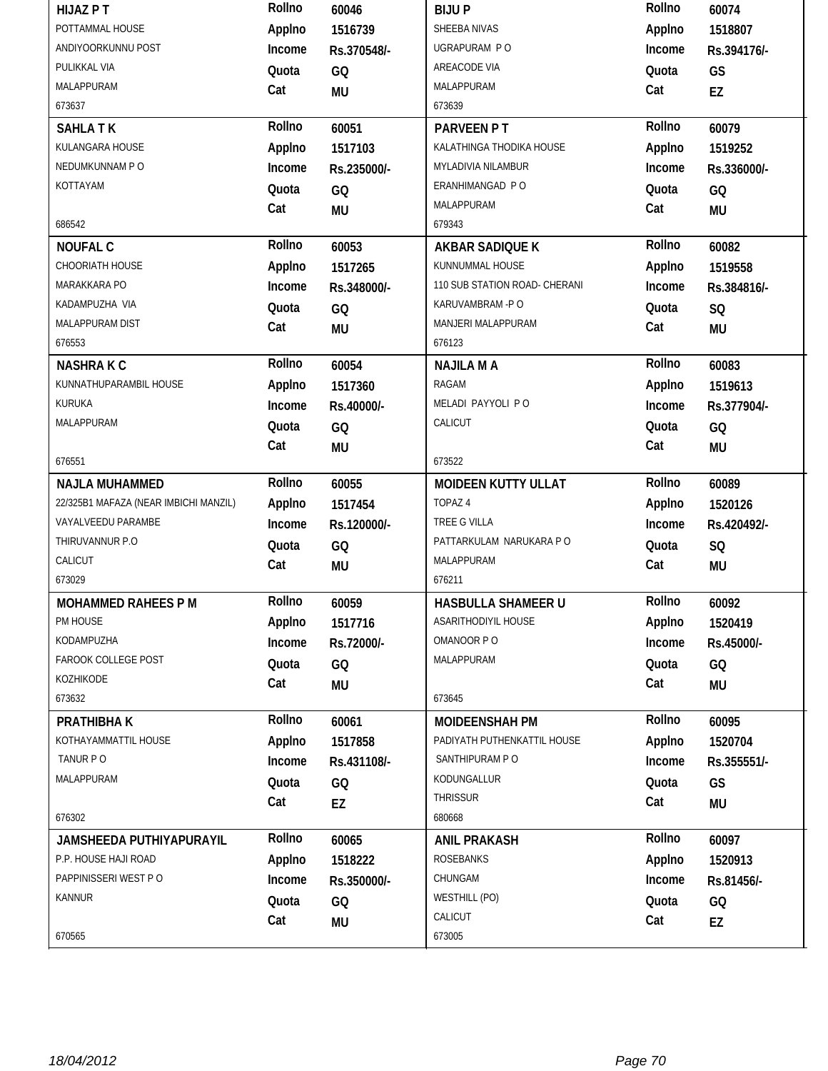| <b>HIJAZ PT</b>                       | Rollno | 60046       | <b>BIJUP</b>                  | Rollno | 60074       |
|---------------------------------------|--------|-------------|-------------------------------|--------|-------------|
| POTTAMMAL HOUSE                       | Applno | 1516739     | SHEEBA NIVAS                  | Applno | 1518807     |
| ANDIYOORKUNNU POST                    | Income | Rs.370548/- | UGRAPURAM PO                  | Income | Rs.394176/- |
| PULIKKAL VIA                          | Quota  | GQ          | AREACODE VIA                  | Quota  | GS          |
| MALAPPURAM                            | Cat    | <b>MU</b>   | MALAPPURAM                    | Cat    | EZ          |
| 673637                                |        |             | 673639                        |        |             |
| <b>SAHLATK</b>                        | Rollno | 60051       | PARVEEN PT                    | Rollno | 60079       |
| KULANGARA HOUSE                       | Applno | 1517103     | KALATHINGA THODIKA HOUSE      | Applno | 1519252     |
| NEDUMKUNNAM PO                        | Income | Rs.235000/- | MYLADIVIA NILAMBUR            | Income | Rs.336000/- |
| KOTTAYAM                              | Quota  | GQ          | ERANHIMANGAD P O              | Quota  | GQ          |
|                                       | Cat    | <b>MU</b>   | MALAPPURAM                    | Cat    | <b>MU</b>   |
| 686542                                |        |             | 679343                        |        |             |
| <b>NOUFAL C</b>                       | Rollno | 60053       | AKBAR SADIQUE K               | Rollno | 60082       |
| CHOORIATH HOUSE                       | Applno | 1517265     | KUNNUMMAL HOUSE               | Applno | 1519558     |
| MARAKKARA PO                          | Income | Rs.348000/- | 110 SUB STATION ROAD- CHERANI | Income | Rs.384816/- |
| KADAMPUZHA VIA                        | Quota  | GQ          | KARUVAMBRAM -PO               | Quota  | SQ          |
| MALAPPURAM DIST                       | Cat    | <b>MU</b>   | MANJERI MALAPPURAM            | Cat    | <b>MU</b>   |
| 676553                                |        |             | 676123                        |        |             |
| <b>NASHRAKC</b>                       | Rollno | 60054       | <b>NAJILA M A</b>             | Rollno | 60083       |
| KUNNATHUPARAMBIL HOUSE                | Applno | 1517360     | RAGAM                         | Applno | 1519613     |
| KURUKA                                | Income | Rs.40000/-  | MELADI PAYYOLI PO             | Income | Rs.377904/- |
| MALAPPURAM                            | Quota  | GQ          | CALICUT                       | Quota  | GQ          |
|                                       | Cat    | <b>MU</b>   |                               | Cat    | <b>MU</b>   |
| 676551                                |        |             | 673522                        |        |             |
|                                       |        |             |                               |        |             |
| <b>NAJLA MUHAMMED</b>                 | Rollno | 60055       | <b>MOIDEEN KUTTY ULLAT</b>    | Rollno | 60089       |
| 22/325B1 MAFAZA (NEAR IMBICHI MANZIL) | Applno | 1517454     | TOPAZ 4                       | Applno | 1520126     |
| VAYALVEEDU PARAMBE                    | Income | Rs.120000/- | TREE G VILLA                  | Income | Rs.420492/- |
| THIRUVANNUR P.O.                      | Quota  | GQ          | PATTARKULAM NARUKARA P O      | Quota  | SQ          |
| CALICUT                               | Cat    | MU          | MALAPPURAM                    | Cat    | <b>MU</b>   |
| 673029                                |        |             | 676211                        |        |             |
| <b>MOHAMMED RAHEES P M</b>            | Rollno | 60059       | <b>HASBULLA SHAMEER U</b>     | Rollno | 60092       |
| PM HOUSE                              | Applno | 1517716     | ASARITHODIYIL HOUSE           | Applno | 1520419     |
| KODAMPUZHA                            | Income | Rs.72000/-  | OMANOOR PO                    | Income | Rs.45000/-  |
| FAROOK COLLEGE POST                   | Quota  | GQ          | MALAPPURAM                    | Quota  | GQ          |
| KOZHIKODE                             | Cat    | MU          |                               | Cat    | <b>MU</b>   |
| 673632                                |        |             | 673645                        |        |             |
| PRATHIBHA K                           | Rollno | 60061       | <b>MOIDEENSHAH PM</b>         | Rollno | 60095       |
| KOTHAYAMMATTIL HOUSE                  | Applno | 1517858     | PADIYATH PUTHENKATTIL HOUSE   | Applno | 1520704     |
| TANUR PO                              | Income | Rs.431108/- | SANTHIPURAM PO                | Income | Rs.355551/- |
| MALAPPURAM                            | Quota  | GQ          | KODUNGALLUR                   | Quota  | GS          |
|                                       | Cat    |             | <b>THRISSUR</b>               | Cat    |             |
| 676302                                |        | EZ          | 680668                        |        | <b>MU</b>   |
| JAMSHEEDA PUTHIYAPURAYIL              | Rollno | 60065       | <b>ANIL PRAKASH</b>           | Rollno | 60097       |
| P.P. HOUSE HAJI ROAD                  | Applno | 1518222     | ROSEBANKS                     | Applno | 1520913     |
| PAPPINISSERI WEST P O                 | Income | Rs.350000/- | CHUNGAM                       | Income | Rs.81456/-  |
| KANNUR                                | Quota  | GQ          | <b>WESTHILL (PO)</b>          | Quota  | GQ          |
|                                       | Cat    | <b>MU</b>   | CALICUT                       | Cat    | EZ          |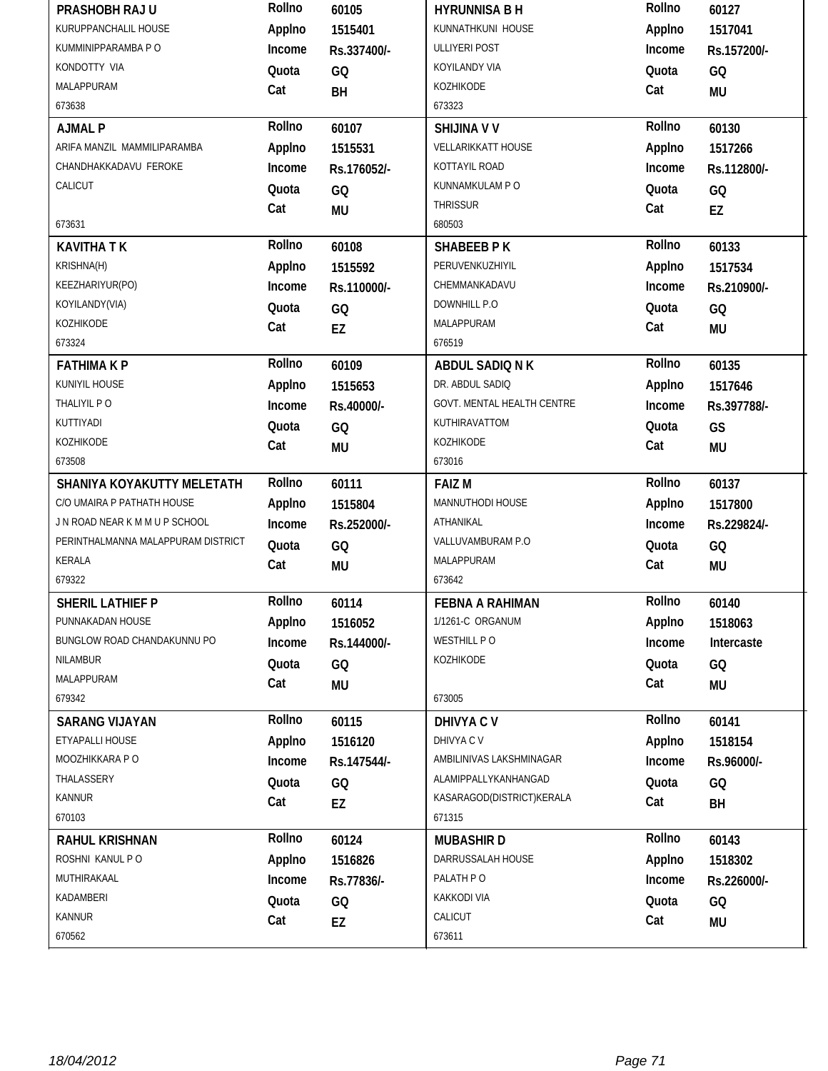| PRASHOBH RAJ U                     | Rollno | 60105       | <b>HYRUNNISA B H</b>       | Rollno | 60127       |
|------------------------------------|--------|-------------|----------------------------|--------|-------------|
| KURUPPANCHALIL HOUSE               | Applno | 1515401     | KUNNATHKUNI HOUSE          | Applno | 1517041     |
| KUMMINIPPARAMBA P O                | Income | Rs.337400/- | ULLIYERI POST              | Income | Rs.157200/- |
| KONDOTTY VIA                       | Quota  | GQ          | KOYILANDY VIA              | Quota  | GQ          |
| <b>MALAPPURAM</b>                  | Cat    | BH          | KOZHIKODE                  | Cat    | <b>MU</b>   |
| 673638                             |        |             | 673323                     |        |             |
| <b>AJMAL P</b>                     | Rollno | 60107       | <b>SHIJINA V V</b>         | Rollno | 60130       |
| ARIFA MANZIL MAMMILIPARAMBA        | Applno | 1515531     | VELLARIKKATT HOUSE         | Applno | 1517266     |
| CHANDHAKKADAVU FEROKE              | Income | Rs.176052/- | KOTTAYIL ROAD              | Income | Rs.112800/- |
| CALICUT                            | Quota  | GQ          | KUNNAMKULAM P O            | Quota  | GQ          |
|                                    | Cat    | <b>MU</b>   | THRISSUR                   | Cat    | EZ          |
| 673631                             |        |             | 680503                     |        |             |
| <b>KAVITHA T K</b>                 | Rollno | 60108       | <b>SHABEEB PK</b>          | Rollno | 60133       |
| KRISHNA(H)                         | Applno | 1515592     | PERUVENKUZHIYIL            | Applno | 1517534     |
| KEEZHARIYUR(PO)                    | Income | Rs.110000/- | CHEMMANKADAVU              | Income | Rs.210900/- |
| KOYILANDY(VIA)                     | Quota  | GQ          | DOWNHILL P.O               | Quota  | GQ          |
| KOZHIKODE                          | Cat    | EZ          | MALAPPURAM                 | Cat    | <b>MU</b>   |
| 673324                             |        |             | 676519                     |        |             |
| <b>FATHIMAKP</b>                   | Rollno | 60109       | ABDUL SADIO NK             | Rollno | 60135       |
| KUNIYIL HOUSE                      | Applno | 1515653     | DR. ABDUL SADIO            | Applno | 1517646     |
| THALIYIL PO                        | Income | Rs.40000/-  | GOVT. MENTAL HEALTH CENTRE | Income | Rs.397788/- |
| KUTTIYADI                          | Quota  | GQ          | KUTHIRAVATTOM              | Quota  | GS          |
| KOZHIKODE                          | Cat    | <b>MU</b>   | KOZHIKODE                  | Cat    | <b>MU</b>   |
| 673508                             |        |             | 673016                     |        |             |
| SHANIYA KOYAKUTTY MELETATH         | Rollno | 60111       | <b>FAIZM</b>               | Rollno | 60137       |
| C/O UMAIRA P PATHATH HOUSE         | Applno | 1515804     | MANNUTHODI HOUSE           | Applno | 1517800     |
| J N ROAD NEAR K M M U P SCHOOL     | Income | Rs.252000/- | ATHANIKAL                  | Income | Rs.229824/- |
|                                    |        |             | VALLUVAMBURAM P.O          |        |             |
| PERINTHALMANNA MALAPPURAM DISTRICT | Quota  | GQ          |                            | Quota  | GQ          |
| KERALA                             | Cat    | <b>MU</b>   | MALAPPURAM                 | Cat    | <b>MU</b>   |
| 679322                             |        |             | 673642                     |        |             |
| SHERIL LATHIEF P                   | Rollno | 60114       | <b>FEBNA A RAHIMAN</b>     | Rollno | 60140       |
| PUNNAKADAN HOUSE                   | Applno | 1516052     | 1/1261-C ORGANUM           | Applno | 1518063     |
| BUNGLOW ROAD CHANDAKUNNU PO        | Income | Rs.144000/- | <b>WESTHILL PO</b>         | Income | Intercaste  |
| NILAMBUR                           | Quota  | GQ          | KOZHIKODE                  | Quota  | GQ          |
| MALAPPURAM                         | Cat    | <b>MU</b>   |                            | Cat    | MU          |
| 679342                             |        |             | 673005                     |        |             |
| <b>SARANG VIJAYAN</b>              | Rollno | 60115       | <b>DHIVYA CV</b>           | Rollno | 60141       |
| ETYAPALLI HOUSE                    | Applno | 1516120     | DHIVYA C V                 | Applno | 1518154     |
| MOOZHIKKARA P O                    | Income | Rs.147544/- | AMBILINIVAS LAKSHMINAGAR   | Income | Rs.96000/-  |
| THALASSERY                         | Quota  | GQ          | ALAMIPPALLYKANHANGAD       | Quota  | GQ          |
| KANNUR                             | Cat    | EZ          | KASARAGOD(DISTRICT)KERALA  | Cat    | BH          |
| 670103                             |        |             | 671315                     |        |             |
| <b>RAHUL KRISHNAN</b>              | Rollno | 60124       | <b>MUBASHIRD</b>           | Rollno | 60143       |
| ROSHNI KANUL P O                   | Applno | 1516826     | DARRUSSALAH HOUSE          | Applno | 1518302     |
| MUTHIRAKAAL                        | Income | Rs.77836/-  | PALATH PO                  | Income | Rs.226000/- |
| KADAMBERI                          | Quota  | GQ          | KAKKODI VIA                | Quota  | GQ          |
| KANNUR<br>670562                   | Cat    | EZ          | CALICUT<br>673611          | Cat    | <b>MU</b>   |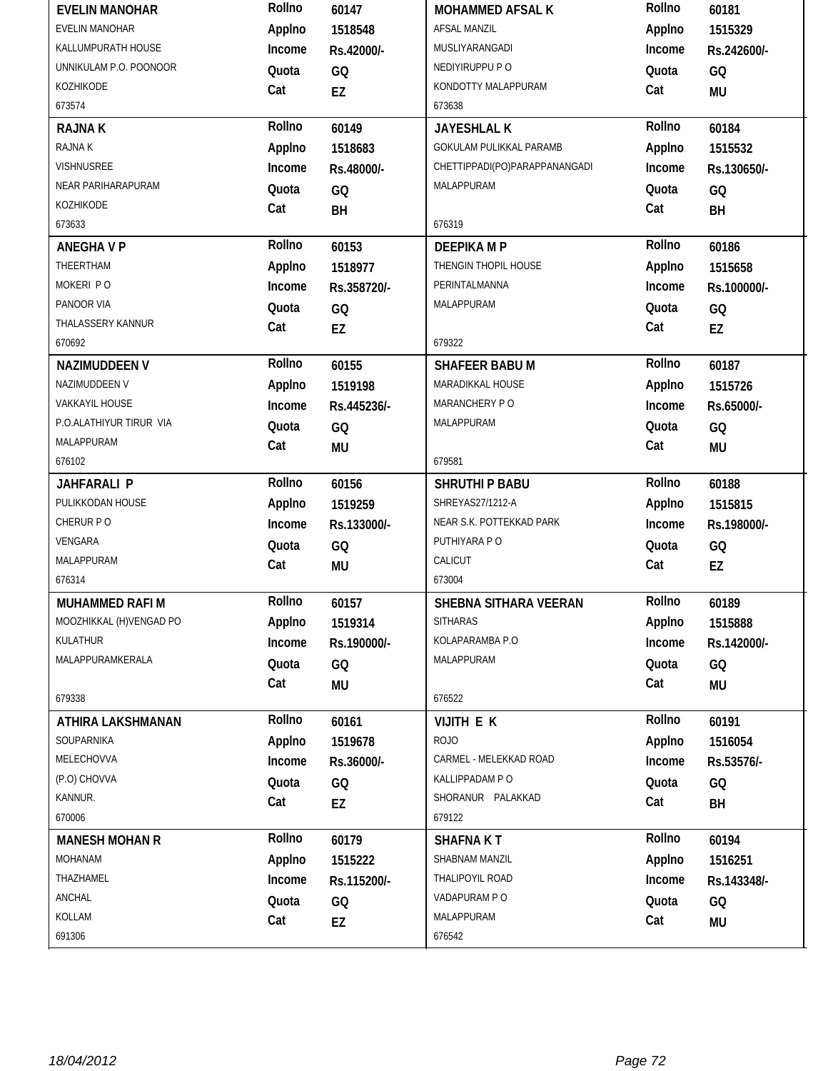| <b>EVELIN MANOHAR</b>   | Rollno | 60147       | <b>MOHAMMED AFSAL K</b>       | Rollno | 60181       |
|-------------------------|--------|-------------|-------------------------------|--------|-------------|
| EVELIN MANOHAR          | Applno | 1518548     | <b>AFSAL MANZIL</b>           | Applno | 1515329     |
| KALLUMPURATH HOUSE      | Income | Rs.42000/-  | MUSLIYARANGADI                | Income | Rs.242600/- |
| UNNIKULAM P.O. POONOOR  | Quota  | GQ          | NEDIYIRUPPU P O               | Quota  | GQ          |
| KOZHIKODE               | Cat    | EZ          | KONDOTTY MALAPPURAM           | Cat    | MU          |
| 673574                  |        |             | 673638                        |        |             |
| <b>RAJNAK</b>           | Rollno | 60149       | <b>JAYESHLAL K</b>            | Rollno | 60184       |
| RAJNA K                 | Applno | 1518683     | GOKULAM PULIKKAL PARAMB       | Applno | 1515532     |
| VISHNUSREE              | Income | Rs.48000/-  | CHETTIPPADI(PO)PARAPPANANGADI | Income | Rs.130650/- |
| NEAR PARIHARAPURAM      | Quota  | GQ          | MALAPPURAM                    | Quota  | GQ          |
| KOZHIKODE               | Cat    | BH          |                               | Cat    | BH          |
| 673633                  |        |             | 676319                        |        |             |
| <b>ANEGHAVP</b>         | Rollno | 60153       | <b>DEEPIKA MP</b>             | Rollno | 60186       |
| THEERTHAM               | Applno | 1518977     | THENGIN THOPIL HOUSE          | Applno | 1515658     |
| MOKERI PO               | Income | Rs.358720/- | PERINTALMANNA                 | Income | Rs.100000/- |
| PANOOR VIA              | Quota  | GQ          | MALAPPURAM                    | Quota  | GQ          |
| THALASSERY KANNUR       | Cat    | EZ          |                               | Cat    | EZ          |
| 670692                  |        |             | 679322                        |        |             |
| <b>NAZIMUDDEEN V</b>    | Rollno | 60155       | <b>SHAFEER BABU M</b>         | Rollno | 60187       |
| NAZIMUDDEEN V           | Applno | 1519198     | MARADIKKAL HOUSE              | Applno | 1515726     |
| VAKKAYIL HOUSE          | Income | Rs.445236/- | MARANCHERY PO                 | Income | Rs.65000/-  |
| P.O.ALATHIYUR TIRUR VIA | Quota  | GQ          | MALAPPURAM                    | Quota  | GQ          |
| MALAPPURAM              | Cat    | <b>MU</b>   |                               | Cat    | MU          |
| 676102                  |        |             | 679581                        |        |             |
|                         |        |             |                               |        |             |
| <b>JAHFARALI P</b>      | Rollno | 60156       | SHRUTHI P BABU                | Rollno | 60188       |
| PULIKKODAN HOUSE        | Applno | 1519259     | SHREYAS27/1212-A              | Applno | 1515815     |
| CHERUR PO               | Income | Rs.133000/- | NEAR S.K. POTTEKKAD PARK      | Income | Rs.198000/- |
| VENGARA                 | Quota  | GQ          | PUTHIYARA PO                  | Quota  | GQ          |
| MALAPPURAM              | Cat    | <b>MU</b>   | CALICUT                       | Cat    | EZ          |
| 676314                  |        |             | 673004                        |        |             |
| MUHAMMED RAFI M         | Rollno | 60157       | SHEBNA SITHARA VEERAN         | Rollno | 60189       |
| MOOZHIKKAL (H)VENGAD PO | Applno | 1519314     | <b>SITHARAS</b>               | Applno | 1515888     |
| KULATHUR                | Income | Rs.190000/- | KOLAPARAMBA P.O               | Income | Rs.142000/- |
| MALAPPURAMKERALA        | Quota  | GQ          | MALAPPURAM                    | Quota  | GQ          |
|                         | Cat    | MU          |                               | Cat    | MU          |
| 679338                  |        |             | 676522                        |        |             |
| ATHIRA LAKSHMANAN       | Rollno | 60161       | <b>VIJITH E K</b>             | Rollno | 60191       |
| SOUPARNIKA              | Applno | 1519678     | <b>ROJO</b>                   | Applno | 1516054     |
| MELECHOVVA              | Income | Rs.36000/-  | CARMEL - MELEKKAD ROAD        | Income | Rs.53576/-  |
| (P.O) CHOVVA            | Quota  | GQ          | KALLIPPADAM PO                | Quota  | GQ          |
| KANNUR.                 | Cat    | EZ          | SHORANUR PALAKKAD             | Cat    | BH          |
| 670006                  |        |             | 679122                        |        |             |
| <b>MANESH MOHAN R</b>   | Rollno | 60179       | <b>SHAFNAKT</b>               | Rollno | 60194       |
| MOHANAM                 | Applno | 1515222     | SHABNAM MANZIL                | Applno | 1516251     |
| THAZHAMEL               | Income | Rs.115200/- | THALIPOYIL ROAD               | Income | Rs.143348/- |
| ANCHAL                  | Quota  | GQ          | VADAPURAM PO                  | Quota  | GQ          |
| KOLLAM                  | Cat    | EZ          | MALAPPURAM                    | Cat    | MU          |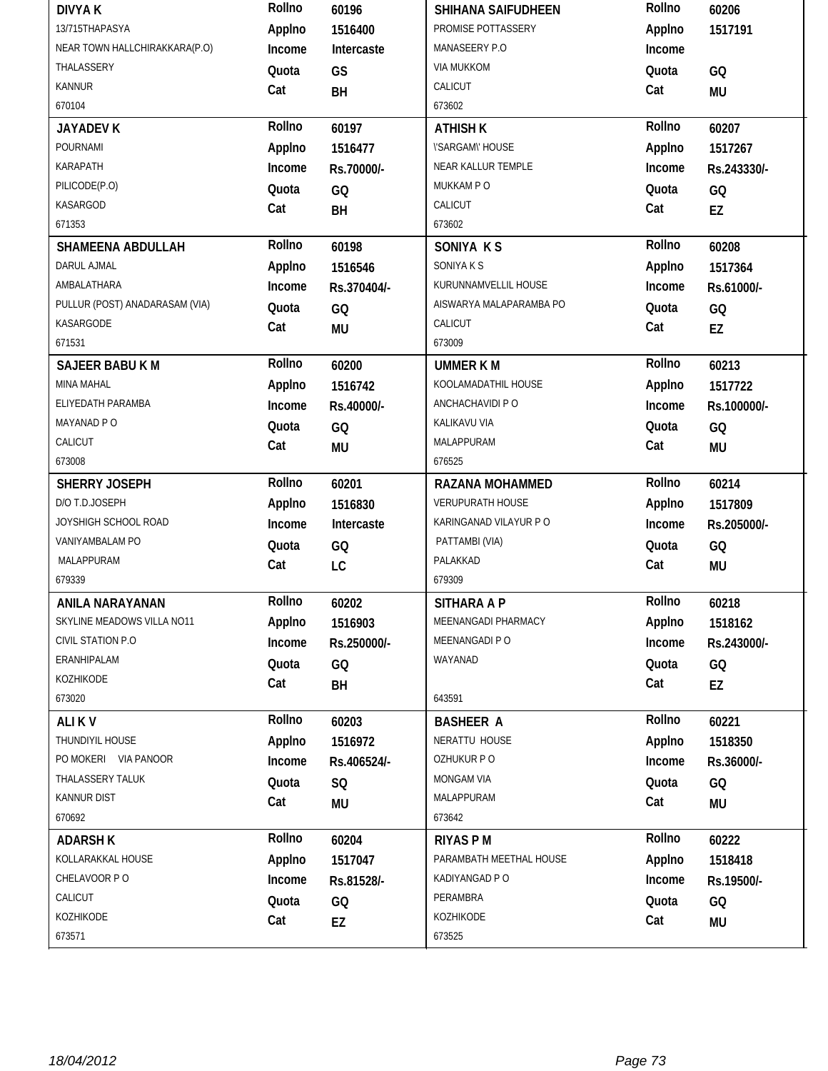| <b>DIVYAK</b>                  | Rollno | 60196       | SHIHANA SAIFUDHEEN            | Rollno | 60206           |
|--------------------------------|--------|-------------|-------------------------------|--------|-----------------|
| 13/715THAPASYA                 | Applno | 1516400     | PROMISE POTTASSERY            | Applno | 1517191         |
| NEAR TOWN HALLCHIRAKKARA(P.O)  | Income | Intercaste  | MANASEERY P.O                 | Income |                 |
| THALASSERY                     | Quota  | GS          | <b>VIA MUKKOM</b>             | Quota  | GQ              |
| <b>KANNUR</b>                  | Cat    | BH          | CALICUT                       | Cat    | <b>MU</b>       |
| 670104                         |        |             | 673602                        |        |                 |
| <b>JAYADEV K</b>               | Rollno | 60197       | <b>ATHISH K</b>               | Rollno | 60207           |
| POURNAMI                       | Applno | 1516477     | <b><i>\'SARGAM\'HOUSE</i></b> | Applno | 1517267         |
| KARAPATH                       | Income | Rs.70000/-  | NEAR KALLUR TEMPLE            | Income | Rs.243330/-     |
| PILICODE(P.O)                  | Quota  | GQ          | MUKKAM PO                     | Quota  | GQ              |
| KASARGOD                       | Cat    | BH          | CALICUT                       | Cat    | EZ              |
| 671353                         |        |             | 673602                        |        |                 |
| SHAMEENA ABDULLAH              | Rollno | 60198       | SONIYA K S                    | Rollno | 60208           |
| DARUL AJMAL                    | Applno | 1516546     | SONIYA K S                    | Applno | 1517364         |
| AMBALATHARA                    | Income | Rs.370404/- | KURUNNAMVELLIL HOUSE          | Income | Rs.61000/-      |
| PULLUR (POST) ANADARASAM (VIA) | Quota  | GQ          | AISWARYA MALAPARAMBA PO       | Quota  | GQ              |
| KASARGODE                      | Cat    | <b>MU</b>   | CALICUT                       | Cat    | EZ              |
| 671531                         |        |             | 673009                        |        |                 |
| <b>SAJEER BABU K M</b>         | Rollno | 60200       | <b>UMMER K M</b>              | Rollno | 60213           |
| MINA MAHAL                     | Applno | 1516742     | KOOLAMADATHIL HOUSE           | Applno | 1517722         |
| ELIYEDATH PARAMBA              | Income | Rs.40000/-  | ANCHACHAVIDI P O              | Income | Rs.100000/-     |
| MAYANAD P O                    | Quota  | GQ          | KALIKAVU VIA                  | Quota  | GQ              |
| CALICUT                        | Cat    | <b>MU</b>   | MALAPPURAM                    | Cat    | <b>MU</b>       |
| 673008                         |        |             | 676525                        |        |                 |
|                                |        |             |                               |        |                 |
| SHERRY JOSEPH                  | Rollno | 60201       | <b>RAZANA MOHAMMED</b>        | Rollno | 60214           |
| D/O T.D.JOSEPH                 | Applno | 1516830     | <b>VERUPURATH HOUSE</b>       | Applno | 1517809         |
| JOYSHIGH SCHOOL ROAD           | Income | Intercaste  | KARINGANAD VILAYUR P O        | Income | Rs.205000/-     |
| VANIYAMBALAM PO                | Quota  | GQ          | PATTAMBI (VIA)                | Quota  | GQ              |
| MALAPPURAM                     | Cat    | LC          | PALAKKAD                      | Cat    | <b>MU</b>       |
| 679339                         |        |             | 679309                        |        |                 |
| <b>ANILA NARAYANAN</b>         | Rollno | 60202       | <b>SITHARA A P</b>            | Rollno | 60218           |
| SKYLINE MEADOWS VILLA NO11     | Applno | 1516903     | MEENANGADI PHARMACY           | Applno | 1518162         |
| CIVIL STATION P.O              | Income | Rs.250000/- | MEENANGADI P O                | Income | Rs.243000/-     |
| ERANHIPALAM                    | Quota  | GQ          | WAYANAD                       | Quota  | GQ              |
| KOZHIKODE                      | Cat    | BH          |                               | Cat    | EZ              |
| 673020                         |        |             | 643591                        |        |                 |
| ALI KV                         | Rollno | 60203       | <b>BASHEER A</b>              | Rollno | 60221           |
| THUNDIYIL HOUSE                | Applno | 1516972     | NERATTU HOUSE                 | Applno | 1518350         |
| PO MOKERI VIA PANOOR           | Income | Rs.406524/- | OZHUKUR PO                    | Income | Rs.36000/-      |
| THALASSERY TALUK               | Quota  | SQ          | MONGAM VIA                    | Quota  | GQ              |
| KANNUR DIST                    | Cat    | <b>MU</b>   | MALAPPURAM                    | Cat    | <b>MU</b>       |
| 670692                         |        |             | 673642                        |        |                 |
| <b>ADARSH K</b>                | Rollno | 60204       | <b>RIYAS PM</b>               | Rollno | 60222           |
| KOLLARAKKAL HOUSE              | Applno | 1517047     | PARAMBATH MEETHAL HOUSE       | Applno | 1518418         |
| CHELAVOOR PO                   | Income | Rs.81528/-  | KADIYANGAD P O                | Income | Rs.19500/-      |
| CALICUT                        | Quota  |             | PERAMBRA                      | Quota  |                 |
| KOZHIKODE                      | Cat    | GQ<br>EZ    | KOZHIKODE                     | Cat    | GQ<br><b>MU</b> |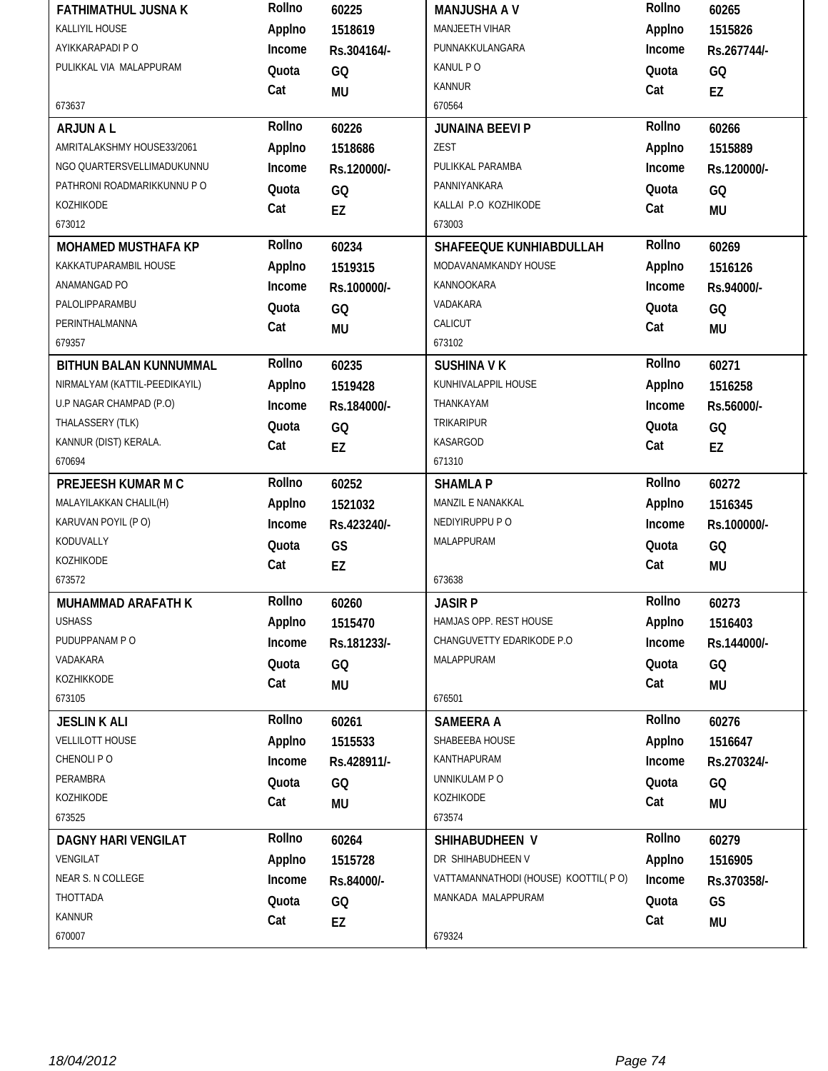| <b>FATHIMATHUL JUSNA K</b>    | Rollno | 60225       | <b>MANJUSHA A V</b>                 | Rollno | 60265       |
|-------------------------------|--------|-------------|-------------------------------------|--------|-------------|
| KALLIYIL HOUSE                | Applno | 1518619     | MANJEETH VIHAR                      | Applno | 1515826     |
| AYIKKARAPADI P O              | Income | Rs.304164/- | PUNNAKKULANGARA                     | Income | Rs.267744/- |
| PULIKKAL VIA MALAPPURAM       | Quota  | GQ          | KANUL PO                            | Quota  | GQ          |
|                               | Cat    | MU          | <b>KANNUR</b>                       | Cat    | EZ          |
| 673637                        |        |             | 670564                              |        |             |
| <b>ARJUNAL</b>                | Rollno | 60226       | <b>JUNAINA BEEVI P</b>              | Rollno | 60266       |
| AMRITALAKSHMY HOUSE33/2061    | Applno | 1518686     | ZEST                                | Applno | 1515889     |
| NGO QUARTERSVELLIMADUKUNNU    | Income | Rs.120000/- | PULIKKAL PARAMBA                    | Income | Rs.120000/- |
| PATHRONI ROADMARIKKUNNU P O   | Quota  | GQ          | PANNIYANKARA                        | Quota  | GQ          |
| KOZHIKODE                     | Cat    | <b>EZ</b>   | KALLAI P.O KOZHIKODE                | Cat    | <b>MU</b>   |
| 673012                        |        |             | 673003                              |        |             |
| <b>MOHAMED MUSTHAFA KP</b>    | Rollno | 60234       | SHAFEEQUE KUNHIABDULLAH             | Rollno | 60269       |
| KAKKATUPARAMBIL HOUSE         | Applno | 1519315     | MODAVANAMKANDY HOUSE                | Applno | 1516126     |
| ANAMANGAD PO                  | Income | Rs.100000/- | KANNOOKARA                          | Income | Rs.94000/-  |
| PALOLIPPARAMBU                | Quota  | GQ          | VADAKARA                            | Quota  | GQ          |
| PERINTHALMANNA                | Cat    | <b>MU</b>   | CALICUT                             | Cat    | <b>MU</b>   |
| 679357                        |        |             | 673102                              |        |             |
| BITHUN BALAN KUNNUMMAL        | Rollno | 60235       | <b>SUSHINA V K</b>                  | Rollno | 60271       |
| NIRMALYAM (KATTIL-PEEDIKAYIL) | Applno | 1519428     | KUNHIVALAPPIL HOUSE                 | Applno | 1516258     |
| U.P NAGAR CHAMPAD (P.O)       | Income | Rs.184000/- | THANKAYAM                           | Income | Rs.56000/-  |
| THALASSERY (TLK)              | Quota  | GQ          | <b>TRIKARIPUR</b>                   | Quota  | GQ          |
| KANNUR (DIST) KERALA.         | Cat    | <b>EZ</b>   | <b>KASARGOD</b>                     | Cat    | EZ          |
| 670694                        |        |             | 671310                              |        |             |
|                               | Rollno |             | <b>SHAMLA P</b>                     | Rollno | 60272       |
| PREJEESH KUMAR M C            |        | 60252       |                                     |        |             |
| MALAYILAKKAN CHALIL(H)        | Applno | 1521032     | MANZIL E NANAKKAL                   | Applno | 1516345     |
| KARUVAN POYIL (PO)            | Income | Rs.423240/- | NEDIYIRUPPU P O                     | Income | Rs.100000/- |
| KODUVALLY                     | Quota  | GS          | MALAPPURAM                          | Quota  | GQ          |
| KOZHIKODE                     | Cat    | EZ          |                                     | Cat    | <b>MU</b>   |
| 673572                        |        |             | 673638                              |        |             |
| <b>MUHAMMAD ARAFATH K</b>     | Rollno | 60260       | <b>JASIR P</b>                      | Rollno | 60273       |
| <b>USHASS</b>                 | Applno | 1515470     | HAMJAS OPP. REST HOUSE              | Applno | 1516403     |
| PUDUPPANAM P O                | Income | Rs.181233/- | CHANGUVETTY EDARIKODE P.O.          | Income | Rs.144000/- |
| VADAKARA                      | Quota  | GQ          | MALAPPURAM                          | Quota  | GQ          |
| KOZHIKKODE                    | Cat    | MU          |                                     | Cat    | <b>MU</b>   |
| 673105                        |        |             | 676501                              |        |             |
| <b>JESLIN K ALI</b>           | Rollno | 60261       | <b>SAMEERA A</b>                    | Rollno | 60276       |
| <b>VELLILOTT HOUSE</b>        | Applno | 1515533     | SHABEEBA HOUSE                      | Applno | 1516647     |
| CHENOLI PO                    | Income | Rs.428911/- | KANTHAPURAM                         | Income | Rs.270324/- |
| PERAMBRA                      | Quota  | GQ          | UNNIKULAM P O                       | Quota  | GQ          |
| KOZHIKODE                     | Cat    |             | KOZHIKODE                           | Cat    |             |
| 673525                        |        | <b>MU</b>   | 673574                              |        | <b>MU</b>   |
| <b>DAGNY HARI VENGILAT</b>    | Rollno | 60264       | SHIHABUDHEEN V                      | Rollno | 60279       |
| VENGILAT                      | Applno | 1515728     | DR SHIHABUDHEEN V                   | Applno | 1516905     |
| NEAR S. N COLLEGE             | Income | Rs.84000/-  | VATTAMANNATHODI (HOUSE) KOOTTIL(PO) | Income | Rs.370358/- |
| THOTTADA                      | Quota  | GQ          | MANKADA MALAPPURAM                  | Quota  | GS          |
| <b>KANNUR</b>                 | Cat    | EZ          |                                     | Cat    | <b>MU</b>   |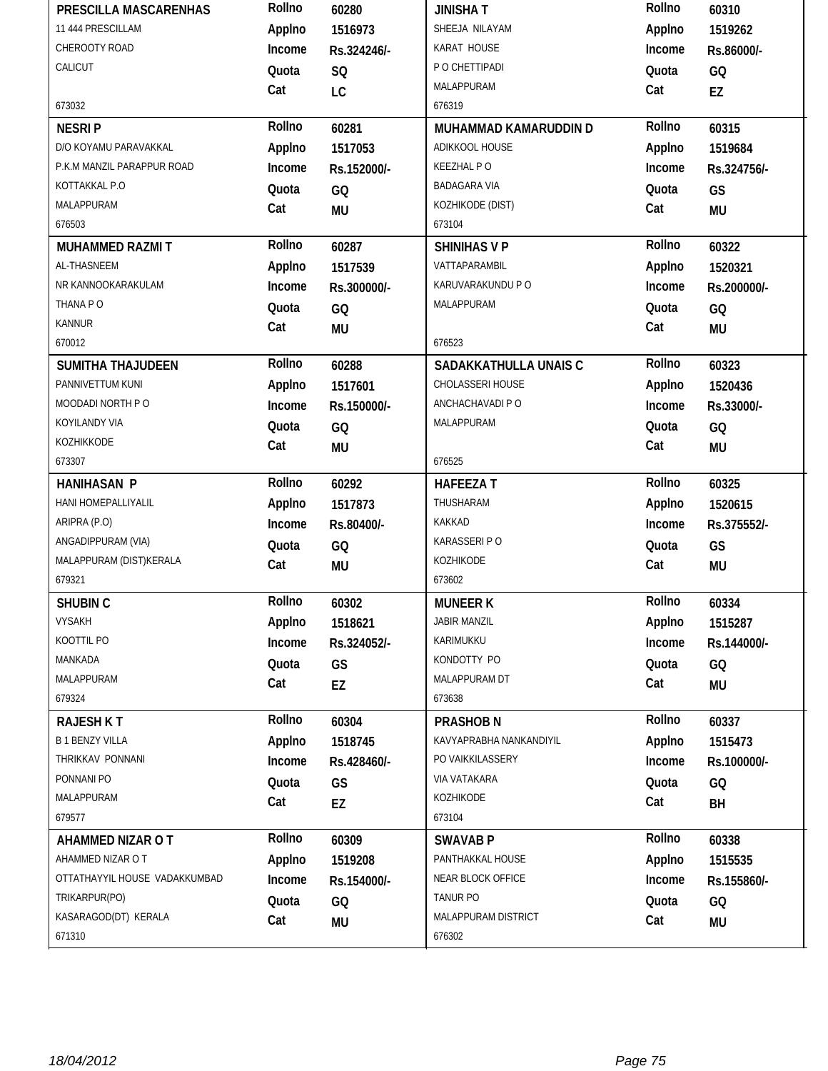| PRESCILLA MASCARENHAS         | Rollno | 60280       | <b>JINISHAT</b>         | Rollno | 60310       |
|-------------------------------|--------|-------------|-------------------------|--------|-------------|
| 11 444 PRESCILLAM             | Applno | 1516973     | SHEEJA NILAYAM          | Applno | 1519262     |
| CHEROOTY ROAD                 | Income | Rs.324246/- | KARAT HOUSE             | Income | Rs.86000/-  |
| CALICUT                       | Quota  | SQ          | P O CHETTIPADI          | Quota  | GQ          |
|                               | Cat    | LC          | MALAPPURAM              | Cat    | EZ          |
| 673032                        |        |             | 676319                  |        |             |
| <b>NESRIP</b>                 | Rollno | 60281       | MUHAMMAD KAMARUDDIN D   | Rollno | 60315       |
| D/O KOYAMU PARAVAKKAL         | Applno | 1517053     | ADIKKOOL HOUSE          | Applno | 1519684     |
| P.K.M MANZIL PARAPPUR ROAD    | Income | Rs.152000/- | <b>KEEZHAL PO</b>       | Income | Rs.324756/- |
| KOTTAKKAL P.O                 | Quota  | GQ          | <b>BADAGARA VIA</b>     | Quota  | GS          |
| MALAPPURAM                    | Cat    | <b>MU</b>   | KOZHIKODE (DIST)        | Cat    | <b>MU</b>   |
| 676503                        |        |             | 673104                  |        |             |
| <b>MUHAMMED RAZMIT</b>        | Rollno | 60287       | <b>SHINIHAS V P</b>     | Rollno | 60322       |
| AL-THASNEEM                   | Applno | 1517539     | VATTAPARAMBIL           | Applno | 1520321     |
| NR KANNOOKARAKULAM            | Income | Rs.300000/- | KARUVARAKUNDU P O       | Income | Rs.200000/- |
| THANA PO                      | Quota  | GQ          | MALAPPURAM              | Quota  | GQ          |
| <b>KANNUR</b>                 | Cat    | <b>MU</b>   |                         | Cat    | <b>MU</b>   |
| 670012                        |        |             | 676523                  |        |             |
| <b>SUMITHA THAJUDEEN</b>      | Rollno | 60288       | SADAKKATHULLA UNAIS C   | Rollno | 60323       |
| PANNIVETTUM KUNI              | Applno | 1517601     | CHOLASSERI HOUSE        | Applno | 1520436     |
| MOODADI NORTH PO              | Income | Rs.150000/- | ANCHACHAVADI P O        | Income | Rs.33000/-  |
| KOYILANDY VIA                 | Quota  | GQ          | MALAPPURAM              | Quota  | GQ          |
| KOZHIKKODE                    | Cat    | <b>MU</b>   |                         | Cat    | <b>MU</b>   |
| 673307                        |        |             | 676525                  |        |             |
| <b>HANIHASAN P</b>            | Rollno | 60292       | <b>HAFEEZAT</b>         | Rollno | 60325       |
|                               |        |             |                         |        |             |
| HANI HOMEPALLIYALIL           | Applno | 1517873     | THUSHARAM               | Applno | 1520615     |
| ARIPRA (P.O)                  | Income | Rs.80400/-  | KAKKAD                  | Income | Rs.375552/- |
| ANGADIPPURAM (VIA)            | Quota  | GQ          | KARASSERI P O           | Quota  | GS          |
| MALAPPURAM (DIST)KERALA       | Cat    | <b>MU</b>   | KOZHIKODE               | Cat    | <b>MU</b>   |
| 679321                        |        |             | 673602                  |        |             |
| <b>SHUBIN C</b>               | Rollno | 60302       | <b>MUNEER K</b>         | Rollno | 60334       |
| <b>VYSAKH</b>                 | Applno | 1518621     | <b>JABIR MANZIL</b>     | Applno | 1515287     |
| KOOTTIL PO                    | Income | Rs.324052/- | KARIMUKKU               | Income | Rs.144000/- |
| MANKADA                       | Quota  | GS          | KONDOTTY PO             | Quota  | GQ          |
| MALAPPURAM                    | Cat    | EZ          | MALAPPURAM DT           | Cat    | <b>MU</b>   |
| 679324                        |        |             | 673638                  |        |             |
| <b>RAJESH K T</b>             | Rollno | 60304       | <b>PRASHOB N</b>        | Rollno | 60337       |
| <b>B1 BENZY VILLA</b>         | Applno | 1518745     | KAVYAPRABHA NANKANDIYIL | Applno | 1515473     |
| THRIKKAV PONNANI              | Income | Rs.428460/- | PO VAIKKILASSERY        | Income | Rs.100000/- |
| PONNANI PO                    | Quota  | GS          | VIA VATAKARA            | Quota  | GQ          |
| MALAPPURAM                    | Cat    | EZ          | KOZHIKODE               | Cat    | BH          |
| 679577                        |        |             | 673104                  |        |             |
| AHAMMED NIZAR O T             | Rollno | 60309       | <b>SWAVAB P</b>         | Rollno | 60338       |
| AHAMMED NIZAR O T             | Applno | 1519208     | PANTHAKKAL HOUSE        | Applno | 1515535     |
| OTTATHAYYIL HOUSE VADAKKUMBAD | Income | Rs.154000/- | NEAR BLOCK OFFICE       | Income | Rs.155860/- |
| TRIKARPUR(PO)                 | Quota  | GQ          | TANUR PO                | Quota  | GQ          |
| KASARAGOD(DT) KERALA          | Cat    | <b>MU</b>   | MALAPPURAM DISTRICT     | Cat    | <b>MU</b>   |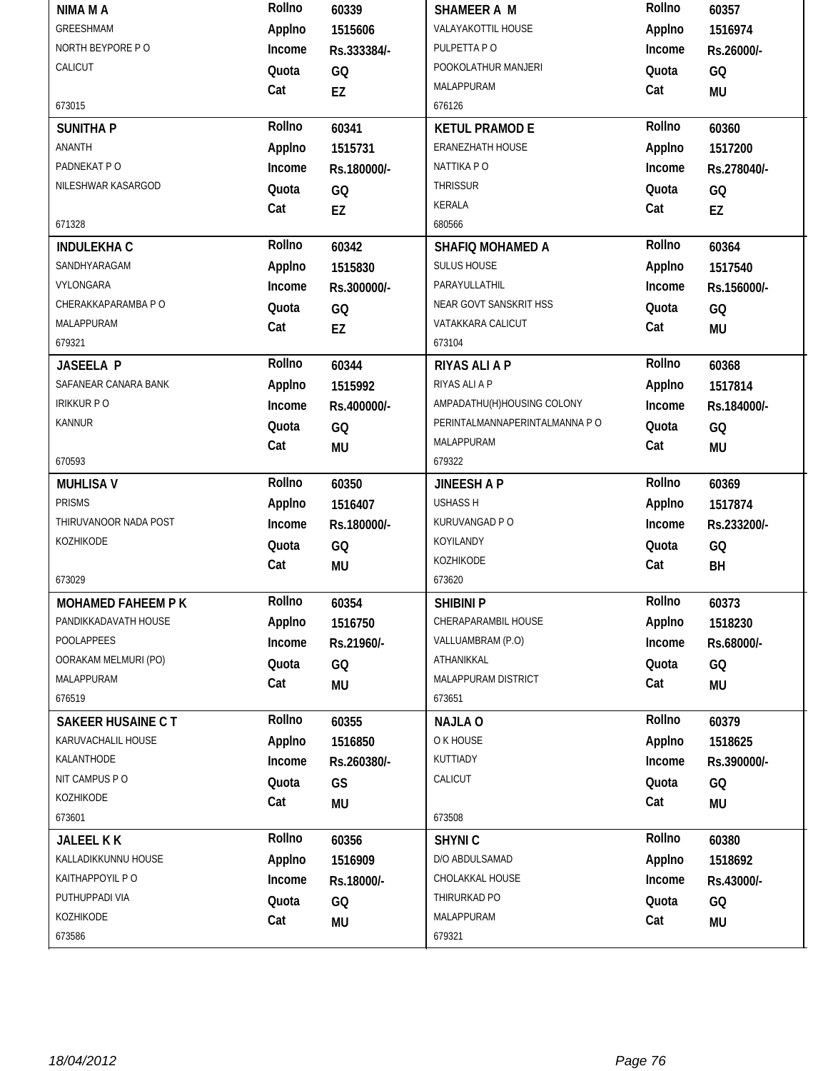| NIMA M A                 | Rollno | 60339       | SHAMEER A M                    | Rollno | 60357       |
|--------------------------|--------|-------------|--------------------------------|--------|-------------|
| GREESHMAM                | Applno | 1515606     | VALAYAKOTTIL HOUSE             | Applno | 1516974     |
| NORTH BEYPORE PO         | Income | Rs.333384/- | PULPETTA PO                    | Income | Rs.26000/-  |
| CALICUT                  | Quota  | GQ          | POOKOLATHUR MANJERI            | Quota  | GQ          |
|                          | Cat    | EZ          | MALAPPURAM                     | Cat    | <b>MU</b>   |
| 673015                   |        |             | 676126                         |        |             |
| <b>SUNITHA P</b>         | Rollno | 60341       | <b>KETUL PRAMOD E</b>          | Rollno | 60360       |
| ANANTH                   | Applno | 1515731     | <b>ERANEZHATH HOUSE</b>        | Applno | 1517200     |
| PADNEKAT PO              | Income | Rs.180000/- | NATTIKA PO                     | Income | Rs.278040/- |
| NILESHWAR KASARGOD       | Quota  | GQ          | <b>THRISSUR</b>                | Quota  | GQ          |
|                          | Cat    | EZ          | KERALA                         | Cat    | EZ          |
| 671328                   |        |             | 680566                         |        |             |
| <b>INDULEKHA C</b>       | Rollno | 60342       | SHAFIQ MOHAMED A               | Rollno | 60364       |
| SANDHYARAGAM             | Applno | 1515830     | <b>SULUS HOUSE</b>             | Applno | 1517540     |
| VYLONGARA                | Income | Rs.300000/- | PARAYULLATHIL                  | Income | Rs.156000/- |
| CHERAKKAPARAMBA P O      | Quota  | GQ          | <b>NEAR GOVT SANSKRIT HSS</b>  | Quota  | GQ          |
| MALAPPURAM               | Cat    | EZ          | VATAKKARA CALICUT              | Cat    | <b>MU</b>   |
| 679321                   |        |             | 673104                         |        |             |
| JASEELA P                | Rollno | 60344       | <b>RIYAS ALI A P</b>           | Rollno | 60368       |
| SAFANEAR CANARA BANK     | Applno | 1515992     | RIYAS ALI A P                  | Applno | 1517814     |
| <b>IRIKKURPO</b>         | Income | Rs.400000/- | AMPADATHU(H)HOUSING COLONY     | Income | Rs.184000/- |
| <b>KANNUR</b>            | Quota  | GQ          | PERINTALMANNAPERINTALMANNA P O | Quota  | GQ          |
|                          | Cat    | <b>MU</b>   | MALAPPURAM                     | Cat    | <b>MU</b>   |
| 670593                   |        |             | 679322                         |        |             |
|                          |        |             |                                |        |             |
| <b>MUHLISA V</b>         | Rollno | 60350       | <b>JINEESH A P</b>             | Rollno | 60369       |
| <b>PRISMS</b>            | Applno | 1516407     | <b>USHASS H</b>                | Applno | 1517874     |
| THIRUVANOOR NADA POST    | Income | Rs.180000/- | KURUVANGAD P O                 | Income | Rs.233200/- |
| KOZHIKODE                | Quota  | GQ          | KOYILANDY                      | Quota  | GQ          |
|                          | Cat    | <b>MU</b>   | KOZHIKODE                      | Cat    | BH          |
| 673029                   |        |             | 673620                         |        |             |
| <b>MOHAMED FAHEEM PK</b> | Rollno | 60354       | <b>SHIBINI P</b>               | Rollno | 60373       |
| PANDIKKADAVATH HOUSE     | Applno | 1516750     | CHERAPARAMBIL HOUSE            | Applno | 1518230     |
| POOLAPPEES               | Income | Rs.21960/-  | VALLUAMBRAM (P.O)              | Income | Rs.68000/-  |
| OORAKAM MELMURI (PO)     | Quota  | GQ          | ATHANIKKAL                     | Quota  | GQ          |
| MALAPPURAM               | Cat    | MU          | MALAPPURAM DISTRICT            | Cat    | <b>MU</b>   |
| 676519                   |        |             | 673651                         |        |             |
| <b>SAKEER HUSAINE CT</b> | Rollno | 60355       | <b>NAJLA O</b>                 | Rollno | 60379       |
| KARUVACHALIL HOUSE       | Applno | 1516850     | O K HOUSE                      | Applno | 1518625     |
| KALANTHODE               | Income | Rs.260380/- | KUTTIADY                       | Income | Rs.390000/- |
| NIT CAMPUS PO            | Quota  | GS          | CALICUT                        | Quota  | GQ          |
| KOZHIKODE                | Cat    | MU          |                                | Cat    | <b>MU</b>   |
| 673601                   |        |             | 673508                         |        |             |
| <b>JALEEL KK</b>         | Rollno | 60356       | <b>SHYNIC</b>                  | Rollno | 60380       |
| KALLADIKKUNNU HOUSE      | Applno | 1516909     | D/O ABDULSAMAD                 | Applno | 1518692     |
| KAITHAPPOYIL P O         | Income | Rs.18000/-  | CHOLAKKAL HOUSE                | Income | Rs.43000/-  |
| PUTHUPPADI VIA           | Quota  | GQ          | THIRURKAD PO                   | Quota  | GQ          |
| KOZHIKODE                | Cat    | MU          | MALAPPURAM                     | Cat    | MU          |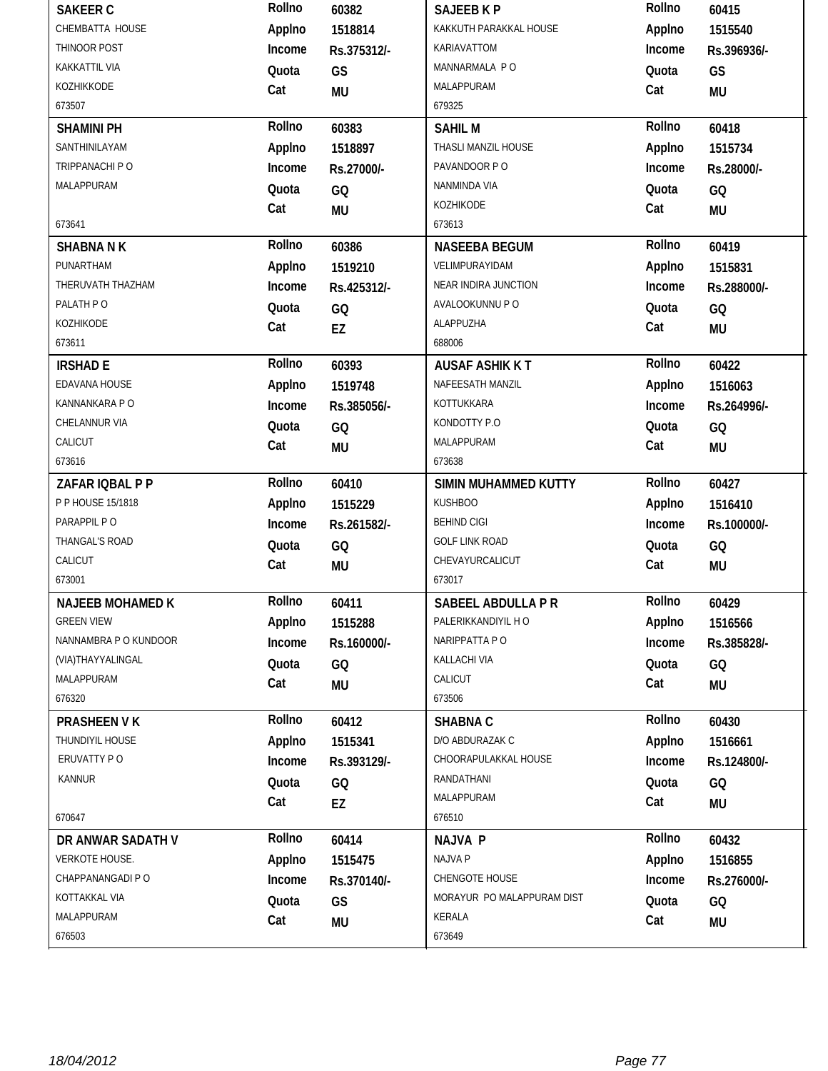| <b>SAKEER C</b>         | Rollno | 60382       | <b>SAJEEB K P</b>          | Rollno | 60415       |
|-------------------------|--------|-------------|----------------------------|--------|-------------|
| CHEMBATTA HOUSE         | Applno | 1518814     | KAKKUTH PARAKKAL HOUSE     | Applno | 1515540     |
| THINOOR POST            | Income | Rs.375312/- | KARIAVATTOM                | Income | Rs.396936/- |
| KAKKATTIL VIA           | Quota  | GS          | MANNARMALA PO              | Quota  | GS          |
| KOZHIKKODE              | Cat    | <b>MU</b>   | MALAPPURAM                 | Cat    | <b>MU</b>   |
| 673507                  |        |             | 679325                     |        |             |
| <b>SHAMINI PH</b>       | Rollno | 60383       | <b>SAHIL M</b>             | Rollno | 60418       |
| SANTHINILAYAM           | Applno | 1518897     | THASLI MANZIL HOUSE        | Applno | 1515734     |
| TRIPPANACHI P O         | Income | Rs.27000/-  | PAVANDOOR PO               | Income | Rs.28000/-  |
| <b>MALAPPURAM</b>       | Quota  | GQ          | NANMINDA VIA               | Quota  | GQ          |
|                         | Cat    | <b>MU</b>   | KOZHIKODE                  | Cat    | <b>MU</b>   |
| 673641                  |        |             | 673613                     |        |             |
| <b>SHABNA N K</b>       | Rollno | 60386       | <b>NASEEBA BEGUM</b>       | Rollno | 60419       |
| PUNARTHAM               | Applno | 1519210     | VELIMPURAYIDAM             | Applno | 1515831     |
| THERUVATH THAZHAM       | Income | Rs.425312/- | NEAR INDIRA JUNCTION       | Income | Rs.288000/- |
| PALATH PO               | Quota  | GQ          | AVALOOKUNNU P O            | Quota  | GQ          |
| KOZHIKODE               | Cat    | EZ          | ALAPPUZHA                  | Cat    | <b>MU</b>   |
| 673611                  |        |             | 688006                     |        |             |
| <b>IRSHAD E</b>         | Rollno | 60393       | <b>AUSAF ASHIK KT</b>      | Rollno | 60422       |
| EDAVANA HOUSE           | Applno | 1519748     | NAFEESATH MANZIL           | Applno | 1516063     |
| KANNANKARA PO           | Income | Rs.385056/- | KOTTUKKARA                 | Income | Rs.264996/- |
| CHELANNUR VIA           | Quota  | GQ          | KONDOTTY P.O               | Quota  | GQ          |
| CALICUT                 | Cat    | <b>MU</b>   | MALAPPURAM                 | Cat    | <b>MU</b>   |
| 673616                  |        |             | 673638                     |        |             |
|                         | Rollno |             |                            | Rollno | 60427       |
| ZAFAR IQBAL P P         |        | 60410       | SIMIN MUHAMMED KUTTY       |        |             |
| P P HOUSE 15/1818       | Applno | 1515229     | <b>KUSHBOO</b>             | Applno | 1516410     |
| PARAPPIL PO             | Income | Rs.261582/- | <b>BEHIND CIGI</b>         | Income | Rs.100000/- |
| THANGAL'S ROAD          | Quota  | GQ          | <b>GOLF LINK ROAD</b>      | Quota  | GQ          |
| CALICUT                 | Cat    | <b>MU</b>   | CHEVAYURCALICUT            | Cat    | <b>MU</b>   |
| 673001                  |        |             | 673017                     |        |             |
| <b>NAJEEB MOHAMED K</b> | Rollno | 60411       | SABEEL ABDULLA P R         | Rollno | 60429       |
| <b>GREEN VIEW</b>       | Applno | 1515288     | PALERIKKANDIYIL H O        | Applno | 1516566     |
| NANNAMBRA P O KUNDOOR   | Income | Rs.160000/- | NARIPPATTA PO              | Income | Rs.385828/- |
| (VIA)THAYYALINGAL       | Quota  | GQ          | KALLACHI VIA               | Quota  | GQ          |
| MALAPPURAM              | Cat    | MU          | CALICUT                    | Cat    | <b>MU</b>   |
| 676320                  |        |             | 673506                     |        |             |
| PRASHEEN V K            | Rollno | 60412       | <b>SHABNA C</b>            | Rollno | 60430       |
| THUNDIYIL HOUSE         | Applno | 1515341     | D/O ABDURAZAK C            | Applno | 1516661     |
| ERUVATTY PO             | Income | Rs.393129/- | CHOORAPULAKKAL HOUSE       | Income | Rs.124800/- |
| KANNUR                  | Quota  | GQ          | RANDATHANI                 | Quota  | GQ          |
|                         | Cat    | EZ          | MALAPPURAM                 | Cat    | <b>MU</b>   |
| 670647                  |        |             | 676510                     |        |             |
| DR ANWAR SADATH V       | Rollno | 60414       | <b>NAJVA P</b>             | Rollno | 60432       |
| VERKOTE HOUSE.          | Applno | 1515475     | <b>NAJVA P</b>             | Applno | 1516855     |
| CHAPPANANGADI P O       | Income | Rs.370140/- | CHENGOTE HOUSE             | Income | Rs.276000/- |
| KOTTAKKAL VIA           | Quota  | GS          | MORAYUR PO MALAPPURAM DIST | Quota  | GQ          |
| MALAPPURAM              | Cat    | <b>MU</b>   | KERALA                     | Cat    | <b>MU</b>   |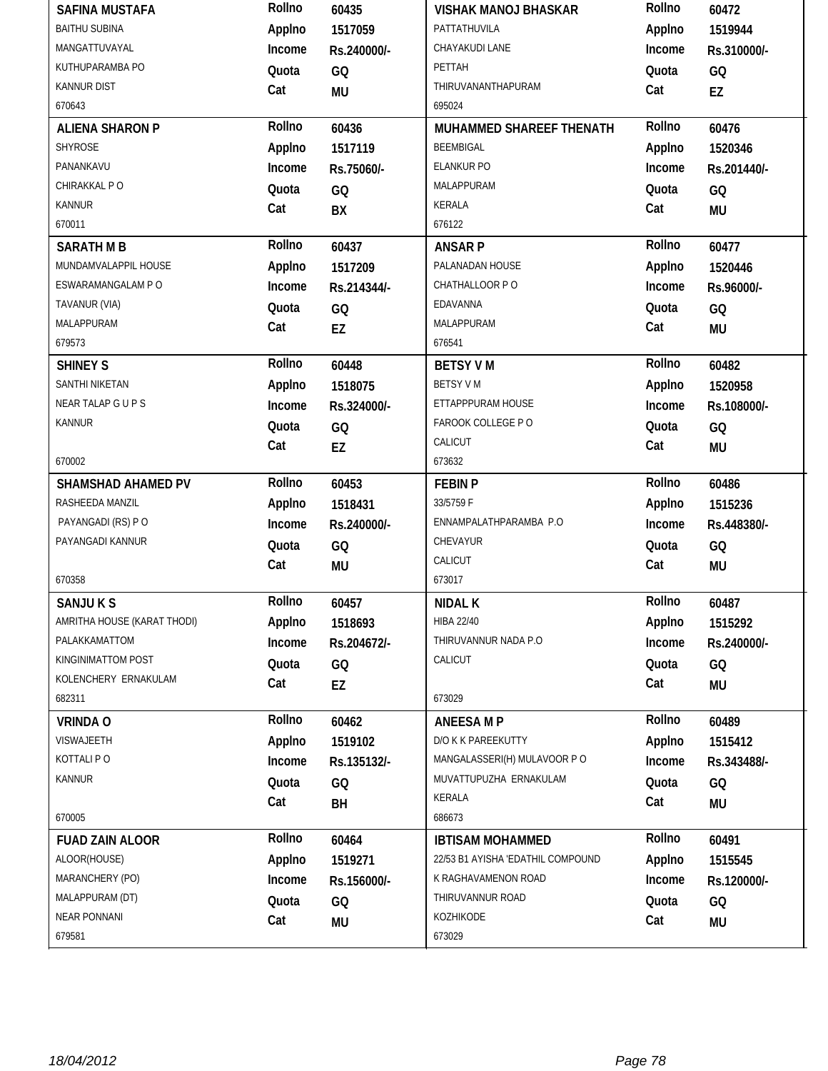| <b>SAFINA MUSTAFA</b>       | Rollno | 60435       | <b>VISHAK MANOJ BHASKAR</b>       | Rollno | 60472       |
|-----------------------------|--------|-------------|-----------------------------------|--------|-------------|
| <b>BAITHU SUBINA</b>        | Applno | 1517059     | PATTATHUVILA                      | Applno | 1519944     |
| MANGATTUVAYAL               | Income | Rs.240000/- | CHAYAKUDI LANE                    | Income | Rs.310000/- |
| KUTHUPARAMBA PO             | Quota  | GQ          | PETTAH                            | Quota  | GQ          |
| <b>KANNUR DIST</b>          | Cat    | <b>MU</b>   | THIRUVANANTHAPURAM                | Cat    | EZ          |
| 670643                      |        |             | 695024                            |        |             |
| <b>ALIENA SHARON P</b>      | Rollno | 60436       | MUHAMMED SHAREEF THENATH          | Rollno | 60476       |
| SHYROSE                     | Applno | 1517119     | <b>BEEMBIGAL</b>                  | Applno | 1520346     |
| PANANKAVU                   | Income | Rs.75060/-  | <b>ELANKUR PO</b>                 | Income | Rs.201440/- |
| CHIRAKKAL PO                | Quota  | GQ          | MALAPPURAM                        | Quota  | GQ          |
| <b>KANNUR</b>               | Cat    | BX          | KERALA                            | Cat    | <b>MU</b>   |
| 670011                      |        |             | 676122                            |        |             |
| <b>SARATH M B</b>           | Rollno | 60437       | <b>ANSARP</b>                     | Rollno | 60477       |
| MUNDAMVALAPPIL HOUSE        | Applno | 1517209     | PALANADAN HOUSE                   | Applno | 1520446     |
| ESWARAMANGALAM P O          | Income | Rs.214344/- | CHATHALLOOR PO                    | Income | Rs.96000/-  |
| TAVANUR (VIA)               | Quota  | GQ          | EDAVANNA                          | Quota  | GQ          |
| MALAPPURAM                  | Cat    | EZ          | MALAPPURAM                        | Cat    | <b>MU</b>   |
| 679573                      |        |             | 676541                            |        |             |
| <b>SHINEY S</b>             | Rollno | 60448       | <b>BETSY VM</b>                   | Rollno | 60482       |
| SANTHI NIKETAN              | Applno | 1518075     | <b>BETSY VM</b>                   | Applno | 1520958     |
| NEAR TALAP GUPS             | Income | Rs.324000/- | ETTAPPPURAM HOUSE                 | Income | Rs.108000/- |
| <b>KANNUR</b>               | Quota  | GQ          | FAROOK COLLEGE PO                 | Quota  | GQ          |
|                             | Cat    | EZ          | CALICUT                           | Cat    | <b>MU</b>   |
| 670002                      |        |             | 673632                            |        |             |
|                             |        |             |                                   |        |             |
| <b>SHAMSHAD AHAMED PV</b>   | Rollno | 60453       | <b>FEBIN P</b>                    | Rollno | 60486       |
| RASHEEDA MANZIL             | Applno | 1518431     | 33/5759 F                         | Applno | 1515236     |
| PAYANGADI (RS) PO           | Income | Rs.240000/- | ENNAMPALATHPARAMBA P.O            | Income | Rs.448380/- |
| PAYANGADI KANNUR            | Quota  | GQ          | CHEVAYUR                          | Quota  | GQ          |
|                             | Cat    | <b>MU</b>   | CALICUT                           | Cat    | <b>MU</b>   |
| 670358                      |        |             | 673017                            |        |             |
| <b>SANJUKS</b>              | Rollno | 60457       | <b>NIDAL K</b>                    | Rollno | 60487       |
| AMRITHA HOUSE (KARAT THODI) | Applno | 1518693     | <b>HIBA 22/40</b>                 | Applno | 1515292     |
| PALAKKAMATTOM               | Income | Rs.204672/- | THIRUVANNUR NADA P.O              | Income | Rs.240000/- |
| KINGINIMATTOM POST          | Quota  | GQ          | CALICUT                           | Quota  | GQ          |
| KOLENCHERY ERNAKULAM        | Cat    | EZ          |                                   | Cat    | MU          |
| 682311                      |        |             | 673029                            |        |             |
| <b>VRINDA O</b>             | Rollno | 60462       | <b>ANEESA MP</b>                  | Rollno | 60489       |
| VISWAJEETH                  | Applno | 1519102     | D/O K K PAREEKUTTY                | Applno | 1515412     |
| KOTTALI PO                  | Income | Rs.135132/- | MANGALASSERI(H) MULAVOOR PO       | Income | Rs.343488/- |
| <b>KANNUR</b>               | Quota  | GQ          | MUVATTUPUZHA ERNAKULAM            | Quota  | GQ          |
|                             | Cat    | BH          | KERALA                            | Cat    | MU          |
| 670005                      |        |             | 686673                            |        |             |
| <b>FUAD ZAIN ALOOR</b>      | Rollno | 60464       | <b>IBTISAM MOHAMMED</b>           | Rollno | 60491       |
| ALOOR(HOUSE)                | Applno | 1519271     | 22/53 B1 AYISHA 'EDATHIL COMPOUND | Applno | 1515545     |
| MARANCHERY (PO)             | Income | Rs.156000/- | K RAGHAVAMENON ROAD               | Income | Rs.120000/- |
| MALAPPURAM (DT)             | Quota  | GQ          | THIRUVANNUR ROAD                  | Quota  | GQ          |
| <b>NEAR PONNANI</b>         | Cat    | MU          | KOZHIKODE                         | Cat    | MU          |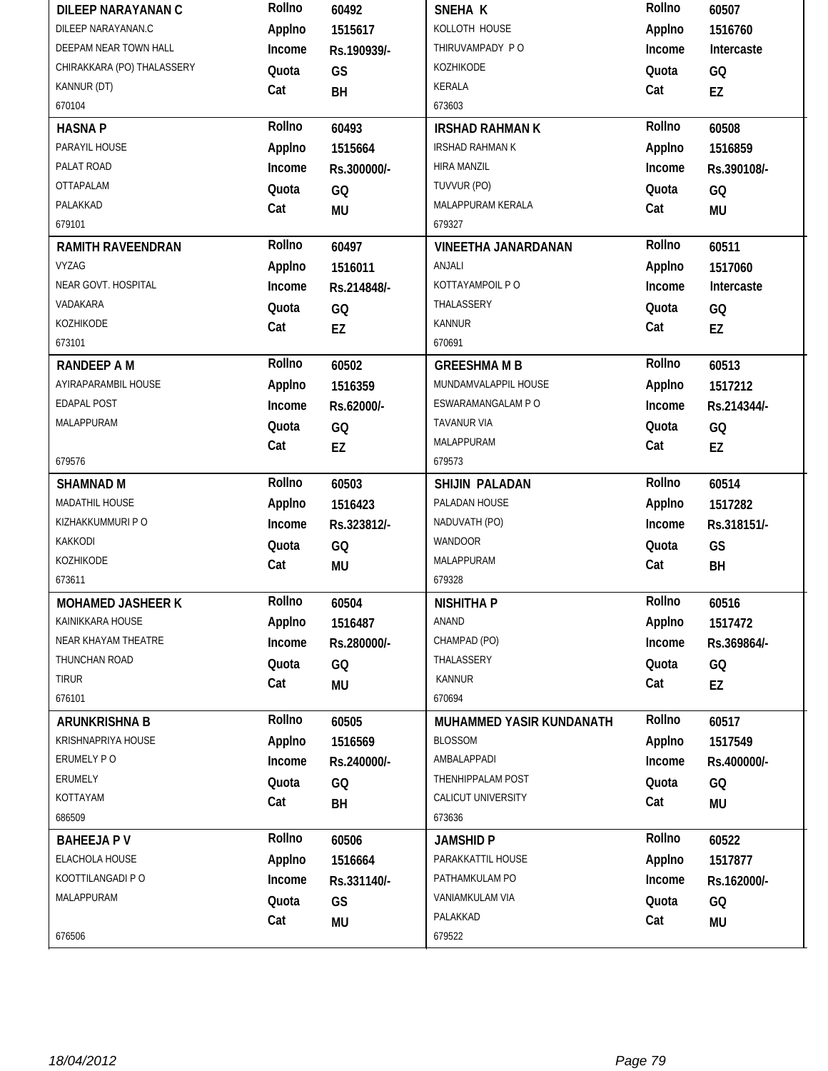| <b>DILEEP NARAYANAN C</b>  | Rollno | 60492       | SNEHA K                    | Rollno | 60507       |
|----------------------------|--------|-------------|----------------------------|--------|-------------|
| DILEEP NARAYANAN.C         | Applno | 1515617     | KOLLOTH HOUSE              | Applno | 1516760     |
| DEEPAM NEAR TOWN HALL      | Income | Rs.190939/- | THIRUVAMPADY PO            | Income | Intercaste  |
| CHIRAKKARA (PO) THALASSERY | Quota  | GS          | KOZHIKODE                  | Quota  | GQ          |
| KANNUR (DT)                | Cat    | BH          | <b>KERALA</b>              | Cat    | EZ          |
| 670104                     |        |             | 673603                     |        |             |
| <b>HASNAP</b>              | Rollno | 60493       | <b>IRSHAD RAHMAN K</b>     | Rollno | 60508       |
| PARAYIL HOUSE              | Applno | 1515664     | <b>IRSHAD RAHMAN K</b>     | Applno | 1516859     |
| PALAT ROAD                 | Income | Rs.300000/- | HIRA MANZIL                | Income | Rs.390108/- |
| OTTAPALAM                  | Quota  | GQ          | TUVVUR (PO)                | Quota  | GQ          |
| PALAKKAD                   | Cat    | <b>MU</b>   | MALAPPURAM KERALA          | Cat    | <b>MU</b>   |
| 679101                     |        |             | 679327                     |        |             |
| <b>RAMITH RAVEENDRAN</b>   | Rollno | 60497       | <b>VINEETHA JANARDANAN</b> | Rollno | 60511       |
| <b>VYZAG</b>               | Applno | 1516011     | ANJALI                     | Applno | 1517060     |
| NEAR GOVT. HOSPITAL        | Income | Rs.214848/- | KOTTAYAMPOIL P O           | Income | Intercaste  |
| VADAKARA                   | Quota  | GQ          | THALASSERY                 | Quota  | GQ          |
| KOZHIKODE                  | Cat    | EZ          | <b>KANNUR</b>              | Cat    | EZ          |
| 673101                     |        |             | 670691                     |        |             |
| <b>RANDEEP A M</b>         | Rollno | 60502       | <b>GREESHMA M B</b>        | Rollno | 60513       |
| AYIRAPARAMBIL HOUSE        | Applno | 1516359     | MUNDAMVALAPPIL HOUSE       | Applno | 1517212     |
| EDAPAL POST                | Income | Rs.62000/-  | ESWARAMANGALAM P O         | Income | Rs.214344/- |
| MALAPPURAM                 | Quota  | GQ          | TAVANUR VIA                | Quota  | GQ          |
|                            | Cat    | EZ          | MALAPPURAM                 | Cat    | EZ          |
| 679576                     |        |             | 679573                     |        |             |
|                            |        |             |                            |        |             |
| <b>SHAMNAD M</b>           | Rollno | 60503       | SHIJIN PALADAN             | Rollno | 60514       |
| MADATHIL HOUSE             | Applno | 1516423     | PALADAN HOUSE              | Applno | 1517282     |
| KIZHAKKUMMURI P O          | Income | Rs.323812/- | NADUVATH (PO)              | Income | Rs.318151/- |
| KAKKODI                    | Quota  | GQ          | WANDOOR                    | Quota  | GS          |
| KOZHIKODE                  | Cat    | MU          | MALAPPURAM                 | Cat    | BH          |
| 673611                     |        |             | 679328                     |        |             |
| <b>MOHAMED JASHEER K</b>   | Rollno | 60504       | <b>NISHITHA P</b>          | Rollno | 60516       |
| KAINIKKARA HOUSE           | Applno | 1516487     | ANAND                      | Applno | 1517472     |
| NEAR KHAYAM THEATRE        | Income | Rs.280000/- | CHAMPAD (PO)               | Income | Rs.369864/- |
| THUNCHAN ROAD              | Quota  | GQ          | THALASSERY                 | Quota  | GQ          |
| <b>TIRUR</b>               | Cat    |             | <b>KANNUR</b>              | Cat    |             |
| 676101                     |        | MU          | 670694                     |        | EZ          |
| ARUNKRISHNA B              | Rollno | 60505       | MUHAMMED YASIR KUNDANATH   | Rollno | 60517       |
| KRISHNAPRIYA HOUSE         | Applno | 1516569     | <b>BLOSSOM</b>             | Applno | 1517549     |
| ERUMELY PO                 | Income | Rs.240000/- | AMBALAPPADI                | Income | Rs.400000/- |
| ERUMELY                    | Quota  | GQ          | THENHIPPALAM POST          | Quota  | GQ          |
| KOTTAYAM                   | Cat    |             | CALICUT UNIVERSITY         | Cat    |             |
| 686509                     |        | BH          | 673636                     |        | <b>MU</b>   |
| <b>BAHEEJAPV</b>           | Rollno | 60506       | <b>JAMSHID P</b>           | Rollno | 60522       |
| ELACHOLA HOUSE             | Applno | 1516664     | PARAKKATTIL HOUSE          | Applno | 1517877     |
| KOOTTILANGADI P O          | Income | Rs.331140/- | PATHAMKULAM PO             | Income | Rs.162000/- |
| MALAPPURAM                 | Quota  | GS          | VANIAMKULAM VIA            | Quota  | GQ          |
|                            | Cat    | <b>MU</b>   | PALAKKAD                   | Cat    | <b>MU</b>   |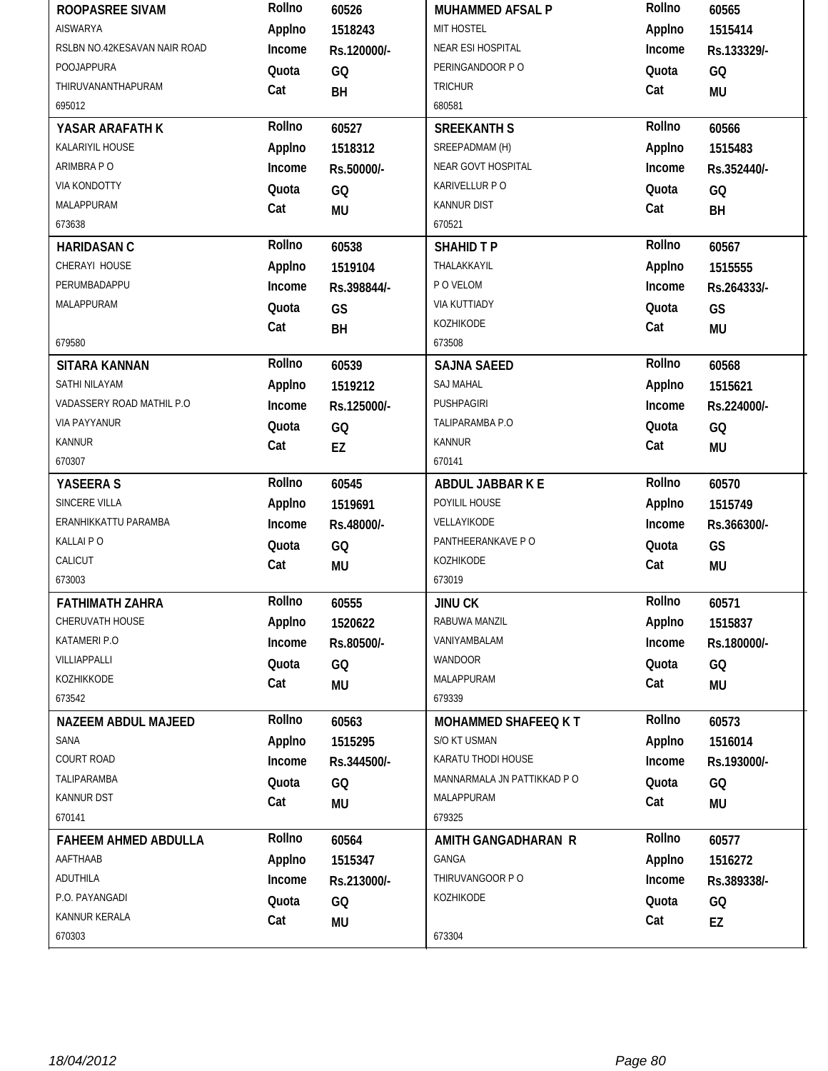| ROOPASREE SIVAM              | Rollno | 60526       | <b>MUHAMMED AFSAL P</b>     | Rollno | 60565       |
|------------------------------|--------|-------------|-----------------------------|--------|-------------|
| <b>AISWARYA</b>              | Applno | 1518243     | MIT HOSTEL                  | Applno | 1515414     |
| RSLBN NO.42KESAVAN NAIR ROAD | Income | Rs.120000/- | NEAR ESI HOSPITAL           | Income | Rs.133329/- |
| POOJAPPURA                   | Quota  | GQ          | PERINGANDOOR PO             | Quota  | GQ          |
| THIRUVANANTHAPURAM           | Cat    | BH          | <b>TRICHUR</b>              | Cat    | <b>MU</b>   |
| 695012                       |        |             | 680581                      |        |             |
| YASAR ARAFATH K              | Rollno | 60527       | <b>SREEKANTH S</b>          | Rollno | 60566       |
| KALARIYIL HOUSE              | Applno | 1518312     | SREEPADMAM (H)              | Applno | 1515483     |
| ARIMBRA P O                  | Income | Rs.50000/-  | NEAR GOVT HOSPITAL          | Income | Rs.352440/- |
| <b>VIA KONDOTTY</b>          | Quota  | GQ          | KARIVELLUR P O              | Quota  | GQ          |
| MALAPPURAM                   | Cat    | <b>MU</b>   | <b>KANNUR DIST</b>          | Cat    | BH          |
| 673638                       |        |             | 670521                      |        |             |
| <b>HARIDASAN C</b>           | Rollno | 60538       | <b>SHAHID T P</b>           | Rollno | 60567       |
| CHERAYI HOUSE                | Applno | 1519104     | THALAKKAYIL                 | Applno | 1515555     |
| PERUMBADAPPU                 | Income | Rs.398844/- | P O VELOM                   | Income | Rs.264333/- |
| MALAPPURAM                   | Quota  | GS          | <b>VIA KUTTIADY</b>         | Quota  | GS          |
|                              | Cat    | BH          | KOZHIKODE                   | Cat    | <b>MU</b>   |
| 679580                       |        |             | 673508                      |        |             |
| <b>SITARA KANNAN</b>         | Rollno | 60539       | <b>SAJNA SAEED</b>          | Rollno | 60568       |
| SATHI NILAYAM                | Applno | 1519212     | <b>SAJ MAHAL</b>            | Applno | 1515621     |
| VADASSERY ROAD MATHIL P.O    | Income | Rs.125000/- | PUSHPAGIRI                  | Income | Rs.224000/- |
| <b>VIA PAYYANUR</b>          | Quota  | GQ          | TALIPARAMBA P.O             | Quota  | GQ          |
| KANNUR                       | Cat    | EZ          | KANNUR                      | Cat    | <b>MU</b>   |
| 670307                       |        |             | 670141                      |        |             |
| YASEERA S                    | Rollno | 60545       | ABDUL JABBAR K E            | Rollno | 60570       |
| SINCERE VILLA                | Applno | 1519691     | POYILIL HOUSE               | Applno | 1515749     |
|                              |        |             |                             |        |             |
| ERANHIKKATTU PARAMBA         | Income | Rs.48000/-  | VELLAYIKODE                 | Income | Rs.366300/- |
| KALLAI PO                    | Quota  | GQ          | PANTHEERANKAVE PO           | Quota  | GS          |
| CALICUT                      | Cat    |             | KOZHIKODE                   | Cat    |             |
| 673003                       |        | <b>MU</b>   | 673019                      |        | <b>MU</b>   |
| <b>FATHIMATH ZAHRA</b>       | Rollno | 60555       | <b>JINU CK</b>              | Rollno | 60571       |
| <b>CHERUVATH HOUSE</b>       | Applno | 1520622     | RABUWA MANZIL               | Applno | 1515837     |
| KATAMERI P.O                 | Income | Rs.80500/-  | VANIYAMBALAM                | Income | Rs.180000/- |
| VILLIAPPALLI                 | Quota  |             | WANDOOR                     | Quota  |             |
| KOZHIKKODE                   | Cat    | GQ          | MALAPPURAM                  | Cat    | GQ          |
| 673542                       |        | <b>MU</b>   | 679339                      |        | MU          |
| <b>NAZEEM ABDUL MAJEED</b>   | Rollno | 60563       | <b>MOHAMMED SHAFEEQ KT</b>  | Rollno | 60573       |
| SANA                         | Applno | 1515295     | S/O KT USMAN                | Applno | 1516014     |
| COURT ROAD                   | Income | Rs.344500/- | KARATU THODI HOUSE          | Income | Rs.193000/- |
| TALIPARAMBA                  | Quota  |             | MANNARMALA JN PATTIKKAD P O | Quota  |             |
| KANNUR DST                   |        | GQ          | MALAPPURAM                  | Cat    | GQ          |
| 670141                       | Cat    | MU          | 679325                      |        | <b>MU</b>   |
| <b>FAHEEM AHMED ABDULLA</b>  | Rollno | 60564       | AMITH GANGADHARAN R         | Rollno | 60577       |
| AAFTHAAB                     | Applno | 1515347     | <b>GANGA</b>                | Applno | 1516272     |
| ADUTHILA                     | Income | Rs.213000/- | THIRUVANGOOR PO             | Income | Rs.389338/- |
| P.O. PAYANGADI               | Quota  | GQ          | KOZHIKODE                   | Quota  | GQ          |
| KANNUR KERALA                | Cat    | <b>MU</b>   |                             | Cat    | EZ          |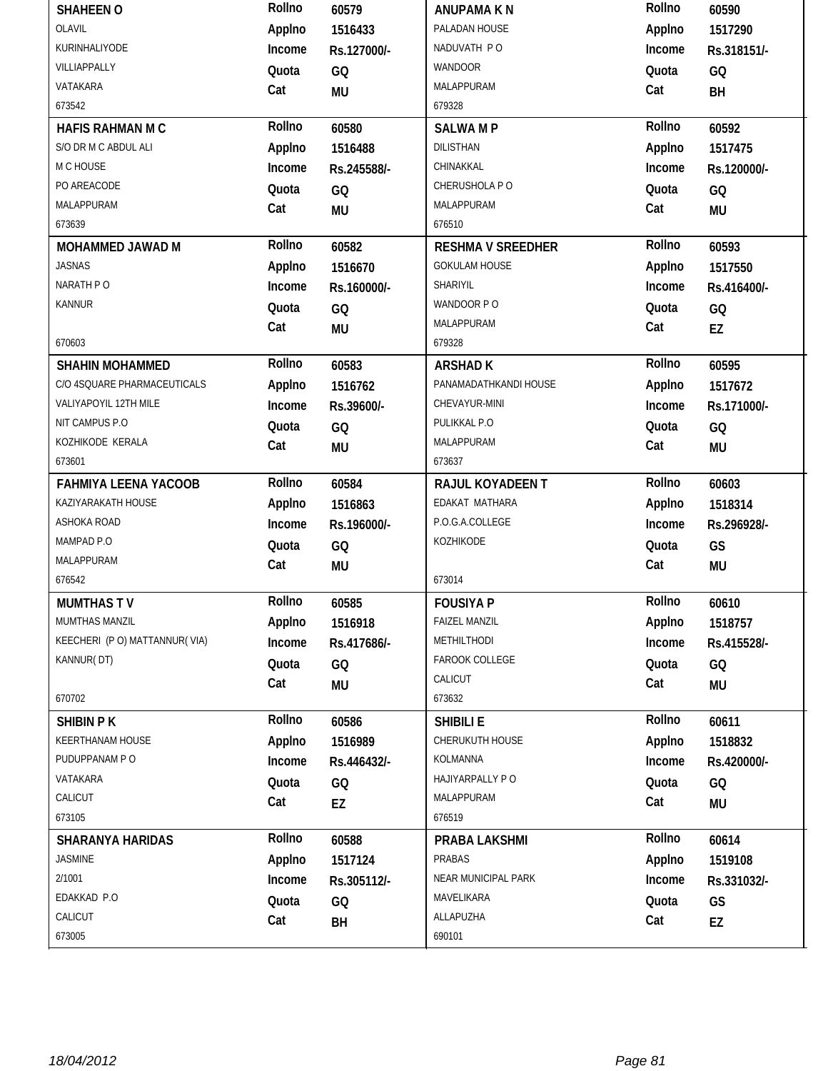| <b>SHAHEEN O</b>              | Rollno | 60579       | <b>ANUPAMA K N</b>       | Rollno | 60590       |
|-------------------------------|--------|-------------|--------------------------|--------|-------------|
| OLAVIL                        | Applno | 1516433     | PALADAN HOUSE            | Applno | 1517290     |
| KURINHALIYODE                 | Income | Rs.127000/- | NADUVATH PO              | Income | Rs.318151/- |
| VILLIAPPALLY                  | Quota  | GQ          | WANDOOR                  | Quota  | GQ          |
| VATAKARA                      | Cat    | <b>MU</b>   | MALAPPURAM               | Cat    | BH          |
| 673542                        |        |             | 679328                   |        |             |
| HAFIS RAHMAN M C              | Rollno | 60580       | <b>SALWAMP</b>           | Rollno | 60592       |
| S/O DR M C ABDUL ALI          | Applno | 1516488     | <b>DILISTHAN</b>         | Applno | 1517475     |
| M C HOUSE                     | Income | Rs.245588/- | CHINAKKAL                | Income | Rs.120000/- |
| PO AREACODE                   | Quota  | GQ          | CHERUSHOLA PO            | Quota  | GQ          |
| MALAPPURAM                    | Cat    | <b>MU</b>   | MALAPPURAM               | Cat    | <b>MU</b>   |
| 673639                        |        |             | 676510                   |        |             |
| MOHAMMED JAWAD M              | Rollno | 60582       | <b>RESHMA V SREEDHER</b> | Rollno | 60593       |
| <b>JASNAS</b>                 | Applno | 1516670     | <b>GOKULAM HOUSE</b>     | Applno | 1517550     |
| NARATH PO                     | Income | Rs.160000/- | SHARIYIL                 | Income | Rs.416400/- |
| <b>KANNUR</b>                 | Quota  | GQ          | WANDOOR PO               | Quota  | GQ          |
|                               | Cat    | <b>MU</b>   | MALAPPURAM               | Cat    | EZ          |
| 670603                        |        |             | 679328                   |        |             |
| <b>SHAHIN MOHAMMED</b>        | Rollno | 60583       | <b>ARSHADK</b>           | Rollno | 60595       |
| C/O 4SQUARE PHARMACEUTICALS   | Applno | 1516762     | PANAMADATHKANDI HOUSE    | Applno | 1517672     |
| VALIYAPOYIL 12TH MILE         | Income | Rs.39600/-  | CHEVAYUR-MINI            | Income | Rs.171000/- |
| NIT CAMPUS P.O                | Quota  | GQ          | PULIKKAL P.O             | Quota  | GQ          |
| KOZHIKODE KERALA              | Cat    | <b>MU</b>   | MALAPPURAM               | Cat    | <b>MU</b>   |
| 673601                        |        |             | 673637                   |        |             |
| <b>FAHMIYA LEENA YACOOB</b>   | Rollno | 60584       | <b>RAJUL KOYADEEN T</b>  | Rollno | 60603       |
| KAZIYARAKATH HOUSE            | Applno | 1516863     | EDAKAT MATHARA           | Applno | 1518314     |
| ASHOKA ROAD                   | Income | Rs.196000/- | P.O.G.A.COLLEGE          | Income | Rs.296928/- |
| MAMPAD P.O                    | Quota  | GQ          | KOZHIKODE                | Quota  | GS          |
| MALAPPURAM                    | Cat    | <b>MU</b>   |                          | Cat    | <b>MU</b>   |
| 676542                        |        |             | 673014                   |        |             |
| <b>MUMTHAS TV</b>             | Rollno | 60585       | <b>FOUSIYA P</b>         | Rollno | 60610       |
| MUMTHAS MANZIL                | Applno | 1516918     | <b>FAIZEL MANZIL</b>     | Applno | 1518757     |
| KEECHERI (P O) MATTANNUR(VIA) | Income | Rs.417686/- | METHILTHODI              | Income | Rs.415528/- |
| KANNUR(DT)                    | Quota  | GQ          | FAROOK COLLEGE           | Quota  | GQ          |
|                               | Cat    | MU          | CALICUT                  | Cat    | <b>MU</b>   |
| 670702                        |        |             | 673632                   |        |             |
| <b>SHIBIN PK</b>              | Rollno | 60586       | <b>SHIBILI E</b>         | Rollno | 60611       |
| KEERTHANAM HOUSE              | Applno | 1516989     | CHERUKUTH HOUSE          | Applno | 1518832     |
| PUDUPPANAM PO                 | Income | Rs.446432/- | KOLMANNA                 | Income | Rs.420000/- |
| VATAKARA                      | Quota  | GQ          | HAJIYARPALLY PO          | Quota  | GQ          |
| CALICUT                       | Cat    | EZ          | MALAPPURAM               | Cat    | <b>MU</b>   |
| 673105                        |        |             | 676519                   |        |             |
| <b>SHARANYA HARIDAS</b>       | Rollno | 60588       | PRABA LAKSHMI            | Rollno | 60614       |
| JASMINE                       | Applno | 1517124     | <b>PRABAS</b>            | Applno | 1519108     |
| 2/1001                        | Income | Rs.305112/- | NEAR MUNICIPAL PARK      | Income | Rs.331032/- |
| EDAKKAD P.O                   | Quota  | GQ          | MAVELIKARA               | Quota  | GS          |
| CALICUT                       | Cat    | BH          | ALLAPUZHA                | Cat    | EZ          |
| 673005                        |        |             | 690101                   |        |             |
|                               |        |             |                          |        |             |